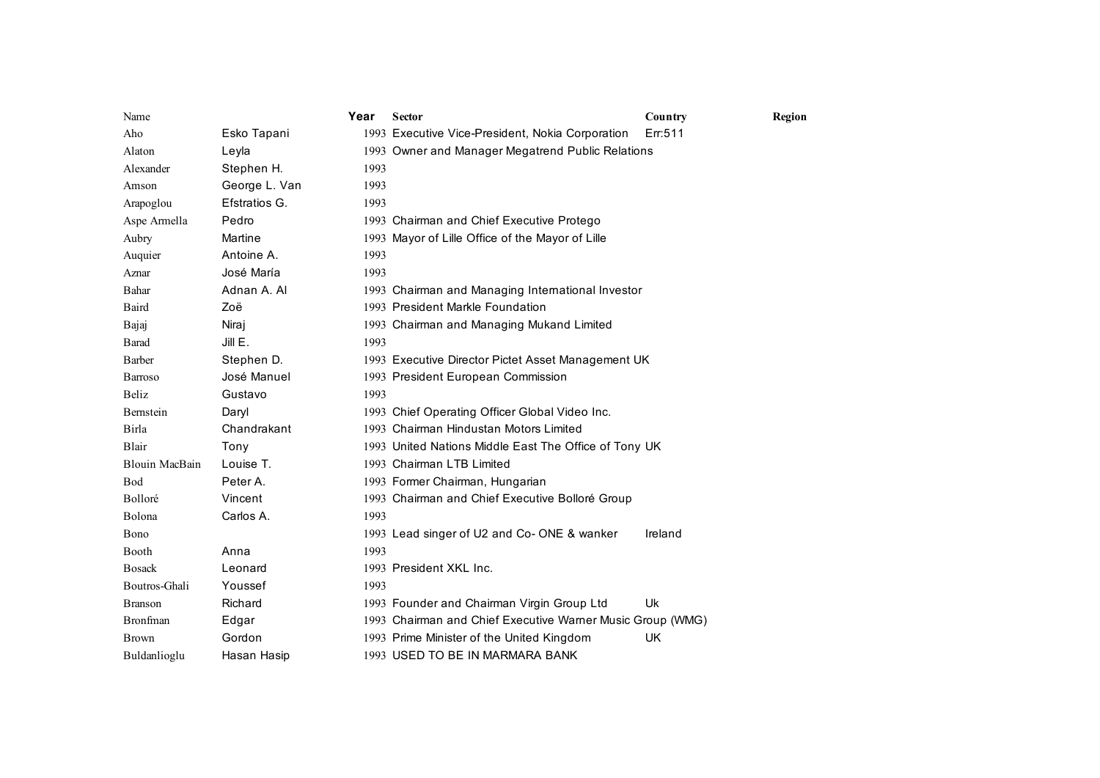| Name                  |               | Year | <b>Sector</b>                                              | Country | Region |
|-----------------------|---------------|------|------------------------------------------------------------|---------|--------|
| Aho                   | Esko Tapani   |      | 1993 Executive Vice-President, Nokia Corporation           | Err:511 |        |
| Alaton                | Leyla         |      | 1993 Owner and Manager Megatrend Public Relations          |         |        |
| Alexander             | Stephen H.    | 1993 |                                                            |         |        |
| Amson                 | George L. Van | 1993 |                                                            |         |        |
| Arapoglou             | Efstratios G. | 1993 |                                                            |         |        |
| Aspe Armella          | Pedro         |      | 1993 Chairman and Chief Executive Protego                  |         |        |
| Aubry                 | Martine       |      | 1993 Mayor of Lille Office of the Mayor of Lille           |         |        |
| Auquier               | Antoine A.    | 1993 |                                                            |         |        |
| Aznar                 | José María    | 1993 |                                                            |         |        |
| Bahar                 | Adnan A. Al   |      | 1993 Chairman and Managing International Investor          |         |        |
| Baird                 | Zoë           |      | 1993 President Markle Foundation                           |         |        |
| Bajaj                 | Niraj         |      | 1993 Chairman and Managing Mukand Limited                  |         |        |
| Barad                 | JillE.        | 1993 |                                                            |         |        |
| <b>Barber</b>         | Stephen D.    |      | 1993 Executive Director Pictet Asset Management UK         |         |        |
| <b>Barroso</b>        | José Manuel   |      | 1993 President European Commission                         |         |        |
| Beliz                 | Gustavo       | 1993 |                                                            |         |        |
| Bernstein             | Daryl         |      | 1993 Chief Operating Officer Global Video Inc.             |         |        |
| Birla                 | Chandrakant   |      | 1993 Chairman Hindustan Motors Limited                     |         |        |
| Blair                 | Tony          |      | 1993 United Nations Middle East The Office of Tony UK      |         |        |
| <b>Blouin MacBain</b> | Louise T.     |      | 1993 Chairman LTB Limited                                  |         |        |
| Bod                   | Peter A.      |      | 1993 Former Chairman, Hungarian                            |         |        |
| Bolloré               | Vincent       |      | 1993 Chairman and Chief Executive Bolloré Group            |         |        |
| Bolona                | Carlos A.     | 1993 |                                                            |         |        |
| Bono                  |               |      | 1993 Lead singer of U2 and Co-ONE & wanker                 | Ireland |        |
| Booth                 | Anna          | 1993 |                                                            |         |        |
| <b>Bosack</b>         | Leonard       |      | 1993 President XKL Inc.                                    |         |        |
| Boutros-Ghali         | Youssef       | 1993 |                                                            |         |        |
| <b>Branson</b>        | Richard       |      | 1993 Founder and Chairman Virgin Group Ltd                 | Uk      |        |
| <b>Bronfman</b>       | Edgar         |      | 1993 Chairman and Chief Executive Warner Music Group (WMG) |         |        |
| <b>Brown</b>          | Gordon        |      | 1993 Prime Minister of the United Kingdom                  | UK      |        |
| Buldanlioglu          | Hasan Hasip   |      | 1993 USED TO BE IN MARMARA BANK                            |         |        |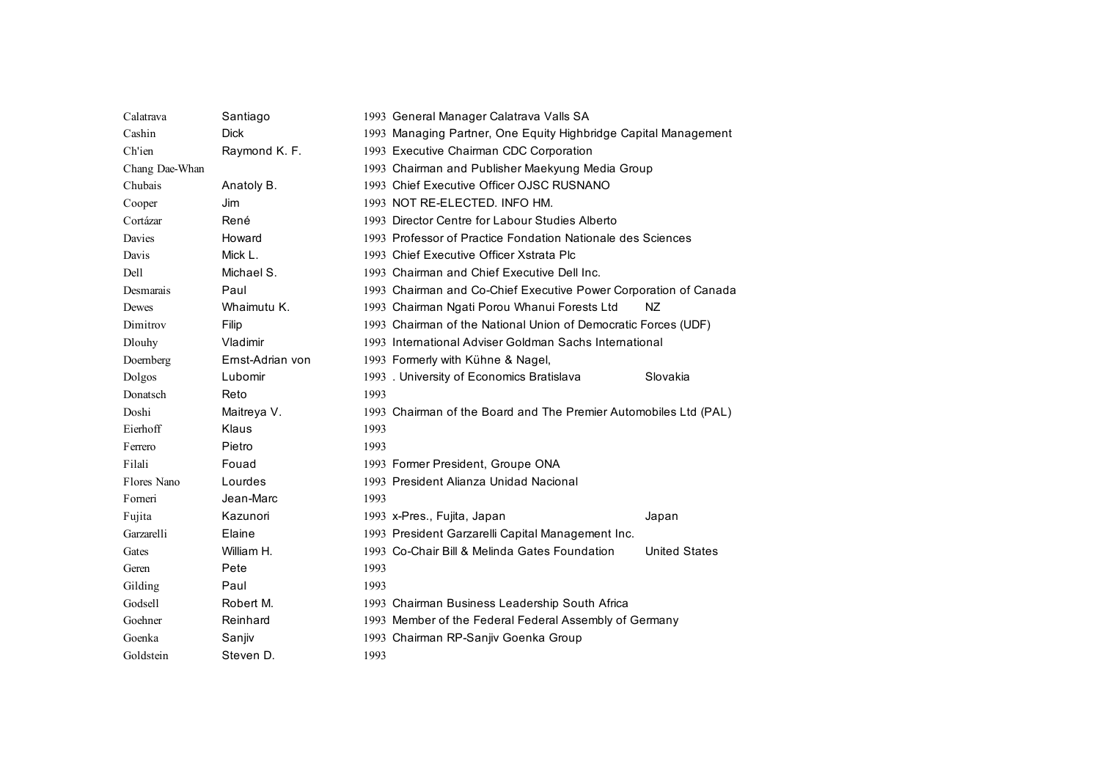| Calatrava      | Santiago         |      | 1993 General Manager Calatrava Valls SA                          |                      |
|----------------|------------------|------|------------------------------------------------------------------|----------------------|
| Cashin         | <b>Dick</b>      |      | 1993 Managing Partner, One Equity Highbridge Capital Management  |                      |
| Ch'ien         | Raymond K. F.    |      | 1993 Executive Chairman CDC Corporation                          |                      |
| Chang Dae-Whan |                  |      | 1993 Chairman and Publisher Maekyung Media Group                 |                      |
| Chubais        | Anatoly B.       |      | 1993 Chief Executive Officer OJSC RUSNANO                        |                      |
| Cooper         | Jim              |      | 1993 NOT RE-ELECTED. INFO HM.                                    |                      |
| Cortázar       | René             |      | 1993 Director Centre for Labour Studies Alberto                  |                      |
| Davies         | Howard           |      | 1993 Professor of Practice Fondation Nationale des Sciences      |                      |
| Davis          | Mick L.          |      | 1993 Chief Executive Officer Xstrata Plc                         |                      |
| Dell           | Michael S.       |      | 1993 Chairman and Chief Executive Dell Inc.                      |                      |
| Desmarais      | Paul             |      | 1993 Chairman and Co-Chief Executive Power Corporation of Canada |                      |
| Dewes          | Whaimutu K.      |      | 1993 Chairman Ngati Porou Whanui Forests Ltd                     | NZ.                  |
| Dimitrov       | Filip            |      | 1993 Chairman of the National Union of Democratic Forces (UDF)   |                      |
| Dlouhy         | Vladimir         |      | 1993 International Adviser Goldman Sachs International           |                      |
| Doemberg       | Ernst-Adrian von |      | 1993 Formerly with Kühne & Nagel,                                |                      |
| Dolgos         | Lubomir          |      | 1993 . University of Economics Bratislava                        | Slovakia             |
| Donatsch       | Reto             | 1993 |                                                                  |                      |
| Doshi          | Maitreya V.      |      | 1993 Chairman of the Board and The Premier Automobiles Ltd (PAL) |                      |
| Eierhoff       | Klaus            | 1993 |                                                                  |                      |
| Ferrero        | Pietro           | 1993 |                                                                  |                      |
| Filali         | Fouad            |      | 1993 Former President, Groupe ONA                                |                      |
| Flores Nano    | Lourdes          |      | 1993 President Alianza Unidad Nacional                           |                      |
| Forneri        | Jean-Marc        | 1993 |                                                                  |                      |
| Fujita         | Kazunori         |      | 1993 x-Pres., Fujita, Japan                                      | Japan                |
| Garzarelli     | Elaine           |      | 1993 President Garzarelli Capital Management Inc.                |                      |
| Gates          | William H.       |      | 1993 Co-Chair Bill & Melinda Gates Foundation                    | <b>United States</b> |
| Geren          | Pete             | 1993 |                                                                  |                      |
| Gilding        | Paul             | 1993 |                                                                  |                      |
| Godsell        | Robert M.        |      | 1993 Chairman Business Leadership South Africa                   |                      |
| Goehner        | Reinhard         |      | 1993 Member of the Federal Federal Assembly of Germany           |                      |
| Goenka         | Sanjiv           |      | 1993 Chairman RP-Sanjiv Goenka Group                             |                      |
| Goldstein      | Steven D.        | 1993 |                                                                  |                      |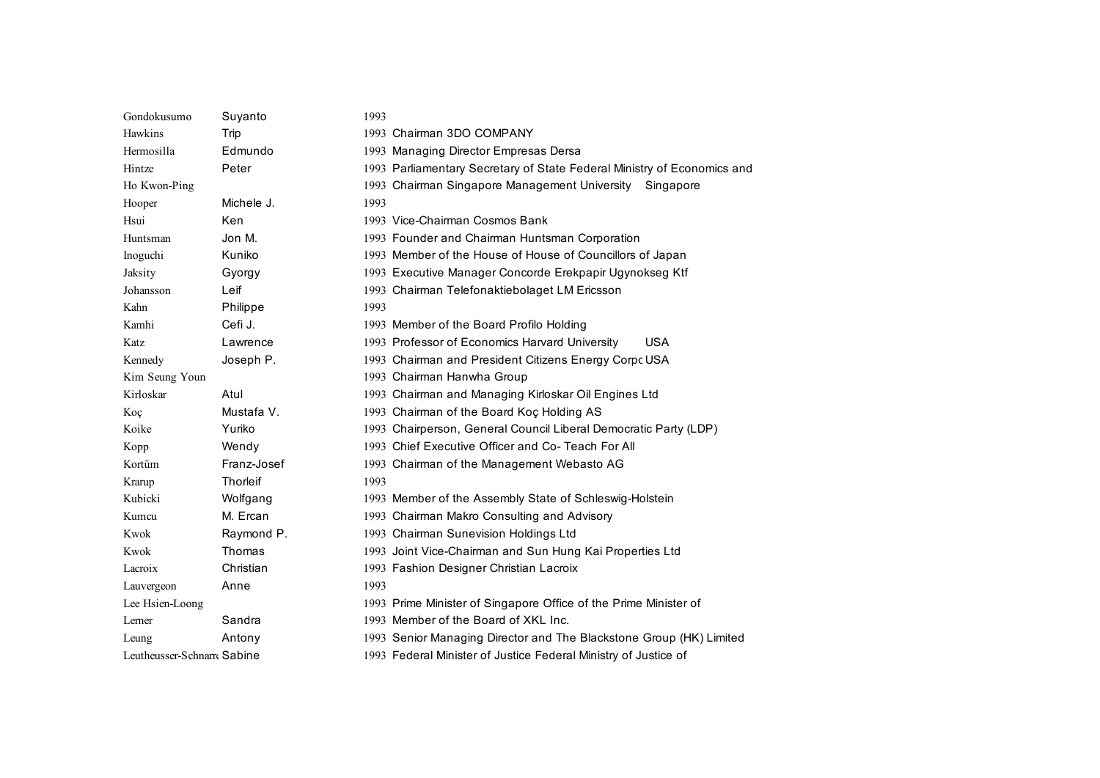| Gondokusumo                | Suyanto         | 1993                                                                    |
|----------------------------|-----------------|-------------------------------------------------------------------------|
| Hawkins                    | Trip            | 1993 Chairman 3DO COMPANY                                               |
| Hermosilla                 | Edmundo         | 1993 Managing Director Empresas Dersa                                   |
| Hintze                     | Peter           | 1993 Parliamentary Secretary of State Federal Ministry of Economics and |
| Ho Kwon-Ping               |                 | 1993 Chairman Singapore Management University<br>Singapore              |
| Hooper                     | Michele J.      | 1993                                                                    |
| Hsui                       | Ken             | 1993 Vice-Chairman Cosmos Bank                                          |
| Huntsman                   | Jon M.          | 1993 Founder and Chairman Huntsman Corporation                          |
| Inoguchi                   | Kuniko          | 1993 Member of the House of House of Councillors of Japan               |
| Jaksity                    | Gyorgy          | 1993 Executive Manager Concorde Erekpapir Ugynokseg Ktf                 |
| Johansson                  | Leif            | 1993 Chairman Telefonaktiebolaget LM Ericsson                           |
| Kahn                       | Philippe        | 1993                                                                    |
| Kamhi                      | Cefi J.         | 1993 Member of the Board Profilo Holding                                |
| Katz                       | Lawrence        | 1993 Professor of Economics Harvard University<br><b>USA</b>            |
| Kennedy                    | Joseph P.       | 1993 Chairman and President Citizens Energy Corpo USA                   |
| Kim Seung Youn             |                 | 1993 Chairman Hanwha Group                                              |
| Kirloskar                  | Atul            | 1993 Chairman and Managing Kirloskar Oil Engines Ltd                    |
| Koç                        | Mustafa V.      | 1993 Chairman of the Board Koç Holding AS                               |
| Koike                      | Yuriko          | 1993 Chairperson, General Council Liberal Democratic Party (LDP)        |
| Kopp                       | Wendy           | 1993 Chief Executive Officer and Co-Teach For All                       |
| Kortüm                     | Franz-Josef     | 1993 Chairman of the Management Webasto AG                              |
| Krarup                     | <b>Thorleif</b> | 1993                                                                    |
| Kubicki                    | Wolfgang        | 1993 Member of the Assembly State of Schleswig-Holstein                 |
| Kumcu                      | M. Ercan        | 1993 Chairman Makro Consulting and Advisory                             |
| Kwok                       | Raymond P.      | 1993 Chairman Sunevision Holdings Ltd                                   |
| Kwok                       | Thomas          | 1993 Joint Vice-Chairman and Sun Hung Kai Properties Ltd                |
| Lacroix                    | Christian       | 1993 Fashion Designer Christian Lacroix                                 |
| Lauvergeon                 | Anne            | 1993                                                                    |
| Lee Hsien-Loong            |                 | 1993 Prime Minister of Singapore Office of the Prime Minister of        |
| Lerner                     | Sandra          | 1993 Member of the Board of XKL Inc.                                    |
| Leung                      | Antony          | 1993 Senior Managing Director and The Blackstone Group (HK) Limited     |
| Leutheusser-Schnarr Sabine |                 | 1993 Federal Minister of Justice Federal Ministry of Justice of         |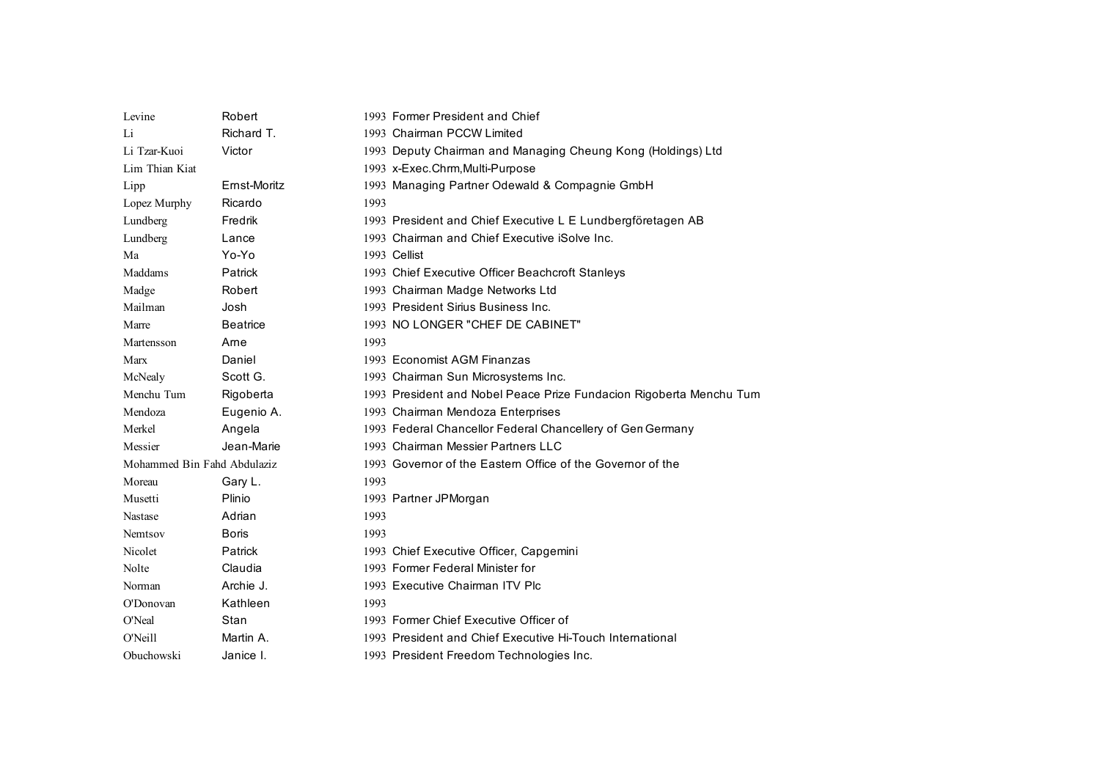| Levine                      | Robert          | 1993 Former President and Chief                                     |
|-----------------------------|-----------------|---------------------------------------------------------------------|
| Li                          | Richard T.      | 1993 Chairman PCCW Limited                                          |
| Li Tzar-Kuoi                | Victor          | 1993 Deputy Chairman and Managing Cheung Kong (Holdings) Ltd        |
| Lim Thian Kiat              |                 | 1993 x-Exec.Chrm, Multi-Purpose                                     |
| Lipp                        | Ernst-Moritz    | 1993 Managing Partner Odewald & Compagnie GmbH                      |
| Lopez Murphy                | Ricardo         | 1993                                                                |
| Lundberg                    | Fredrik         | 1993 President and Chief Executive L E Lundbergföretagen AB         |
| Lundberg                    | Lance           | 1993 Chairman and Chief Executive iSolve Inc.                       |
| Ma                          | Yo-Yo           | 1993 Cellist                                                        |
| Maddams                     | Patrick         | 1993 Chief Executive Officer Beachcroft Stanleys                    |
| Madge                       | Robert          | 1993 Chairman Madge Networks Ltd                                    |
| Mailman                     | Josh            | 1993 President Sirius Business Inc.                                 |
| Marre                       | <b>Beatrice</b> | 1993 NO LONGER "CHEF DE CABINET"                                    |
| Martensson                  | Arne            | 1993                                                                |
| Marx                        | Daniel          | 1993 Economist AGM Finanzas                                         |
| McNealy                     | Scott G.        | 1993 Chairman Sun Microsystems Inc.                                 |
| Menchu Tum                  | Rigoberta       | 1993 President and Nobel Peace Prize Fundacion Rigoberta Menchu Tum |
| Mendoza                     | Eugenio A.      | 1993 Chairman Mendoza Enterprises                                   |
| Merkel                      | Angela          | 1993 Federal Chancellor Federal Chancellery of Gen Germany          |
| Messier                     | Jean-Marie      | 1993 Chairman Messier Partners LLC                                  |
| Mohammed Bin Fahd Abdulaziz |                 | 1993 Governor of the Eastern Office of the Governor of the          |
| Moreau                      | Gary L.         | 1993                                                                |
| Musetti                     | Plinio          | 1993 Partner JPMorgan                                               |
| Nastase                     | Adrian          | 1993                                                                |
| Nemtsov                     | <b>Boris</b>    | 1993                                                                |
| Nicolet                     | Patrick         | 1993 Chief Executive Officer, Capgemini                             |
| Nolte                       | Claudia         | 1993 Former Federal Minister for                                    |
| Norman                      | Archie J.       | 1993 Executive Chairman ITV Plc                                     |
| O'Donovan                   | Kathleen        | 1993                                                                |
| O'Neal                      | Stan            | 1993 Former Chief Executive Officer of                              |
| O'Neill                     | Martin A.       | 1993 President and Chief Executive Hi-Touch International           |
| Obuchowski                  | Janice I.       | 1993 President Freedom Technologies Inc.                            |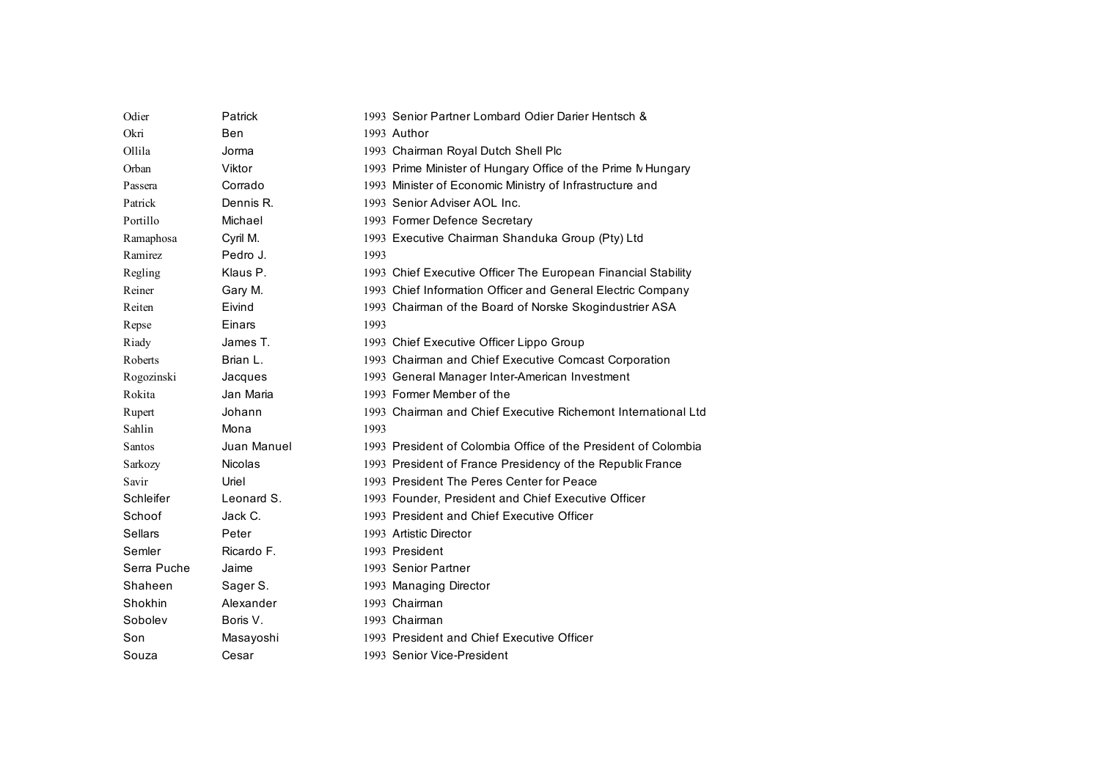| Odier          | Patrick        | 1993 Senior Partner Lombard Odier Darier Hentsch &             |
|----------------|----------------|----------------------------------------------------------------|
| Okri           | Ben            | 1993 Author                                                    |
| Ollila         | Jorma          | 1993 Chairman Royal Dutch Shell Plc                            |
| Orban          | Viktor         | 1993 Prime Minister of Hungary Office of the Prime N Hungary   |
| Passera        | Corrado        | 1993 Minister of Economic Ministry of Infrastructure and       |
| Patrick        | Dennis R.      | 1993 Senior Adviser AOL Inc.                                   |
| Portillo       | Michael        | 1993 Former Defence Secretary                                  |
| Ramaphosa      | Cyril M.       | 1993 Executive Chairman Shanduka Group (Pty) Ltd               |
| Ramirez        | Pedro J.       | 1993                                                           |
| Regling        | Klaus P.       | 1993 Chief Executive Officer The European Financial Stability  |
| Reiner         | Gary M.        | 1993 Chief Information Officer and General Electric Company    |
| Reiten         | Eivind         | 1993 Chairman of the Board of Norske Skogindustrier ASA        |
| Repse          | Einars         | 1993                                                           |
| Riady          | James T.       | 1993 Chief Executive Officer Lippo Group                       |
| Roberts        | Brian L.       | 1993 Chairman and Chief Executive Comcast Corporation          |
| Rogozinski     | Jacques        | 1993 General Manager Inter-American Investment                 |
| Rokita         | Jan Maria      | 1993 Former Member of the                                      |
| Rupert         | Johann         | 1993 Chairman and Chief Executive Richemont International Ltd  |
| Sahlin         | Mona           | 1993                                                           |
| Santos         | Juan Manuel    | 1993 President of Colombia Office of the President of Colombia |
| Sarkozy        | <b>Nicolas</b> | 1993 President of France Presidency of the Republic France     |
| Savir          | Uriel          | 1993 President The Peres Center for Peace                      |
| Schleifer      | Leonard S.     | 1993 Founder, President and Chief Executive Officer            |
| Schoof         | Jack C.        | 1993 President and Chief Executive Officer                     |
| <b>Sellars</b> | Peter          | 1993 Artistic Director                                         |
| Semler         | Ricardo F.     | 1993 President                                                 |
| Serra Puche    | Jaime          | 1993 Senior Partner                                            |
| Shaheen        | Sager S.       | 1993 Managing Director                                         |
| Shokhin        | Alexander      | 1993 Chairman                                                  |
| Sobolev        | Boris V.       | 1993 Chairman                                                  |
| Son            | Masayoshi      | 1993 President and Chief Executive Officer                     |
| Souza          | Cesar          | 1993 Senior Vice-President                                     |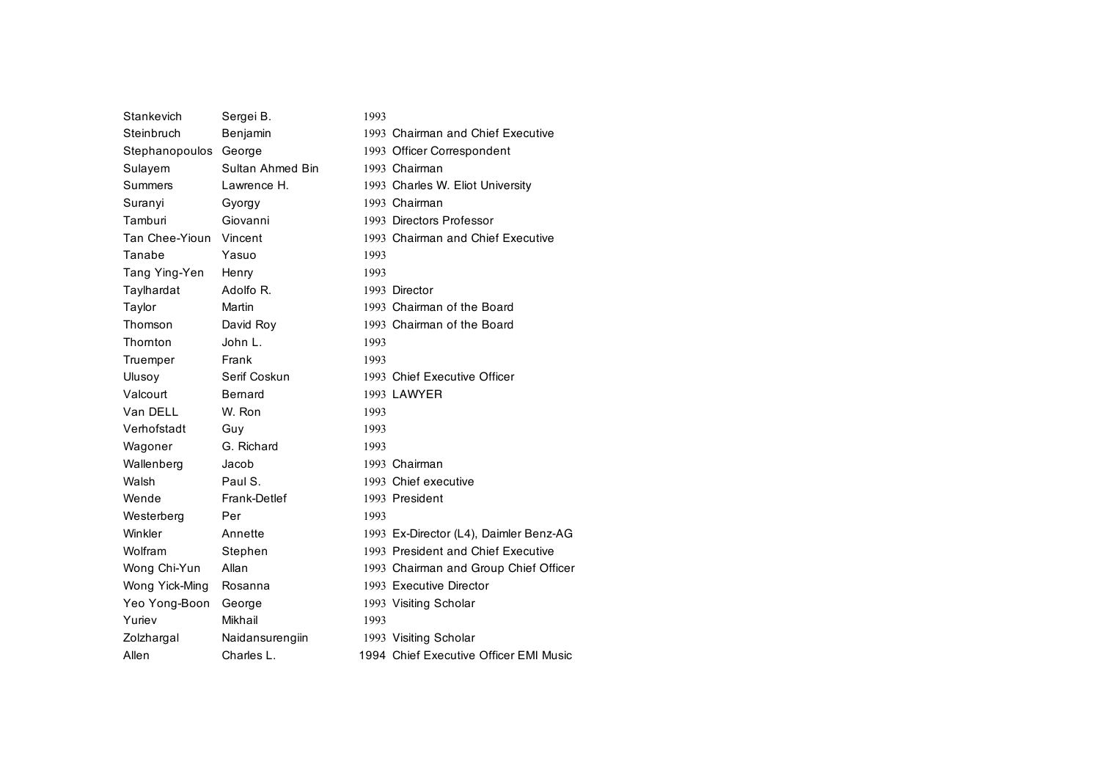| Stankevich            | Sergei B.        | 1993 |                                        |
|-----------------------|------------------|------|----------------------------------------|
| Steinbruch            | Benjamin         |      | 1993 Chairman and Chief Executive      |
| Stephanopoulos George |                  |      | 1993 Officer Correspondent             |
| Sulayem               | Sultan Ahmed Bin |      | 1993 Chairman                          |
| Summers               | Lawrence H.      |      | 1993 Charles W. Eliot University       |
| Suranyi               | Gyorgy           |      | 1993 Chairman                          |
| Tamburi               | Giovanni         |      | 1993 Directors Professor               |
| Tan Chee-Yioun        | Vincent          |      | 1993 Chairman and Chief Executive      |
| Tanabe                | Yasuo            | 1993 |                                        |
| Tang Ying-Yen         | Henry            | 1993 |                                        |
| Taylhardat            | Adolfo R.        |      | 1993 Director                          |
| Taylor                | Martin           |      | 1993 Chairman of the Board             |
| Thomson               | David Roy        |      | 1993 Chairman of the Board             |
| Thomton               | John L.          | 1993 |                                        |
| Truemper              | Frank            | 1993 |                                        |
| Ulusov                | Serif Coskun     |      | 1993 Chief Executive Officer           |
| Valcourt              | Bernard          |      | 1993 LAWYER                            |
| Van DELL              | W. Ron           | 1993 |                                        |
| Verhofstadt           | Guy              | 1993 |                                        |
| Wagoner               | G. Richard       | 1993 |                                        |
| Wallenberg            | Jacob            |      | 1993 Chairman                          |
| Walsh                 | Paul S.          |      | 1993 Chief executive                   |
| Wende                 | Frank-Detlef     |      | 1993 President                         |
| Westerberg            | Per              | 1993 |                                        |
| Winkler               | Annette          |      | 1993 Ex-Director (L4), Daimler Benz-AG |
| Wolfram               | Stephen          |      | 1993 President and Chief Executive     |
| Wong Chi-Yun          | Allan            |      | 1993 Chairman and Group Chief Officer  |
| Wong Yick-Ming        | Rosanna          |      | 1993 Executive Director                |
| Yeo Yong-Boon         | George           |      | 1993 Visiting Scholar                  |
| Yuriev                | Mikhail          | 1993 |                                        |
| Zolzhargal            | Naidansurengiin  |      | 1993 Visiting Scholar                  |
| Allen                 | Charles L.       |      | 1994 Chief Executive Officer EMI Music |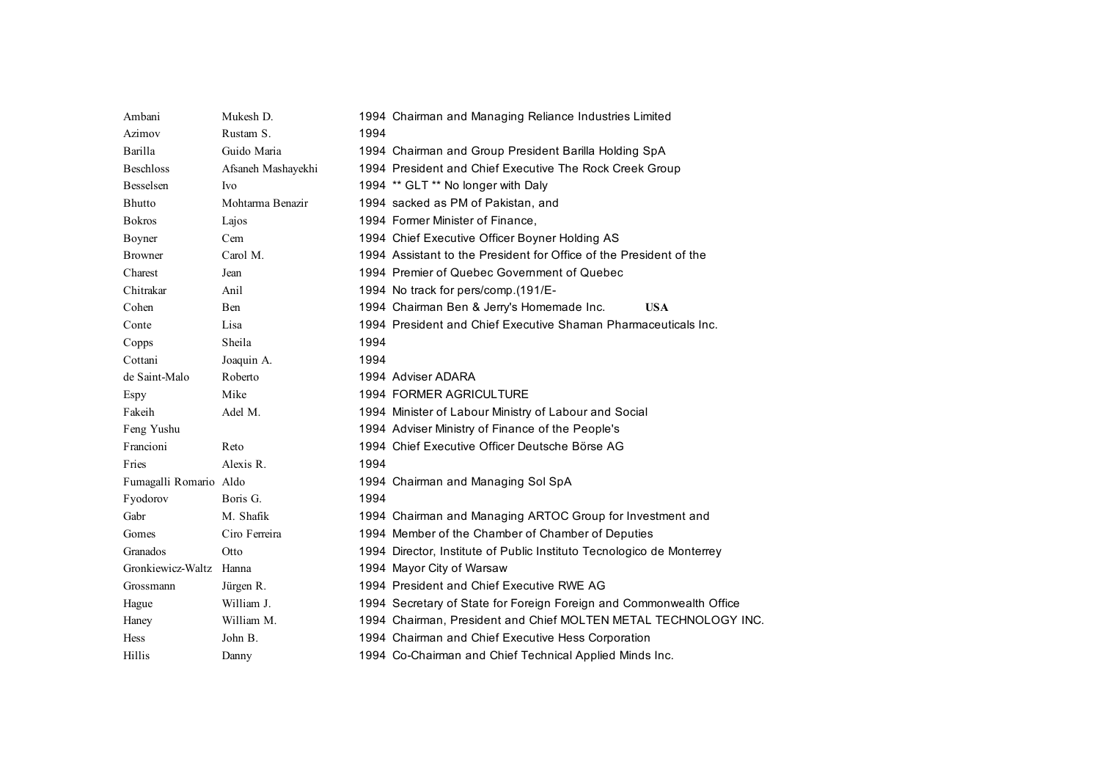| Ambani                 | Mukesh D.          |      | 1994 Chairman and Managing Reliance Industries Limited                |
|------------------------|--------------------|------|-----------------------------------------------------------------------|
| Azimov                 | Rustam S.          | 1994 |                                                                       |
| Barilla                | Guido Maria        |      | 1994 Chairman and Group President Barilla Holding SpA                 |
| <b>Beschloss</b>       | Afsaneh Mashayekhi |      | 1994 President and Chief Executive The Rock Creek Group               |
| <b>Besselsen</b>       | <b>Ivo</b>         |      | 1994 ** GLT ** No longer with Daly                                    |
| <b>Bhutto</b>          | Mohtarma Benazir   |      | 1994 sacked as PM of Pakistan, and                                    |
| <b>Bokros</b>          | Lajos              |      | 1994 Former Minister of Finance,                                      |
| Boyner                 | Cem                |      | 1994 Chief Executive Officer Boyner Holding AS                        |
| <b>Browner</b>         | Carol M.           |      | 1994 Assistant to the President for Office of the President of the    |
| Charest                | Jean               |      | 1994 Premier of Quebec Government of Quebec                           |
| Chitrakar              | Anil               |      | 1994 No track for pers/comp.(191/E-                                   |
| Cohen                  | Ben                |      | 1994 Chairman Ben & Jerry's Homemade Inc.<br><b>USA</b>               |
| Conte                  | Lisa               |      | 1994 President and Chief Executive Shaman Pharmaceuticals Inc.        |
| Copps                  | Sheila             | 1994 |                                                                       |
| Cottani                | Joaquin A.         | 1994 |                                                                       |
| de Saint-Malo          | Roberto            |      | 1994 Adviser ADARA                                                    |
| Espy                   | Mike               |      | 1994 FORMER AGRICULTURE                                               |
| Fakeih                 | Adel M.            |      | 1994 Minister of Labour Ministry of Labour and Social                 |
| Feng Yushu             |                    |      | 1994 Adviser Ministry of Finance of the People's                      |
| Francioni              | Reto               |      | 1994 Chief Executive Officer Deutsche Börse AG                        |
| Fries                  | Alexis R.          | 1994 |                                                                       |
| Fumagalli Romario Aldo |                    |      | 1994 Chairman and Managing Sol SpA                                    |
| Fyodorov               | Boris G.           | 1994 |                                                                       |
| Gabr                   | M. Shafik          |      | 1994 Chairman and Managing ARTOC Group for Investment and             |
| Gomes                  | Ciro Ferreira      |      | 1994 Member of the Chamber of Chamber of Deputies                     |
| Granados               | Otto               |      | 1994 Director, Institute of Public Instituto Tecnologico de Monterrey |
| Gronkiewicz-Waltz      | Hanna              |      | 1994 Mayor City of Warsaw                                             |
| Grossmann              | Jürgen R.          |      | 1994 President and Chief Executive RWE AG                             |
| Hague                  | William J.         |      | 1994 Secretary of State for Foreign Foreign and Commonwealth Office   |
| Haney                  | William M.         |      | 1994 Chairman, President and Chief MOLTEN METAL TECHNOLOGY INC.       |
| <b>Hess</b>            | John B.            |      | 1994 Chairman and Chief Executive Hess Corporation                    |
| Hillis                 | Danny              |      | 1994 Co-Chairman and Chief Technical Applied Minds Inc.               |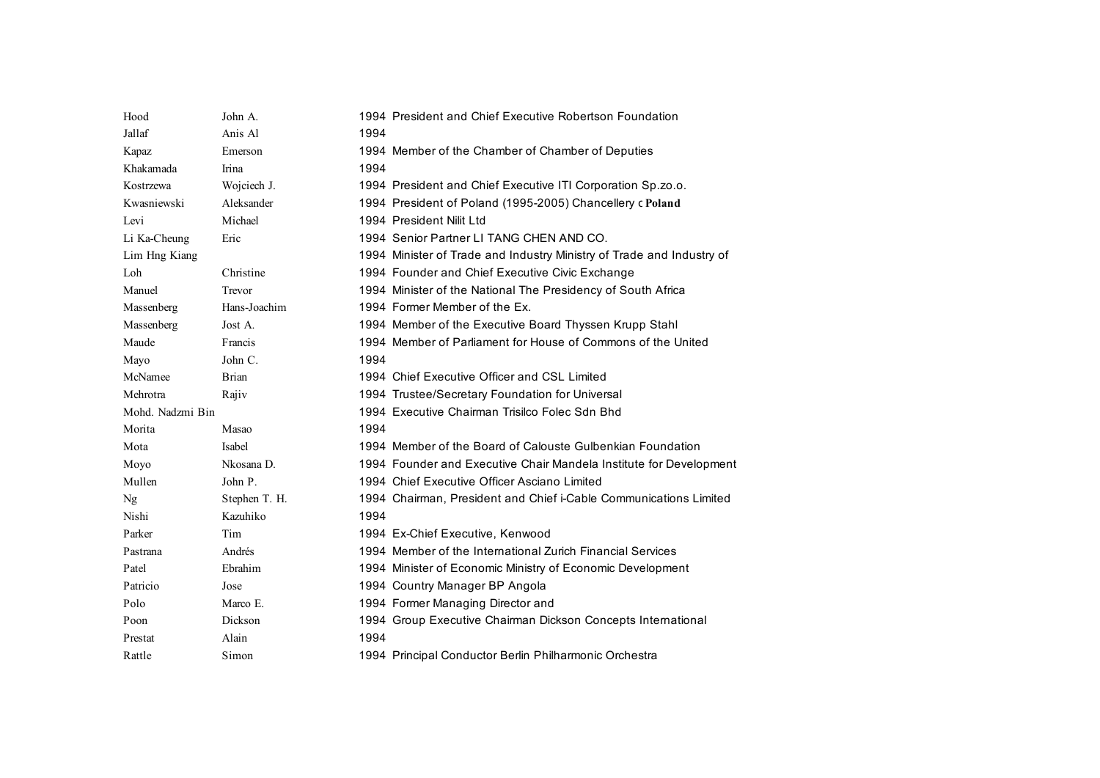| Hood             | John A.       | 1994 President and Chief Executive Robertson Foundation               |  |
|------------------|---------------|-----------------------------------------------------------------------|--|
| Jallaf           | Anis Al       | 1994                                                                  |  |
| Kapaz            | Emerson       | 1994 Member of the Chamber of Chamber of Deputies                     |  |
| Khakamada        | Irina         | 1994                                                                  |  |
| Kostrzewa        | Wojciech J.   | 1994 President and Chief Executive ITI Corporation Sp.zo.o.           |  |
| Kwasniewski      | Aleksander    | 1994 President of Poland (1995-2005) Chancellery c Poland             |  |
| Levi             | Michael       | 1994 President Nilit Ltd                                              |  |
| Li Ka-Cheung     | Eric          | 1994 Senior Partner LI TANG CHEN AND CO.                              |  |
| Lim Hng Kiang    |               | 1994 Minister of Trade and Industry Ministry of Trade and Industry of |  |
| Loh              | Christine     | 1994 Founder and Chief Executive Civic Exchange                       |  |
| Manuel           | Trevor        | 1994 Minister of the National The Presidency of South Africa          |  |
| Massenberg       | Hans-Joachim  | 1994 Former Member of the Ex.                                         |  |
| Massenberg       | Jost A.       | 1994 Member of the Executive Board Thyssen Krupp Stahl                |  |
| Maude            | Francis       | 1994 Member of Parliament for House of Commons of the United          |  |
| Mayo             | John C.       | 1994                                                                  |  |
| McNamee          | <b>Brian</b>  | 1994 Chief Executive Officer and CSL Limited                          |  |
| Mehrotra         | Rajiv         | 1994 Trustee/Secretary Foundation for Universal                       |  |
| Mohd. Nadzmi Bin |               | 1994 Executive Chairman Trisilco Folec Sdn Bhd                        |  |
| Morita           | Masao         | 1994                                                                  |  |
| Mota             | Isabel        | 1994 Member of the Board of Calouste Gulbenkian Foundation            |  |
| Moyo             | Nkosana D.    | 1994 Founder and Executive Chair Mandela Institute for Development    |  |
| Mullen           | John P.       | 1994 Chief Executive Officer Asciano Limited                          |  |
| Ng               | Stephen T. H. | 1994 Chairman, President and Chief i-Cable Communications Limited     |  |
| Nishi            | Kazuhiko      | 1994                                                                  |  |
| Parker           | Tim           | 1994 Ex-Chief Executive, Kenwood                                      |  |
| Pastrana         | Andrés        | 1994 Member of the International Zurich Financial Services            |  |
| Patel            | Ebrahim       | 1994 Minister of Economic Ministry of Economic Development            |  |
| Patricio         | Jose          | 1994 Country Manager BP Angola                                        |  |
| Polo             | Marco E.      | 1994 Former Managing Director and                                     |  |
| Poon             | Dickson       | 1994 Group Executive Chairman Dickson Concepts International          |  |
| Prestat          | Alain         | 1994                                                                  |  |
| Rattle           | Simon         | 1994 Principal Conductor Berlin Philharmonic Orchestra                |  |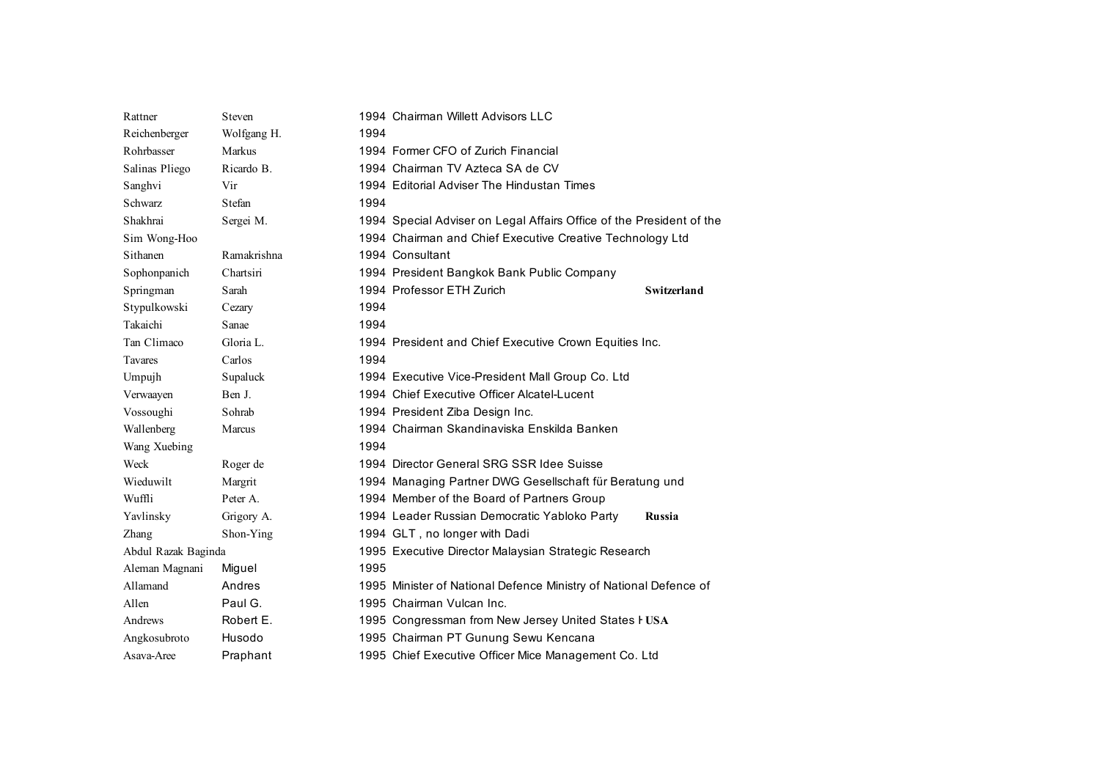| Rattner             | Steven      | 1994 Chairman Willett Advisors LLC                                   |                    |
|---------------------|-------------|----------------------------------------------------------------------|--------------------|
| Reichenberger       | Wolfgang H. | 1994                                                                 |                    |
| Rohrbasser          | Markus      | 1994 Former CFO of Zurich Financial                                  |                    |
| Salinas Pliego      | Ricardo B.  | 1994 Chairman TV Azteca SA de CV                                     |                    |
| Sanghvi             | Vir         | 1994 Editorial Adviser The Hindustan Times                           |                    |
| <b>Schwarz</b>      | Stefan      | 1994                                                                 |                    |
| Shakhrai            | Sergei M.   | 1994 Special Adviser on Legal Affairs Office of the President of the |                    |
| Sim Wong-Hoo        |             | 1994 Chairman and Chief Executive Creative Technology Ltd            |                    |
| Sithanen            | Ramakrishna | 1994 Consultant                                                      |                    |
| Sophonpanich        | Chartsiri   | 1994 President Bangkok Bank Public Company                           |                    |
| Springman           | Sarah       | 1994 Professor ETH Zurich                                            | <b>Switzerland</b> |
| Stypulkowski        | Cezary      | 1994                                                                 |                    |
| Takaichi            | Sanae       | 1994                                                                 |                    |
| Tan Climaco         | Gloria L.   | 1994 President and Chief Executive Crown Equities Inc.               |                    |
| Tavares             | Carlos      | 1994                                                                 |                    |
| Umpujh              | Supaluck    | 1994 Executive Vice-President Mall Group Co. Ltd                     |                    |
| Verwaayen           | Ben J.      | 1994 Chief Executive Officer Alcatel-Lucent                          |                    |
| Vossoughi           | Sohrab      | 1994 President Ziba Design Inc.                                      |                    |
| Wallenberg          | Marcus      | 1994 Chairman Skandinaviska Enskilda Banken                          |                    |
| Wang Xuebing        |             | 1994                                                                 |                    |
| Weck                | Roger de    | 1994 Director General SRG SSR Idee Suisse                            |                    |
| Wieduwilt           | Margrit     | 1994 Managing Partner DWG Gesellschaft für Beratung und              |                    |
| Wuffli              | Peter A.    | 1994 Member of the Board of Partners Group                           |                    |
| Yavlinsky           | Grigory A.  | 1994 Leader Russian Democratic Yabloko Party                         | Russia             |
| Zhang               | Shon-Ying   | 1994 GLT, no longer with Dadi                                        |                    |
| Abdul Razak Baginda |             | 1995 Executive Director Malaysian Strategic Research                 |                    |
| Aleman Magnani      | Miguel      | 1995                                                                 |                    |
| Allamand            | Andres      | 1995 Minister of National Defence Ministry of National Defence of    |                    |
| Allen               | Paul G.     | 1995 Chairman Vulcan Inc.                                            |                    |
| Andrews             | Robert E.   | 1995 Congressman from New Jersey United States I USA                 |                    |
| Angkosubroto        | Husodo      | 1995 Chairman PT Gunung Sewu Kencana                                 |                    |
| Asava-Aree          | Praphant    | 1995 Chief Executive Officer Mice Management Co. Ltd                 |                    |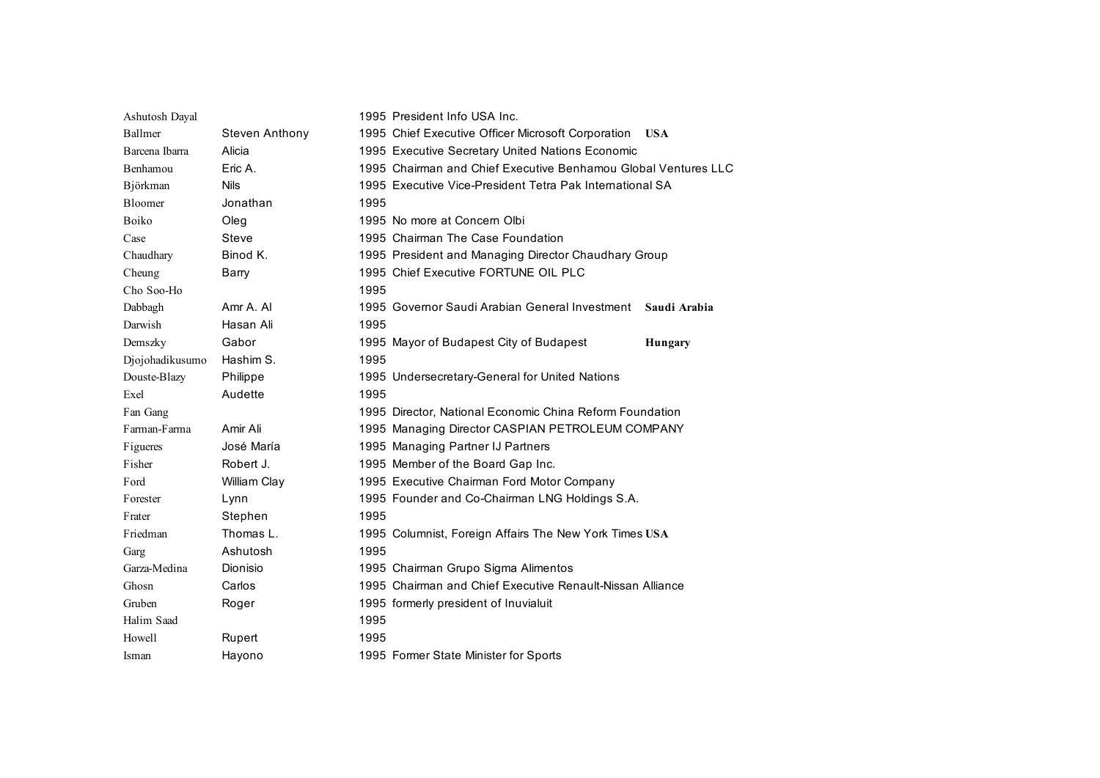| Ashutosh Dayal  |                | 1995 President Info USA Inc.                                   |
|-----------------|----------------|----------------------------------------------------------------|
| Ballmer         | Steven Anthony | 1995 Chief Executive Officer Microsoft Corporation USA         |
| Barcena Ibarra  | Alicia         | 1995 Executive Secretary United Nations Economic               |
| Benhamou        | Eric A.        | 1995 Chairman and Chief Executive Benhamou Global Ventures LLC |
| Björkman        | <b>Nils</b>    | 1995 Executive Vice-President Tetra Pak International SA       |
| Bloomer         | Jonathan       | 1995                                                           |
| Boiko           | Oleg           | 1995 No more at Concern Olbi                                   |
| Case            | <b>Steve</b>   | 1995 Chairman The Case Foundation                              |
| Chaudhary       | Binod K.       | 1995 President and Managing Director Chaudhary Group           |
| Cheung          | Barry          | 1995 Chief Executive FORTUNE OIL PLC                           |
| Cho Soo-Ho      |                | 1995                                                           |
| Dabbagh         | Amr A. Al      | 1995 Governor Saudi Arabian General Investment<br>Saudi Arabia |
| Darwish         | Hasan Ali      | 1995                                                           |
| Demszky         | Gabor          | 1995 Mayor of Budapest City of Budapest<br>Hungary             |
| Djojohadikusumo | Hashim S.      | 1995                                                           |
| Douste-Blazy    | Philippe       | 1995 Undersecretary-General for United Nations                 |
| Exel            | Audette        | 1995                                                           |
| Fan Gang        |                | 1995 Director, National Economic China Reform Foundation       |
| Farman-Farma    | Amir Ali       | 1995 Managing Director CASPIAN PETROLEUM COMPANY               |
| Figueres        | José María     | 1995 Managing Partner IJ Partners                              |
| Fisher          | Robert J.      | 1995 Member of the Board Gap Inc.                              |
| Ford            | William Clay   | 1995 Executive Chairman Ford Motor Company                     |
| Forester        | Lynn           | 1995 Founder and Co-Chairman LNG Holdings S.A.                 |
| Frater          | Stephen        | 1995                                                           |
| Friedman        | Thomas L.      | 1995 Columnist, Foreign Affairs The New York Times USA         |
| Garg            | Ashutosh       | 1995                                                           |
| Garza-Medina    | Dionisio       | 1995 Chairman Grupo Sigma Alimentos                            |
| Ghosn           | Carlos         | 1995 Chairman and Chief Executive Renault-Nissan Alliance      |
| Gruben          | Roger          | 1995 formerly president of Inuvialuit                          |
| Halim Saad      |                | 1995                                                           |
| Howell          | Rupert         | 1995                                                           |
| Isman           | Hayono         | 1995 Former State Minister for Sports                          |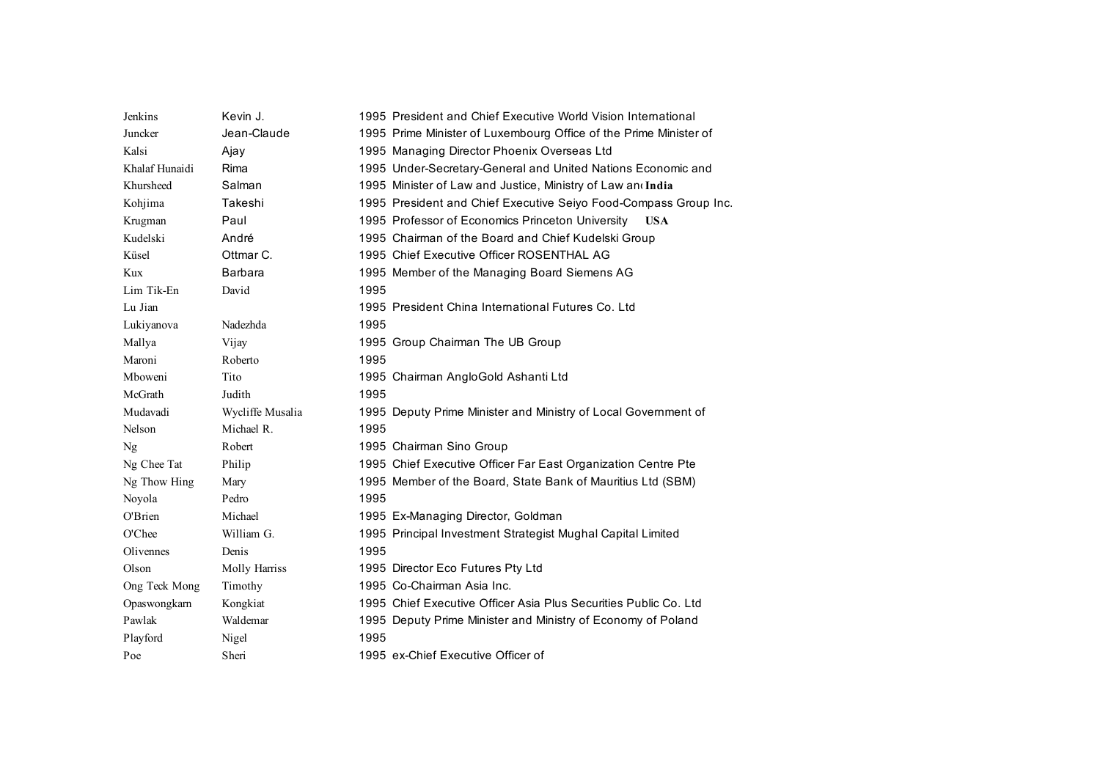| Jenkins        | Kevin J.         | 1995 President and Chief Executive World Vision International     |
|----------------|------------------|-------------------------------------------------------------------|
| Juncker        | Jean-Claude      | 1995 Prime Minister of Luxembourg Office of the Prime Minister of |
| Kalsi          | Ajay             | 1995 Managing Director Phoenix Overseas Ltd                       |
| Khalaf Hunaidi | Rima             | 1995 Under-Secretary-General and United Nations Economic and      |
| Khursheed      | Salman           | 1995 Minister of Law and Justice, Ministry of Law and India       |
| Kohjima        | Takeshi          | 1995 President and Chief Executive Seiyo Food-Compass Group Inc.  |
| Krugman        | Paul             | 1995 Professor of Economics Princeton University USA              |
| Kudelski       | André            | 1995 Chairman of the Board and Chief Kudelski Group               |
| Küsel          | Ottmar C.        | 1995 Chief Executive Officer ROSENTHAL AG                         |
| Kux            | <b>Barbara</b>   | 1995 Member of the Managing Board Siemens AG                      |
| Lim Tik-En     | David            | 1995                                                              |
| Lu Jian        |                  | 1995 President China International Futures Co. Ltd                |
| Lukiyanova     | Nadezhda         | 1995                                                              |
| Mallya         | Vijay            | 1995 Group Chairman The UB Group                                  |
| Maroni         | Roberto          | 1995                                                              |
| Mboweni        | Tito             | 1995 Chairman AngloGold Ashanti Ltd                               |
| McGrath        | Judith           | 1995                                                              |
| Mudavadi       | Wycliffe Musalia | 1995 Deputy Prime Minister and Ministry of Local Government of    |
| Nelson         | Michael R.       | 1995                                                              |
| Ng             | Robert           | 1995 Chairman Sino Group                                          |
| Ng Chee Tat    | Philip           | 1995 Chief Executive Officer Far East Organization Centre Pte     |
| Ng Thow Hing   | Mary             | 1995 Member of the Board, State Bank of Mauritius Ltd (SBM)       |
| Noyola         | Pedro            | 1995                                                              |
| O'Brien        | Michael          | 1995 Ex-Managing Director, Goldman                                |
| O'Chee         | William G.       | 1995 Principal Investment Strategist Mughal Capital Limited       |
| Olivennes      | Denis            | 1995                                                              |
| Olson          | Molly Harriss    | 1995 Director Eco Futures Pty Ltd                                 |
| Ong Teck Mong  | Timothy          | 1995 Co-Chairman Asia Inc.                                        |
| Opaswongkarn   | Kongkiat         | 1995 Chief Executive Officer Asia Plus Securities Public Co. Ltd  |
| Pawlak         | Waldemar         | 1995 Deputy Prime Minister and Ministry of Economy of Poland      |
| Playford       | Nigel            | 1995                                                              |
| Poe            | Sheri            | 1995 ex-Chief Executive Officer of                                |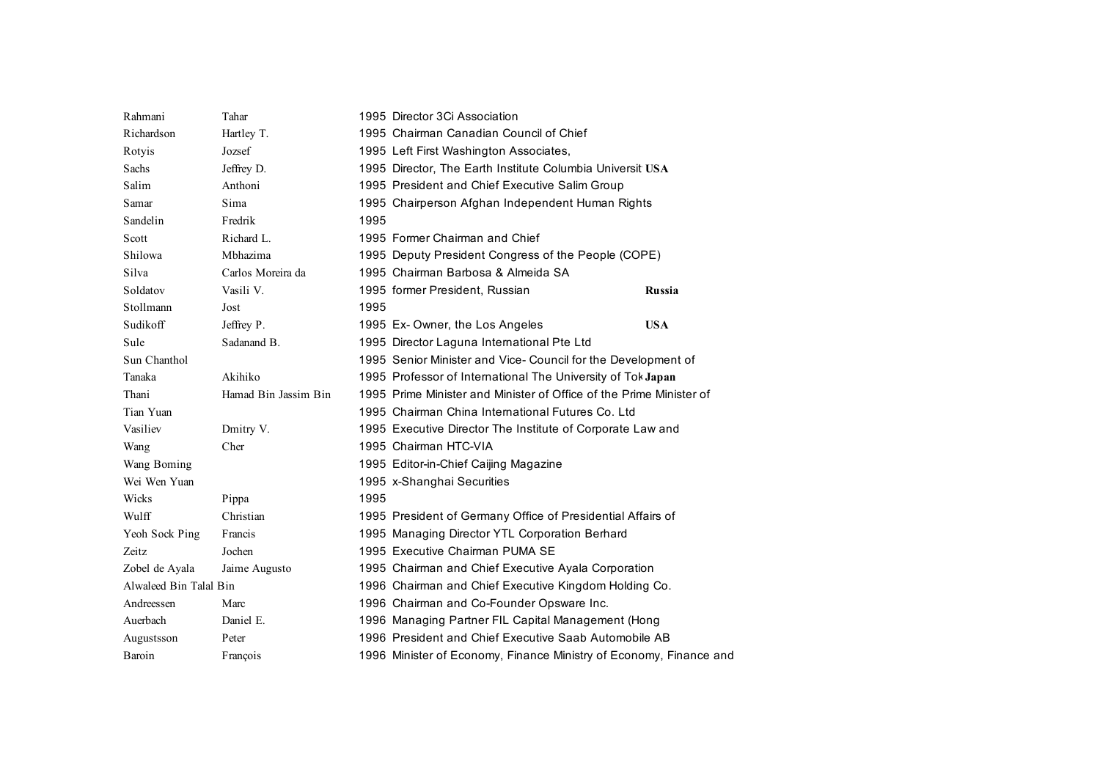| Rahmani                | Tahar                | 1995 Director 3Ci Association                                       |
|------------------------|----------------------|---------------------------------------------------------------------|
| Richardson             | Hartley T.           | 1995 Chairman Canadian Council of Chief                             |
| Rotyis                 | Jozsef               | 1995 Left First Washington Associates,                              |
| Sachs                  | Jeffrey D.           | 1995 Director, The Earth Institute Columbia Universit USA           |
| Salim                  | Anthoni              | 1995 President and Chief Executive Salim Group                      |
| Samar                  | Sima                 | 1995 Chairperson Afghan Independent Human Rights                    |
| Sandelin               | Fredrik              | 1995                                                                |
| Scott                  | Richard L.           | 1995 Former Chairman and Chief                                      |
| Shilowa                | Mbhazima             | 1995 Deputy President Congress of the People (COPE)                 |
| Silva                  | Carlos Moreira da    | 1995 Chairman Barbosa & Almeida SA                                  |
| Soldatov               | Vasili V.            | 1995 former President, Russian<br><b>Russia</b>                     |
| Stollmann              | Jost                 | 1995                                                                |
| Sudikoff               | Jeffrey P.           | 1995 Ex-Owner, the Los Angeles<br><b>USA</b>                        |
| Sule                   | Sadanand B.          | 1995 Director Laguna International Pte Ltd                          |
| Sun Chanthol           |                      | 1995 Senior Minister and Vice- Council for the Development of       |
| Tanaka                 | Akihiko              | 1995 Professor of International The University of Tok Japan         |
| Thani                  | Hamad Bin Jassim Bin | 1995 Prime Minister and Minister of Office of the Prime Minister of |
| Tian Yuan              |                      | 1995 Chairman China International Futures Co. Ltd                   |
| Vasiliev               | Dmitry V.            | 1995 Executive Director The Institute of Corporate Law and          |
| Wang                   | Cher                 | 1995 Chairman HTC-VIA                                               |
| Wang Boming            |                      | 1995 Editor-in-Chief Caijing Magazine                               |
| Wei Wen Yuan           |                      | 1995 x-Shanghai Securities                                          |
| Wicks                  | Pippa                | 1995                                                                |
| Wulff                  | Christian            | 1995 President of Germany Office of Presidential Affairs of         |
| Yeoh Sock Ping         | Francis              | 1995 Managing Director YTL Corporation Berhard                      |
| Zeitz                  | Jochen               | 1995 Executive Chairman PUMA SE                                     |
| Zobel de Ayala         | Jaime Augusto        | 1995 Chairman and Chief Executive Ayala Corporation                 |
| Alwaleed Bin Talal Bin |                      | 1996 Chairman and Chief Executive Kingdom Holding Co.               |
| Andreessen             | Marc                 | 1996 Chairman and Co-Founder Opsware Inc.                           |
| Auerbach               | Daniel E.            | 1996 Managing Partner FIL Capital Management (Hong                  |
| Augustsson             | Peter                | 1996 President and Chief Executive Saab Automobile AB               |
| Baroin                 | François             | 1996 Minister of Economy, Finance Ministry of Economy, Finance and  |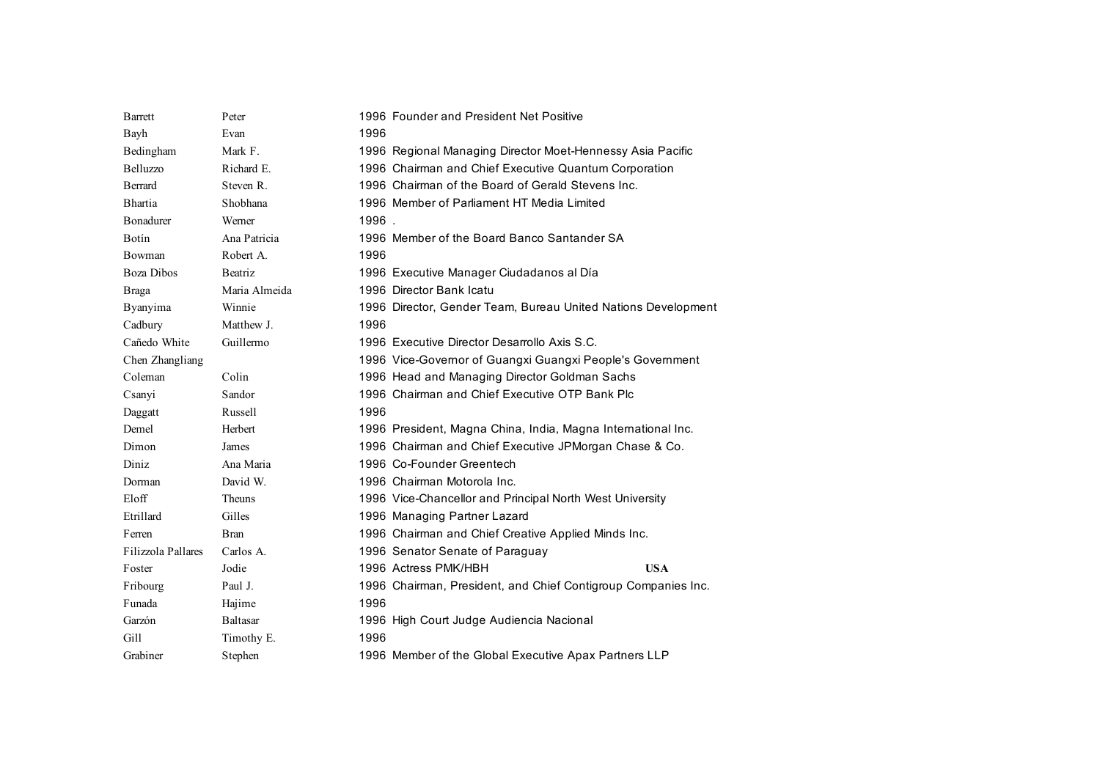| <b>B</b> arrett    | Peter           | 1996 Founder and President Net Positive                       |
|--------------------|-----------------|---------------------------------------------------------------|
| Bayh               | Evan            | 1996                                                          |
| Bedingham          | Mark F.         | 1996 Regional Managing Director Moet-Hennessy Asia Pacific    |
| Belluzzo           | Richard E.      | 1996 Chairman and Chief Executive Quantum Corporation         |
| <b>Berrard</b>     | Steven R.       | 1996 Chairman of the Board of Gerald Stevens Inc.             |
| <b>Bhartia</b>     | Shobhana        | 1996 Member of Parliament HT Media Limited                    |
| <b>B</b> onadurer  | Werner          | 1996.                                                         |
| Botín              | Ana Patricia    | 1996 Member of the Board Banco Santander SA                   |
| Bowman             | Robert A.       | 1996                                                          |
| <b>Boza Dibos</b>  | Beatriz         | 1996 Executive Manager Ciudadanos al Día                      |
| <b>Braga</b>       | Maria Almeida   | 1996 Director Bank Icatu                                      |
| Byanyima           | Winnie          | 1996 Director, Gender Team, Bureau United Nations Development |
| Cadbury            | Matthew J.      | 1996                                                          |
| Cañedo White       | Guillermo       | 1996 Executive Director Desarrollo Axis S.C.                  |
| Chen Zhangliang    |                 | 1996 Vice-Governor of Guangxi Guangxi People's Government     |
| Coleman            | Colin           | 1996 Head and Managing Director Goldman Sachs                 |
| Csanyi             | Sandor          | 1996 Chairman and Chief Executive OTP Bank Plc                |
| Daggatt            | Russell         | 1996                                                          |
| Demel              | Herbert         | 1996 President, Magna China, India, Magna International Inc.  |
| Dimon              | James           | 1996 Chairman and Chief Executive JPMorgan Chase & Co.        |
| Diniz              | Ana Maria       | 1996 Co-Founder Greentech                                     |
| Dorman             | David W.        | 1996 Chairman Motorola Inc.                                   |
| Eloff              | <b>Theuns</b>   | 1996 Vice-Chancellor and Principal North West University      |
| Etrillard          | Gilles          | 1996 Managing Partner Lazard                                  |
| Ferren             | <b>Bran</b>     | 1996 Chairman and Chief Creative Applied Minds Inc.           |
| Filizzola Pallares | Carlos A.       | 1996 Senator Senate of Paraguay                               |
| Foster             | Jodie           | 1996 Actress PMK/HBH<br><b>USA</b>                            |
| Fribourg           | Paul J.         | 1996 Chairman, President, and Chief Contigroup Companies Inc. |
| Funada             | Hajime          | 1996                                                          |
| Garzón             | <b>Baltasar</b> | 1996 High Court Judge Audiencia Nacional                      |
| Gill               | Timothy E.      | 1996                                                          |
| Grabiner           | Stephen         | 1996 Member of the Global Executive Apax Partners LLP         |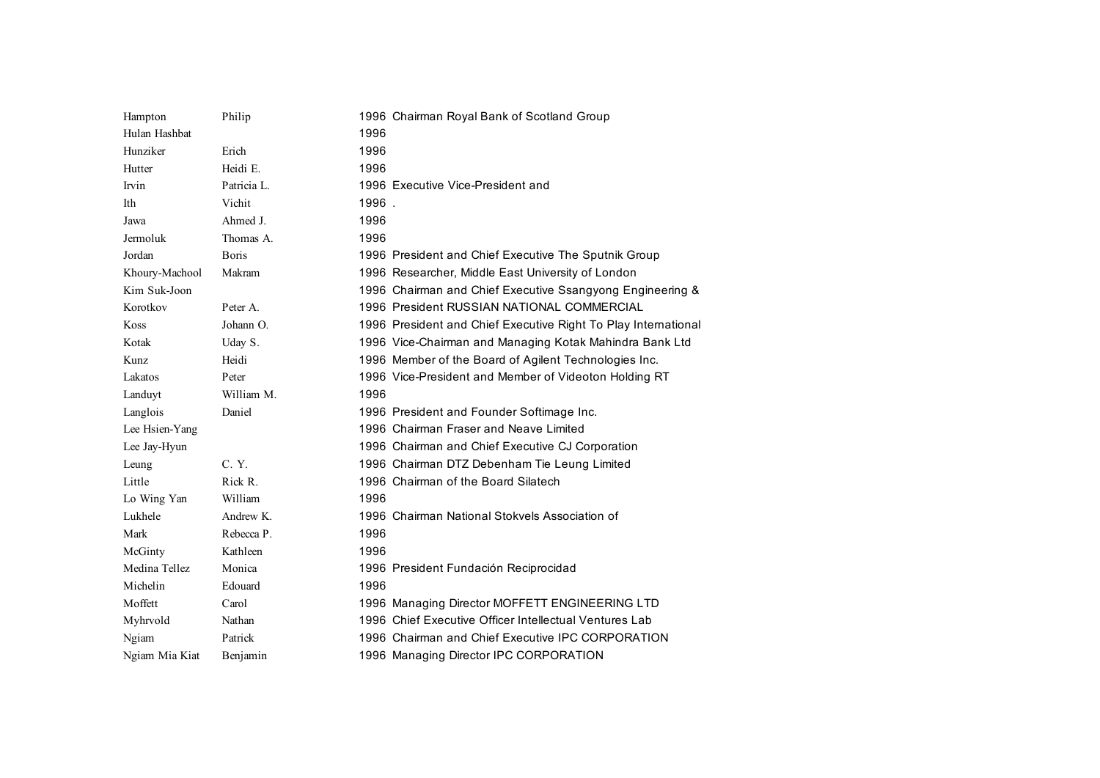| Hampton        | Philip       | 1996 Chairman Royal Bank of Scotland Group                     |
|----------------|--------------|----------------------------------------------------------------|
| Hulan Hashbat  |              | 1996                                                           |
| Hunziker       | Erich        | 1996                                                           |
| Hutter         | Heidi E.     | 1996                                                           |
| Irvin          | Patricia L.  | 1996 Executive Vice-President and                              |
| Ith            | Vichit       | 1996.                                                          |
| Jawa           | Ahmed J.     | 1996                                                           |
| Jermoluk       | Thomas A.    | 1996                                                           |
| Jordan         | <b>Boris</b> | 1996 President and Chief Executive The Sputnik Group           |
| Khoury-Machool | Makram       | 1996 Researcher, Middle East University of London              |
| Kim Suk-Joon   |              | 1996 Chairman and Chief Executive Ssangyong Engineering &      |
| Korotkov       | Peter A.     | 1996 President RUSSIAN NATIONAL COMMERCIAL                     |
| Koss           | Johann O.    | 1996 President and Chief Executive Right To Play International |
| Kotak          | Uday S.      | 1996 Vice-Chairman and Managing Kotak Mahindra Bank Ltd        |
| Kunz           | Heidi        | 1996 Member of the Board of Agilent Technologies Inc.          |
| Lakatos        | Peter        | 1996 Vice-President and Member of Videoton Holding RT          |
| Landuyt        | William M.   | 1996                                                           |
| Langlois       | Daniel       | 1996 President and Founder Softimage Inc.                      |
| Lee Hsien-Yang |              | 1996 Chairman Fraser and Neave Limited                         |
| Lee Jay-Hyun   |              | 1996 Chairman and Chief Executive CJ Corporation               |
| Leung          | C. Y.        | 1996 Chairman DTZ Debenham Tie Leung Limited                   |
| Little         | Rick R.      | 1996 Chairman of the Board Silatech                            |
| Lo Wing Yan    | William      | 1996                                                           |
| Lukhele        | Andrew K.    | 1996 Chairman National Stokvels Association of                 |
| Mark           | Rebecca P.   | 1996                                                           |
| McGinty        | Kathleen     | 1996                                                           |
| Medina Tellez  | Monica       | 1996 President Fundación Reciprocidad                          |
| Michelin       | Edouard      | 1996                                                           |
| Moffett        | Carol        | 1996 Managing Director MOFFETT ENGINEERING LTD                 |
| Myhrvold       | Nathan       | 1996 Chief Executive Officer Intellectual Ventures Lab         |
| Ngiam          | Patrick      | 1996 Chairman and Chief Executive IPC CORPORATION              |
| Ngiam Mia Kiat | Benjamin     | 1996 Managing Director IPC CORPORATION                         |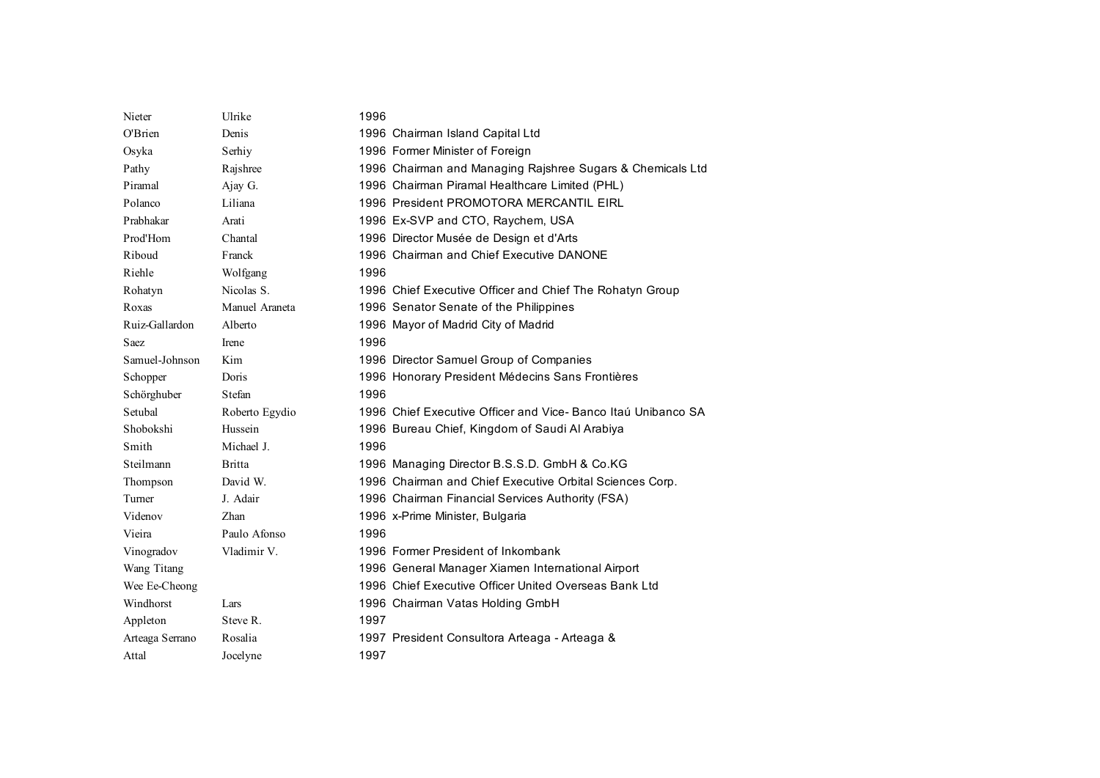| Nieter          | Ulrike         | 1996                                                         |
|-----------------|----------------|--------------------------------------------------------------|
| O'Brien         | Denis          | 1996 Chairman Island Capital Ltd                             |
| Osyka           | Serhiy         | 1996 Former Minister of Foreign                              |
| Pathy           | Rajshree       | 1996 Chairman and Managing Rajshree Sugars & Chemicals Ltd   |
| Piramal         | Ajay G.        | 1996 Chairman Piramal Healthcare Limited (PHL)               |
| Polanco         | Liliana        | 1996 President PROMOTORA MERCANTIL EIRL                      |
| Prabhakar       | Arati          | 1996 Ex-SVP and CTO, Raychem, USA                            |
| Prod'Hom        | Chantal        | 1996 Director Musée de Design et d'Arts                      |
| Riboud          | Franck         | 1996 Chairman and Chief Executive DANONE                     |
| Riehle          | Wolfgang       | 1996                                                         |
| Rohatyn         | Nicolas S.     | 1996 Chief Executive Officer and Chief The Rohatyn Group     |
| Roxas           | Manuel Araneta | 1996 Senator Senate of the Philippines                       |
| Ruiz-Gallardon  | Alberto        | 1996 Mayor of Madrid City of Madrid                          |
| Saez            | Irene          | 1996                                                         |
| Samuel-Johnson  | Kim            | 1996 Director Samuel Group of Companies                      |
| Schopper        | Doris          | 1996 Honorary President Médecins Sans Frontières             |
| Schörghuber     | Stefan         | 1996                                                         |
| Setubal         | Roberto Egydio | 1996 Chief Executive Officer and Vice-Banco Itaú Unibanco SA |
| Shobokshi       | Hussein        | 1996 Bureau Chief, Kingdom of Saudi Al Arabiya               |
| Smith           | Michael J.     | 1996                                                         |
| Steilmann       | <b>Britta</b>  | 1996 Managing Director B.S.S.D. GmbH & Co.KG                 |
| Thompson        | David W.       | 1996 Chairman and Chief Executive Orbital Sciences Corp.     |
| Turner          | J. Adair       | 1996 Chairman Financial Services Authority (FSA)             |
| Videnov         | Zhan           | 1996 x-Prime Minister, Bulgaria                              |
| Vieira          | Paulo Afonso   | 1996                                                         |
| Vinogradov      | Vladimir V.    | 1996 Former President of Inkombank                           |
| Wang Titang     |                | 1996 General Manager Xiamen International Airport            |
| Wee Ee-Cheong   |                | 1996 Chief Executive Officer United Overseas Bank Ltd        |
| Windhorst       | Lars           | 1996 Chairman Vatas Holding GmbH                             |
| Appleton        | Steve R.       | 1997                                                         |
| Arteaga Serrano | Rosalia        | 1997 President Consultora Arteaga - Arteaga &                |
| Attal           | Jocelyne       | 1997                                                         |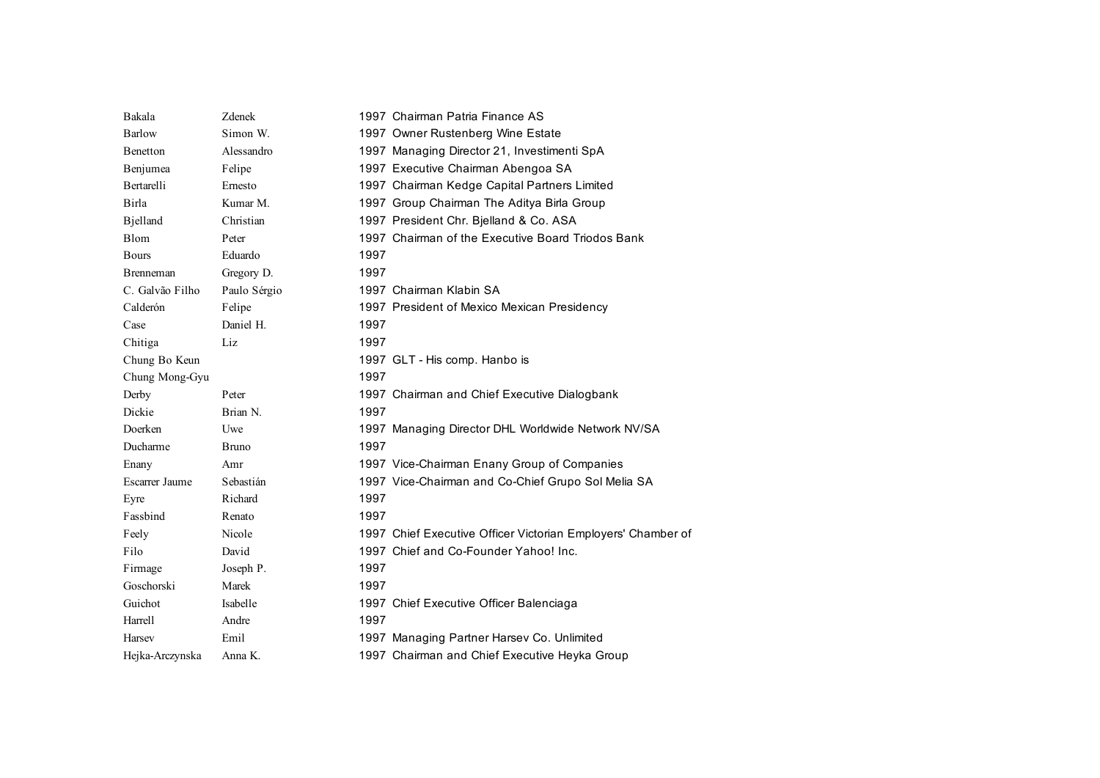| Bakala                | Zdenek       |      | 1997 Chairman Patria Finance AS                              |
|-----------------------|--------------|------|--------------------------------------------------------------|
| Barlow                | Simon W.     |      | 1997 Owner Rustenberg Wine Estate                            |
| Benetton              | Alessandro   |      | 1997 Managing Director 21, Investimenti SpA                  |
| Benjumea              | Felipe       |      | 1997 Executive Chairman Abengoa SA                           |
| <b>Bertarelli</b>     | Ernesto      |      | 1997 Chairman Kedge Capital Partners Limited                 |
| Birla                 | Kumar M.     |      | 1997 Group Chairman The Aditya Birla Group                   |
| <b>B</b> jelland      | Christian    |      | 1997 President Chr. Bjelland & Co. ASA                       |
| Blom                  | Peter        |      | 1997 Chairman of the Executive Board Triodos Bank            |
| <b>Bours</b>          | Eduardo      | 1997 |                                                              |
| <b>B</b> renneman     | Gregory D.   | 1997 |                                                              |
| C. Galvão Filho       | Paulo Sérgio |      | 1997 Chairman Klabin SA                                      |
| Calderón              | Felipe       |      | 1997 President of Mexico Mexican Presidency                  |
| Case                  | Daniel H.    | 1997 |                                                              |
| Chitiga               | Liz          | 1997 |                                                              |
| Chung Bo Keun         |              |      | 1997 GLT - His comp. Hanbo is                                |
| Chung Mong-Gyu        |              | 1997 |                                                              |
| Derby                 | Peter        |      | 1997 Chairman and Chief Executive Dialogbank                 |
| Dickie                | Brian N.     | 1997 |                                                              |
| Doerken               | Uwe          |      | 1997 Managing Director DHL Worldwide Network NV/SA           |
| Ducharme              | <b>Bruno</b> | 1997 |                                                              |
| Enany                 | Amr          |      | 1997 Vice-Chairman Enany Group of Companies                  |
| <b>Escarrer Jaume</b> | Sebastián    |      | 1997 Vice-Chairman and Co-Chief Grupo Sol Melia SA           |
| Eyre                  | Richard      | 1997 |                                                              |
| Fassbind              | Renato       | 1997 |                                                              |
| Feely                 | Nicole       |      | 1997 Chief Executive Officer Victorian Employers' Chamber of |
| Filo                  | David        |      | 1997 Chief and Co-Founder Yahoo! Inc.                        |
| Firmage               | Joseph P.    | 1997 |                                                              |
| Goschorski            | Marek        | 1997 |                                                              |
| Guichot               | Isabelle     |      | 1997 Chief Executive Officer Balenciaga                      |
| Harrell               | Andre        | 1997 |                                                              |
| Harsey                | Emil         |      | 1997 Managing Partner Harsev Co. Unlimited                   |
| Hejka-Arczynska       | Anna K.      |      | 1997 Chairman and Chief Executive Heyka Group                |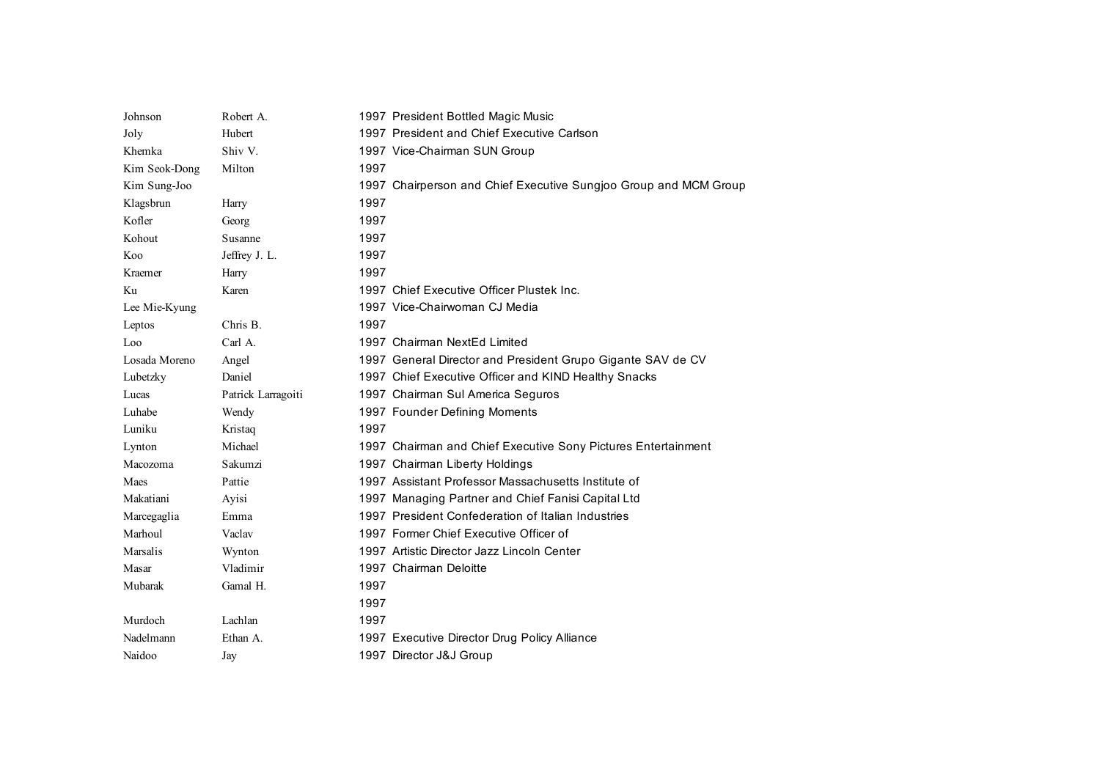| Johnson       | Robert A.          | 1997 President Bottled Magic Music                               |
|---------------|--------------------|------------------------------------------------------------------|
| Joly          | Hubert             | 1997 President and Chief Executive Carlson                       |
| Khemka        | Shiv V.            | 1997 Vice-Chairman SUN Group                                     |
| Kim Seok-Dong | Milton             | 1997                                                             |
| Kim Sung-Joo  |                    | 1997 Chairperson and Chief Executive Sungjoo Group and MCM Group |
| Klagsbrun     | Harry              | 1997                                                             |
| Kofler        | Georg              | 1997                                                             |
| Kohout        | Susanne            | 1997                                                             |
| Koo           | Jeffrey J. L.      | 1997                                                             |
| Kraemer       | Harry              | 1997                                                             |
| Ku            | Karen              | 1997 Chief Executive Officer Plustek Inc.                        |
| Lee Mie-Kyung |                    | 1997 Vice-Chairwoman CJ Media                                    |
| Leptos        | Chris B.           | 1997                                                             |
| Loo           | Carl A.            | 1997 Chairman NextEd Limited                                     |
| Losada Moreno | Angel              | 1997 General Director and President Grupo Gigante SAV de CV      |
| Lubetzky      | Daniel             | 1997 Chief Executive Officer and KIND Healthy Snacks             |
| Lucas         | Patrick Larragoiti | 1997 Chairman Sul America Seguros                                |
| Luhabe        | Wendy              | 1997 Founder Defining Moments                                    |
| Luniku        | Kristag            | 1997                                                             |
| Lynton        | Michael            | 1997 Chairman and Chief Executive Sony Pictures Entertainment    |
| Macozoma      | Sakumzi            | 1997 Chairman Liberty Holdings                                   |
| Maes          | Pattie             | 1997 Assistant Professor Massachusetts Institute of              |
| Makatiani     | Ayisi              | 1997 Managing Partner and Chief Fanisi Capital Ltd               |
| Marcegaglia   | Emma               | 1997 President Confederation of Italian Industries               |
| Marhoul       | Vaclav             | 1997 Former Chief Executive Officer of                           |
| Marsalis      | Wynton             | 1997 Artistic Director Jazz Lincoln Center                       |
| Masar         | Vladimir           | 1997 Chairman Deloitte                                           |
| Mubarak       | Gamal H.           | 1997                                                             |
|               |                    | 1997                                                             |
| Murdoch       | Lachlan            | 1997                                                             |
| Nadelmann     | Ethan A.           | 1997 Executive Director Drug Policy Alliance                     |
| Naidoo        | Jay                | 1997 Director J&J Group                                          |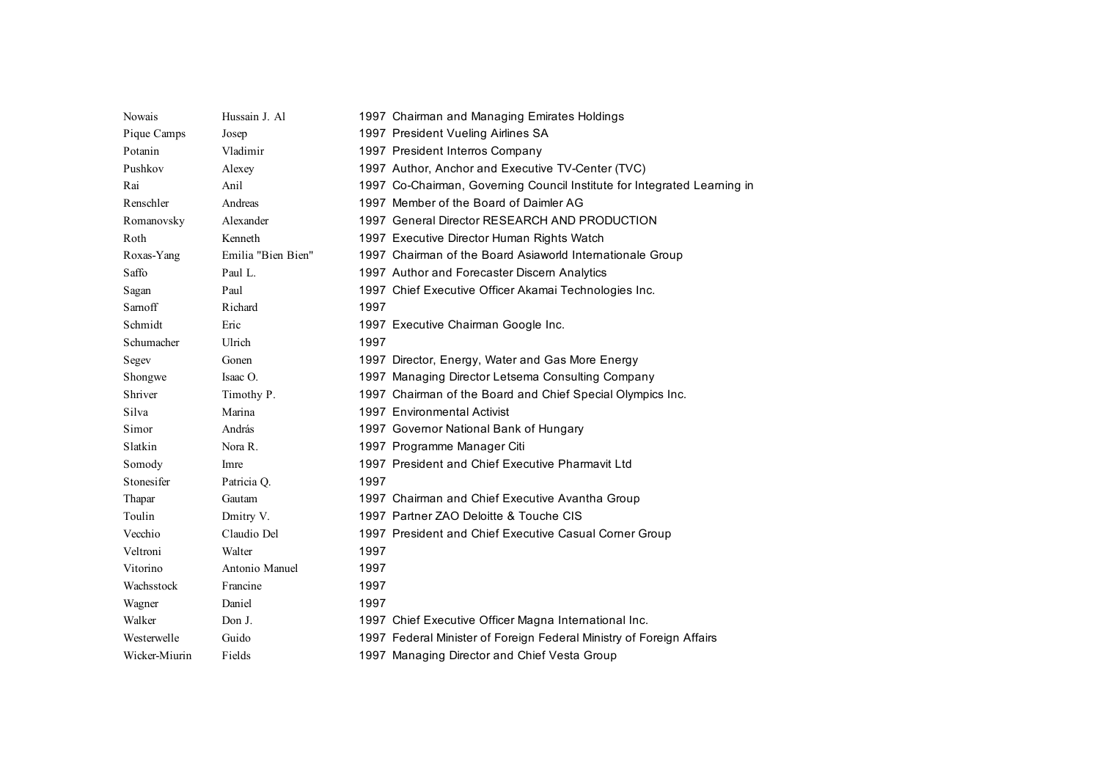| Nowais        | Hussain J. Al      | 1997 Chairman and Managing Emirates Holdings                             |
|---------------|--------------------|--------------------------------------------------------------------------|
| Pique Camps   | Josep              | 1997 President Vueling Airlines SA                                       |
| Potanin       | Vladimir           | 1997 President Interros Company                                          |
| Pushkov       | Alexey             | 1997 Author, Anchor and Executive TV-Center (TVC)                        |
| Rai           | Anil               | 1997 Co-Chairman, Governing Council Institute for Integrated Learning in |
| Renschler     | Andreas            | 1997 Member of the Board of Daimler AG                                   |
| Romanovsky    | Alexander          | 1997 General Director RESEARCH AND PRODUCTION                            |
| Roth          | Kenneth            | 1997 Executive Director Human Rights Watch                               |
| Roxas-Yang    | Emilia "Bien Bien" | 1997 Chairman of the Board Asiaworld Internationale Group                |
| Saffo         | Paul L.            | 1997 Author and Forecaster Discern Analytics                             |
| Sagan         | Paul               | 1997 Chief Executive Officer Akamai Technologies Inc.                    |
| Samoff        | Richard            | 1997                                                                     |
| Schmidt       | Eric               | 1997 Executive Chairman Google Inc.                                      |
| Schumacher    | Ulrich             | 1997                                                                     |
| Segev         | Gonen              | 1997 Director, Energy, Water and Gas More Energy                         |
| Shongwe       | Isaac O.           | 1997 Managing Director Letsema Consulting Company                        |
| Shriver       | Timothy P.         | 1997 Chairman of the Board and Chief Special Olympics Inc.               |
| Silva         | Marina             | 1997 Environmental Activist                                              |
| Simor         | András             | 1997 Governor National Bank of Hungary                                   |
| Slatkin       | Nora R.            | 1997 Programme Manager Citi                                              |
| Somody        | Imre               | 1997 President and Chief Executive Pharmavit Ltd                         |
| Stonesifer    | Patricia O.        | 1997                                                                     |
| Thapar        | Gautam             | 1997 Chairman and Chief Executive Avantha Group                          |
| Toulin        | Dmitry V.          | 1997 Partner ZAO Deloitte & Touche CIS                                   |
| Vecchio       | Claudio Del        | 1997 President and Chief Executive Casual Corner Group                   |
| Veltroni      | Walter             | 1997                                                                     |
| Vitorino      | Antonio Manuel     | 1997                                                                     |
| Wachsstock    | Francine           | 1997                                                                     |
| Wagner        | Daniel             | 1997                                                                     |
| Walker        | Don J.             | 1997 Chief Executive Officer Magna International Inc.                    |
| Westerwelle   | Guido              | 1997 Federal Minister of Foreign Federal Ministry of Foreign Affairs     |
| Wicker-Miurin | Fields             | 1997 Managing Director and Chief Vesta Group                             |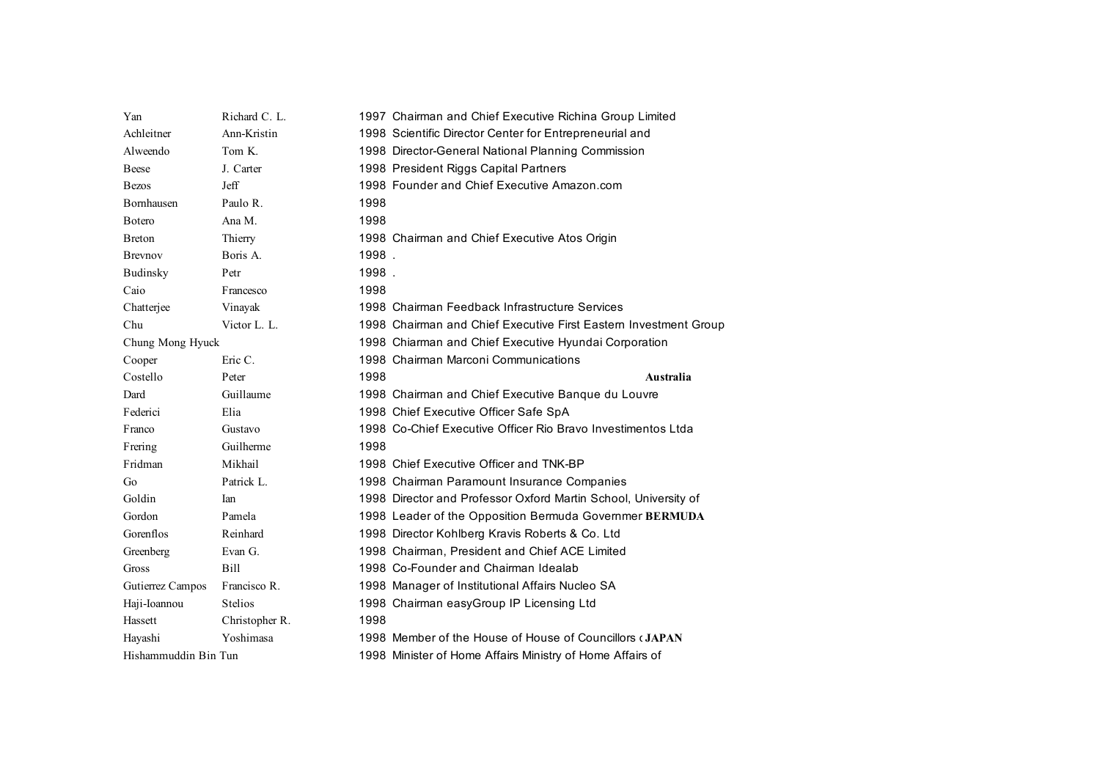| Yan                  | Richard C. L.  | 1997 Chairman and Chief Executive Richina Group Limited          |
|----------------------|----------------|------------------------------------------------------------------|
| Achleitner           | Ann-Kristin    | 1998 Scientific Director Center for Entrepreneurial and          |
| Alweendo             | Tom K.         | 1998 Director-General National Planning Commission               |
| Beese                | J. Carter      | 1998 President Riggs Capital Partners                            |
| <b>Bezos</b>         | <b>Jeff</b>    | 1998 Founder and Chief Executive Amazon.com                      |
| <b>Bornhausen</b>    | Paulo R.       | 1998                                                             |
| <b>B</b> otero       | Ana M.         | 1998                                                             |
| <b>B</b> reton       | Thierry        | 1998 Chairman and Chief Executive Atos Origin                    |
| <b>Brevnov</b>       | Boris A.       | 1998.                                                            |
| <b>Budinsky</b>      | Petr           | 1998.                                                            |
| Caio                 | Francesco      | 1998                                                             |
| Chatterjee           | Vinayak        | 1998 Chairman Feedback Infrastructure Services                   |
| Chu                  | Victor L. L.   | 1998 Chairman and Chief Executive First Eastern Investment Group |
| Chung Mong Hyuck     |                | 1998 Chiarman and Chief Executive Hyundai Corporation            |
| Cooper               | Eric C.        | 1998 Chairman Marconi Communications                             |
| Costello             | Peter          | 1998<br>Australia                                                |
| Dard                 | Guillaume      | 1998 Chairman and Chief Executive Banque du Louvre               |
| Federici             | Elia           | 1998 Chief Executive Officer Safe SpA                            |
| Franco               | Gustavo        | 1998 Co-Chief Executive Officer Rio Bravo Investimentos Ltda     |
| Frering              | Guilherme      | 1998                                                             |
| Fridman              | Mikhail        | 1998 Chief Executive Officer and TNK-BP                          |
| Go                   | Patrick L.     | 1998 Chairman Paramount Insurance Companies                      |
| Goldin               | <b>Ian</b>     | 1998 Director and Professor Oxford Martin School, University of  |
| Gordon               | Pamela         | 1998 Leader of the Opposition Bermuda Governmer BERMUDA          |
| Gorenflos            | Reinhard       | 1998 Director Kohlberg Kravis Roberts & Co. Ltd.                 |
| Greenberg            | Evan G.        | 1998 Chairman, President and Chief ACE Limited                   |
| Gross                | Bill           | 1998 Co-Founder and Chairman Idealab                             |
| Gutierrez Campos     | Francisco R.   | 1998 Manager of Institutional Affairs Nucleo SA                  |
| Haji-Ioannou         | <b>Stelios</b> | 1998 Chairman easyGroup IP Licensing Ltd                         |
| Hassett              | Christopher R. | 1998                                                             |
| Hayashi              | Yoshimasa      | 1998 Member of the House of House of Councillors (JAPAN          |
| Hishammuddin Bin Tun |                | 1998 Minister of Home Affairs Ministry of Home Affairs of        |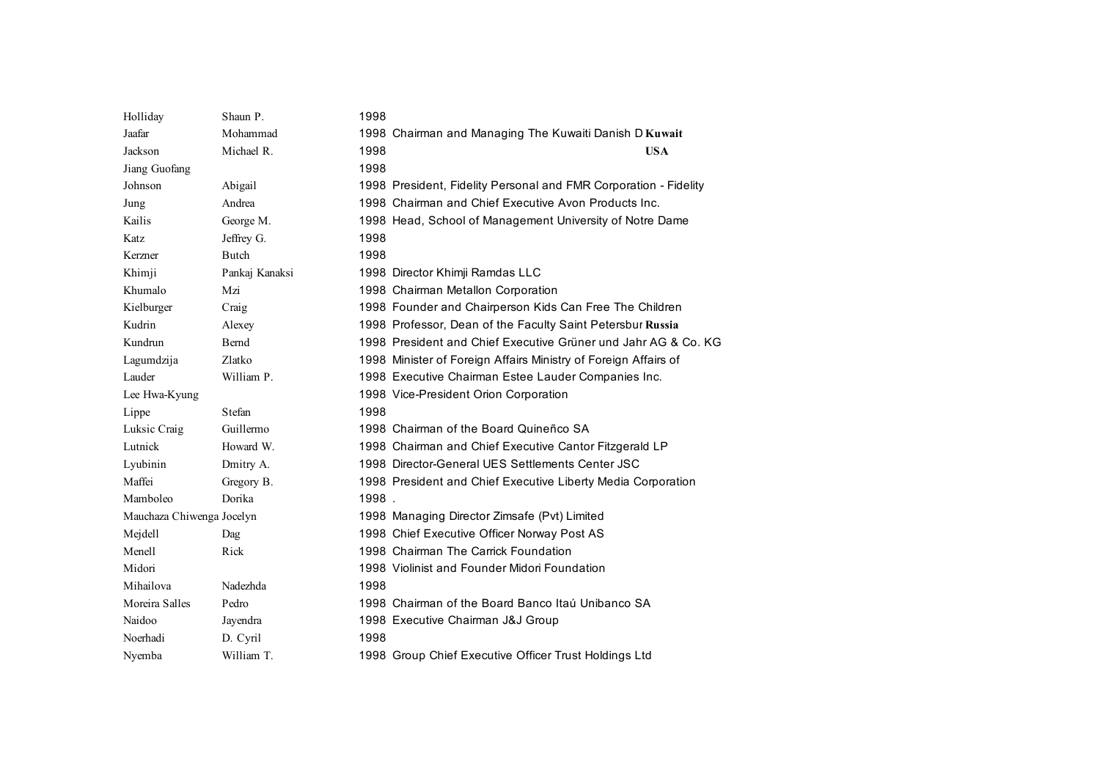| Holliday                  | Shaun P.       | 1998                                                             |
|---------------------------|----------------|------------------------------------------------------------------|
| Jaafar                    | Mohammad       | 1998 Chairman and Managing The Kuwaiti Danish D Kuwait           |
| Jackson                   | Michael R.     | 1998<br><b>USA</b>                                               |
| Jiang Guofang             |                | 1998                                                             |
| Johnson                   | Abigail        | 1998 President, Fidelity Personal and FMR Corporation - Fidelity |
| Jung                      | Andrea         | 1998 Chairman and Chief Executive Avon Products Inc.             |
| Kailis                    | George M.      | 1998 Head, School of Management University of Notre Dame         |
| Katz                      | Jeffrey G.     | 1998                                                             |
| Kerzner                   | Butch          | 1998                                                             |
| Khimji                    | Pankaj Kanaksi | 1998 Director Khimji Ramdas LLC                                  |
| Khumalo                   | Mzi            | 1998 Chairman Metallon Corporation                               |
| Kielburger                | Craig          | 1998 Founder and Chairperson Kids Can Free The Children          |
| Kudrin                    | Alexey         | 1998 Professor, Dean of the Faculty Saint Petersbur Russia       |
| Kundrun                   | Bernd          | 1998 President and Chief Executive Grüner und Jahr AG & Co. KG   |
| Lagumdzija                | Zlatko         | 1998 Minister of Foreign Affairs Ministry of Foreign Affairs of  |
| Lauder                    | William P.     | 1998 Executive Chairman Estee Lauder Companies Inc.              |
| Lee Hwa-Kyung             |                | 1998 Vice-President Orion Corporation                            |
| Lippe                     | Stefan         | 1998                                                             |
| Luksic Craig              | Guillermo      | 1998 Chairman of the Board Quineñco SA                           |
| Lutnick                   | Howard W.      | 1998 Chairman and Chief Executive Cantor Fitzgerald LP           |
| Lyubinin                  | Dmitry A.      | 1998 Director-General UES Settlements Center JSC                 |
| Maffei                    | Gregory B.     | 1998 President and Chief Executive Liberty Media Corporation     |
| Mamboleo                  | Dorika         | 1998.                                                            |
| Mauchaza Chiwenga Jocelyn |                | 1998 Managing Director Zimsafe (Pvt) Limited                     |
| Mejdell                   | Dag            | 1998 Chief Executive Officer Norway Post AS                      |
| Menell                    | Rick           | 1998 Chairman The Carrick Foundation                             |
| Midori                    |                | 1998 Violinist and Founder Midori Foundation                     |
| Mihailova                 | Nadezhda       | 1998                                                             |
| Moreira Salles            | Pedro          | 1998 Chairman of the Board Banco Itaú Unibanco SA                |
| Naidoo                    | Jayendra       | 1998 Executive Chairman J&J Group                                |
| Noerhadi                  | D. Cyril       | 1998                                                             |
| Nyemba                    | William T.     | 1998 Group Chief Executive Officer Trust Holdings Ltd            |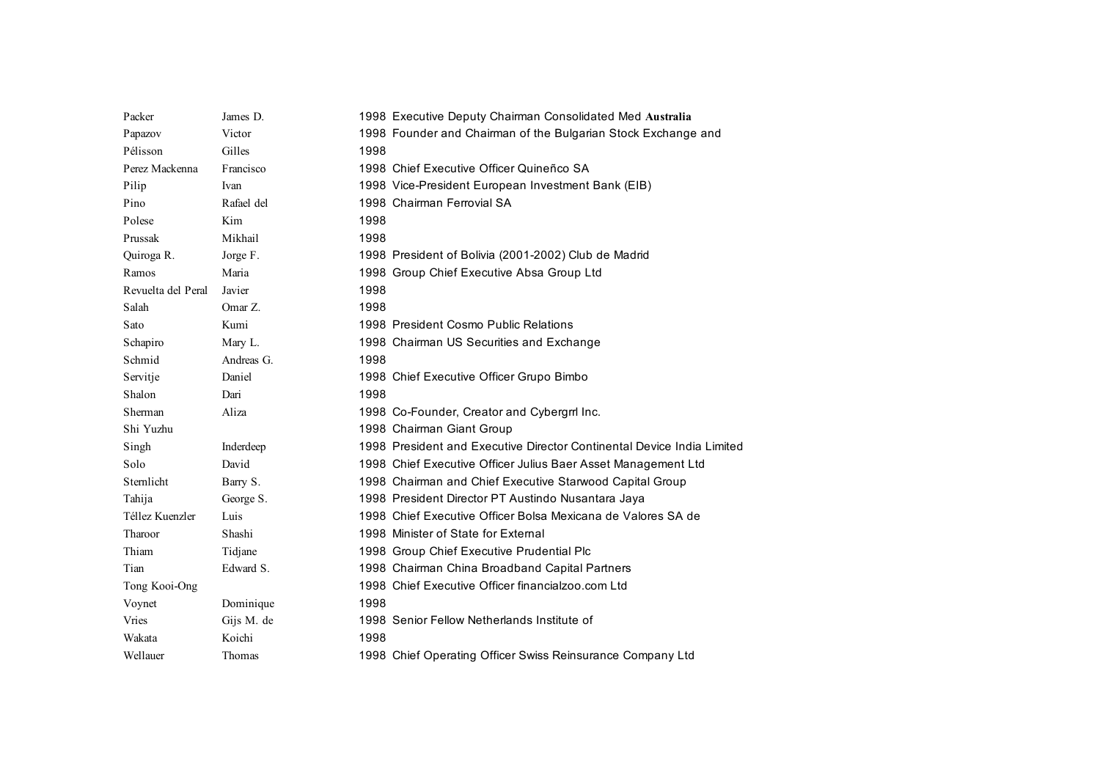| Packer             | James D.   | 1998 Executive Deputy Chairman Consolidated Med Australia              |
|--------------------|------------|------------------------------------------------------------------------|
| Papazov            | Victor     | 1998 Founder and Chairman of the Bulgarian Stock Exchange and          |
| Pélisson           | Gilles     | 1998                                                                   |
| Perez Mackenna     | Francisco  | 1998 Chief Executive Officer Quineñco SA                               |
| Pilip              | Ivan       | 1998 Vice-President European Investment Bank (EIB)                     |
| Pino               | Rafael del | 1998 Chairman Ferrovial SA                                             |
| Polese             | Kim        | 1998                                                                   |
| Prussak            | Mikhail    | 1998                                                                   |
| Quiroga R.         | Jorge F.   | 1998 President of Bolivia (2001-2002) Club de Madrid                   |
| Ramos              | Maria      | 1998 Group Chief Executive Absa Group Ltd                              |
| Revuelta del Peral | Javier     | 1998                                                                   |
| Salah              | Omar Z.    | 1998                                                                   |
| Sato               | Kumi       | 1998 President Cosmo Public Relations                                  |
| Schapiro           | Mary L.    | 1998 Chairman US Securities and Exchange                               |
| Schmid             | Andreas G. | 1998                                                                   |
| Servitje           | Daniel     | 1998 Chief Executive Officer Grupo Bimbo                               |
| Shalon             | Dari       | 1998                                                                   |
| Sherman            | Aliza      | 1998 Co-Founder, Creator and Cybergrrl Inc.                            |
| Shi Yuzhu          |            | 1998 Chairman Giant Group                                              |
| Singh              | Inderdeep  | 1998 President and Executive Director Continental Device India Limited |
| Solo               | David      | 1998 Chief Executive Officer Julius Baer Asset Management Ltd          |
| Sternlicht         | Barry S.   | 1998 Chairman and Chief Executive Starwood Capital Group               |
| Tahija             | George S.  | 1998 President Director PT Austindo Nusantara Jaya                     |
| Téllez Kuenzler    | Luis       | 1998 Chief Executive Officer Bolsa Mexicana de Valores SA de           |
| Tharoor            | Shashi     | 1998 Minister of State for External                                    |
| Thiam              | Tidjane    | 1998 Group Chief Executive Prudential Plc                              |
| Tian               | Edward S.  | 1998 Chairman China Broadband Capital Partners                         |
| Tong Kooi-Ong      |            | 1998 Chief Executive Officer financialzoo.com Ltd                      |
| Voynet             | Dominique  | 1998                                                                   |
| Vries              | Gijs M. de | 1998 Senior Fellow Netherlands Institute of                            |
| Wakata             | Koichi     | 1998                                                                   |
| Wellauer           | Thomas     | 1998 Chief Operating Officer Swiss Reinsurance Company Ltd             |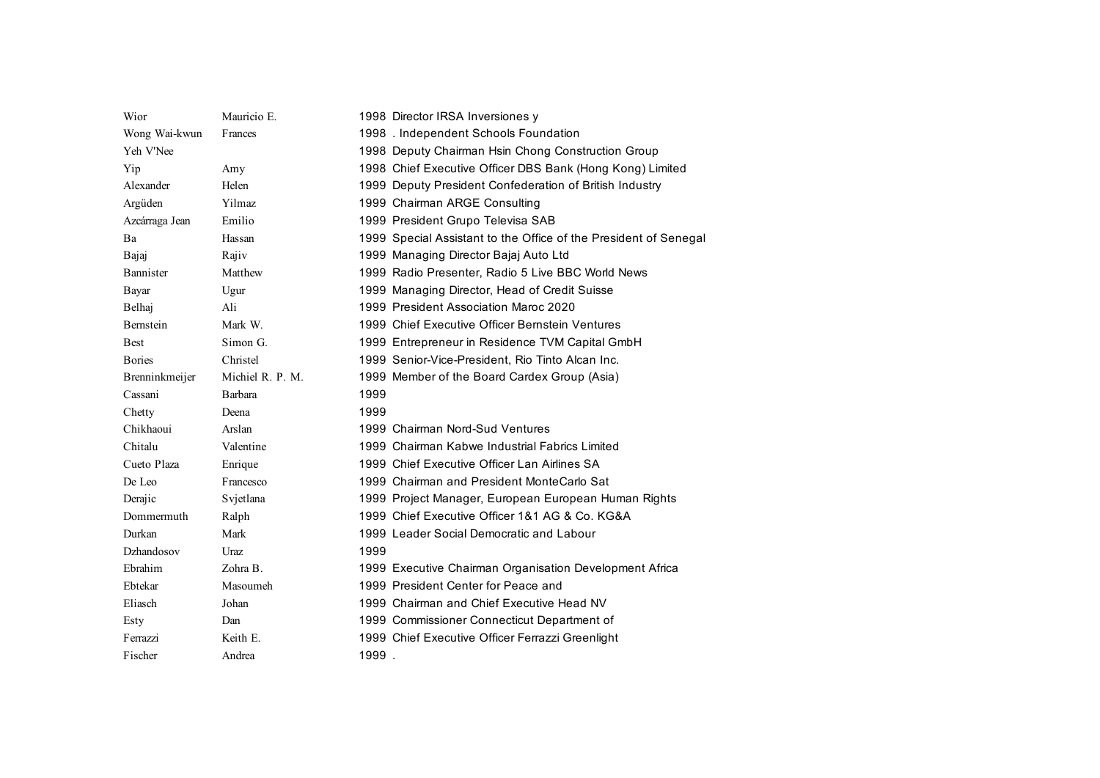| Wior           | Mauricio E.      | 1998 Director IRSA Inversiones y                                 |
|----------------|------------------|------------------------------------------------------------------|
| Wong Wai-kwun  | Frances          | 1998 . Independent Schools Foundation                            |
| Yeh V'Nee      |                  | 1998 Deputy Chairman Hsin Chong Construction Group               |
| Yip            | Amy              | 1998 Chief Executive Officer DBS Bank (Hong Kong) Limited        |
| Alexander      | Helen            | 1999 Deputy President Confederation of British Industry          |
| Argüden        | Yilmaz           | 1999 Chairman ARGE Consulting                                    |
| Azcárraga Jean | Emilio           | 1999 President Grupo Televisa SAB                                |
| Ba             | Hassan           | 1999 Special Assistant to the Office of the President of Senegal |
| Bajaj          | Rajiv            | 1999 Managing Director Bajaj Auto Ltd                            |
| Bannister      | Matthew          | 1999 Radio Presenter, Radio 5 Live BBC World News                |
| Bayar          | Ugur             | 1999 Managing Director, Head of Credit Suisse                    |
| Belhaj         | Ali              | 1999 President Association Maroc 2020                            |
| Bernstein      | Mark W.          | 1999 Chief Executive Officer Bernstein Ventures                  |
| <b>Best</b>    | Simon G.         | 1999 Entrepreneur in Residence TVM Capital GmbH                  |
| <b>Bories</b>  | Christel         | 1999 Senior-Vice-President, Rio Tinto Alcan Inc.                 |
| Brenninkmeijer | Michiel R. P. M. | 1999 Member of the Board Cardex Group (Asia)                     |
| Cassani        | Barbara          | 1999                                                             |
| Chetty         | Deena            | 1999                                                             |
| Chikhaoui      | Arslan           | 1999 Chairman Nord-Sud Ventures                                  |
| Chitalu        | Valentine        | 1999 Chairman Kabwe Industrial Fabrics Limited                   |
| Cueto Plaza    | Enrique          | 1999 Chief Executive Officer Lan Airlines SA                     |
| De Leo         | Francesco        | 1999 Chairman and President MonteCarlo Sat                       |
| Derajic        | Svjetlana        | 1999 Project Manager, European European Human Rights             |
| Dommermuth     | Ralph            | 1999 Chief Executive Officer 1&1 AG & Co. KG&A                   |
| Durkan         | Mark             | 1999 Leader Social Democratic and Labour                         |
| Dzhandosov     | Uraz             | 1999                                                             |
| Ebrahim        | Zohra B.         | 1999 Executive Chairman Organisation Development Africa          |
| Ebtekar        | Masoumeh         | 1999 President Center for Peace and                              |
| Eliasch        | Johan            | 1999 Chairman and Chief Executive Head NV                        |
| Esty           | Dan              | 1999 Commissioner Connecticut Department of                      |
| Ferrazzi       | Keith E.         | 1999 Chief Executive Officer Ferrazzi Greenlight                 |
| Fischer        | Andrea           | 1999.                                                            |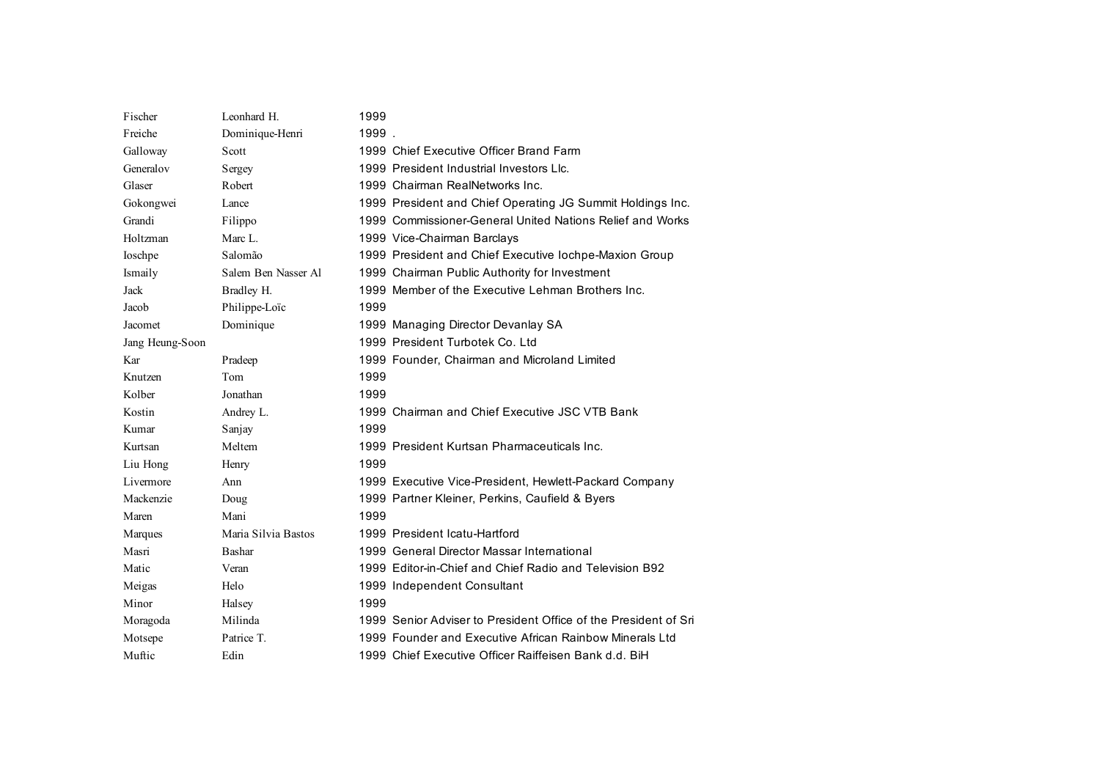| Fischer         | Leonhard H.         | 1999  |                                                                 |
|-----------------|---------------------|-------|-----------------------------------------------------------------|
| Freiche         | Dominique-Henri     | 1999. |                                                                 |
| Galloway        | Scott               |       | 1999 Chief Executive Officer Brand Farm                         |
| Generalov       | Sergey              |       | 1999 President Industrial Investors Llc.                        |
| Glaser          | Robert              |       | 1999 Chairman RealNetworks Inc.                                 |
| Gokongwei       | Lance               |       | 1999 President and Chief Operating JG Summit Holdings Inc.      |
| Grandi          | Filippo             |       | 1999 Commissioner-General United Nations Relief and Works       |
| Holtzman        | Marc L.             |       | 1999 Vice-Chairman Barclays                                     |
| Ioschpe         | Salomão             |       | 1999 President and Chief Executive lochpe-Maxion Group          |
| Ismaily         | Salem Ben Nasser Al |       | 1999 Chairman Public Authority for Investment                   |
| Jack            | Bradley H.          |       | 1999 Member of the Executive Lehman Brothers Inc.               |
| Jacob           | Philippe-Loïc       | 1999  |                                                                 |
| Jacomet         | Dominique           |       | 1999 Managing Director Devanlay SA                              |
| Jang Heung-Soon |                     |       | 1999 President Turbotek Co. Ltd                                 |
| Kar             | Pradeep             |       | 1999 Founder, Chairman and Microland Limited                    |
| Knutzen         | Tom                 | 1999  |                                                                 |
| Kolber          | Jonathan            | 1999  |                                                                 |
| Kostin          | Andrey L.           |       | 1999 Chairman and Chief Executive JSC VTB Bank                  |
| Kumar           | Sanjay              | 1999  |                                                                 |
| Kurtsan         | Meltem              |       | 1999 President Kurtsan Pharmaceuticals Inc.                     |
| Liu Hong        | Henry               | 1999  |                                                                 |
| Livermore       | Ann                 |       | 1999 Executive Vice-President, Hewlett-Packard Company          |
| Mackenzie       | Doug                |       | 1999 Partner Kleiner, Perkins, Caufield & Byers                 |
| Maren           | Mani                | 1999  |                                                                 |
| Marques         | Maria Silvia Bastos |       | 1999 President Icatu-Hartford                                   |
| Masri           | Bashar              |       | 1999 General Director Massar International                      |
| Matic           | Veran               |       | 1999 Editor-in-Chief and Chief Radio and Television B92         |
| Meigas          | Helo                |       | 1999 Independent Consultant                                     |
| Minor           | Halsey              | 1999  |                                                                 |
| Moragoda        | Milinda             |       | 1999 Senior Adviser to President Office of the President of Sri |
| Motsepe         | Patrice T.          |       | 1999 Founder and Executive African Rainbow Minerals Ltd         |
| Muftic          | Edin                |       | 1999 Chief Executive Officer Raiffeisen Bank d.d. BiH           |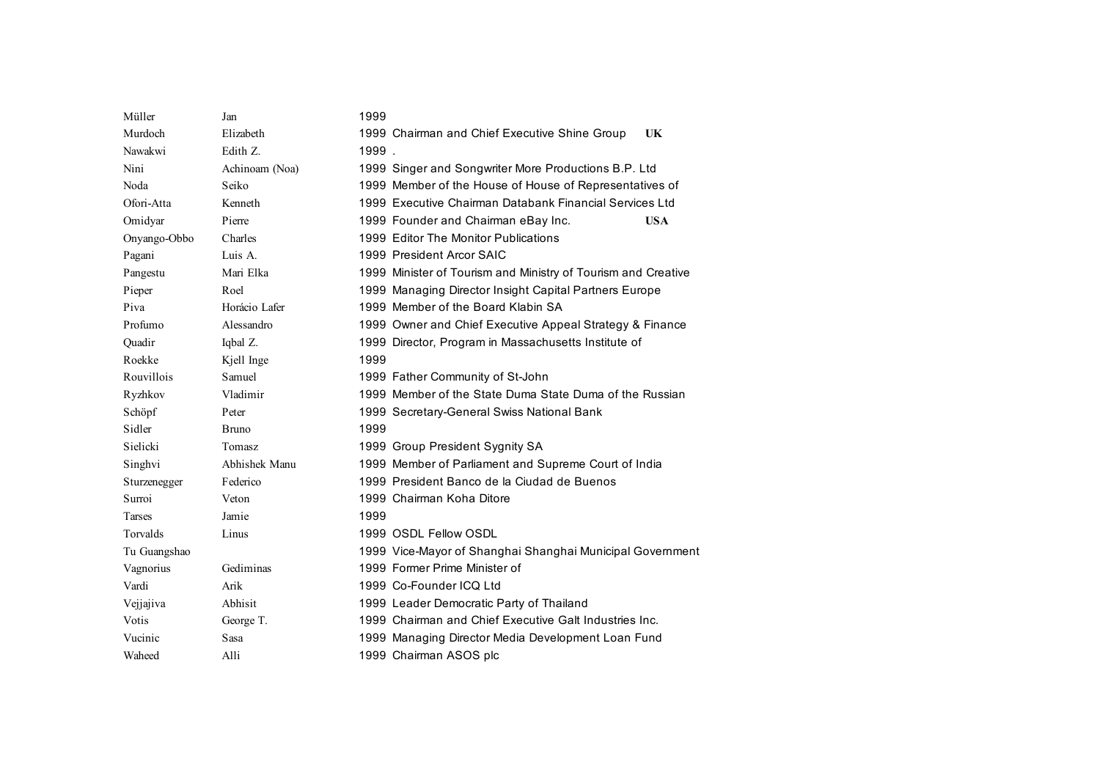| Müller        | Jan            | 1999  |                                                               |
|---------------|----------------|-------|---------------------------------------------------------------|
| Murdoch       | Elizabeth      |       | UK<br>1999 Chairman and Chief Executive Shine Group           |
| Nawakwi       | Edith Z.       | 1999. |                                                               |
| Nini          | Achinoam (Noa) |       | 1999 Singer and Songwriter More Productions B.P. Ltd          |
| Noda          | Seiko          |       | 1999 Member of the House of House of Representatives of       |
| Ofori-Atta    | Kenneth        |       | 1999 Executive Chairman Databank Financial Services Ltd       |
| Omidyar       | Pierre         |       | 1999 Founder and Chairman eBay Inc.<br><b>USA</b>             |
| Onyango-Obbo  | Charles        |       | 1999 Editor The Monitor Publications                          |
| Pagani        | Luis A.        |       | 1999 President Arcor SAIC                                     |
| Pangestu      | Mari Elka      |       | 1999 Minister of Tourism and Ministry of Tourism and Creative |
| Pieper        | Roel           |       | 1999 Managing Director Insight Capital Partners Europe        |
| Piva          | Horácio Lafer  |       | 1999 Member of the Board Klabin SA                            |
| Profumo       | Alessandro     |       | 1999 Owner and Chief Executive Appeal Strategy & Finance      |
| Quadir        | Iqbal Z.       |       | 1999 Director, Program in Massachusetts Institute of          |
| Roekke        | Kjell Inge     | 1999  |                                                               |
| Rouvillois    | Samuel         |       | 1999 Father Community of St-John                              |
| Ryzhkov       | Vladimir       |       | 1999 Member of the State Duma State Duma of the Russian       |
| Schöpf        | Peter          |       | 1999 Secretary-General Swiss National Bank                    |
| Sidler        | <b>Bruno</b>   | 1999  |                                                               |
| Sielicki      | Tomasz         |       | 1999 Group President Sygnity SA                               |
| Singhvi       | Abhishek Manu  |       | 1999 Member of Parliament and Supreme Court of India          |
| Sturzenegger  | Federico       |       | 1999 President Banco de la Ciudad de Buenos                   |
| Surroi        | Veton          |       | 1999 Chairman Koha Ditore                                     |
| <b>Tarses</b> | Jamie          | 1999  |                                                               |
| Torvalds      | Linus          |       | 1999 OSDL Fellow OSDL                                         |
| Tu Guangshao  |                |       | 1999 Vice-Mayor of Shanghai Shanghai Municipal Government     |
| Vagnorius     | Gediminas      |       | 1999 Former Prime Minister of                                 |
| Vardi         | Arik           |       | 1999 Co-Founder ICQ Ltd                                       |
| Vejjajiva     | Abhisit        |       | 1999 Leader Democratic Party of Thailand                      |
| Votis         | George T.      |       | 1999 Chairman and Chief Executive Galt Industries Inc.        |
| Vucinic       | Sasa           |       | 1999 Managing Director Media Development Loan Fund            |
| Waheed        | Alli           |       | 1999 Chairman ASOS plc                                        |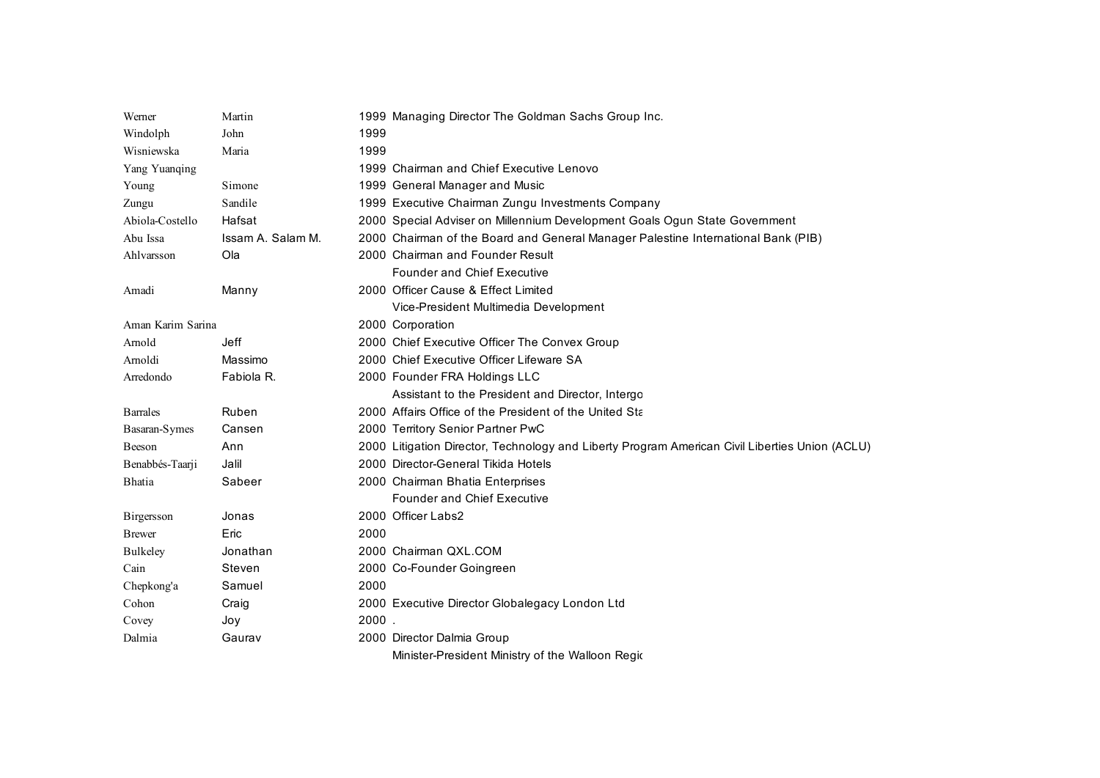| Werner            | Martin            |       | 1999 Managing Director The Goldman Sachs Group Inc.                                            |
|-------------------|-------------------|-------|------------------------------------------------------------------------------------------------|
| Windolph          | John              | 1999  |                                                                                                |
| Wisniewska        | Maria             | 1999  |                                                                                                |
| Yang Yuanqing     |                   |       | 1999 Chairman and Chief Executive Lenovo                                                       |
| Young             | Simone            |       | 1999 General Manager and Music                                                                 |
| Zungu             | Sandile           |       | 1999 Executive Chairman Zungu Investments Company                                              |
| Abiola-Costello   | Hafsat            |       | 2000 Special Adviser on Millennium Development Goals Ogun State Government                     |
| Abu Issa          | Issam A. Salam M. |       | 2000 Chairman of the Board and General Manager Palestine International Bank (PIB)              |
| Ahlvarsson        | Ola               |       | 2000 Chairman and Founder Result                                                               |
|                   |                   |       | <b>Founder and Chief Executive</b>                                                             |
| Amadi             | Manny             |       | 2000 Officer Cause & Effect Limited                                                            |
|                   |                   |       | Vice-President Multimedia Development                                                          |
| Aman Karim Sarina |                   |       | 2000 Corporation                                                                               |
| Arnold            | Jeff              |       | 2000 Chief Executive Officer The Convex Group                                                  |
| Amoldi            | Massimo           |       | 2000 Chief Executive Officer Lifeware SA                                                       |
| Arredondo         | Fabiola R.        |       | 2000 Founder FRA Holdings LLC                                                                  |
|                   |                   |       | Assistant to the President and Director, Intergo                                               |
| <b>Barrales</b>   | Ruben             |       | 2000 Affairs Office of the President of the United Sta                                         |
| Basaran-Symes     | Cansen            |       | 2000 Territory Senior Partner PwC                                                              |
| Beeson            | Ann               |       | 2000 Litigation Director, Technology and Liberty Program American Civil Liberties Union (ACLU) |
| Benabbés-Taarji   | Jalil             |       | 2000 Director-General Tikida Hotels                                                            |
| <b>Bhatia</b>     | Sabeer            |       | 2000 Chairman Bhatia Enterprises                                                               |
|                   |                   |       | <b>Founder and Chief Executive</b>                                                             |
| Birgersson        | Jonas             |       | 2000 Officer Labs2                                                                             |
| <b>B</b> rewer    | Eric              | 2000  |                                                                                                |
| Bulkeley          | Jonathan          |       | 2000 Chairman QXL.COM                                                                          |
| Cain              | Steven            |       | 2000 Co-Founder Goingreen                                                                      |
| Chepkong'a        | Samuel            | 2000  |                                                                                                |
| Cohon             | Craig             |       | 2000 Executive Director Globalegacy London Ltd                                                 |
| Covey             | Joy               | 2000. |                                                                                                |
| Dalmia            | Gaurav            |       | 2000 Director Dalmia Group                                                                     |
|                   |                   |       | Minister-President Ministry of the Walloon Regio                                               |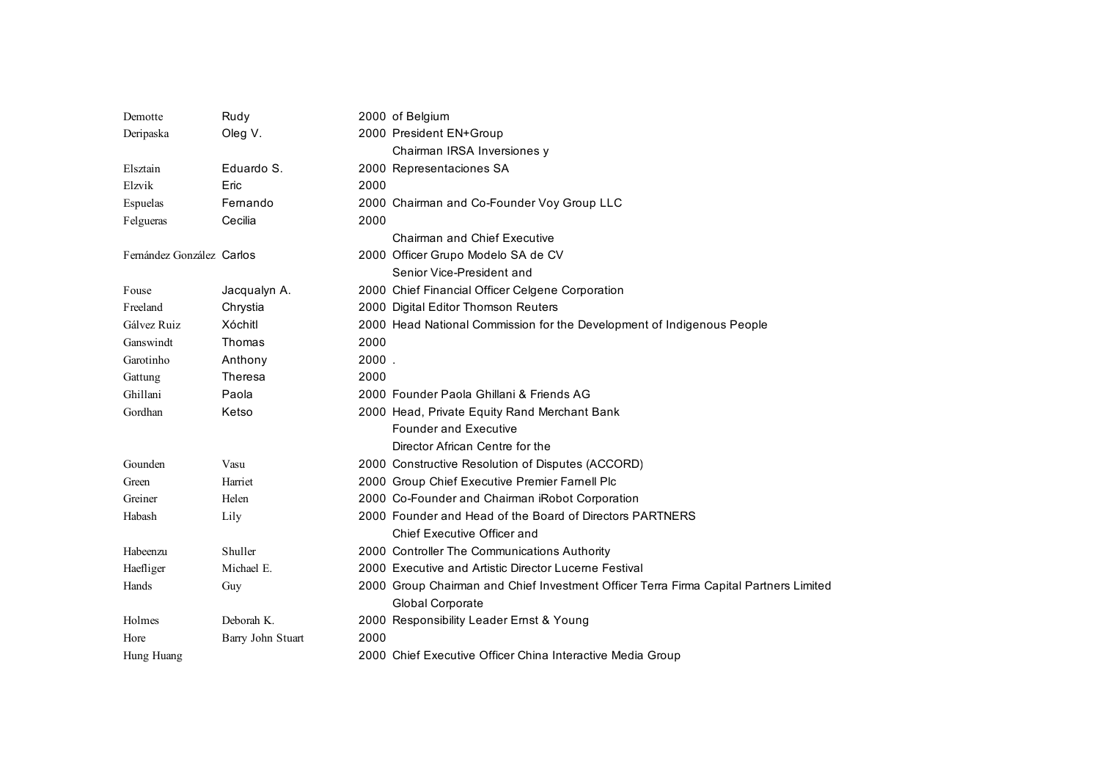| Demotte                   | Rudy              |       | 2000 of Belgium                                                                       |
|---------------------------|-------------------|-------|---------------------------------------------------------------------------------------|
| Deripaska                 | Oleg V.           |       | 2000 President EN+Group                                                               |
|                           |                   |       | Chairman IRSA Inversiones y                                                           |
| Elsztain                  | Eduardo S.        |       | 2000 Representaciones SA                                                              |
| Elzvik                    | Eric              | 2000  |                                                                                       |
| Espuelas                  | Fernando          |       | 2000 Chairman and Co-Founder Voy Group LLC                                            |
| Felgueras                 | Cecilia           | 2000  |                                                                                       |
|                           |                   |       | Chairman and Chief Executive                                                          |
| Fernández González Carlos |                   |       | 2000 Officer Grupo Modelo SA de CV                                                    |
|                           |                   |       | Senior Vice-President and                                                             |
| Fouse                     | Jacqualyn A.      |       | 2000 Chief Financial Officer Celgene Corporation                                      |
| Freeland                  | Chrystia          |       | 2000 Digital Editor Thomson Reuters                                                   |
| Gálvez Ruiz               | Xóchitl           |       | 2000 Head National Commission for the Development of Indigenous People                |
| Ganswindt                 | Thomas            | 2000  |                                                                                       |
| Garotinho                 | Anthony           | 2000. |                                                                                       |
| Gattung                   | <b>Theresa</b>    | 2000  |                                                                                       |
| Ghillani                  | Paola             |       | 2000 Founder Paola Ghillani & Friends AG                                              |
| Gordhan                   | Ketso             |       | 2000 Head, Private Equity Rand Merchant Bank                                          |
|                           |                   |       | <b>Founder and Executive</b>                                                          |
|                           |                   |       | Director African Centre for the                                                       |
| Gounden                   | Vasu              |       | 2000 Constructive Resolution of Disputes (ACCORD)                                     |
| Green                     | Harriet           |       | 2000 Group Chief Executive Premier Farnell Plc                                        |
| Greiner                   | Helen             |       | 2000 Co-Founder and Chairman iRobot Corporation                                       |
| Habash                    | Lily              |       | 2000 Founder and Head of the Board of Directors PARTNERS                              |
|                           |                   |       | Chief Executive Officer and                                                           |
| Habeenzu                  | Shuller           |       | 2000 Controller The Communications Authority                                          |
| Haefliger                 | Michael E.        |       | 2000 Executive and Artistic Director Lucerne Festival                                 |
| Hands                     | Guy               |       | 2000 Group Chairman and Chief Investment Officer Terra Firma Capital Partners Limited |
|                           |                   |       | Global Corporate                                                                      |
| Holmes                    | Deborah K.        |       | 2000 Responsibility Leader Ernst & Young                                              |
| Hore                      | Barry John Stuart | 2000  |                                                                                       |
| Hung Huang                |                   |       | 2000 Chief Executive Officer China Interactive Media Group                            |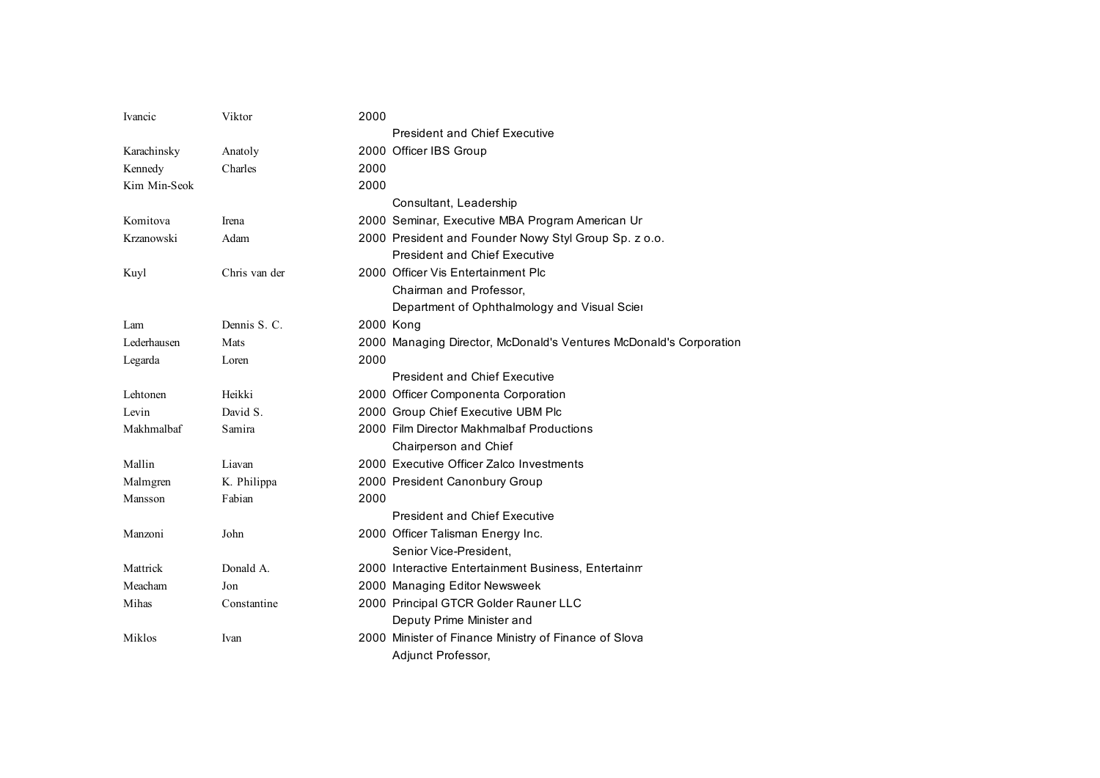| Ivancic      | Viktor        | 2000 |                                                                    |
|--------------|---------------|------|--------------------------------------------------------------------|
|              |               |      | <b>President and Chief Executive</b>                               |
| Karachinsky  | Anatoly       |      | 2000 Officer IBS Group                                             |
| Kennedy      | Charles       | 2000 |                                                                    |
| Kim Min-Seok |               | 2000 |                                                                    |
|              |               |      | Consultant, Leadership                                             |
| Komitova     | Irena         |      | 2000 Seminar, Executive MBA Program American Ur                    |
| Krzanowski   | Adam          |      | 2000 President and Founder Nowy Styl Group Sp. z o.o.              |
|              |               |      | <b>President and Chief Executive</b>                               |
| Kuyl         | Chris van der |      | 2000 Officer Vis Entertainment Plc                                 |
|              |               |      | Chairman and Professor,                                            |
|              |               |      | Department of Ophthalmology and Visual Scier                       |
| Lam          | Dennis S. C.  |      | 2000 Kong                                                          |
| Lederhausen  | Mats          |      | 2000 Managing Director, McDonald's Ventures McDonald's Corporation |
| Legarda      | Loren         | 2000 |                                                                    |
|              |               |      | <b>President and Chief Executive</b>                               |
| Lehtonen     | Heikki        |      | 2000 Officer Componenta Corporation                                |
| Levin        | David S.      |      | 2000 Group Chief Executive UBM Plc                                 |
| Makhmalbaf   | Samira        |      | 2000 Film Director Makhmalbaf Productions                          |
|              |               |      | Chairperson and Chief                                              |
| Mallin       | Liavan        |      | 2000 Executive Officer Zalco Investments                           |
| Malmgren     | K. Philippa   |      | 2000 President Canonbury Group                                     |
| Mansson      | Fabian        | 2000 |                                                                    |
|              |               |      | <b>President and Chief Executive</b>                               |
| Manzoni      | John          |      | 2000 Officer Talisman Energy Inc.                                  |
|              |               |      | Senior Vice-President.                                             |
| Mattrick     | Donald A.     |      | 2000 Interactive Entertainment Business, Entertainm                |
| Meacham      | Jon           |      | 2000 Managing Editor Newsweek                                      |
| Mihas        | Constantine   |      | 2000 Principal GTCR Golder Rauner LLC                              |
|              |               |      | Deputy Prime Minister and                                          |
| Miklos       | Ivan          |      | 2000 Minister of Finance Ministry of Finance of Slova              |
|              |               |      | Adjunct Professor,                                                 |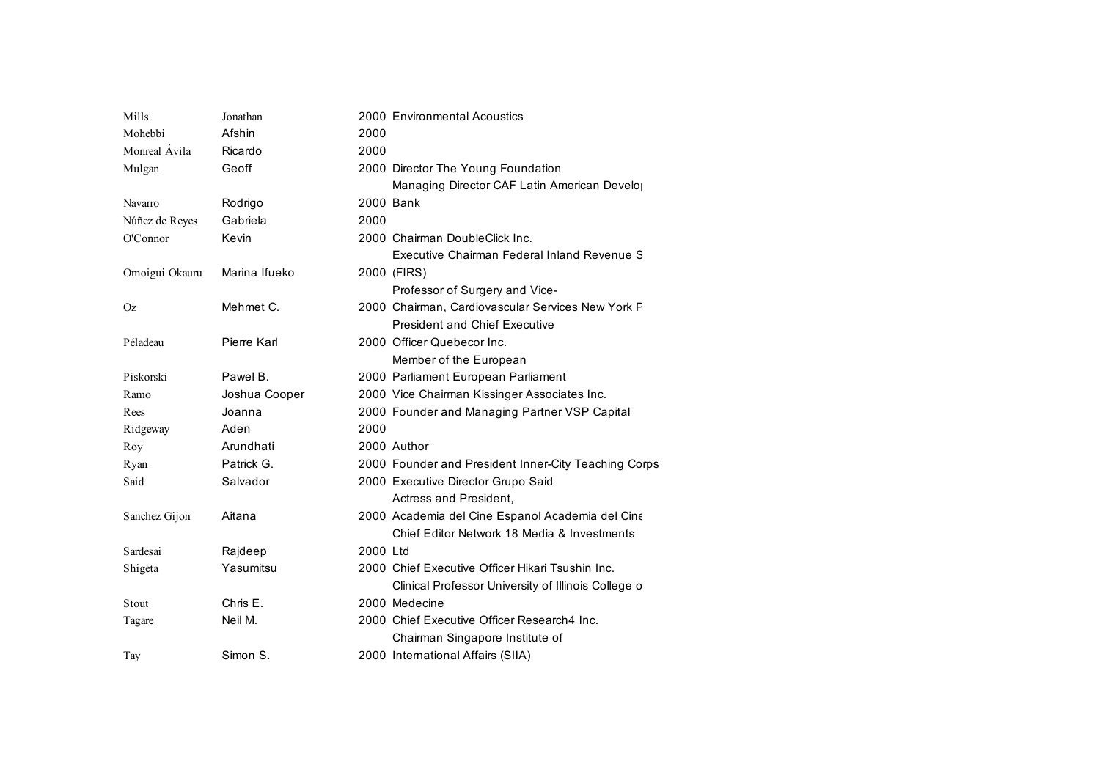| Mills          | Jonathan      |          | 2000 Environmental Acoustics                         |
|----------------|---------------|----------|------------------------------------------------------|
| Mohebbi        | Afshin        | 2000     |                                                      |
| Monreal Ávila  | Ricardo       | 2000     |                                                      |
| Mulgan         | Geoff         |          | 2000 Director The Young Foundation                   |
|                |               |          | Managing Director CAF Latin American Develo          |
| Navarro        | Rodrigo       |          | 2000 Bank                                            |
| Núñez de Reyes | Gabriela      | 2000     |                                                      |
| O'Connor       | Kevin         |          | 2000 Chairman DoubleClick Inc.                       |
|                |               |          | Executive Chairman Federal Inland Revenue S          |
| Omoigui Okauru | Marina Ifueko |          | 2000 (FIRS)                                          |
|                |               |          | Professor of Surgery and Vice-                       |
| <b>Oz</b>      | Mehmet C.     |          | 2000 Chairman, Cardiovascular Services New York P    |
|                |               |          | <b>President and Chief Executive</b>                 |
| Péladeau       | Pierre Karl   |          | 2000 Officer Quebecor Inc.                           |
|                |               |          | Member of the European                               |
| Piskorski      | Pawel B.      |          | 2000 Parliament European Parliament                  |
| Ramo           | Joshua Cooper |          | 2000 Vice Chairman Kissinger Associates Inc.         |
| Rees           | Joanna        |          | 2000 Founder and Managing Partner VSP Capital        |
| Ridgeway       | Aden          | 2000     |                                                      |
| Roy            | Arundhati     |          | 2000 Author                                          |
| Ryan           | Patrick G.    |          | 2000 Founder and President Inner-City Teaching Corps |
| Said           | Salvador      |          | 2000 Executive Director Grupo Said                   |
|                |               |          | Actress and President,                               |
| Sanchez Gijon  | Aitana        |          | 2000 Academia del Cine Espanol Academia del Cine     |
|                |               |          | Chief Editor Network 18 Media & Investments          |
| Sardesai       | Rajdeep       | 2000 Ltd |                                                      |
| Shigeta        | Yasumitsu     |          | 2000 Chief Executive Officer Hikari Tsushin Inc.     |
|                |               |          | Clinical Professor University of Illinois College o  |
| Stout          | Chris E.      |          | 2000 Medecine                                        |
| Tagare         | Neil M.       |          | 2000 Chief Executive Officer Research4 Inc.          |
|                |               |          | Chairman Singapore Institute of                      |
| Tay            | Simon S.      |          | 2000 International Affairs (SIIA)                    |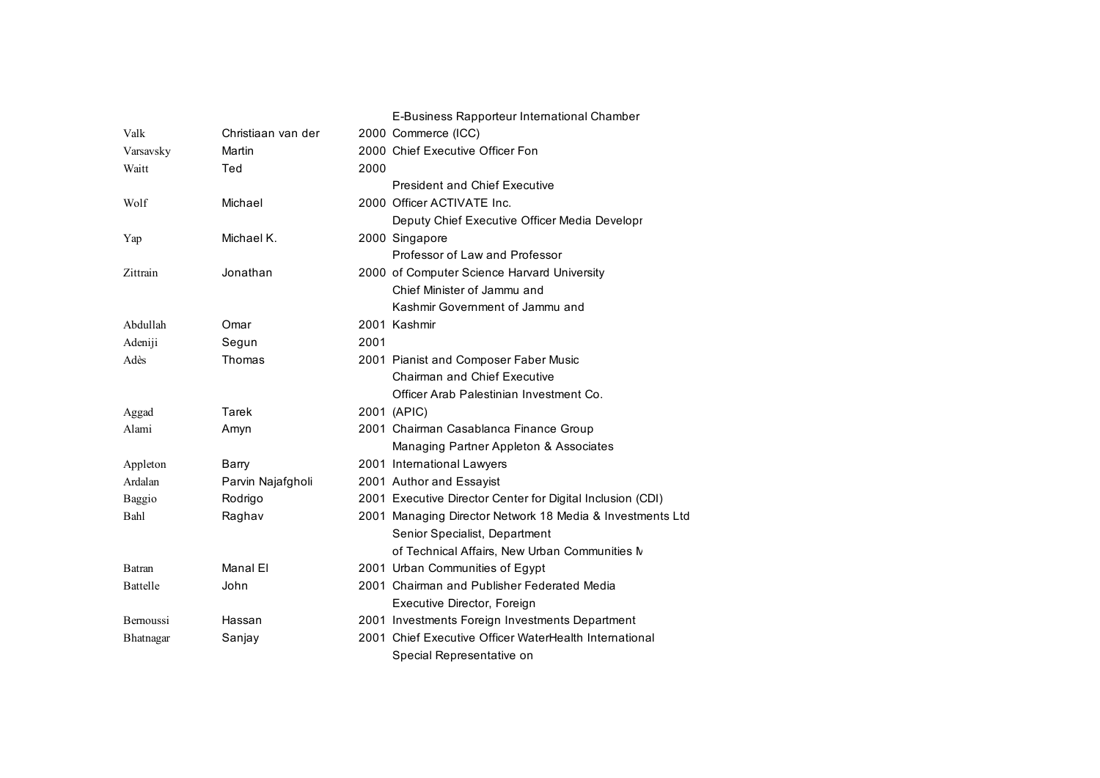|                 |                    | E-Business Rapporteur International Chamber                |
|-----------------|--------------------|------------------------------------------------------------|
| Valk            | Christiaan van der | 2000 Commerce (ICC)                                        |
| Varsavsky       | Martin             | 2000 Chief Executive Officer Fon                           |
| Waitt           | Ted                | 2000                                                       |
|                 |                    | <b>President and Chief Executive</b>                       |
| Wolf            | Michael            | 2000 Officer ACTIVATE Inc.                                 |
|                 |                    | Deputy Chief Executive Officer Media Developr              |
| Yap             | Michael K.         | 2000 Singapore                                             |
|                 |                    | Professor of Law and Professor                             |
| Zittrain        | Jonathan           | 2000 of Computer Science Harvard University                |
|                 |                    | Chief Minister of Jammu and                                |
|                 |                    | Kashmir Government of Jammu and                            |
| Abdullah        | Omar               | 2001 Kashmir                                               |
| Adeniji         | Segun              | 2001                                                       |
| Adès            | Thomas             | 2001 Pianist and Composer Faber Music                      |
|                 |                    | <b>Chairman and Chief Executive</b>                        |
|                 |                    | Officer Arab Palestinian Investment Co.                    |
| Aggad           | Tarek              | 2001 (APIC)                                                |
| Alami           | Amyn               | 2001 Chairman Casablanca Finance Group                     |
|                 |                    | Managing Partner Appleton & Associates                     |
| Appleton        | Barry              | 2001 International Lawyers                                 |
| Ardalan         | Parvin Najafgholi  | 2001 Author and Essayist                                   |
| <b>Baggio</b>   | Rodrigo            | 2001 Executive Director Center for Digital Inclusion (CDI) |
| Bahl            | Raghav             | 2001 Managing Director Network 18 Media & Investments Ltd  |
|                 |                    | Senior Specialist, Department                              |
|                 |                    | of Technical Affairs, New Urban Communities M              |
| Batran          | Manal El           | 2001 Urban Communities of Egypt                            |
| <b>Battelle</b> | John               | 2001 Chairman and Publisher Federated Media                |
|                 |                    | Executive Director, Foreign                                |
| Bernoussi       | Hassan             | 2001 Investments Foreign Investments Department            |
| Bhatnagar       | Sanjay             | 2001 Chief Executive Officer WaterHealth International     |
|                 |                    | Special Representative on                                  |
|                 |                    |                                                            |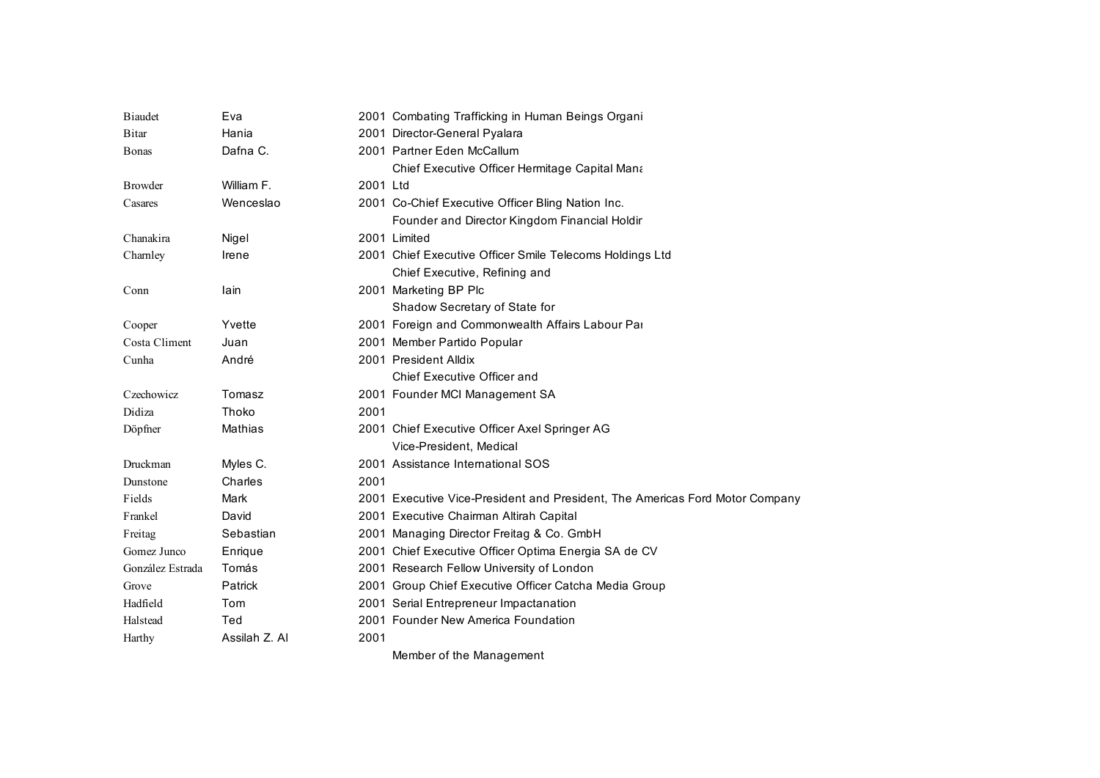| <b>Biaudet</b>   | Eva           |          | 2001 Combating Trafficking in Human Beings Organi                            |
|------------------|---------------|----------|------------------------------------------------------------------------------|
| Bitar            | Hania         |          | 2001 Director-General Pyalara                                                |
| Bonas            | Dafna C.      |          | 2001 Partner Eden McCallum                                                   |
|                  |               |          | Chief Executive Officer Hermitage Capital Mana                               |
| <b>Browder</b>   | William F.    | 2001 Ltd |                                                                              |
| Casares          | Wenceslao     |          | 2001 Co-Chief Executive Officer Bling Nation Inc.                            |
|                  |               |          | Founder and Director Kingdom Financial Holdir                                |
| Chanakira        | Nigel         |          | 2001 Limited                                                                 |
| Chamley          | Irene         |          | 2001 Chief Executive Officer Smile Telecoms Holdings Ltd                     |
|                  |               |          | Chief Executive, Refining and                                                |
| Conn             | lain          |          | 2001 Marketing BP Plc                                                        |
|                  |               |          | Shadow Secretary of State for                                                |
| Cooper           | Yvette        |          | 2001 Foreign and Commonwealth Affairs Labour Par                             |
| Costa Climent    | Juan          |          | 2001 Member Partido Popular                                                  |
| Cunha            | André         |          | 2001 President Alldix                                                        |
|                  |               |          | Chief Executive Officer and                                                  |
| Czechowicz       | Tomasz        |          | 2001 Founder MCI Management SA                                               |
| Didiza           | Thoko         | 2001     |                                                                              |
| Döpfner          | Mathias       |          | 2001 Chief Executive Officer Axel Springer AG                                |
|                  |               |          | Vice-President, Medical                                                      |
| Druckman         | Myles C.      |          | 2001 Assistance International SOS                                            |
| Dunstone         | Charles       | 2001     |                                                                              |
| Fields           | Mark          |          | 2001 Executive Vice-President and President, The Americas Ford Motor Company |
| Frankel          | David         |          | 2001 Executive Chairman Altirah Capital                                      |
| Freitag          | Sebastian     |          | 2001 Managing Director Freitag & Co. GmbH                                    |
| Gomez Junco      | Enrique       |          | 2001 Chief Executive Officer Optima Energia SA de CV                         |
| González Estrada | Tomás         |          | 2001 Research Fellow University of London                                    |
| Grove            | Patrick       |          | 2001 Group Chief Executive Officer Catcha Media Group                        |
| Hadfield         | Tom           |          | 2001 Serial Entrepreneur Impactanation                                       |
| Halstead         | Ted           |          | 2001 Founder New America Foundation                                          |
| Harthy           | Assilah Z. Al | 2001     |                                                                              |
|                  |               |          | Member of the Management                                                     |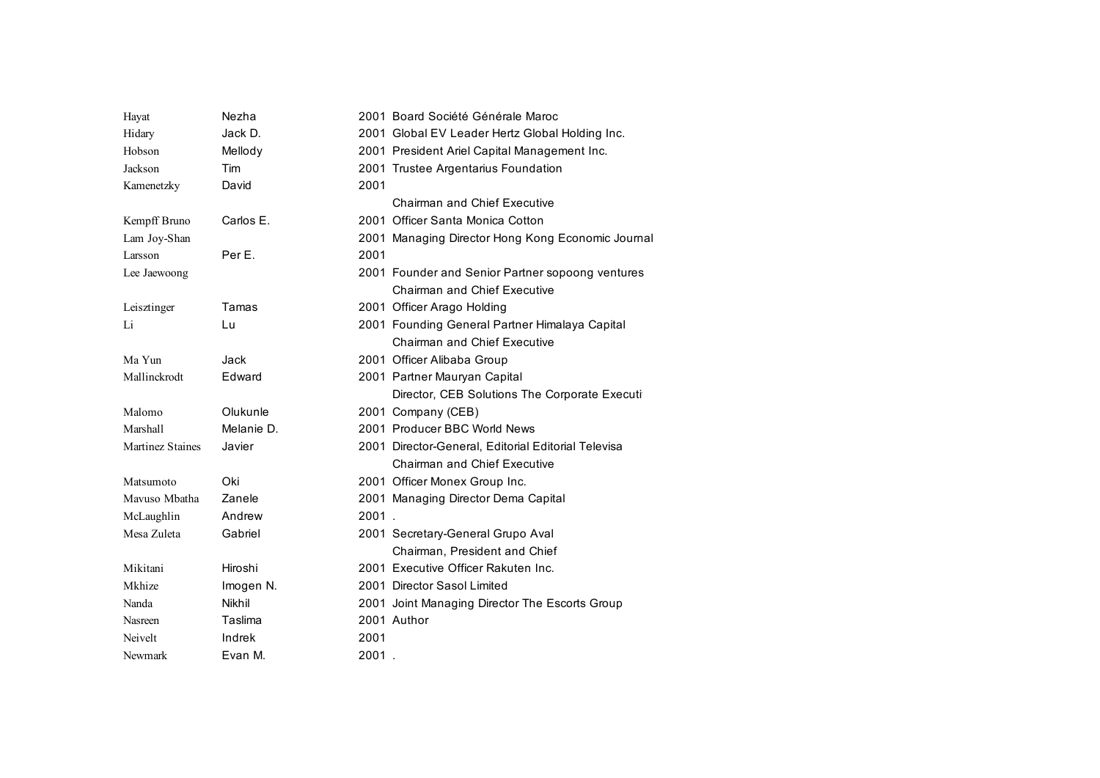| Hayat            | Nezha      |       | 2001 Board Société Générale Maroc                   |
|------------------|------------|-------|-----------------------------------------------------|
| Hidary           | Jack D.    |       | 2001 Global EV Leader Hertz Global Holding Inc.     |
| Hobson           | Mellody    |       | 2001 President Ariel Capital Management Inc.        |
| Jackson          | Tim        |       | 2001 Trustee Argentarius Foundation                 |
| Kamenetzky       | David      | 2001  |                                                     |
|                  |            |       | <b>Chairman and Chief Executive</b>                 |
| Kempff Bruno     | Carlos E.  |       | 2001 Officer Santa Monica Cotton                    |
| Lam Joy-Shan     |            |       | 2001 Managing Director Hong Kong Economic Journal   |
| Larsson          | Per E.     | 2001  |                                                     |
| Lee Jaewoong     |            |       | 2001 Founder and Senior Partner sopoong ventures    |
|                  |            |       | Chairman and Chief Executive                        |
| Leisztinger      | Tamas      |       | 2001 Officer Arago Holding                          |
| Li               | Lu         |       | 2001 Founding General Partner Himalaya Capital      |
|                  |            |       | <b>Chairman and Chief Executive</b>                 |
| Ma Yun           | Jack       |       | 2001 Officer Alibaba Group                          |
| Mallinckrodt     | Edward     |       | 2001 Partner Mauryan Capital                        |
|                  |            |       | Director, CEB Solutions The Corporate Executi       |
| Malomo           | Olukunle   |       | 2001 Company (CEB)                                  |
| Marshall         | Melanie D. |       | 2001 Producer BBC World News                        |
| Martinez Staines | Javier     |       | 2001 Director-General, Editorial Editorial Televisa |
|                  |            |       | <b>Chairman and Chief Executive</b>                 |
| Matsumoto        | Oki        |       | 2001 Officer Monex Group Inc.                       |
| Mavuso Mbatha    | Zanele     |       | 2001 Managing Director Dema Capital                 |
| McLaughlin       | Andrew     | 2001. |                                                     |
| Mesa Zuleta      | Gabriel    |       | 2001 Secretary-General Grupo Aval                   |
|                  |            |       | Chairman, President and Chief                       |
| Mikitani         | Hiroshi    |       | 2001 Executive Officer Rakuten Inc.                 |
| Mkhize           | Imogen N.  |       | 2001 Director Sasol Limited                         |
| Nanda            | Nikhil     |       | 2001 Joint Managing Director The Escorts Group      |
| Nasreen          | Taslima    |       | 2001 Author                                         |
| Neivelt          | Indrek     | 2001  |                                                     |
| Newmark          | Evan M.    | 2001  |                                                     |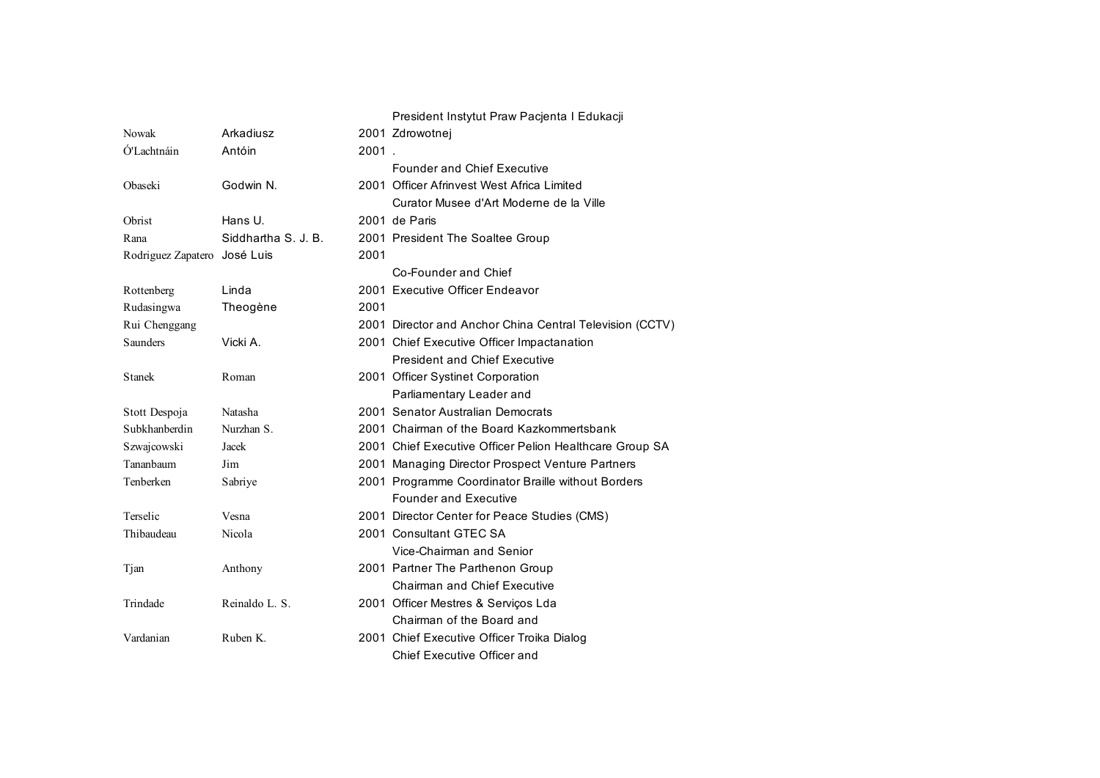## President Instytut Praw Pacjenta I Edukacji

| Nowak                        | Arkadiusz           |       | 2001 Zdrowotnej                                          |
|------------------------------|---------------------|-------|----------------------------------------------------------|
| Ó'Lachtnáin                  | Antóin              | 2001. |                                                          |
|                              |                     |       | <b>Founder and Chief Executive</b>                       |
| Obaseki                      | Godwin N.           |       | 2001 Officer Afrinvest West Africa Limited               |
|                              |                     |       | Curator Musee d'Art Moderne de la Ville                  |
| Obrist                       | Hans U.             |       | 2001 de Paris                                            |
| Rana                         | Siddhartha S. J. B. |       | 2001 President The Soaltee Group                         |
| Rodriguez Zapatero José Luis |                     | 2001  |                                                          |
|                              |                     |       | Co-Founder and Chief                                     |
| Rottenberg                   | Linda               |       | 2001 Executive Officer Endeavor                          |
| Rudasingwa                   | Theogène            | 2001  |                                                          |
| Rui Chenggang                |                     |       | 2001 Director and Anchor China Central Television (CCTV) |
| <b>Saunders</b>              | Vicki A.            |       | 2001 Chief Executive Officer Impactanation               |
|                              |                     |       | <b>President and Chief Executive</b>                     |
| <b>Stanek</b>                | Roman               |       | 2001 Officer Systinet Corporation                        |
|                              |                     |       | Parliamentary Leader and                                 |
| Stott Despoja                | Natasha             |       | 2001 Senator Australian Democrats                        |
| Subkhanberdin                | Nurzhan S.          |       | 2001 Chairman of the Board Kazkommertsbank               |
| Szwajcowski                  | Jacek               |       | 2001 Chief Executive Officer Pelion Healthcare Group SA  |
| Tananbaum                    | Jim                 |       | 2001 Managing Director Prospect Venture Partners         |
| Tenberken                    | Sabriye             |       | 2001 Programme Coordinator Braille without Borders       |
|                              |                     |       | <b>Founder and Executive</b>                             |
| Terselic                     | Vesna               |       | 2001 Director Center for Peace Studies (CMS)             |
| Thibaudeau                   | Nicola              |       | 2001 Consultant GTEC SA                                  |
|                              |                     |       | Vice-Chairman and Senior                                 |
| Tjan                         | Anthony             |       | 2001 Partner The Parthenon Group                         |
|                              |                     |       | <b>Chairman and Chief Executive</b>                      |
| Trindade                     | Reinaldo L. S.      |       | 2001 Officer Mestres & Servicos Lda                      |
|                              |                     |       | Chairman of the Board and                                |
| Vardanian                    | Ruben K.            |       | 2001 Chief Executive Officer Troika Dialog               |
|                              |                     |       | Chief Executive Officer and                              |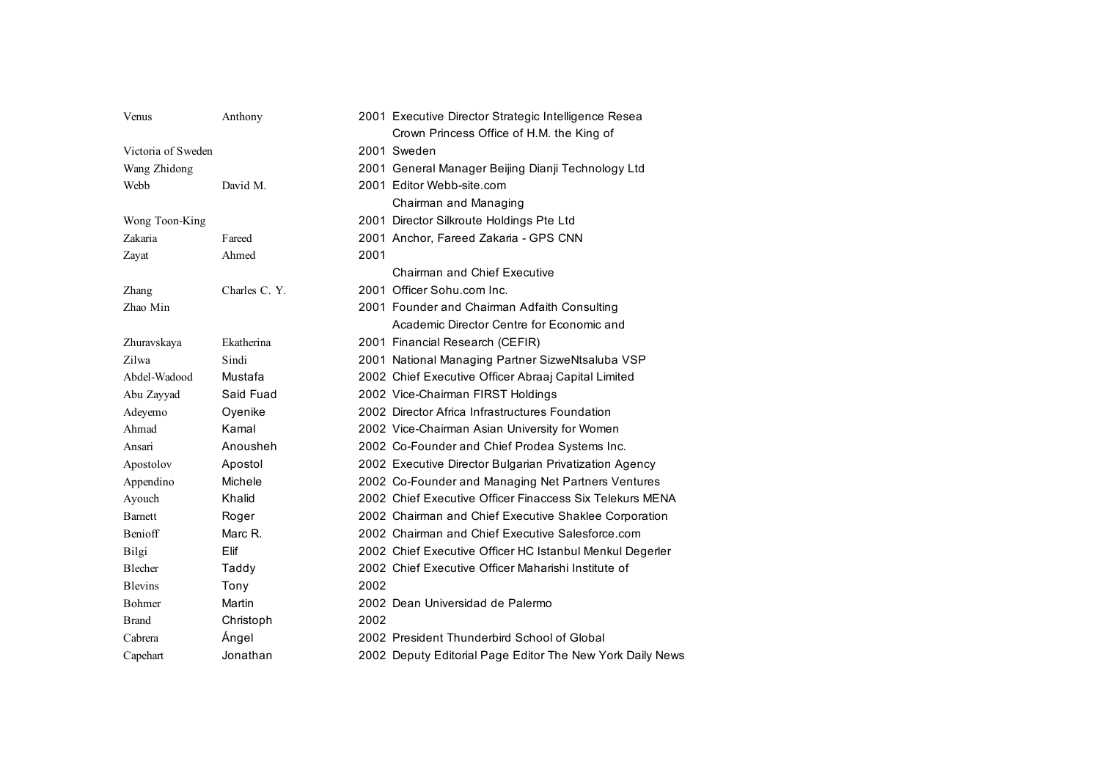| Venus              | Anthony       |      | 2001 Executive Director Strategic Intelligence Resea      |
|--------------------|---------------|------|-----------------------------------------------------------|
|                    |               |      | Crown Princess Office of H.M. the King of                 |
| Victoria of Sweden |               |      | 2001 Sweden                                               |
| Wang Zhidong       |               |      | 2001 General Manager Beijing Dianji Technology Ltd        |
| Webb               | David M.      |      | 2001 Editor Webb-site.com                                 |
|                    |               |      | Chairman and Managing                                     |
| Wong Toon-King     |               |      | 2001 Director Silkroute Holdings Pte Ltd                  |
| Zakaria            | Fareed        |      | 2001 Anchor, Fareed Zakaria - GPS CNN                     |
| Zayat              | Ahmed         | 2001 |                                                           |
|                    |               |      | <b>Chairman and Chief Executive</b>                       |
| Zhang              | Charles C. Y. |      | 2001 Officer Sohu.com Inc.                                |
| Zhao Min           |               |      | 2001 Founder and Chairman Adfaith Consulting              |
|                    |               |      | Academic Director Centre for Economic and                 |
| Zhuravskaya        | Ekatherina    |      | 2001 Financial Research (CEFIR)                           |
| Zilwa              | Sindi         |      | 2001 National Managing Partner SizweNtsaluba VSP          |
| Abdel-Wadood       | Mustafa       |      | 2002 Chief Executive Officer Abraaj Capital Limited       |
| Abu Zayyad         | Said Fuad     |      | 2002 Vice-Chairman FIRST Holdings                         |
| Adeyemo            | Oyenike       |      | 2002 Director Africa Infrastructures Foundation           |
| Ahmad              | Kamal         |      | 2002 Vice-Chairman Asian University for Women             |
| Ansari             | Anousheh      |      | 2002 Co-Founder and Chief Prodea Systems Inc.             |
| Apostolov          | Apostol       |      | 2002 Executive Director Bulgarian Privatization Agency    |
| Appendino          | Michele       |      | 2002 Co-Founder and Managing Net Partners Ventures        |
| Ayouch             | Khalid        |      | 2002 Chief Executive Officer Finaccess Six Telekurs MENA  |
| <b>Barnett</b>     | Roger         |      | 2002 Chairman and Chief Executive Shaklee Corporation     |
| <b>Benioff</b>     | Marc R.       |      | 2002 Chairman and Chief Executive Salesforce.com          |
| Bilgi              | Elif          |      | 2002 Chief Executive Officer HC Istanbul Menkul Degerler  |
| Blecher            | Taddy         |      | 2002 Chief Executive Officer Maharishi Institute of       |
| <b>Blevins</b>     | Tony          | 2002 |                                                           |
| Bohmer             | Martin        |      | 2002 Dean Universidad de Palermo                          |
| <b>Brand</b>       | Christoph     | 2002 |                                                           |
| Cabrera            | Ángel         |      | 2002 President Thunderbird School of Global               |
| Capehart           | Jonathan      |      | 2002 Deputy Editorial Page Editor The New York Daily News |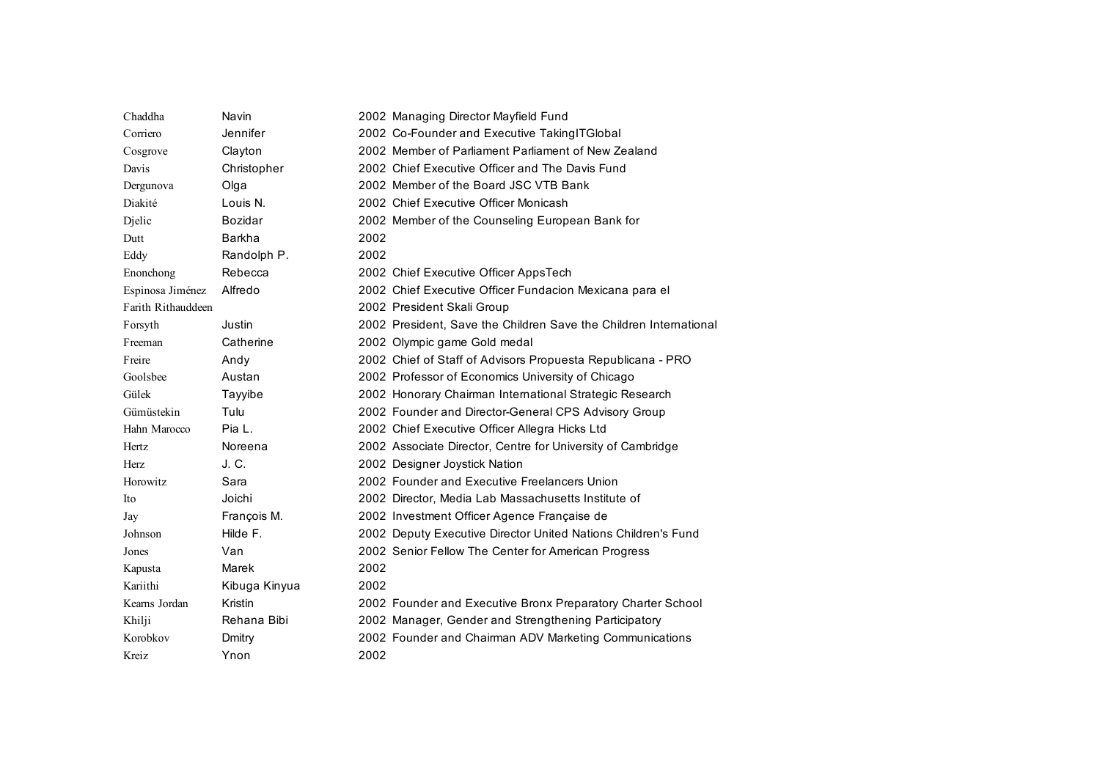| Chaddha            | Navin         |      | 2002 Managing Director Mayfield Fund                              |
|--------------------|---------------|------|-------------------------------------------------------------------|
| Corriero           | Jennifer      |      | 2002 Co-Founder and Executive TakingITGlobal                      |
| Cosgrove           | Clayton       |      | 2002 Member of Parliament Parliament of New Zealand               |
| Davis              | Christopher   |      | 2002 Chief Executive Officer and The Davis Fund                   |
| Dergunova          | Olga          |      | 2002 Member of the Board JSC VTB Bank                             |
| Diakité            | Louis N.      |      | 2002 Chief Executive Officer Monicash                             |
| Djelic             | Bozidar       |      | 2002 Member of the Counseling European Bank for                   |
| Dutt               | Barkha        | 2002 |                                                                   |
| Eddy               | Randolph P.   | 2002 |                                                                   |
| Enonchong          | Rebecca       |      | 2002 Chief Executive Officer AppsTech                             |
| Espinosa Jiménez   | Alfredo       |      | 2002 Chief Executive Officer Fundacion Mexicana para el           |
| Farith Rithauddeen |               |      | 2002 President Skali Group                                        |
| Forsyth            | Justin        |      | 2002 President, Save the Children Save the Children International |
| Freeman            | Catherine     |      | 2002 Olympic game Gold medal                                      |
| Freire             | Andy          |      | 2002 Chief of Staff of Advisors Propuesta Republicana - PRO       |
| Goolsbee           | Austan        |      | 2002 Professor of Economics University of Chicago                 |
| Gülek              | Tayyibe       |      | 2002 Honorary Chairman International Strategic Research           |
| Gümüstekin         | Tulu          |      | 2002 Founder and Director-General CPS Advisory Group              |
| Hahn Marocco       | Pia L.        |      | 2002 Chief Executive Officer Allegra Hicks Ltd                    |
| Hertz              | Noreena       |      | 2002 Associate Director, Centre for University of Cambridge       |
| Herz               | J. C.         |      | 2002 Designer Joystick Nation                                     |
| Horowitz           | Sara          |      | 2002 Founder and Executive Freelancers Union                      |
| Ito                | Joichi        |      | 2002 Director, Media Lab Massachusetts Institute of               |
| Jay                | François M.   |      | 2002 Investment Officer Agence Française de                       |
| Johnson            | Hilde F.      |      | 2002 Deputy Executive Director United Nations Children's Fund     |
| Jones              | Van           |      | 2002 Senior Fellow The Center for American Progress               |
| Kapusta            | Marek         | 2002 |                                                                   |
| Kariithi           | Kibuga Kinyua | 2002 |                                                                   |
| Kearns Jordan      | Kristin       |      | 2002 Founder and Executive Bronx Preparatory Charter School       |
| Khilji             | Rehana Bibi   |      | 2002 Manager, Gender and Strengthening Participatory              |
| Korobkov           | Dmitry        |      | 2002 Founder and Chairman ADV Marketing Communications            |
| Kreiz              | Ynon          | 2002 |                                                                   |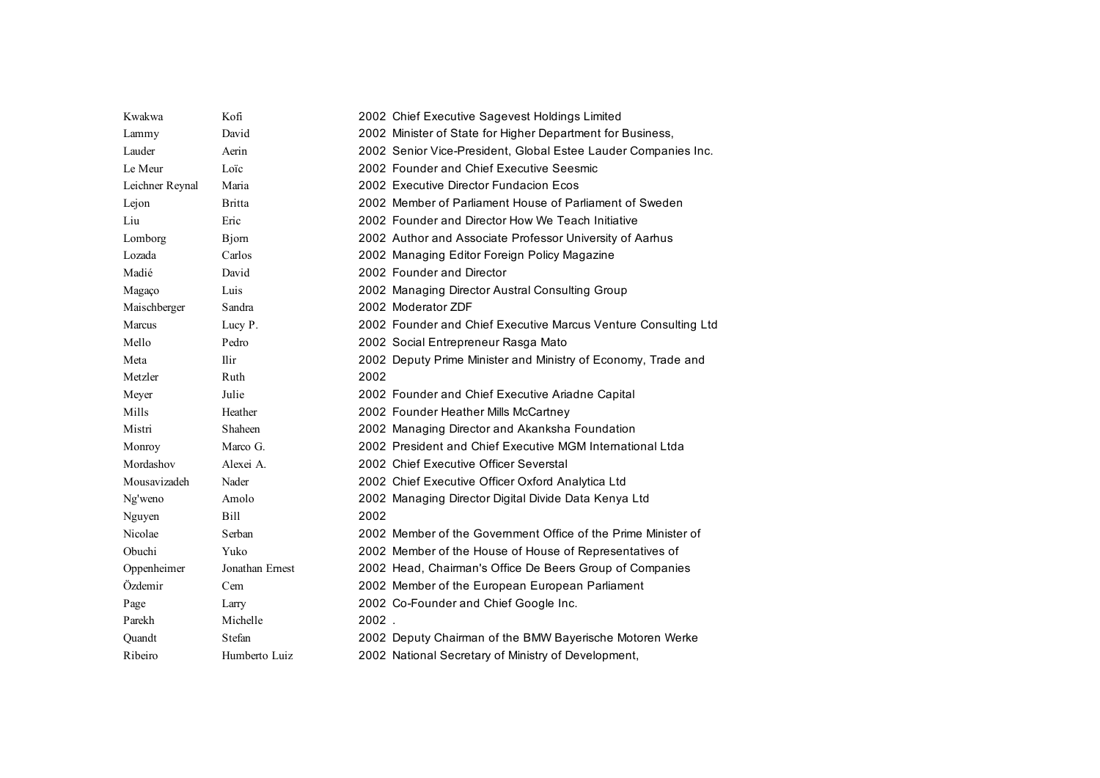| Kwakwa          | Kofi            | 2002 Chief Executive Sagevest Holdings Limited                 |
|-----------------|-----------------|----------------------------------------------------------------|
| Lammy           | David           | 2002 Minister of State for Higher Department for Business,     |
| Lauder          | Aerin           | 2002 Senior Vice-President, Global Estee Lauder Companies Inc. |
| Le Meur         | Loïc            | 2002 Founder and Chief Executive Seesmic                       |
| Leichner Reynal | Maria           | 2002 Executive Director Fundacion Ecos                         |
| Lejon           | <b>Britta</b>   | 2002 Member of Parliament House of Parliament of Sweden        |
| Liu             | Eric            | 2002 Founder and Director How We Teach Initiative              |
| Lomborg         | <b>B</b> jom    | 2002 Author and Associate Professor University of Aarhus       |
| Lozada          | Carlos          | 2002 Managing Editor Foreign Policy Magazine                   |
| Madié           | David           | 2002 Founder and Director                                      |
| Magaço          | Luis            | 2002 Managing Director Austral Consulting Group                |
| Maischberger    | Sandra          | 2002 Moderator ZDF                                             |
| Marcus          | Lucy P.         | 2002 Founder and Chief Executive Marcus Venture Consulting Ltd |
| Mello           | Pedro           | 2002 Social Entrepreneur Rasga Mato                            |
| Meta            | <b>Ilir</b>     | 2002 Deputy Prime Minister and Ministry of Economy, Trade and  |
| Metzler         | Ruth            | 2002                                                           |
| Meyer           | Julie           | 2002 Founder and Chief Executive Ariadne Capital               |
| Mills           | Heather         | 2002 Founder Heather Mills McCartney                           |
| Mistri          | Shaheen         | 2002 Managing Director and Akanksha Foundation                 |
| Monroy          | Marco G.        | 2002 President and Chief Executive MGM International Ltda      |
| Mordashov       | Alexei A.       | 2002 Chief Executive Officer Severstal                         |
| Mousavizadeh    | Nader           | 2002 Chief Executive Officer Oxford Analytica Ltd              |
| Ng'weno         | Amolo           | 2002 Managing Director Digital Divide Data Kenya Ltd           |
| Nguyen          | Bill            | 2002                                                           |
| Nicolae         | Serban          | 2002 Member of the Government Office of the Prime Minister of  |
| Obuchi          | Yuko            | 2002 Member of the House of House of Representatives of        |
| Oppenheimer     | Jonathan Ernest | 2002 Head, Chairman's Office De Beers Group of Companies       |
| Özdemir         | Cem             | 2002 Member of the European European Parliament                |
| Page            | Larry           | 2002 Co-Founder and Chief Google Inc.                          |
| Parekh          | Michelle        | $2002$ .                                                       |
| Quandt          | Stefan          | 2002 Deputy Chairman of the BMW Bayerische Motoren Werke       |
| Ribeiro         | Humberto Luiz   | 2002 National Secretary of Ministry of Development,            |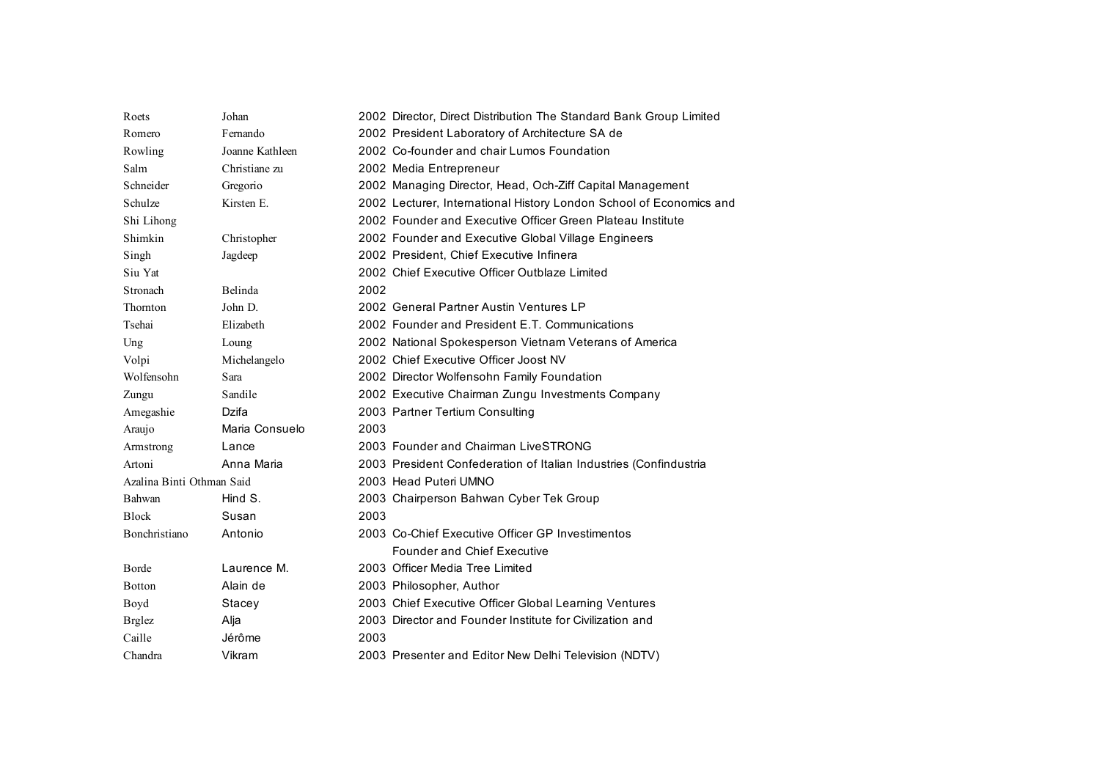| Roets                     | Johan           | 2002 Director, Direct Distribution The Standard Bank Group Limited  |
|---------------------------|-----------------|---------------------------------------------------------------------|
| Romero                    | Fernando        | 2002 President Laboratory of Architecture SA de                     |
| Rowling                   | Joanne Kathleen | 2002 Co-founder and chair Lumos Foundation                          |
| Salm                      | Christiane zu   | 2002 Media Entrepreneur                                             |
| Schneider                 | Gregorio        | 2002 Managing Director, Head, Och-Ziff Capital Management           |
| Schulze                   | Kirsten E.      | 2002 Lecturer, International History London School of Economics and |
| Shi Lihong                |                 | 2002 Founder and Executive Officer Green Plateau Institute          |
| Shimkin                   | Christopher     | 2002 Founder and Executive Global Village Engineers                 |
| Singh                     | Jagdeep         | 2002 President, Chief Executive Infinera                            |
| Siu Yat                   |                 | 2002 Chief Executive Officer Outblaze Limited                       |
| Stronach                  | Belinda         | 2002                                                                |
| Thornton                  | John D.         | 2002 General Partner Austin Ventures LP                             |
| Tsehai                    | Elizabeth       | 2002 Founder and President E.T. Communications                      |
| Ung                       | Loung           | 2002 National Spokesperson Vietnam Veterans of America              |
| Volpi                     | Michelangelo    | 2002 Chief Executive Officer Joost NV                               |
| Wolfensohn                | Sara            | 2002 Director Wolfensohn Family Foundation                          |
| Zungu                     | Sandile         | 2002 Executive Chairman Zungu Investments Company                   |
| Amegashie                 | Dzifa           | 2003 Partner Tertium Consulting                                     |
| Araujo                    | Maria Consuelo  | 2003                                                                |
| Armstrong                 | Lance           | 2003 Founder and Chairman LiveSTRONG                                |
| Artoni                    | Anna Maria      | 2003 President Confederation of Italian Industries (Confindustria   |
| Azalina Binti Othman Said |                 | 2003 Head Puteri UMNO                                               |
| Bahwan                    | Hind S.         | 2003 Chairperson Bahwan Cyber Tek Group                             |
| <b>Block</b>              | Susan           | 2003                                                                |
| Bonchristiano             | Antonio         | 2003 Co-Chief Executive Officer GP Investimentos                    |
|                           |                 | <b>Founder and Chief Executive</b>                                  |
| Borde                     | Laurence M.     | 2003 Officer Media Tree Limited                                     |
| Botton                    | Alain de        | 2003 Philosopher, Author                                            |
| Boyd                      | Stacey          | 2003 Chief Executive Officer Global Learning Ventures               |
| <b>Brglez</b>             | Alja            | 2003 Director and Founder Institute for Civilization and            |
| Caille                    | Jérôme          | 2003                                                                |
| Chandra                   | Vikram          | 2003 Presenter and Editor New Delhi Television (NDTV)               |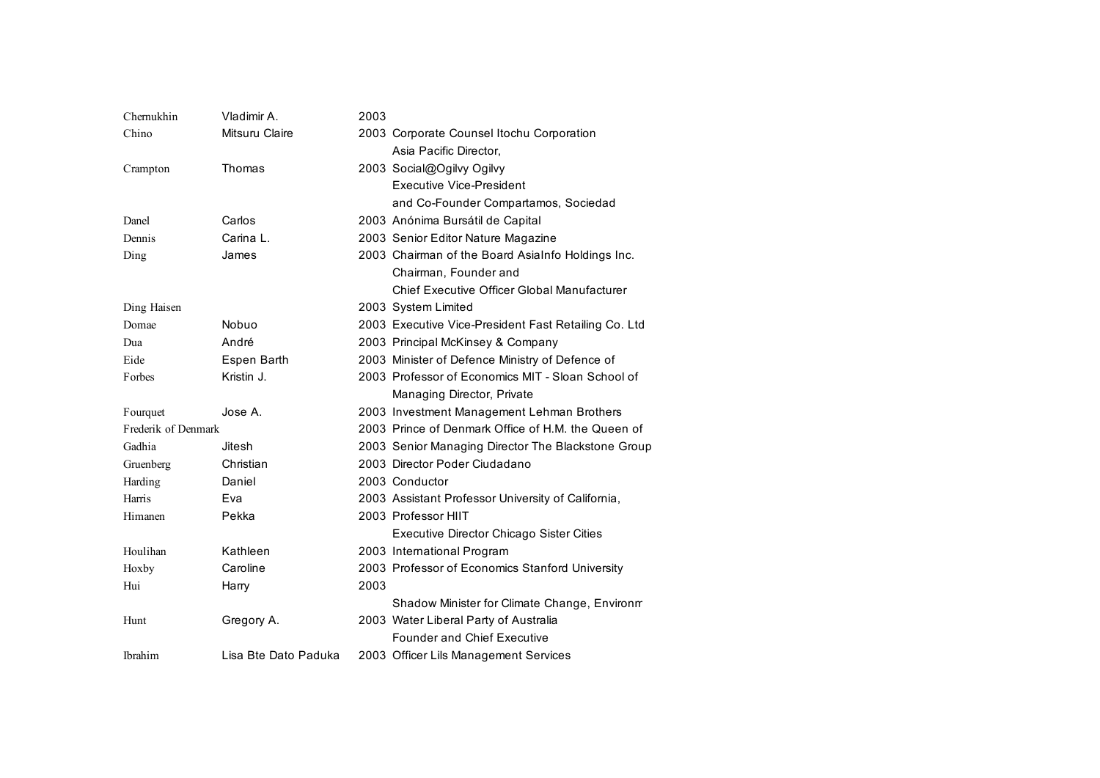| Chernukhin          | Vladimir A.          | 2003 |                                                      |
|---------------------|----------------------|------|------------------------------------------------------|
| Chino               | Mitsuru Claire       |      | 2003 Corporate Counsel Itochu Corporation            |
|                     |                      |      | Asia Pacific Director.                               |
| Crampton            | Thomas               |      | 2003 Social@Ogilvy Ogilvy                            |
|                     |                      |      | Executive Vice-President                             |
|                     |                      |      | and Co-Founder Compartamos, Sociedad                 |
| Danel               | Carlos               |      | 2003 Anónima Bursátil de Capital                     |
| Dennis              | Carina L.            |      | 2003 Senior Editor Nature Magazine                   |
| Ding                | James                |      | 2003 Chairman of the Board AsiaInfo Holdings Inc.    |
|                     |                      |      | Chairman, Founder and                                |
|                     |                      |      | Chief Executive Officer Global Manufacturer          |
| Ding Haisen         |                      |      | 2003 System Limited                                  |
| Domae               | Nobuo                |      | 2003 Executive Vice-President Fast Retailing Co. Ltd |
| Dua                 | André                |      | 2003 Principal McKinsey & Company                    |
| Eide                | Espen Barth          |      | 2003 Minister of Defence Ministry of Defence of      |
| <b>Forbes</b>       | Kristin J.           |      | 2003 Professor of Economics MIT - Sloan School of    |
|                     |                      |      | Managing Director, Private                           |
| Fourquet            | Jose A.              |      | 2003 Investment Management Lehman Brothers           |
| Frederik of Denmark |                      |      | 2003 Prince of Denmark Office of H.M. the Queen of   |
| Gadhia              | Jitesh               |      | 2003 Senior Managing Director The Blackstone Group   |
| Gruenberg           | Christian            |      | 2003 Director Poder Ciudadano                        |
| Harding             | Daniel               |      | 2003 Conductor                                       |
| Harris              | Eva                  |      | 2003 Assistant Professor University of California,   |
| Himanen             | Pekka                |      | 2003 Professor HIIT                                  |
|                     |                      |      | Executive Director Chicago Sister Cities             |
| Houlihan            | Kathleen             |      | 2003 International Program                           |
| Hoxby               | Caroline             |      | 2003 Professor of Economics Stanford University      |
| Hui                 | Harry                | 2003 |                                                      |
|                     |                      |      | Shadow Minister for Climate Change, Environm         |
| Hunt                | Gregory A.           |      | 2003 Water Liberal Party of Australia                |
|                     |                      |      | <b>Founder and Chief Executive</b>                   |
| <b>Ibrahim</b>      | Lisa Bte Dato Paduka |      | 2003 Officer Lils Management Services                |
|                     |                      |      |                                                      |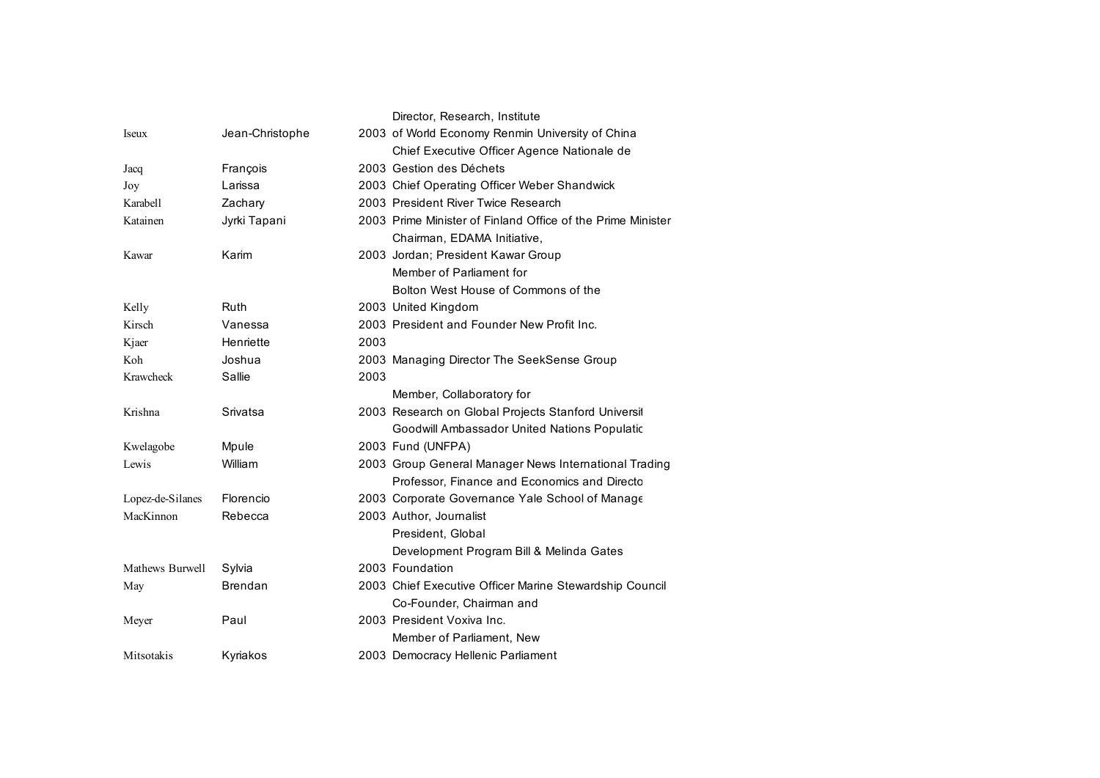|                  |                 |      | Director, Research, Institute                               |
|------------------|-----------------|------|-------------------------------------------------------------|
| <i>seux</i>      | Jean-Christophe |      | 2003 of World Economy Renmin University of China            |
|                  |                 |      | Chief Executive Officer Agence Nationale de                 |
| Jacq             | François        |      | 2003 Gestion des Déchets                                    |
| Joy              | Larissa         |      | 2003 Chief Operating Officer Weber Shandwick                |
| Karabell         | Zachary         |      | 2003 President River Twice Research                         |
| Katainen         | Jyrki Tapani    |      | 2003 Prime Minister of Finland Office of the Prime Minister |
|                  |                 |      | Chairman, EDAMA Initiative,                                 |
| Kawar            | Karim           |      | 2003 Jordan; President Kawar Group                          |
|                  |                 |      | Member of Parliament for                                    |
|                  |                 |      | Bolton West House of Commons of the                         |
| Kelly            | <b>Ruth</b>     |      | 2003 United Kingdom                                         |
| Kirsch           | Vanessa         |      | 2003 President and Founder New Profit Inc.                  |
| Kjaer            | Henriette       | 2003 |                                                             |
| Koh              | Joshua          |      | 2003 Managing Director The SeekSense Group                  |
| Krawcheck        | Sallie          | 2003 |                                                             |
|                  |                 |      | Member, Collaboratory for                                   |
| Krishna          | Srivatsa        |      | 2003 Research on Global Projects Stanford Universit         |
|                  |                 |      | Goodwill Ambassador United Nations Populatic                |
| Kwelagobe        | Mpule           |      | 2003 Fund (UNFPA)                                           |
| Lewis            | William         |      | 2003 Group General Manager News International Trading       |
|                  |                 |      | Professor, Finance and Economics and Directo                |
| Lopez-de-Silanes | Florencio       |      | 2003 Corporate Governance Yale School of Manage             |
| MacKinnon        | Rebecca         |      | 2003 Author, Journalist                                     |
|                  |                 |      | President, Global                                           |
|                  |                 |      | Development Program Bill & Melinda Gates                    |
| Mathews Burwell  | Sylvia          |      | 2003 Foundation                                             |
| May              | <b>Brendan</b>  |      | 2003 Chief Executive Officer Marine Stewardship Council     |
|                  |                 |      | Co-Founder, Chairman and                                    |
| Meyer            | Paul            |      | 2003 President Voxiva Inc.                                  |
|                  |                 |      | Member of Parliament, New                                   |
| Mitsotakis       | Kyriakos        |      | 2003 Democracy Hellenic Parliament                          |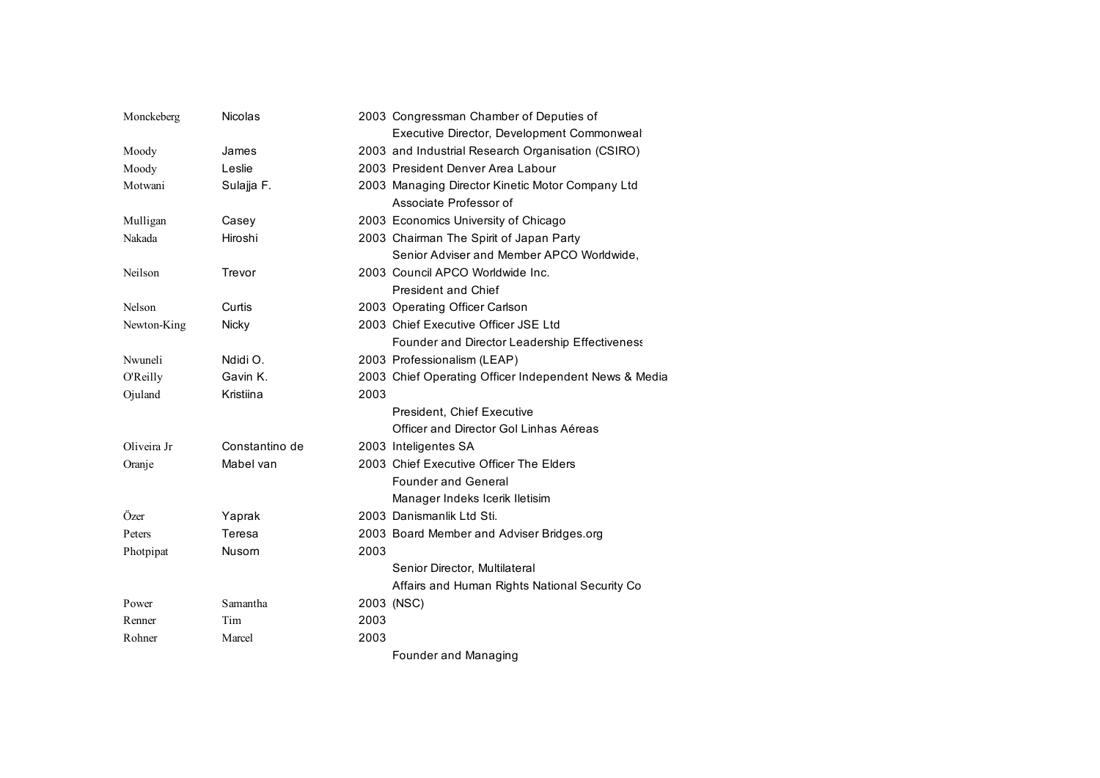| Monckeberg  | <b>Nicolas</b> |      | 2003 Congressman Chamber of Deputies of               |
|-------------|----------------|------|-------------------------------------------------------|
|             |                |      | Executive Director, Development Commonweal            |
| Moody       | James          |      | 2003 and Industrial Research Organisation (CSIRO)     |
| Moody       | Leslie         |      | 2003 President Denver Area Labour                     |
| Motwani     | Sulajja F.     |      | 2003 Managing Director Kinetic Motor Company Ltd      |
|             |                |      | Associate Professor of                                |
| Mulligan    | Casey          |      | 2003 Economics University of Chicago                  |
| Nakada      | Hiroshi        |      | 2003 Chairman The Spirit of Japan Party               |
|             |                |      | Senior Adviser and Member APCO Worldwide,             |
| Neilson     | Trevor         |      | 2003 Council APCO Worldwide Inc.                      |
|             |                |      | <b>President and Chief</b>                            |
| Nelson      | Curtis         |      | 2003 Operating Officer Carlson                        |
| Newton-King | Nicky          |      | 2003 Chief Executive Officer JSE Ltd                  |
|             |                |      | Founder and Director Leadership Effectiveness         |
| Nwuneli     | Ndidi O.       |      | 2003 Professionalism (LEAP)                           |
| O'Reilly    | Gavin K.       |      | 2003 Chief Operating Officer Independent News & Media |
| Ojuland     | Kristiina      | 2003 |                                                       |
|             |                |      | President, Chief Executive                            |
|             |                |      | Officer and Director Gol Linhas Aéreas                |
| Oliveira Jr | Constantino de |      | 2003 Inteligentes SA                                  |
| Oranje      | Mabel van      |      | 2003 Chief Executive Officer The Elders               |
|             |                |      | <b>Founder and General</b>                            |
|             |                |      | Manager Indeks Icerik Iletisim                        |
| Özer        | Yaprak         |      | 2003 Danismanlik Ltd Sti.                             |
| Peters      | Teresa         |      | 2003 Board Member and Adviser Bridges.org             |
| Photpipat   | Nusom          | 2003 |                                                       |
|             |                |      | Senior Director, Multilateral                         |
|             |                |      | Affairs and Human Rights National Security Co         |
| Power       | Samantha       |      | 2003 (NSC)                                            |
| Renner      | Tim            | 2003 |                                                       |
| Rohner      | Marcel         | 2003 |                                                       |
|             |                |      | Founder and Managing                                  |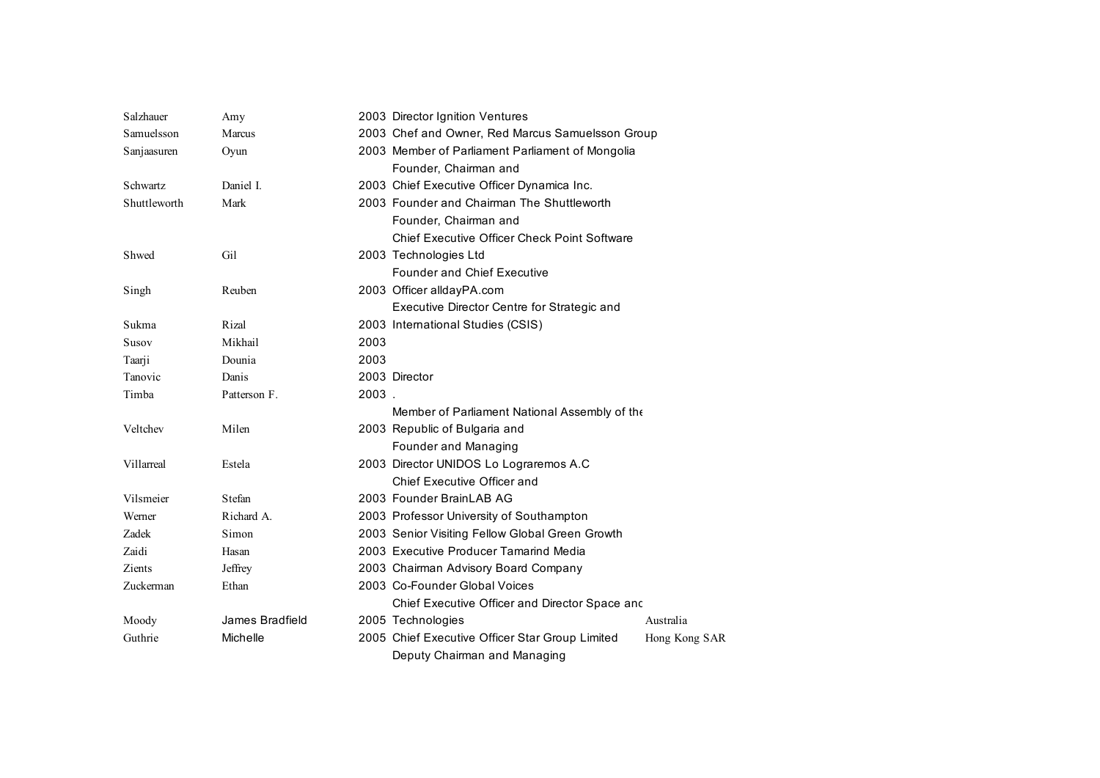| Salzhauer    | Amy             | 2003 Director Ignition Ventures                                  |  |
|--------------|-----------------|------------------------------------------------------------------|--|
| Samuelsson   | Marcus          | 2003 Chef and Owner, Red Marcus Samuelsson Group                 |  |
| Sanjaasuren  | Oyun            | 2003 Member of Parliament Parliament of Mongolia                 |  |
|              |                 | Founder, Chairman and                                            |  |
| Schwartz     | Daniel I.       | 2003 Chief Executive Officer Dynamica Inc.                       |  |
| Shuttleworth | Mark            | 2003 Founder and Chairman The Shuttleworth                       |  |
|              |                 | Founder, Chairman and                                            |  |
|              |                 | Chief Executive Officer Check Point Software                     |  |
| Shwed        | Gil             | 2003 Technologies Ltd                                            |  |
|              |                 | <b>Founder and Chief Executive</b>                               |  |
| Singh        | Reuben          | 2003 Officer alldayPA.com                                        |  |
|              |                 | Executive Director Centre for Strategic and                      |  |
| Sukma        | Rizal           | 2003 International Studies (CSIS)                                |  |
| Susov        | Mikhail         | 2003                                                             |  |
| Taarji       | Dounia          | 2003                                                             |  |
| Tanovic      | Danis           | 2003 Director                                                    |  |
| Timba        | Patterson F.    | 2003.                                                            |  |
|              |                 | Member of Parliament National Assembly of the                    |  |
| Veltchev     | Milen           | 2003 Republic of Bulgaria and                                    |  |
|              |                 | Founder and Managing                                             |  |
| Villarreal   | Estela          | 2003 Director UNIDOS Lo Lograremos A.C                           |  |
|              |                 | Chief Executive Officer and                                      |  |
| Vilsmeier    | Stefan          | 2003 Founder BrainLAB AG                                         |  |
| Werner       | Richard A.      | 2003 Professor University of Southampton                         |  |
| Zadek        | Simon           | 2003 Senior Visiting Fellow Global Green Growth                  |  |
| Zaidi        | Hasan           | 2003 Executive Producer Tamarind Media                           |  |
| Zients       | Jeffrey         | 2003 Chairman Advisory Board Company                             |  |
| Zuckerman    | Ethan           | 2003 Co-Founder Global Voices                                    |  |
|              |                 | Chief Executive Officer and Director Space and                   |  |
| Moody        | James Bradfield | 2005 Technologies<br>Australia                                   |  |
| Guthrie      | Michelle        | 2005 Chief Executive Officer Star Group Limited<br>Hong Kong SAR |  |
|              |                 | Deputy Chairman and Managing                                     |  |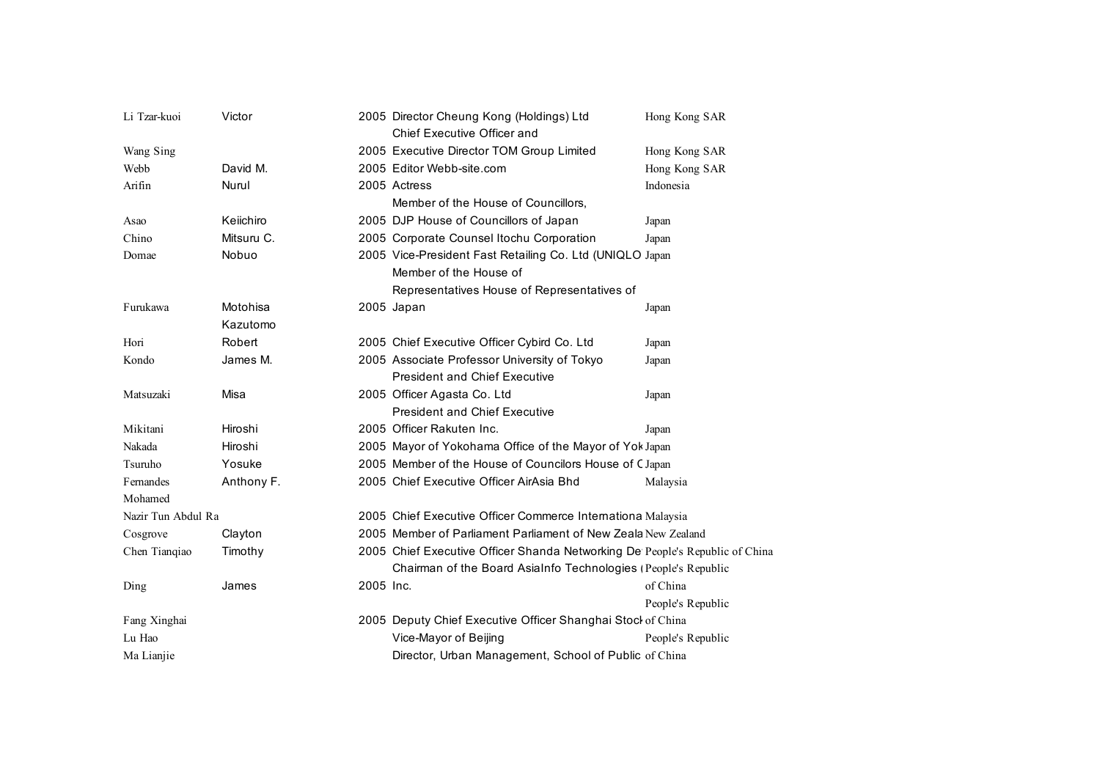| Li Tzar-kuoi       | Victor     |           | 2005 Director Cheung Kong (Holdings) Ltd<br>Chief Executive Officer and      | Hong Kong SAR     |
|--------------------|------------|-----------|------------------------------------------------------------------------------|-------------------|
| Wang Sing          |            |           | 2005 Executive Director TOM Group Limited                                    | Hong Kong SAR     |
| Webb               | David M.   |           | 2005 Editor Webb-site.com                                                    | Hong Kong SAR     |
| Arifin             | Nurul      |           | 2005 Actress                                                                 | Indonesia         |
|                    |            |           | Member of the House of Councillors,                                          |                   |
| Asao               | Keiichiro  |           | 2005 DJP House of Councillors of Japan                                       | Japan             |
| Chino              | Mitsuru C. |           | 2005 Corporate Counsel Itochu Corporation                                    | Japan             |
| Domae              | Nobuo      |           | 2005 Vice-President Fast Retailing Co. Ltd (UNIQLO Japan                     |                   |
|                    |            |           | Member of the House of                                                       |                   |
|                    |            |           | Representatives House of Representatives of                                  |                   |
| Furukawa           | Motohisa   |           | 2005 Japan                                                                   | Japan             |
|                    | Kazutomo   |           |                                                                              |                   |
| Hori               | Robert     |           | 2005 Chief Executive Officer Cybird Co. Ltd                                  | Japan             |
| Kondo              | James M.   |           | 2005 Associate Professor University of Tokyo                                 | Japan             |
|                    |            |           | <b>President and Chief Executive</b>                                         |                   |
| Matsuzaki          | Misa       |           | 2005 Officer Agasta Co. Ltd                                                  | Japan             |
|                    |            |           | <b>President and Chief Executive</b>                                         |                   |
| Mikitani           | Hiroshi    |           | 2005 Officer Rakuten Inc.                                                    | Japan             |
| Nakada             | Hiroshi    |           | 2005 Mayor of Yokohama Office of the Mayor of Yok Japan                      |                   |
| Tsuruho            | Yosuke     |           | 2005 Member of the House of Councilors House of CJapan                       |                   |
| Fernandes          | Anthony F. |           | 2005 Chief Executive Officer AirAsia Bhd                                     | Malaysia          |
| Mohamed            |            |           |                                                                              |                   |
| Nazir Tun Abdul Ra |            |           | 2005 Chief Executive Officer Commerce Internationa Malaysia                  |                   |
| Cosgrove           | Clayton    |           | 2005 Member of Parliament Parliament of New Zeala New Zealand                |                   |
| Chen Tiangiao      | Timothy    |           | 2005 Chief Executive Officer Shanda Networking De People's Republic of China |                   |
|                    |            |           | Chairman of the Board AsiaInfo Technologies (People's Republic               |                   |
| Ding               | James      | 2005 Inc. |                                                                              | of China          |
|                    |            |           |                                                                              | People's Republic |
| Fang Xinghai       |            |           | 2005 Deputy Chief Executive Officer Shanghai Stocl of China                  |                   |
| Lu Hao             |            |           | Vice-Mayor of Beijing                                                        | People's Republic |
| Ma Lianjie         |            |           | Director, Urban Management, School of Public of China                        |                   |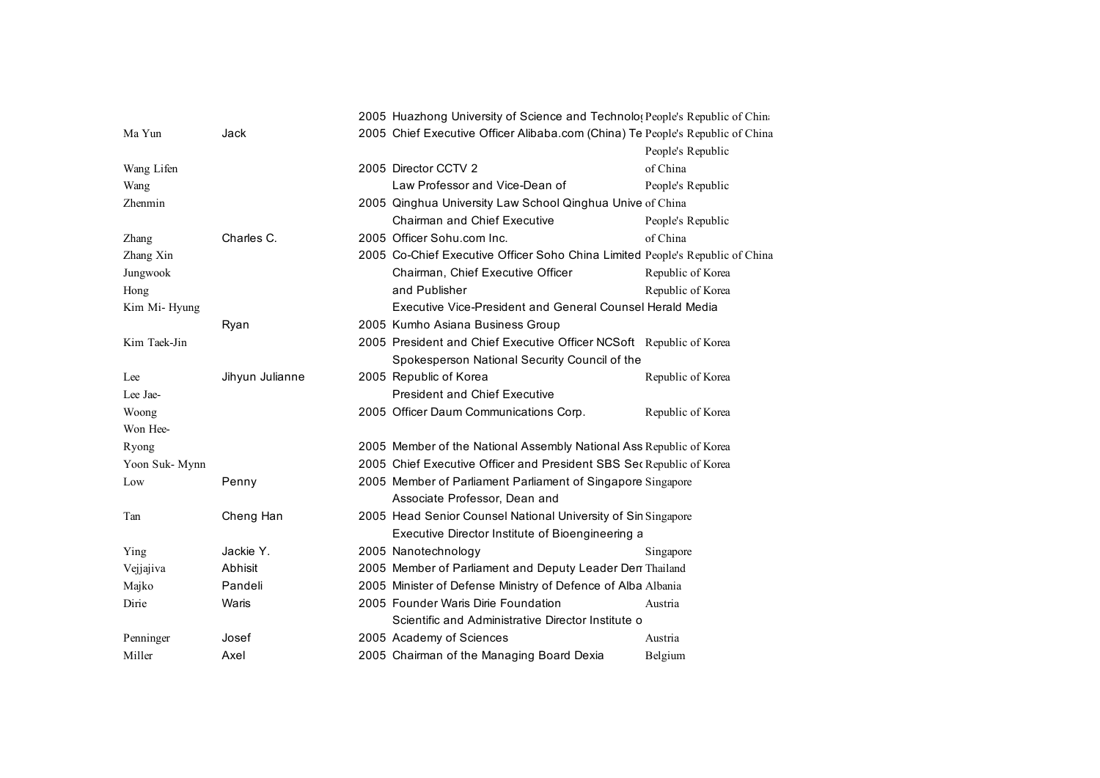|                |                 | 2005 Huazhong University of Science and Technolo(People's Republic of China    |  |
|----------------|-----------------|--------------------------------------------------------------------------------|--|
| Ma Yun         | Jack            | 2005 Chief Executive Officer Alibaba.com (China) Te People's Republic of China |  |
|                |                 | People's Republic                                                              |  |
| Wang Lifen     |                 | of China<br>2005 Director CCTV 2                                               |  |
| Wang           |                 | Law Professor and Vice-Dean of<br>People's Republic                            |  |
| Zhenmin        |                 | 2005 Qinghua University Law School Qinghua Unive of China                      |  |
|                |                 | <b>Chairman and Chief Executive</b><br>People's Republic                       |  |
| Zhang          | Charles C.      | 2005 Officer Sohu.com Inc.<br>of China                                         |  |
| Zhang Xin      |                 | 2005 Co-Chief Executive Officer Soho China Limited People's Republic of China  |  |
| Jungwook       |                 | Chairman, Chief Executive Officer<br>Republic of Korea                         |  |
| Hong           |                 | and Publisher<br>Republic of Korea                                             |  |
| Kim Mi-Hyung   |                 | Executive Vice-President and General Counsel Herald Media                      |  |
|                | Ryan            | 2005 Kumho Asiana Business Group                                               |  |
| Kim Taek-Jin   |                 | 2005 President and Chief Executive Officer NCSoft Republic of Korea            |  |
|                |                 | Spokesperson National Security Council of the                                  |  |
| Lee            | Jihyun Julianne | 2005 Republic of Korea<br>Republic of Korea                                    |  |
| Lee Jae-       |                 | <b>President and Chief Executive</b>                                           |  |
| Woong          |                 | 2005 Officer Daum Communications Corp.<br>Republic of Korea                    |  |
| Won Hee-       |                 |                                                                                |  |
| Ryong          |                 | 2005 Member of the National Assembly National Ass Republic of Korea            |  |
| Yoon Suk- Mynn |                 | 2005 Chief Executive Officer and President SBS Sec Republic of Korea           |  |
| Low            | Penny           | 2005 Member of Parliament Parliament of Singapore Singapore                    |  |
|                |                 | Associate Professor, Dean and                                                  |  |
| Tan            | Cheng Han       | 2005 Head Senior Counsel National University of Sin Singapore                  |  |
|                |                 | Executive Director Institute of Bioengineering a                               |  |
| Ying           | Jackie Y.       | 2005 Nanotechnology<br>Singapore                                               |  |
| Vejjajiva      | Abhisit         | 2005 Member of Parliament and Deputy Leader Den Thailand                       |  |
| Majko          | Pandeli         | 2005 Minister of Defense Ministry of Defence of Alba Albania                   |  |
| Dirie          | Waris           | 2005 Founder Waris Dirie Foundation<br>Austria                                 |  |
|                |                 | Scientific and Administrative Director Institute o                             |  |
| Penninger      | Josef           | 2005 Academy of Sciences<br>Austria                                            |  |
| Miller         | Axel            | 2005 Chairman of the Managing Board Dexia<br>Belgium                           |  |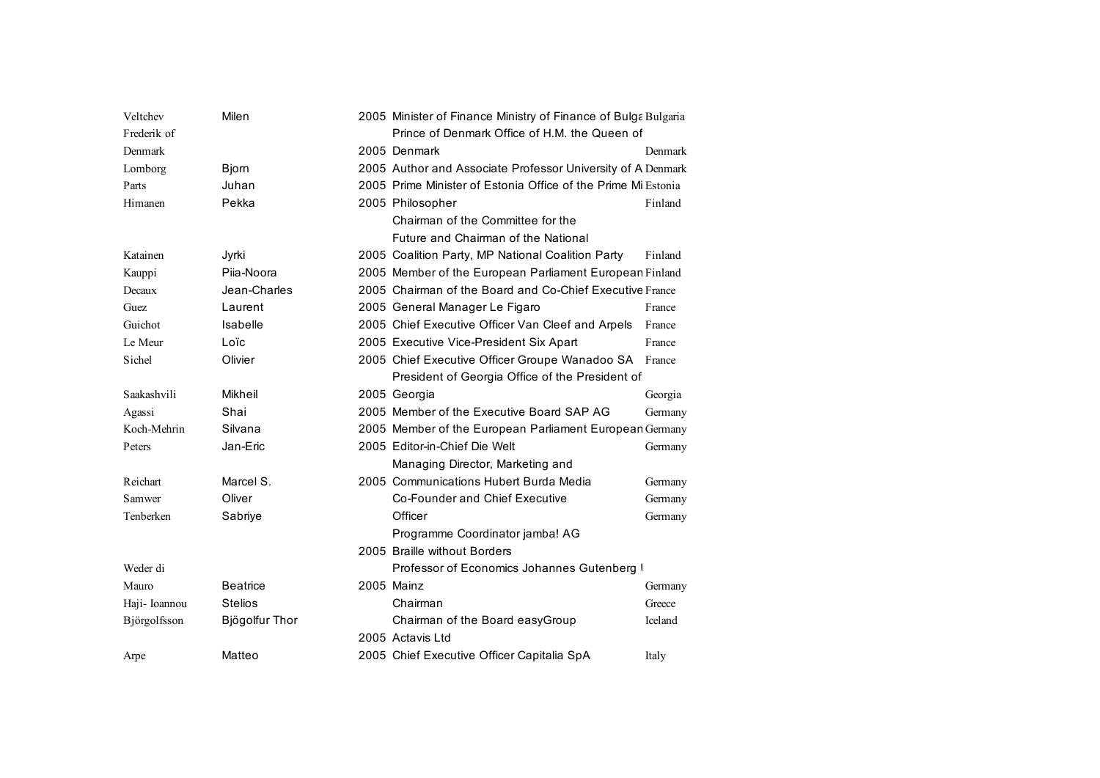| Veltchev      | Milen           | 2005 Minister of Finance Ministry of Finance of Bulga Bulgaria |         |
|---------------|-----------------|----------------------------------------------------------------|---------|
| Frederik of   |                 | Prince of Denmark Office of H.M. the Queen of                  |         |
| Denmark       |                 | 2005 Denmark                                                   | Denmark |
| Lomborg       | Bjorn           | 2005 Author and Associate Professor University of A Denmark    |         |
| Parts         | Juhan           | 2005 Prime Minister of Estonia Office of the Prime Mi Estonia  |         |
| Himanen       | Pekka           | 2005 Philosopher                                               | Finland |
|               |                 | Chairman of the Committee for the                              |         |
|               |                 | Future and Chairman of the National                            |         |
| Katainen      | Jyrki           | 2005 Coalition Party, MP National Coalition Party              | Finland |
| Kauppi        | Piia-Noora      | 2005 Member of the European Parliament European Finland        |         |
| Decaux        | Jean-Charles    | 2005 Chairman of the Board and Co-Chief Executive France       |         |
| Guez          | Laurent         | 2005 General Manager Le Figaro                                 | France  |
| Guichot       | Isabelle        | 2005 Chief Executive Officer Van Cleef and Arpels              | France  |
| Le Meur       | Loïc            | 2005 Executive Vice-President Six Apart                        | France  |
| Sichel        | Olivier         | 2005 Chief Executive Officer Groupe Wanadoo SA France          |         |
|               |                 | President of Georgia Office of the President of                |         |
| Saakashvili   | Mikheil         | 2005 Georgia                                                   | Georgia |
| Agassi        | Shai            | 2005 Member of the Executive Board SAP AG                      | Germany |
| Koch-Mehrin   | Silvana         | 2005 Member of the European Parliament European Germany        |         |
| Peters        | Jan-Eric        | 2005 Editor-in-Chief Die Welt                                  | Germany |
|               |                 | Managing Director, Marketing and                               |         |
| Reichart      | Marcel S.       | 2005 Communications Hubert Burda Media                         | Germany |
| Samwer        | Oliver          | Co-Founder and Chief Executive                                 | Germany |
| Tenberken     | Sabriye         | Officer                                                        | Germany |
|               |                 | Programme Coordinator jamba! AG                                |         |
|               |                 | 2005 Braille without Borders                                   |         |
| Weder di      |                 | Professor of Economics Johannes Gutenberg                      |         |
| Mauro         | <b>Beatrice</b> | 2005 Mainz                                                     | Germany |
| Haji- Ioannou | <b>Stelios</b>  | Chairman                                                       | Greece  |
| Björgolfsson  | Bjögolfur Thor  | Chairman of the Board easyGroup                                | Iceland |
|               |                 | 2005 Actavis Ltd                                               |         |
| Arpe          | Matteo          | 2005 Chief Executive Officer Capitalia SpA                     | Italy   |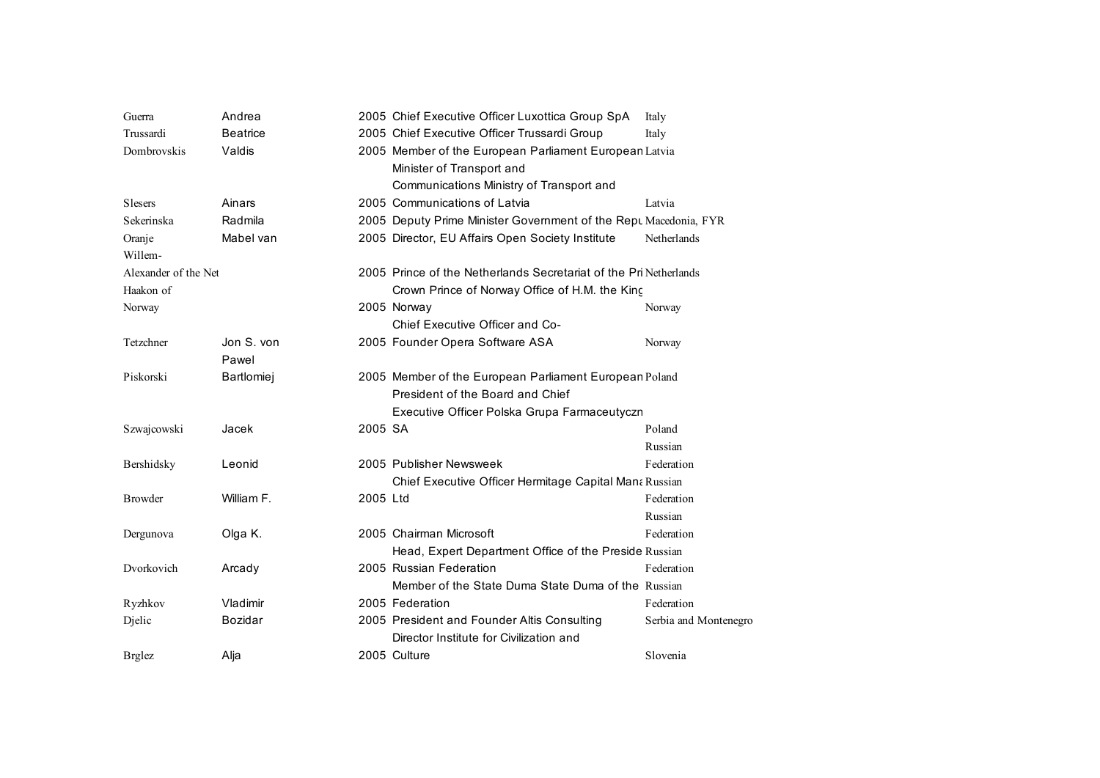| Guerra               | Andrea          |          | 2005 Chief Executive Officer Luxottica Group SpA                  | Italy                 |
|----------------------|-----------------|----------|-------------------------------------------------------------------|-----------------------|
| Trussardi            | <b>Beatrice</b> |          | 2005 Chief Executive Officer Trussardi Group                      | Italy                 |
| Dombrovskis          | Valdis          |          | 2005 Member of the European Parliament European Latvia            |                       |
|                      |                 |          | Minister of Transport and                                         |                       |
|                      |                 |          | Communications Ministry of Transport and                          |                       |
| <b>Slesers</b>       | Ainars          |          | 2005 Communications of Latvia                                     | Latvia                |
| Sekerinska           | Radmila         |          | 2005 Deputy Prime Minister Government of the Rept Macedonia, FYR  |                       |
| Oranje               | Mabel van       |          | 2005 Director, EU Affairs Open Society Institute                  | Netherlands           |
| Willem-              |                 |          |                                                                   |                       |
| Alexander of the Net |                 |          | 2005 Prince of the Netherlands Secretariat of the Pri Netherlands |                       |
| Haakon of            |                 |          | Crown Prince of Norway Office of H.M. the King                    |                       |
| Norway               |                 |          | 2005 Norway                                                       | Norway                |
|                      |                 |          | Chief Executive Officer and Co-                                   |                       |
| Tetzchner            | Jon S. von      |          | 2005 Founder Opera Software ASA                                   | Norway                |
|                      | Pawel           |          |                                                                   |                       |
| Piskorski            | Bartlomiej      |          | 2005 Member of the European Parliament European Poland            |                       |
|                      |                 |          | President of the Board and Chief                                  |                       |
|                      |                 |          | Executive Officer Polska Grupa Farmaceutyczn                      |                       |
| Szwajcowski          | Jacek           | 2005 SA  |                                                                   | Poland                |
|                      |                 |          |                                                                   | Russian               |
| Bershidsky           | Leonid          |          | 2005 Publisher Newsweek                                           | Federation            |
|                      |                 |          | Chief Executive Officer Hermitage Capital Mana Russian            |                       |
| <b>Browder</b>       | William F.      | 2005 Ltd |                                                                   | Federation            |
|                      |                 |          |                                                                   | Russian               |
| Dergunova            | Olga K.         |          | 2005 Chairman Microsoft                                           | Federation            |
|                      |                 |          | Head, Expert Department Office of the Preside Russian             |                       |
| Dvorkovich           | Arcady          |          | 2005 Russian Federation                                           | Federation            |
|                      |                 |          | Member of the State Duma State Duma of the Russian                |                       |
| Ryzhkov              | Vladimir        |          | 2005 Federation                                                   | Federation            |
| Djelic               | Bozidar         |          | 2005 President and Founder Altis Consulting                       | Serbia and Montenegro |
|                      |                 |          | Director Institute for Civilization and                           |                       |
| <b>Brglez</b>        | Alja            |          | 2005 Culture                                                      | Slovenia              |
|                      |                 |          |                                                                   |                       |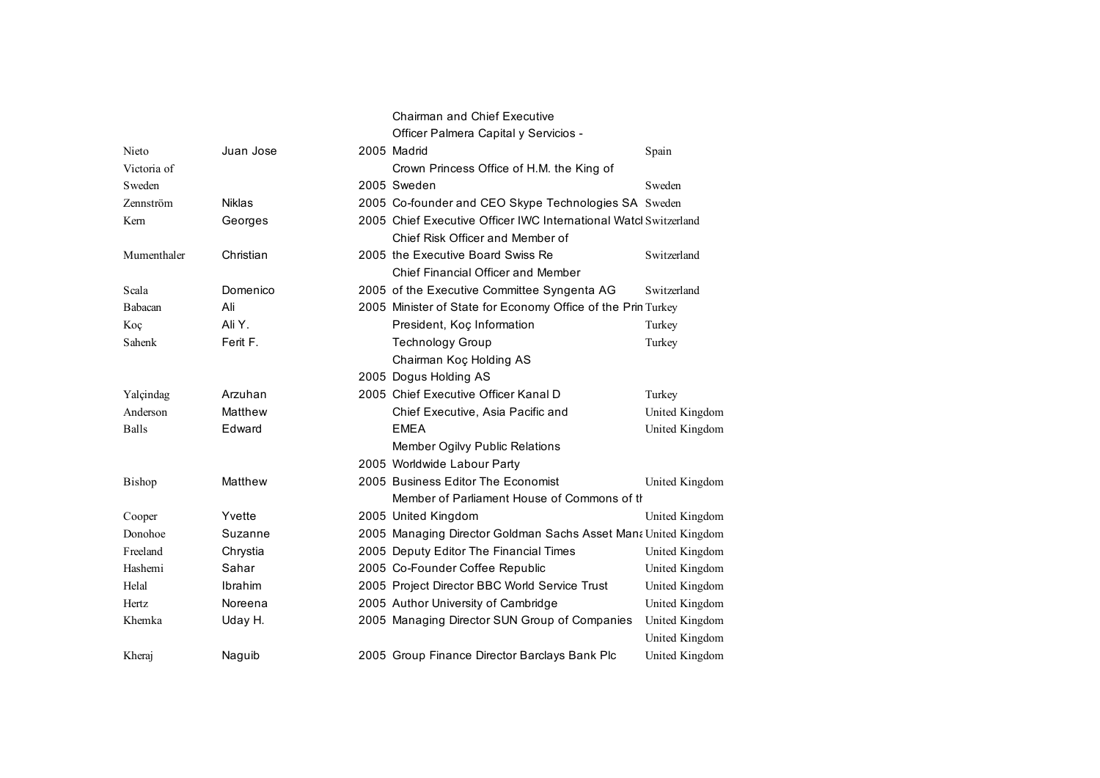|                |               | <b>Chairman and Chief Executive</b><br>Officer Palmera Capital y Servicios - |                |
|----------------|---------------|------------------------------------------------------------------------------|----------------|
| Nieto          | Juan Jose     | 2005 Madrid                                                                  | Spain          |
| Victoria of    |               | Crown Princess Office of H.M. the King of                                    |                |
| Sweden         |               | 2005 Sweden                                                                  | Sweden         |
| Zennström      | <b>Niklas</b> | 2005 Co-founder and CEO Skype Technologies SA Sweden                         |                |
| Kern           | Georges       | 2005 Chief Executive Officer IWC International Watcl Switzerland             |                |
|                |               | Chief Risk Officer and Member of                                             |                |
| Mumenthaler    | Christian     | 2005 the Executive Board Swiss Re                                            | Switzerland    |
|                |               | Chief Financial Officer and Member                                           |                |
| Scala          | Domenico      | 2005 of the Executive Committee Syngenta AG                                  | Switzerland    |
| <b>Babacan</b> | Ali           | 2005 Minister of State for Economy Office of the Prin Turkey                 |                |
| Koç            | Ali Y.        | President, Koç Information                                                   | Turkey         |
| Sahenk         | Ferit F.      | <b>Technology Group</b>                                                      | Turkey         |
|                |               | Chairman Koç Holding AS                                                      |                |
|                |               | 2005 Dogus Holding AS                                                        |                |
| Yalçindag      | Arzuhan       | 2005 Chief Executive Officer Kanal D                                         | Turkey         |
| Anderson       | Matthew       | Chief Executive, Asia Pacific and                                            | United Kingdom |
| <b>Balls</b>   | Edward        | <b>EMEA</b>                                                                  | United Kingdom |
|                |               | Member Ogilvy Public Relations                                               |                |
|                |               | 2005 Worldwide Labour Party                                                  |                |
| <b>Bishop</b>  | Matthew       | 2005 Business Editor The Economist                                           | United Kingdom |
|                |               | Member of Parliament House of Commons of the                                 |                |
| Cooper         | Yvette        | 2005 United Kingdom                                                          | United Kingdom |
| Donohoe        | Suzanne       | 2005 Managing Director Goldman Sachs Asset Man  United Kingdom               |                |
| Freeland       | Chrystia      | 2005 Deputy Editor The Financial Times                                       | United Kingdom |
| Hashemi        | Sahar         | 2005 Co-Founder Coffee Republic                                              | United Kingdom |
| Helal          | Ibrahim       | 2005 Project Director BBC World Service Trust                                | United Kingdom |
| Hertz          | Noreena       | 2005 Author University of Cambridge                                          | United Kingdom |
| Khemka         | Uday H.       | 2005 Managing Director SUN Group of Companies                                | United Kingdom |
|                |               |                                                                              | United Kingdom |
| Kheraj         | Naguib        | 2005 Group Finance Director Barclays Bank Plc                                | United Kingdom |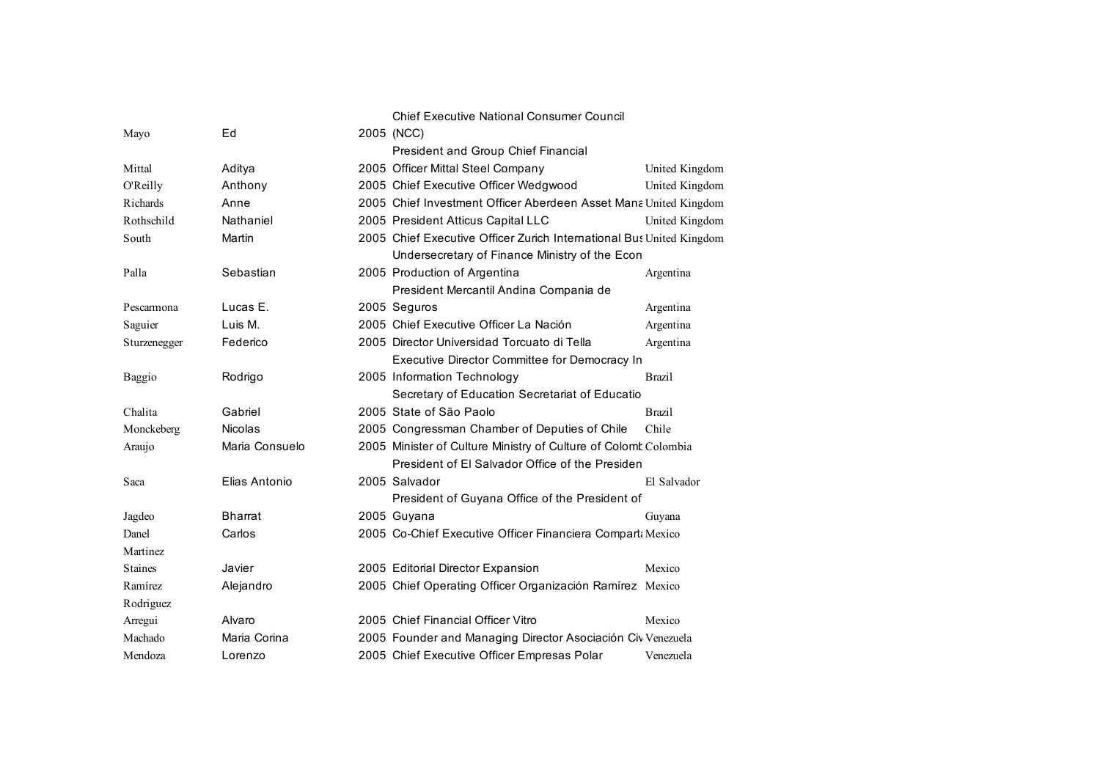|                |                | <b>Chief Executive National Consumer Council</b>                     |                |
|----------------|----------------|----------------------------------------------------------------------|----------------|
| Mayo           | Ed             | 2005 (NCC)                                                           |                |
|                |                | President and Group Chief Financial                                  |                |
| Mittal         | Aditya         | 2005 Officer Mittal Steel Company                                    | United Kingdom |
| O'Reilly       | Anthony        | 2005 Chief Executive Officer Wedgwood                                | United Kingdom |
| Richards       | Anne           | 2005 Chief Investment Officer Aberdeen Asset Mana United Kingdom     |                |
| Rothschild     | Nathaniel      | 2005 President Atticus Capital LLC                                   | United Kingdom |
| South          | Martin         | 2005 Chief Executive Officer Zurich International Bus United Kingdom |                |
|                |                | Undersecretary of Finance Ministry of the Econ                       |                |
| Palla          | Sebastian      | 2005 Production of Argentina                                         | Argentina      |
|                |                | President Mercantil Andina Compania de                               |                |
| Pescarmona     | Lucas E.       | 2005 Seguros                                                         | Argentina      |
| Saguier        | Luis M.        | 2005 Chief Executive Officer La Nación                               | Argentina      |
| Sturzenegger   | Federico       | 2005 Director Universidad Torcuato di Tella                          | Argentina      |
|                |                | Executive Director Committee for Democracy In                        |                |
| <b>Baggio</b>  | Rodrigo        | 2005 Information Technology                                          | <b>Brazil</b>  |
|                |                | Secretary of Education Secretariat of Educatio                       |                |
| Chalita        | Gabriel        | 2005 State of São Paolo                                              | <b>Brazil</b>  |
| Monckeberg     | <b>Nicolas</b> | 2005 Congressman Chamber of Deputies of Chile                        | Chile          |
| Araujo         | Maria Consuelo | 2005 Minister of Culture Ministry of Culture of Colomk Colombia      |                |
|                |                | President of El Salvador Office of the Presiden                      |                |
| Saca           | Elias Antonio  | 2005 Salvador                                                        | El Salvador    |
|                |                | President of Guyana Office of the President of                       |                |
| Jagdeo         | <b>Bharrat</b> | 2005 Guyana                                                          | Guyana         |
| Danel          | Carlos         | 2005 Co-Chief Executive Officer Financiera Compart: Mexico           |                |
| Martinez       |                |                                                                      |                |
| <b>Staines</b> | Javier         | 2005 Editorial Director Expansion                                    | Mexico         |
| Ramírez        | Alejandro      | 2005 Chief Operating Officer Organización Ramírez Mexico             |                |
| Rodriguez      |                |                                                                      |                |
| Arregui        | Alvaro         | 2005 Chief Financial Officer Vitro                                   | Mexico         |
| Machado        | Maria Corina   | 2005 Founder and Managing Director Asociación Civ Venezuela          |                |
| Mendoza        | Lorenzo        | 2005 Chief Executive Officer Empresas Polar                          | Venezuela      |
|                |                |                                                                      |                |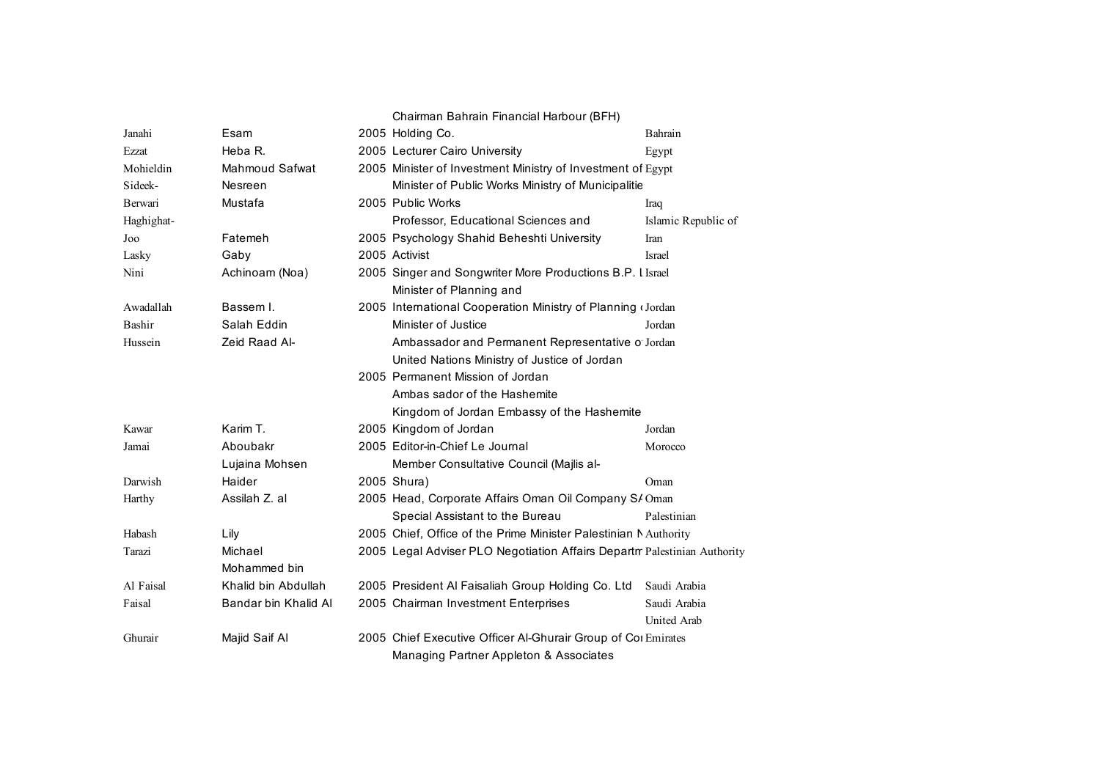|                |                       | Chairman Bahrain Financial Harbour (BFH)                                 |                     |
|----------------|-----------------------|--------------------------------------------------------------------------|---------------------|
| Janahi         | Esam                  | 2005 Holding Co.                                                         | Bahrain             |
| Ezzat          | Heba R.               | 2005 Lecturer Cairo University                                           | Egypt               |
| Mohieldin      | <b>Mahmoud Safwat</b> | 2005 Minister of Investment Ministry of Investment of Egypt              |                     |
| Sideek-        | Nesreen               | Minister of Public Works Ministry of Municipalitie                       |                     |
| <b>Berwari</b> | Mustafa               | 2005 Public Works                                                        | Iraq                |
| Haghighat-     |                       | Professor, Educational Sciences and                                      | Islamic Republic of |
| Joo            | Fatemeh               | 2005 Psychology Shahid Beheshti University                               | Iran                |
| Lasky          | Gaby                  | 2005 Activist                                                            | <b>Israel</b>       |
| Nini           | Achinoam (Noa)        | 2005 Singer and Songwriter More Productions B.P. I Israel                |                     |
|                |                       | Minister of Planning and                                                 |                     |
| Awadallah      | Bassem I.             | 2005 International Cooperation Ministry of Planning (Jordan              |                     |
| Bashir         | Salah Eddin           | Minister of Justice                                                      | Jordan              |
| Hussein        | Zeid Raad Al-         | Ambassador and Permanent Representative o Jordan                         |                     |
|                |                       | United Nations Ministry of Justice of Jordan                             |                     |
|                |                       | 2005 Permanent Mission of Jordan                                         |                     |
|                |                       | Ambas sador of the Hashemite                                             |                     |
|                |                       | Kingdom of Jordan Embassy of the Hashemite                               |                     |
| Kawar          | Karim T.              | 2005 Kingdom of Jordan                                                   | Jordan              |
| Jamai          | Aboubakr              | 2005 Editor-in-Chief Le Journal                                          | Morocco             |
|                | Lujaina Mohsen        | Member Consultative Council (Majlis al-                                  |                     |
| Darwish        | Haider                | 2005 Shura)                                                              | Oman                |
| Harthy         | Assilah Z. al         | 2005 Head, Corporate Affairs Oman Oil Company S/ Oman                    |                     |
|                |                       | Special Assistant to the Bureau                                          | Palestinian         |
| Habash         | Lily                  | 2005 Chief, Office of the Prime Minister Palestinian Muthority           |                     |
| Tarazi         | Michael               | 2005 Legal Adviser PLO Negotiation Affairs Departr Palestinian Authority |                     |
|                | Mohammed bin          |                                                                          |                     |
| Al Faisal      | Khalid bin Abdullah   | 2005 President Al Faisaliah Group Holding Co. Ltd                        | Saudi Arabia        |
| Faisal         | Bandar bin Khalid Al  | 2005 Chairman Investment Enterprises                                     | Saudi Arabia        |
|                |                       |                                                                          | <b>United Arab</b>  |
| Ghurair        | Majid Saif Al         | 2005 Chief Executive Officer Al-Ghurair Group of Col Emirates            |                     |
|                |                       | Managing Partner Appleton & Associates                                   |                     |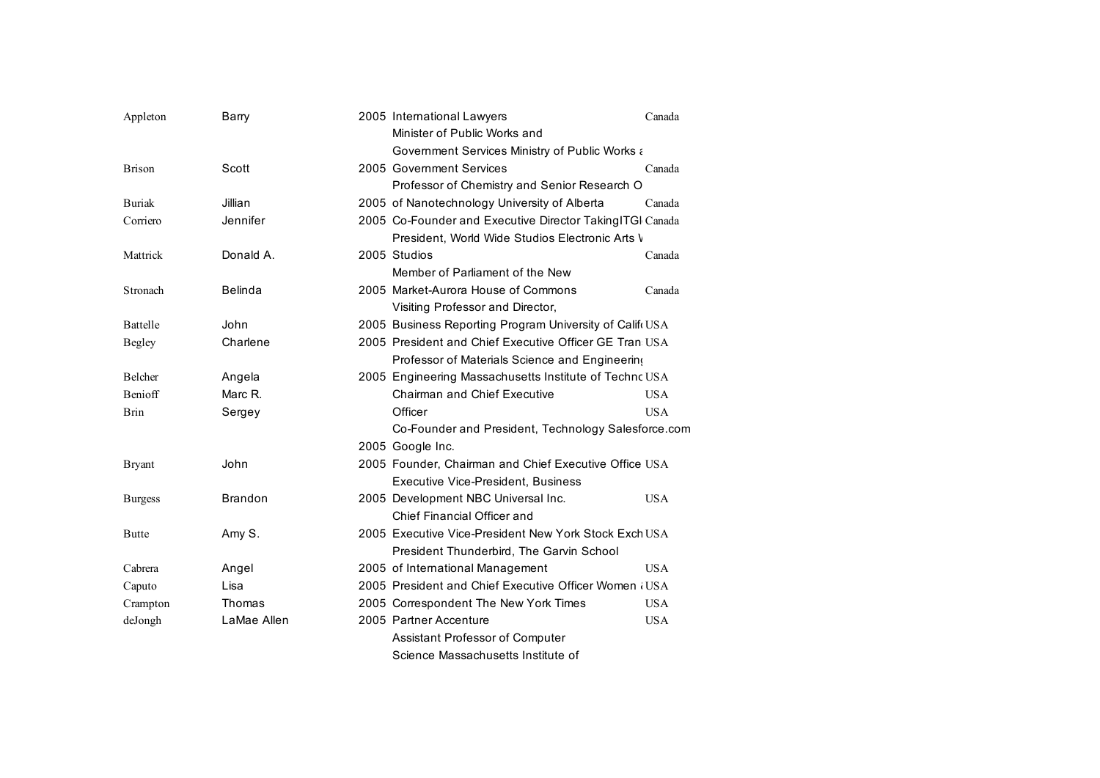| Appleton        | Barry          | 2005 International Lawyers                               | Canada     |
|-----------------|----------------|----------------------------------------------------------|------------|
|                 |                | Minister of Public Works and                             |            |
|                 |                | Government Services Ministry of Public Works a           |            |
| <b>Brison</b>   | Scott          | 2005 Government Services                                 | Canada     |
|                 |                | Professor of Chemistry and Senior Research O             |            |
| <b>Buriak</b>   | Jillian        | 2005 of Nanotechnology University of Alberta             | Canada     |
| Corriero        | Jennifer       | 2005 Co-Founder and Executive Director TakingITGI Canada |            |
|                 |                | President, World Wide Studios Electronic Arts V          |            |
| Mattrick        | Donald A.      | 2005 Studios                                             | Canada     |
|                 |                | Member of Parliament of the New                          |            |
| Stronach        | <b>Belinda</b> | 2005 Market-Aurora House of Commons                      | Canada     |
|                 |                | Visiting Professor and Director,                         |            |
| <b>Battelle</b> | John           | 2005 Business Reporting Program University of Califi USA |            |
| <b>Begley</b>   | Charlene       | 2005 President and Chief Executive Officer GE Tran USA   |            |
|                 |                | Professor of Materials Science and Engineering           |            |
| Belcher         | Angela         | 2005 Engineering Massachusetts Institute of Technc USA   |            |
| Benioff         | Marc R.        | <b>Chairman and Chief Executive</b>                      | <b>USA</b> |
| Brin            | Sergey         | Officer                                                  | <b>USA</b> |
|                 |                | Co-Founder and President, Technology Salesforce.com      |            |
|                 |                | 2005 Google Inc.                                         |            |
| <b>Bryant</b>   | John           | 2005 Founder, Chairman and Chief Executive Office USA    |            |
|                 |                | Executive Vice-President, Business                       |            |
| <b>Burgess</b>  | <b>Brandon</b> | 2005 Development NBC Universal Inc.                      | <b>USA</b> |
|                 |                | Chief Financial Officer and                              |            |
| <b>Butte</b>    | Amy S.         | 2005 Executive Vice-President New York Stock Exch USA    |            |
|                 |                | President Thunderbird, The Garvin School                 |            |
| Cabrera         | Angel          | 2005 of International Management                         | <b>USA</b> |
| Caputo          | Lisa           | 2005 President and Chief Executive Officer Women (USA    |            |
| Crampton        | Thomas         | 2005 Correspondent The New York Times                    | <b>USA</b> |
| deJongh         | LaMae Allen    | 2005 Partner Accenture                                   | <b>USA</b> |
|                 |                | Assistant Professor of Computer                          |            |
|                 |                | Science Massachusetts Institute of                       |            |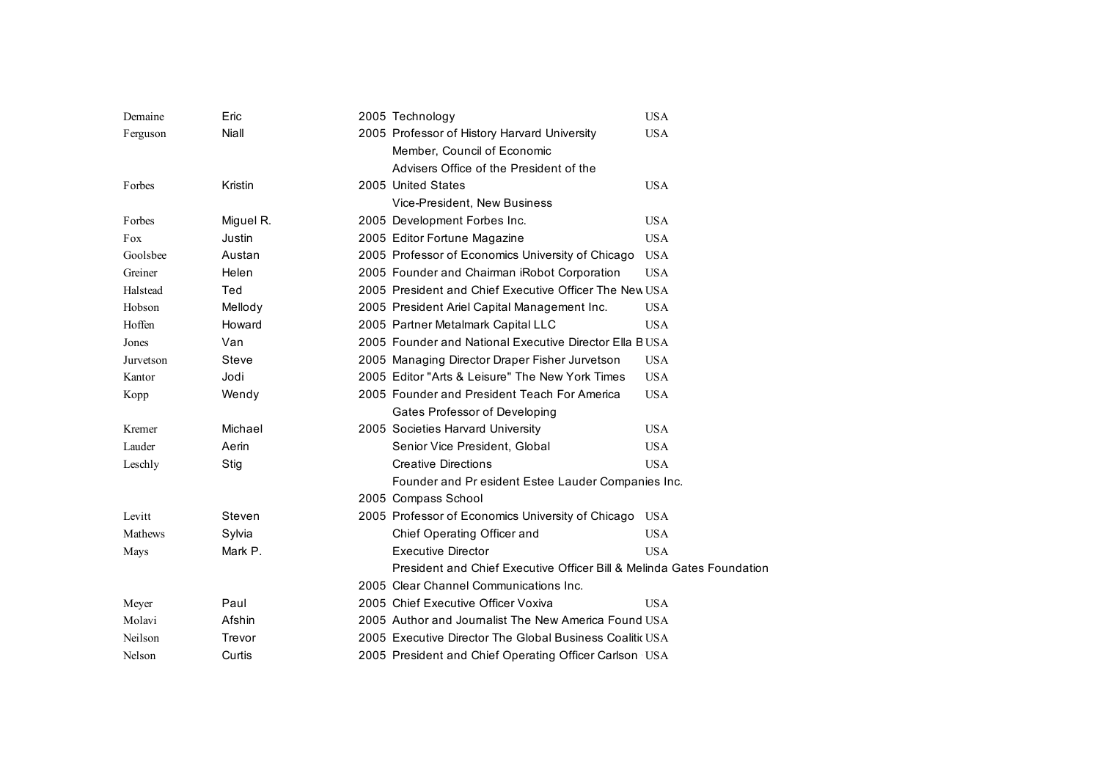| Demaine   | Eric         | 2005 Technology                                                       | <b>USA</b> |
|-----------|--------------|-----------------------------------------------------------------------|------------|
| Ferguson  | Niall        | 2005 Professor of History Harvard University                          | <b>USA</b> |
|           |              | Member, Council of Economic                                           |            |
|           |              | Advisers Office of the President of the                               |            |
| Forbes    | Kristin      | 2005 United States                                                    | <b>USA</b> |
|           |              | Vice-President, New Business                                          |            |
| Forbes    | Miguel R.    | 2005 Development Forbes Inc.                                          | <b>USA</b> |
| Fox       | Justin       | 2005 Editor Fortune Magazine                                          | <b>USA</b> |
| Goolsbee  | Austan       | 2005 Professor of Economics University of Chicago                     | <b>USA</b> |
| Greiner   | Helen        | 2005 Founder and Chairman iRobot Corporation                          | <b>USA</b> |
| Halstead  | Ted          | 2005 President and Chief Executive Officer The New USA                |            |
| Hobson    | Mellody      | 2005 President Ariel Capital Management Inc.                          | <b>USA</b> |
| Hoffen    | Howard       | 2005 Partner Metalmark Capital LLC                                    | <b>USA</b> |
| Jones     | Van          | 2005 Founder and National Executive Director Ella BUSA                |            |
| Jurvetson | <b>Steve</b> | 2005 Managing Director Draper Fisher Jurvetson                        | <b>USA</b> |
| Kantor    | Jodi         | 2005 Editor "Arts & Leisure" The New York Times                       | <b>USA</b> |
| Kopp      | Wendy        | 2005 Founder and President Teach For America                          | <b>USA</b> |
|           |              | Gates Professor of Developing                                         |            |
| Kremer    | Michael      | 2005 Societies Harvard University                                     | <b>USA</b> |
| Lauder    | Aerin        | Senior Vice President, Global                                         | <b>USA</b> |
| Leschly   | Stig         | <b>Creative Directions</b>                                            | <b>USA</b> |
|           |              | Founder and Pr esident Estee Lauder Companies Inc.                    |            |
|           |              | 2005 Compass School                                                   |            |
| Levitt    | Steven       | 2005 Professor of Economics University of Chicago                     | <b>USA</b> |
| Mathews   | Sylvia       | Chief Operating Officer and                                           | <b>USA</b> |
| Mays      | Mark P.      | <b>Executive Director</b>                                             | <b>USA</b> |
|           |              | President and Chief Executive Officer Bill & Melinda Gates Foundation |            |
|           |              | 2005 Clear Channel Communications Inc.                                |            |
| Meyer     | Paul         | 2005 Chief Executive Officer Voxiva                                   | <b>USA</b> |
| Molavi    | Afshin       | 2005 Author and Journalist The New America Found USA                  |            |
| Neilson   | Trevor       | 2005 Executive Director The Global Business Coalitic USA              |            |
| Nelson    | Curtis       | 2005 President and Chief Operating Officer Carlson USA                |            |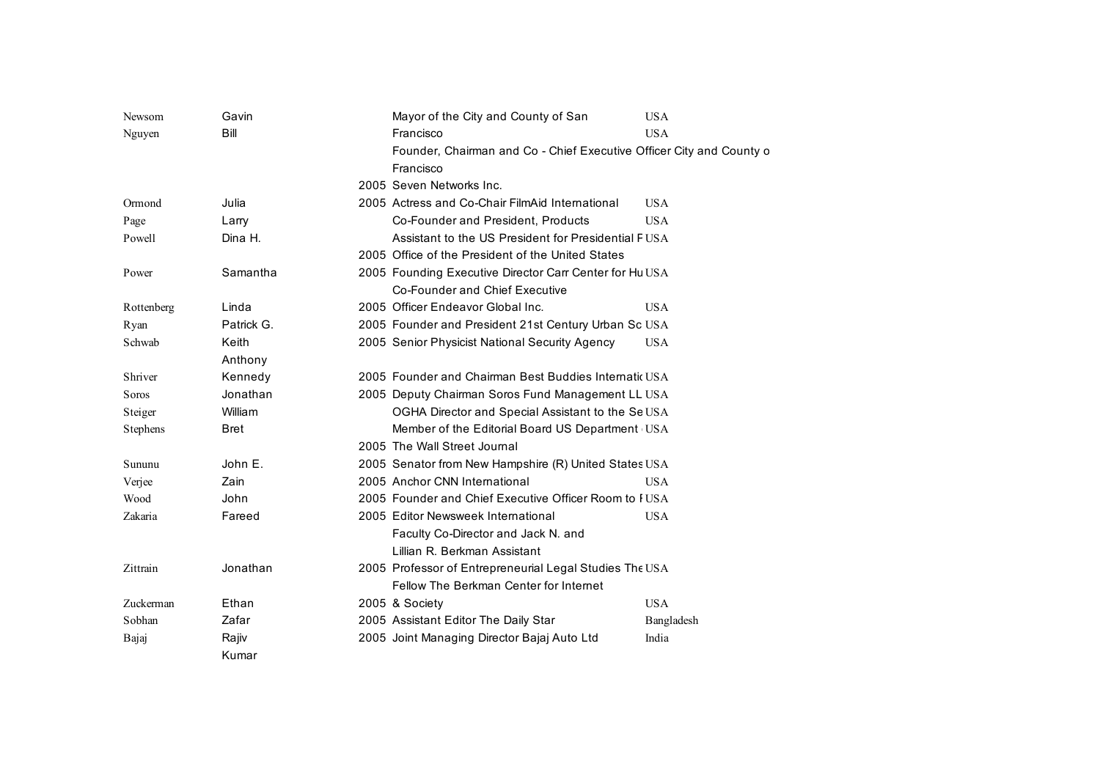| Newsom     | Gavin       | Mayor of the City and County of San<br><b>USA</b>                     |
|------------|-------------|-----------------------------------------------------------------------|
| Nguyen     | Bill        | Francisco<br><b>USA</b>                                               |
|            |             | Founder, Chairman and Co - Chief Executive Officer City and County of |
|            |             | Francisco                                                             |
|            |             | 2005 Seven Networks Inc.                                              |
| Ormond     | Julia       | 2005 Actress and Co-Chair FilmAid International<br><b>USA</b>         |
| Page       | Larry       | Co-Founder and President, Products<br><b>USA</b>                      |
| Powell     | Dina H.     | Assistant to the US President for Presidential FUSA                   |
|            |             | 2005 Office of the President of the United States                     |
| Power      | Samantha    | 2005 Founding Executive Director Carr Center for Hu USA               |
|            |             | Co-Founder and Chief Executive                                        |
| Rottenberg | Linda       | 2005 Officer Endeavor Global Inc.<br><b>USA</b>                       |
| Ryan       | Patrick G.  | 2005 Founder and President 21st Century Urban Sc USA                  |
| Schwab     | Keith       | 2005 Senior Physicist National Security Agency<br><b>USA</b>          |
|            | Anthony     |                                                                       |
| Shriver    | Kennedy     | 2005 Founder and Chairman Best Buddies Internatic USA                 |
| Soros      | Jonathan    | 2005 Deputy Chairman Soros Fund Management LL USA                     |
| Steiger    | William     | OGHA Director and Special Assistant to the Se USA                     |
| Stephens   | <b>Bret</b> | Member of the Editorial Board US Department USA                       |
|            |             | 2005 The Wall Street Journal                                          |
| Sununu     | John E.     | 2005 Senator from New Hampshire (R) United States USA                 |
| Verjee     | Zain        | 2005 Anchor CNN International<br><b>USA</b>                           |
| Wood       | John        | 2005 Founder and Chief Executive Officer Room to HUSA                 |
| Zakaria    | Fareed      | 2005 Editor Newsweek International<br><b>USA</b>                      |
|            |             | Faculty Co-Director and Jack N. and                                   |
|            |             | Lillian R. Berkman Assistant                                          |
| Zittrain   | Jonathan    | 2005 Professor of Entrepreneurial Legal Studies The USA               |
|            |             | Fellow The Berkman Center for Internet                                |
| Zuckerman  | Ethan       | 2005 & Society<br><b>USA</b>                                          |
| Sobhan     | Zafar       | 2005 Assistant Editor The Daily Star<br>Bangladesh                    |
| Bajaj      | Rajiv       | 2005 Joint Managing Director Bajaj Auto Ltd<br>India                  |
|            | Kumar       |                                                                       |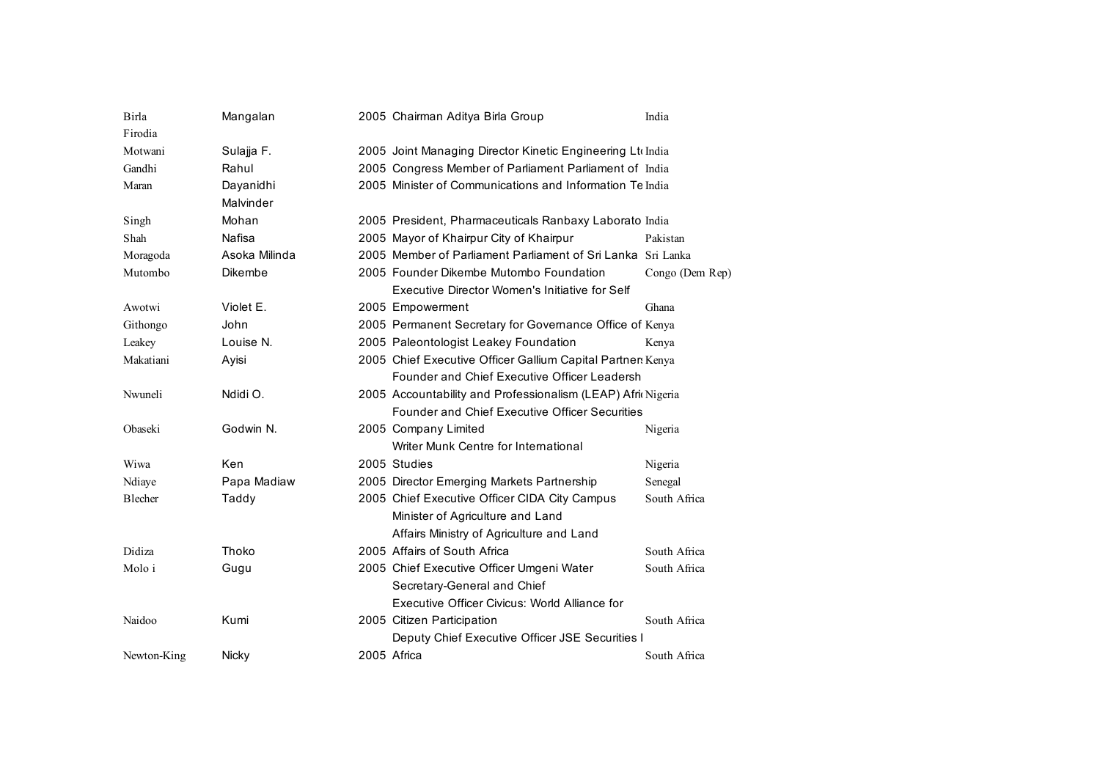| Birla       | Mangalan      | 2005 Chairman Aditya Birla Group                            | India           |
|-------------|---------------|-------------------------------------------------------------|-----------------|
| Firodia     |               |                                                             |                 |
| Motwani     | Sulajja F.    | 2005 Joint Managing Director Kinetic Engineering Ltd India  |                 |
| Gandhi      | Rahul         | 2005 Congress Member of Parliament Parliament of India      |                 |
| Maran       | Dayanidhi     | 2005 Minister of Communications and Information Te India    |                 |
|             | Malvinder     |                                                             |                 |
| Singh       | Mohan         | 2005 President, Pharmaceuticals Ranbaxy Laborato India      |                 |
| Shah        | Nafisa        | 2005 Mayor of Khairpur City of Khairpur                     | Pakistan        |
| Moragoda    | Asoka Milinda | 2005 Member of Parliament Parliament of Sri Lanka Sri Lanka |                 |
| Mutombo     | Dikembe       | 2005 Founder Dikembe Mutombo Foundation                     | Congo (Dem Rep) |
|             |               | Executive Director Women's Initiative for Self              |                 |
| Awotwi      | Violet E.     | 2005 Empowerment                                            | Ghana           |
| Githongo    | John          | 2005 Permanent Secretary for Governance Office of Kenya     |                 |
| Leakey      | Louise N.     | 2005 Paleontologist Leakey Foundation                       | Kenya           |
| Makatiani   | Ayisi         | 2005 Chief Executive Officer Gallium Capital Partner: Kenya |                 |
|             |               | Founder and Chief Executive Officer Leadersh                |                 |
| Nwuneli     | Ndidi O.      | 2005 Accountability and Professionalism (LEAP) Afri Nigeria |                 |
|             |               | Founder and Chief Executive Officer Securities              |                 |
| Obaseki     | Godwin N.     | 2005 Company Limited                                        | Nigeria         |
|             |               | Writer Munk Centre for International                        |                 |
| Wiwa        | Ken           | 2005 Studies                                                | Nigeria         |
| Ndiaye      | Papa Madiaw   | 2005 Director Emerging Markets Partnership                  | Senegal         |
| Blecher     | Taddy         | 2005 Chief Executive Officer CIDA City Campus               | South Africa    |
|             |               | Minister of Agriculture and Land                            |                 |
|             |               | Affairs Ministry of Agriculture and Land                    |                 |
| Didiza      | Thoko         | 2005 Affairs of South Africa                                | South Africa    |
| Molo i      | Gugu          | 2005 Chief Executive Officer Umgeni Water                   | South Africa    |
|             |               | Secretary-General and Chief                                 |                 |
|             |               | Executive Officer Civicus: World Alliance for               |                 |
| Naidoo      | Kumi          | 2005 Citizen Participation                                  | South Africa    |
|             |               | Deputy Chief Executive Officer JSE Securities               |                 |
| Newton-King | Nicky         | 2005 Africa                                                 | South Africa    |
|             |               |                                                             |                 |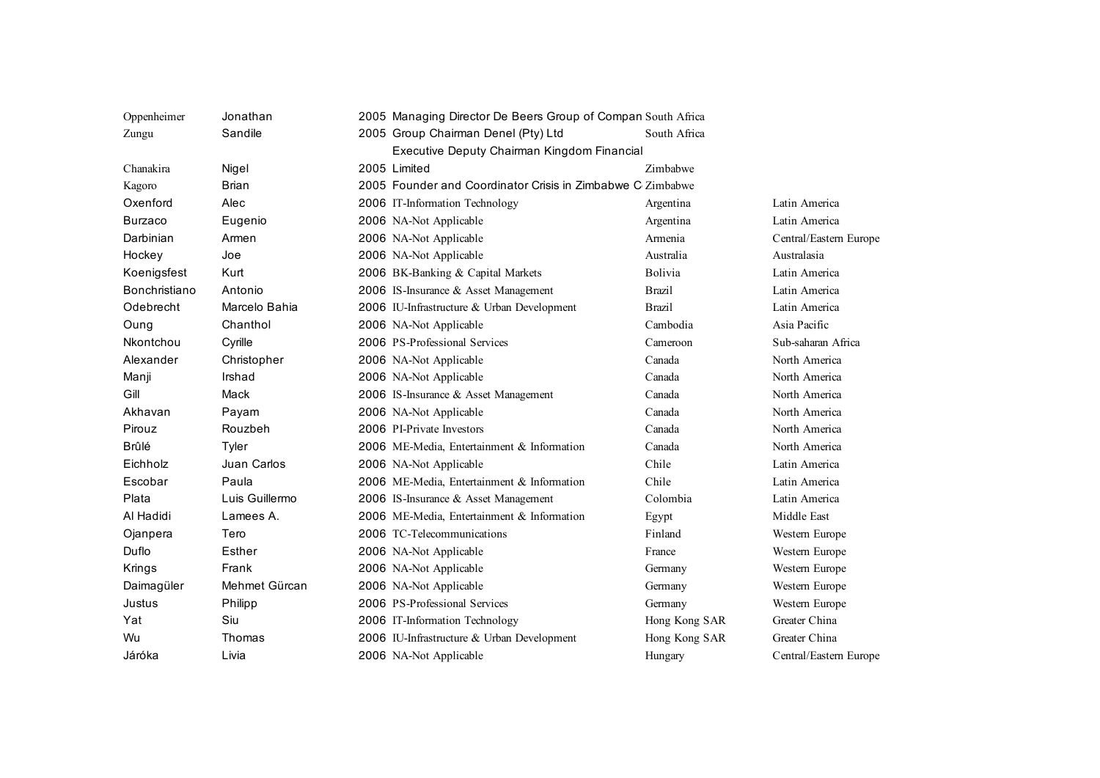| Oppenheimer    | Jonathan       | 2005 Managing Director De Beers Group of Compan South Africa |                |                        |  |  |
|----------------|----------------|--------------------------------------------------------------|----------------|------------------------|--|--|
| Zungu          | Sandile        | 2005 Group Chairman Denel (Pty) Ltd                          | South Africa   |                        |  |  |
|                |                | Executive Deputy Chairman Kingdom Financial                  |                |                        |  |  |
| Chanakira      | Nigel          | 2005 Limited                                                 | Zimbabwe       |                        |  |  |
| Kagoro         | <b>Brian</b>   | 2005 Founder and Coordinator Crisis in Zimbabwe C Zimbabwe   |                |                        |  |  |
| Oxenford       | Alec           | 2006 IT-Information Technology                               | Argentina      | Latin America          |  |  |
| <b>Burzaco</b> | Eugenio        | 2006 NA-Not Applicable                                       | Argentina      | Latin America          |  |  |
| Darbinian      | Armen          | 2006 NA-Not Applicable                                       | Armenia        | Central/Eastern Europe |  |  |
| Hockey         | Joe            | 2006 NA-Not Applicable                                       | Australia      | Australasia            |  |  |
| Koenigsfest    | Kurt           | 2006 BK-Banking & Capital Markets                            | <b>Bolivia</b> | Latin America          |  |  |
| Bonchristiano  | Antonio        | 2006 IS-Insurance & Asset Management                         | <b>Brazil</b>  | Latin America          |  |  |
| Odebrecht      | Marcelo Bahia  | 2006 IU-Infrastructure & Urban Development                   | <b>Brazil</b>  | Latin America          |  |  |
| Oung           | Chanthol       | 2006 NA-Not Applicable                                       | Cambodia       | Asia Pacific           |  |  |
| Nkontchou      | Cyrille        | 2006 PS-Professional Services                                | Cameroon       | Sub-saharan Africa     |  |  |
| Alexander      | Christopher    | 2006 NA-Not Applicable                                       | Canada         | North America          |  |  |
| Manji          | Irshad         | 2006 NA-Not Applicable                                       | Canada         | North America          |  |  |
| Gill           | Mack           | 2006 IS-Insurance & Asset Management                         | Canada         | North America          |  |  |
| Akhavan        | Payam          | 2006 NA-Not Applicable                                       | Canada         | North America          |  |  |
| Pirouz         | Rouzbeh        | 2006 PI-Private Investors                                    | Canada         | North America          |  |  |
| Brûlé          | Tyler          | 2006 ME-Media, Entertainment & Information                   | Canada         | North America          |  |  |
| Eichholz       | Juan Carlos    | 2006 NA-Not Applicable                                       | Chile          | Latin America          |  |  |
| Escobar        | Paula          | 2006 ME-Media, Entertainment & Information                   | Chile          | Latin America          |  |  |
| Plata          | Luis Guillermo | 2006 IS-Insurance & Asset Management                         | Colombia       | Latin America          |  |  |
| Al Hadidi      | Lamees A.      | 2006 ME-Media, Entertainment & Information                   | Egypt          | Middle East            |  |  |
| Ojanpera       | Tero           | 2006 TC-Telecommunications                                   | Finland        | Western Europe         |  |  |
| Duflo          | Esther         | 2006 NA-Not Applicable                                       | France         | Western Europe         |  |  |
| Krings         | Frank          | 2006 NA-Not Applicable                                       | Germany        | Western Europe         |  |  |
| Daimagüler     | Mehmet Gürcan  | 2006 NA-Not Applicable                                       | Germany        | Western Europe         |  |  |
| Justus         | Philipp        | 2006 PS-Professional Services                                | Germany        | Western Europe         |  |  |
| Yat            | Siu            | 2006 IT-Information Technology                               | Hong Kong SAR  | Greater China          |  |  |
| Wu             | Thomas         | 2006 IU-Infrastructure & Urban Development                   | Hong Kong SAR  | Greater China          |  |  |
| Járóka         | Livia          | 2006 NA-Not Applicable                                       | Hungary        | Central/Eastern Europe |  |  |
|                |                |                                                              |                |                        |  |  |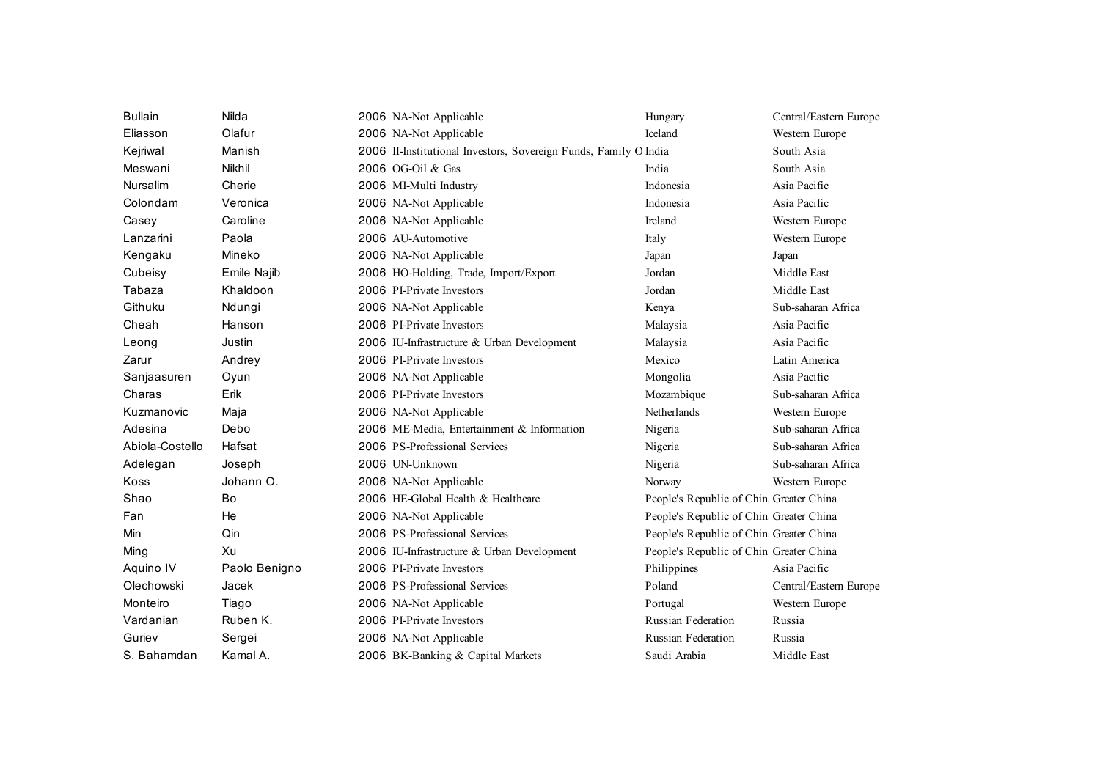| <b>Bullain</b>  | Nilda         | 2006 NA-Not Applicable                                           | Hungary                                  | Central/Eastern Europe |
|-----------------|---------------|------------------------------------------------------------------|------------------------------------------|------------------------|
| Eliasson        | Olafur        | 2006 NA-Not Applicable                                           | Iceland                                  | Western Europe         |
| Kejriwal        | Manish        | 2006 II-Institutional Investors, Sovereign Funds, Family O India |                                          | South Asia             |
| Meswani         | Nikhil        | 2006 OG-Oil & Gas                                                | India                                    | South Asia             |
| <b>Nursalim</b> | Cherie        | 2006 MI-Multi Industry                                           | Indonesia                                | Asia Pacific           |
| Colondam        | Veronica      | 2006 NA-Not Applicable                                           | Indonesia                                | Asia Pacific           |
| Casey           | Caroline      | 2006 NA-Not Applicable                                           | Ireland                                  | Western Europe         |
| Lanzarini       | Paola         | 2006 AU-Automotive                                               | Italy                                    | Western Europe         |
| Kengaku         | Mineko        | 2006 NA-Not Applicable                                           | Japan                                    | Japan                  |
| Cubeisy         | Emile Najib   | 2006 HO-Holding, Trade, Import/Export                            | Jordan                                   | Middle East            |
| Tabaza          | Khaldoon      | 2006 PI-Private Investors                                        | Jordan                                   | Middle East            |
| Githuku         | Ndungi        | 2006 NA-Not Applicable                                           | Kenya                                    | Sub-saharan Africa     |
| Cheah           | Hanson        | 2006 PI-Private Investors                                        | Malaysia                                 | Asia Pacific           |
| Leong           | Justin        | 2006 IU-Infrastructure & Urban Development                       | Malaysia                                 | Asia Pacific           |
| Zarur           | Andrey        | 2006 PI-Private Investors                                        | Mexico                                   | Latin America          |
| Sanjaasuren     | Oyun          | 2006 NA-Not Applicable                                           | Mongolia                                 | Asia Pacific           |
| Charas          | Erik          | 2006 PI-Private Investors                                        | Mozambique                               | Sub-saharan Africa     |
| Kuzmanovic      | Maja          | 2006 NA-Not Applicable                                           | Netherlands                              | Western Europe         |
| Adesina         | Debo          | 2006 ME-Media, Entertainment & Information                       | Nigeria                                  | Sub-saharan Africa     |
| Abiola-Costello | Hafsat        | 2006 PS-Professional Services                                    | Nigeria                                  | Sub-saharan Africa     |
| Adelegan        | Joseph        | 2006 UN-Unknown                                                  | Nigeria                                  | Sub-saharan Africa     |
| Koss            | Johann O.     | 2006 NA-Not Applicable                                           | Norway                                   | Western Europe         |
| Shao            | Bo            | 2006 HE-Global Health & Healthcare                               | People's Republic of China Greater China |                        |
| Fan             | He            | 2006 NA-Not Applicable                                           | People's Republic of China Greater China |                        |
| Min             | Qin           | 2006 PS-Professional Services                                    | People's Republic of China Greater China |                        |
| Ming            | Xu            | 2006 IU-Infrastructure & Urban Development                       | People's Republic of China Greater China |                        |
| Aquino IV       | Paolo Benigno | 2006 PI-Private Investors                                        | Philippines                              | Asia Pacific           |
| Olechowski      | Jacek         | 2006 PS-Professional Services                                    | Poland                                   | Central/Eastern Europe |
| Monteiro        | Tiago         | 2006 NA-Not Applicable                                           | Portugal                                 | Western Europe         |
| Vardanian       | Ruben K.      | 2006 PI-Private Investors                                        | <b>Russian Federation</b>                | Russia                 |
| Guriev          | Sergei        | 2006 NA-Not Applicable                                           | <b>Russian Federation</b>                | Russia                 |
| S. Bahamdan     | Kamal A.      | 2006 BK-Banking & Capital Markets                                | Saudi Arabia                             | Middle East            |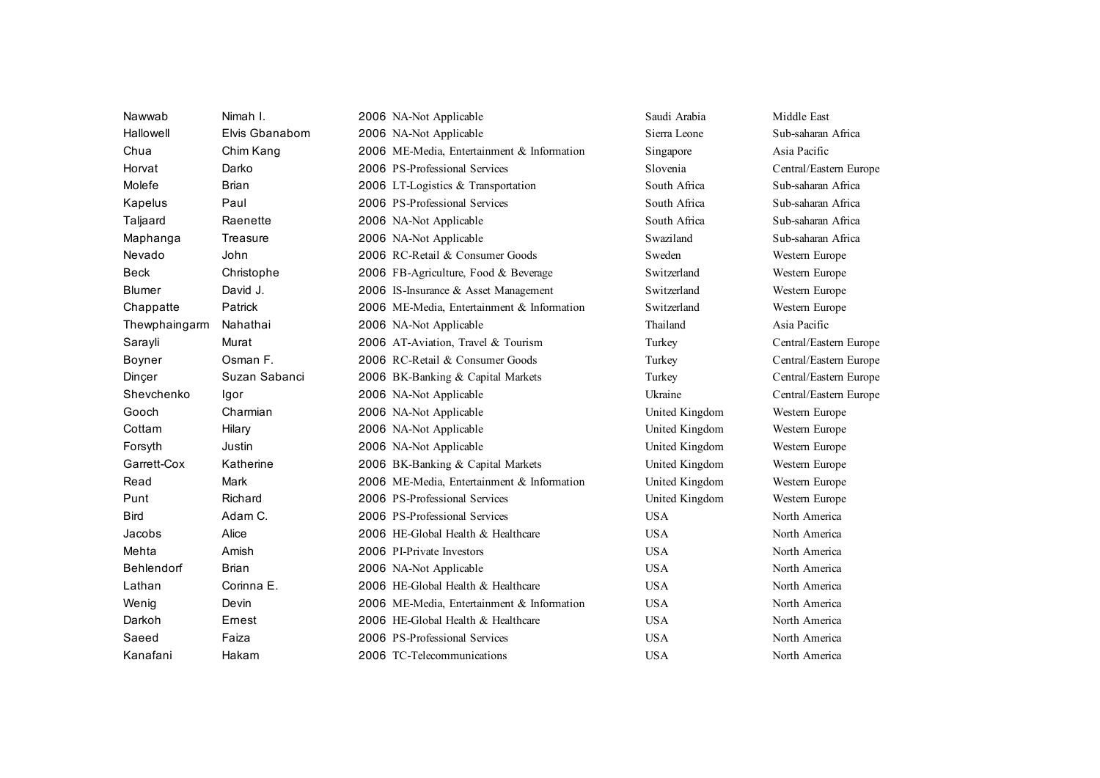| Nawwab        | Nimah I.       | 2006 NA-Not Applicable                     | Saudi Arabia   | Middle East            |
|---------------|----------------|--------------------------------------------|----------------|------------------------|
| Hallowell     | Elvis Gbanabom | 2006 NA-Not Applicable                     | Sierra Leone   | Sub-saharan Africa     |
| Chua          | Chim Kang      | 2006 ME-Media, Entertainment & Information | Singapore      | Asia Pacific           |
| Horvat        | Darko          | 2006 PS-Professional Services              | Slovenia       | Central/Eastern Europe |
| Molefe        | <b>Brian</b>   | 2006 LT-Logistics & Transportation         | South Africa   | Sub-saharan Africa     |
| Kapelus       | Paul           | 2006 PS-Professional Services              | South Africa   | Sub-saharan Africa     |
| Taljaard      | Raenette       | 2006 NA-Not Applicable                     | South Africa   | Sub-saharan Africa     |
| Maphanga      | Treasure       | 2006 NA-Not Applicable                     | Swaziland      | Sub-saharan Africa     |
| Nevado        | John           | 2006 RC-Retail & Consumer Goods            | Sweden         | Western Europe         |
| Beck          | Christophe     | 2006 FB-Agriculture, Food & Beverage       | Switzerland    | Western Europe         |
| <b>Blumer</b> | David J.       | 2006 IS-Insurance & Asset Management       | Switzerland    | Western Europe         |
| Chappatte     | Patrick        | 2006 ME-Media, Entertainment & Information | Switzerland    | Western Europe         |
| Thewphaingarm | Nahathai       | 2006 NA-Not Applicable                     | Thailand       | Asia Pacific           |
| Sarayli       | Murat          | 2006 AT-Aviation, Travel & Tourism         | Turkey         | Central/Eastern Europe |
| Boyner        | Osman F.       | 2006 RC-Retail & Consumer Goods            | Turkey         | Central/Eastern Europe |
| Dinçer        | Suzan Sabanci  | 2006 BK-Banking & Capital Markets          | Turkey         | Central/Eastern Europe |
| Shevchenko    | Igor           | 2006 NA-Not Applicable                     | Ukraine        | Central/Eastern Europe |
| Gooch         | Charmian       | 2006 NA-Not Applicable                     | United Kingdom | Western Europe         |
| Cottam        | Hilary         | 2006 NA-Not Applicable                     | United Kingdom | Western Europe         |
| Forsyth       | Justin         | 2006 NA-Not Applicable                     | United Kingdom | Western Europe         |
| Garrett-Cox   | Katherine      | 2006 BK-Banking & Capital Markets          | United Kingdom | Western Europe         |
| Read          | Mark           | 2006 ME-Media, Entertainment & Information | United Kingdom | Western Europe         |
| Punt          | Richard        | 2006 PS-Professional Services              | United Kingdom | Western Europe         |
| <b>B</b> ird  | Adam C.        | 2006 PS-Professional Services              | <b>USA</b>     | North America          |
| Jacobs        | Alice          | 2006 HE-Global Health & Healthcare         | <b>USA</b>     | North America          |
| Mehta         | Amish          | 2006 PI-Private Investors                  | <b>USA</b>     | North America          |
| Behlendorf    | <b>Brian</b>   | 2006 NA-Not Applicable                     | <b>USA</b>     | North America          |
| Lathan        | Corinna E.     | 2006 HE-Global Health & Healthcare         | <b>USA</b>     | North America          |
| Wenig         | Devin          | 2006 ME-Media, Entertainment & Information | <b>USA</b>     | North America          |
| Darkoh        | Ernest         | 2006 HE-Global Health & Healthcare         | <b>USA</b>     | North America          |
| Saeed         | Faiza          | 2006 PS-Professional Services              | <b>USA</b>     | North America          |
| Kanafani      | Hakam          | 2006 TC-Telecommunications                 | <b>USA</b>     | North America          |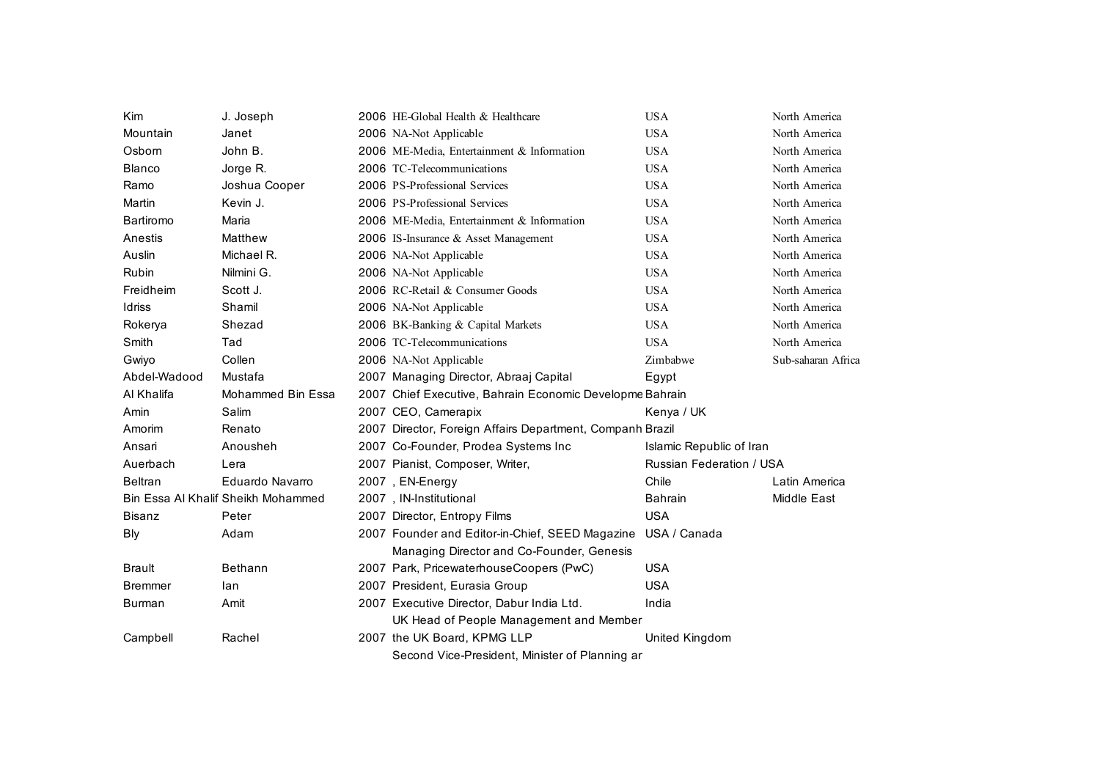| <b>Kim</b>     | J. Joseph                          | 2006 HE-Global Health & Healthcare                        | <b>USA</b>                      | North America      |
|----------------|------------------------------------|-----------------------------------------------------------|---------------------------------|--------------------|
| Mountain       | Janet                              | 2006 NA-Not Applicable                                    | <b>USA</b>                      | North America      |
| Osborn         | John B.                            | 2006 ME-Media, Entertainment & Information                | <b>USA</b>                      | North America      |
| <b>Blanco</b>  | Jorge R.                           | 2006 TC-Telecommunications                                | <b>USA</b>                      | North America      |
| Ramo           | Joshua Cooper                      | 2006 PS-Professional Services                             | <b>USA</b>                      | North America      |
| Martin         | Kevin J.                           | 2006 PS-Professional Services                             | <b>USA</b>                      | North America      |
| Bartiromo      | Maria                              | 2006 ME-Media, Entertainment & Information                | <b>USA</b>                      | North America      |
| Anestis        | Matthew                            | 2006 IS-Insurance & Asset Management                      | <b>USA</b>                      | North America      |
| Auslin         | Michael R.                         | 2006 NA-Not Applicable                                    | <b>USA</b>                      | North America      |
| Rubin          | Nilmini G.                         | 2006 NA-Not Applicable                                    | <b>USA</b>                      | North America      |
| Freidheim      | Scott J.                           | 2006 RC-Retail & Consumer Goods                           | <b>USA</b>                      | North America      |
| Idriss         | Shamil                             | 2006 NA-Not Applicable                                    | <b>USA</b>                      | North America      |
| Rokerya        | Shezad                             | 2006 BK-Banking & Capital Markets                         | <b>USA</b>                      | North America      |
| Smith          | Tad                                | 2006 TC-Telecommunications                                | <b>USA</b>                      | North America      |
| Gwiyo          | Collen                             | 2006 NA-Not Applicable                                    | Zimbabwe                        | Sub-saharan Africa |
| Abdel-Wadood   | Mustafa                            | 2007 Managing Director, Abraaj Capital                    | Egypt                           |                    |
| Al Khalifa     | Mohammed Bin Essa                  | 2007 Chief Executive, Bahrain Economic Developme Bahrain  |                                 |                    |
| Amin           | Salim                              | 2007 CEO, Camerapix                                       | Kenya / UK                      |                    |
| Amorim         | Renato                             | 2007 Director, Foreign Affairs Department, Companh Brazil |                                 |                    |
| Ansari         | Anousheh                           | 2007 Co-Founder, Prodea Systems Inc                       | Islamic Republic of Iran        |                    |
| Auerbach       | Lera                               | 2007 Pianist, Composer, Writer,                           | <b>Russian Federation / USA</b> |                    |
| Beltran        | Eduardo Navarro                    | 2007, EN-Energy                                           | Chile                           | Latin America      |
|                | Bin Essa Al Khalif Sheikh Mohammed | 2007, IN-Institutional                                    | <b>Bahrain</b>                  | Middle East        |
| <b>Bisanz</b>  | Peter                              | 2007 Director, Entropy Films                              | <b>USA</b>                      |                    |
| Bly            | Adam                               | 2007 Founder and Editor-in-Chief, SEED Magazine           | USA / Canada                    |                    |
|                |                                    | Managing Director and Co-Founder, Genesis                 |                                 |                    |
| <b>Brault</b>  | <b>Bethann</b>                     | 2007 Park, PricewaterhouseCoopers (PwC)                   | <b>USA</b>                      |                    |
| <b>Bremmer</b> | lan                                | 2007 President, Eurasia Group                             | <b>USA</b>                      |                    |
| Burman         | Amit                               | 2007 Executive Director, Dabur India Ltd.                 | India                           |                    |
|                |                                    | UK Head of People Management and Member                   |                                 |                    |
| Campbell       | Rachel                             | 2007 the UK Board, KPMG LLP                               | United Kingdom                  |                    |
|                |                                    | Second Vice-President, Minister of Planning ar            |                                 |                    |
|                |                                    |                                                           |                                 |                    |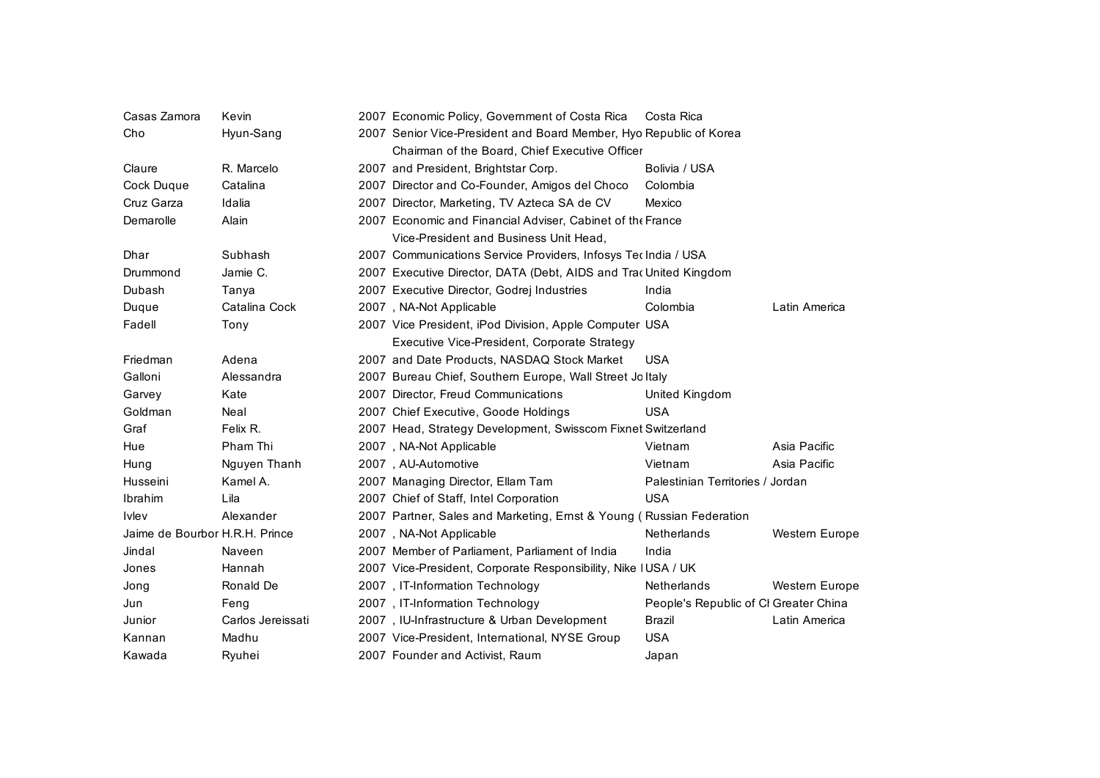| Casas Zamora                   | Kevin             | 2007 Economic Policy, Government of Costa Rica                       | Costa Rica                            |                |  |  |
|--------------------------------|-------------------|----------------------------------------------------------------------|---------------------------------------|----------------|--|--|
| Cho                            | Hyun-Sang         | 2007 Senior Vice-President and Board Member, Hyo Republic of Korea   |                                       |                |  |  |
|                                |                   | Chairman of the Board, Chief Executive Officer                       |                                       |                |  |  |
| Claure                         | R. Marcelo        | 2007 and President, Brightstar Corp.                                 | Bolivia / USA                         |                |  |  |
| Cock Duque                     | Catalina          | 2007 Director and Co-Founder, Amigos del Choco                       | Colombia                              |                |  |  |
| Cruz Garza                     | Idalia            | 2007 Director, Marketing, TV Azteca SA de CV                         | Mexico                                |                |  |  |
| Demarolle                      | Alain             | 2007 Economic and Financial Adviser, Cabinet of the France           |                                       |                |  |  |
|                                |                   | Vice-President and Business Unit Head.                               |                                       |                |  |  |
| Dhar                           | Subhash           | 2007 Communications Service Providers, Infosys Tec India / USA       |                                       |                |  |  |
| Drummond                       | Jamie C.          | 2007 Executive Director, DATA (Debt, AIDS and Trac United Kingdom    |                                       |                |  |  |
| Dubash                         | Tanya             | 2007 Executive Director, Godrej Industries                           | India                                 |                |  |  |
| Duque                          | Catalina Cock     | 2007, NA-Not Applicable                                              | Colombia                              | Latin America  |  |  |
| Fadell                         | Tony              | 2007 Vice President, iPod Division, Apple Computer USA               |                                       |                |  |  |
|                                |                   | Executive Vice-President, Corporate Strategy                         |                                       |                |  |  |
| Friedman                       | Adena             | 2007 and Date Products, NASDAQ Stock Market                          | <b>USA</b>                            |                |  |  |
| Galloni                        | Alessandra        | 2007 Bureau Chief, Southern Europe, Wall Street Joltaly              |                                       |                |  |  |
| Garvey                         | Kate              | 2007 Director, Freud Communications                                  | United Kingdom                        |                |  |  |
| Goldman                        | Neal              | 2007 Chief Executive, Goode Holdings                                 | <b>USA</b>                            |                |  |  |
| Graf                           | Felix R.          | 2007 Head, Strategy Development, Swisscom Fixnet Switzerland         |                                       |                |  |  |
| Hue                            | Pham Thi          | 2007, NA-Not Applicable                                              | Vietnam                               | Asia Pacific   |  |  |
| Hung                           | Nguyen Thanh      | 2007, AU-Automotive                                                  | Vietnam                               | Asia Pacific   |  |  |
| Husseini                       | Kamel A.          | 2007 Managing Director, Ellam Tam                                    | Palestinian Territories / Jordan      |                |  |  |
| Ibrahim                        | Lila              | 2007 Chief of Staff, Intel Corporation                               | <b>USA</b>                            |                |  |  |
| <b>Ivlev</b>                   | Alexander         | 2007 Partner, Sales and Marketing, Ernst & Young (Russian Federation |                                       |                |  |  |
| Jaime de Bourbor H.R.H. Prince |                   | 2007, NA-Not Applicable                                              | Netherlands                           | Western Europe |  |  |
| Jindal                         | Naveen            | 2007 Member of Parliament, Parliament of India                       | India                                 |                |  |  |
| Jones                          | Hannah            | 2007 Vice-President, Corporate Responsibility, Nike IUSA / UK        |                                       |                |  |  |
| Jong                           | Ronald De         | 2007, IT-Information Technology                                      | <b>Netherlands</b>                    | Western Europe |  |  |
| Jun                            | Feng              | 2007, IT-Information Technology                                      | People's Republic of CI Greater China |                |  |  |
| Junior                         | Carlos Jereissati | 2007, IU-Infrastructure & Urban Development                          | Brazil                                | Latin America  |  |  |
| Kannan                         | Madhu             | 2007 Vice-President, International, NYSE Group                       | <b>USA</b>                            |                |  |  |
| Kawada                         | Ryuhei            | 2007 Founder and Activist, Raum                                      | Japan                                 |                |  |  |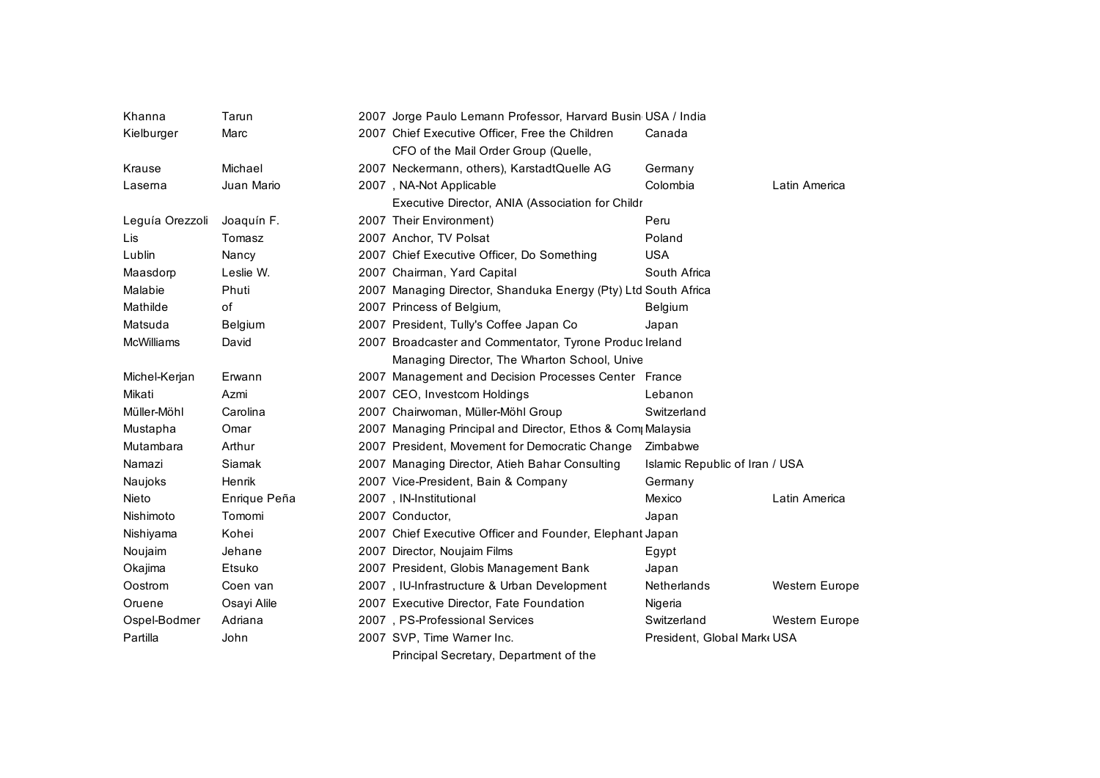| Khanna          | Tarun        | 2007 Jorge Paulo Lemann Professor, Harvard Busin USA / India   |                                |                |
|-----------------|--------------|----------------------------------------------------------------|--------------------------------|----------------|
| Kielburger      | Marc         | 2007 Chief Executive Officer, Free the Children<br>Canada      |                                |                |
|                 |              | CFO of the Mail Order Group (Quelle,                           |                                |                |
| Krause          | Michael      | 2007 Neckermann, others), KarstadtQuelle AG                    | Germany                        |                |
| Laserna         | Juan Mario   | 2007, NA-Not Applicable                                        | Colombia                       | Latin America  |
|                 |              | Executive Director, ANIA (Association for Childr               |                                |                |
| Leguía Orezzoli | Joaquín F.   | 2007 Their Environment)                                        | Peru                           |                |
| Lis             | Tomasz       | 2007 Anchor, TV Polsat                                         | Poland                         |                |
| Lublin          | Nancy        | 2007 Chief Executive Officer, Do Something                     | <b>USA</b>                     |                |
| Maasdorp        | Leslie W.    | 2007 Chairman, Yard Capital                                    | South Africa                   |                |
| Malabie         | Phuti        | 2007 Managing Director, Shanduka Energy (Pty) Ltd South Africa |                                |                |
| Mathilde        | of           | 2007 Princess of Belgium,                                      | Belgium                        |                |
| Matsuda         | Belgium      | 2007 President, Tully's Coffee Japan Co                        | Japan                          |                |
| McWilliams      | David        | 2007 Broadcaster and Commentator, Tyrone Produc Ireland        |                                |                |
|                 |              | Managing Director, The Wharton School, Unive                   |                                |                |
| Michel-Kerjan   | Erwann       | 2007 Management and Decision Processes Center France           |                                |                |
| Mikati          | Azmi         | 2007 CEO, Investcom Holdings                                   | Lebanon                        |                |
| Müller-Möhl     | Carolina     | 2007 Chairwoman, Müller-Möhl Group                             | Switzerland                    |                |
| Mustapha        | Omar         | 2007 Managing Principal and Director, Ethos & Com Malaysia     |                                |                |
| Mutambara       | Arthur       | 2007 President, Movement for Democratic Change                 | Zimbabwe                       |                |
| Namazi          | Siamak       | 2007 Managing Director, Atieh Bahar Consulting                 | Islamic Republic of Iran / USA |                |
| Naujoks         | Henrik       | 2007 Vice-President, Bain & Company                            | Germany                        |                |
| Nieto           | Enrique Peña | 2007, IN-Institutional                                         | Mexico                         | Latin America  |
| Nishimoto       | Tomomi       | 2007 Conductor,                                                | Japan                          |                |
| Nishiyama       | Kohei        | 2007 Chief Executive Officer and Founder, Elephant Japan       |                                |                |
| Noujaim         | Jehane       | 2007 Director, Noujaim Films                                   | Egypt                          |                |
| Okajima         | Etsuko       | 2007 President, Globis Management Bank                         | Japan                          |                |
| Oostrom         | Coen van     | 2007, IU-Infrastructure & Urban Development                    | Netherlands                    | Western Europe |
| Oruene          | Osayi Alile  | 2007 Executive Director, Fate Foundation                       | Nigeria                        |                |
| Ospel-Bodmer    | Adriana      | 2007, PS-Professional Services                                 | Switzerland                    | Western Europe |
| Partilla        | John         | 2007 SVP, Time Warner Inc.                                     | President, Global Mark USA     |                |
|                 |              |                                                                |                                |                |

Principal Secretary, Department of the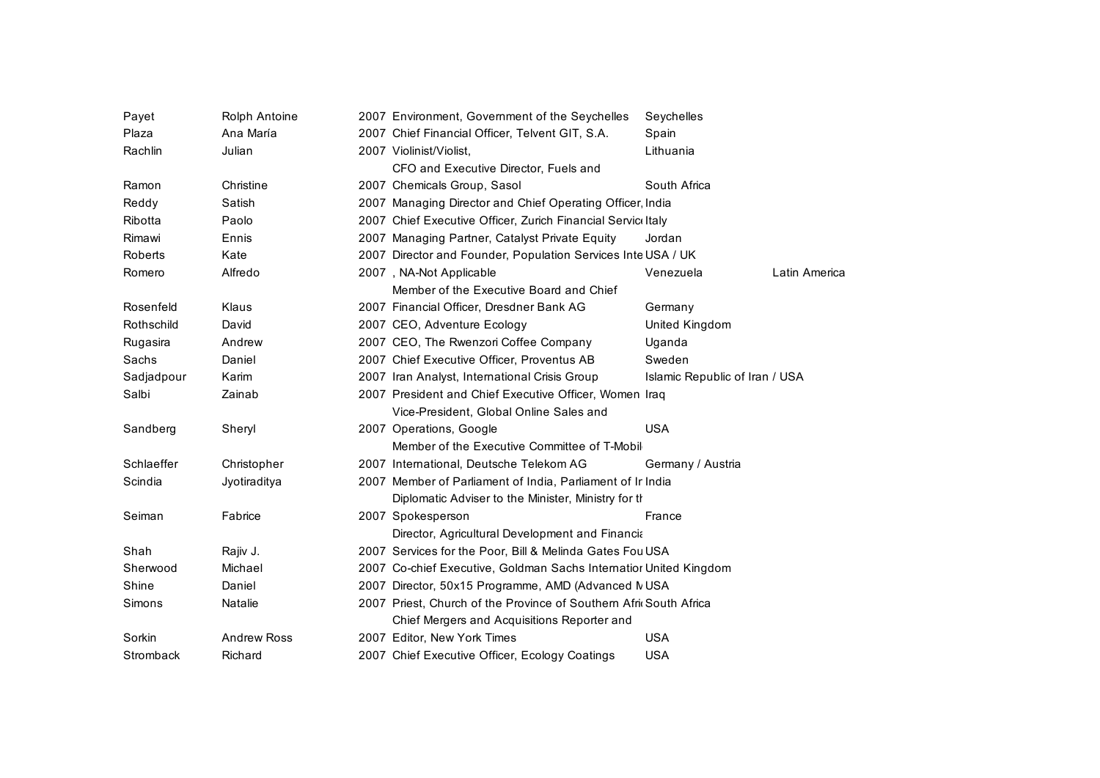| Payet      | Rolph Antoine  | 2007 Environment, Government of the Seychelles                     | Seychelles                     |  |
|------------|----------------|--------------------------------------------------------------------|--------------------------------|--|
| Plaza      | Ana María      | 2007 Chief Financial Officer, Telvent GIT, S.A.                    | Spain                          |  |
| Rachlin    | Julian         | 2007 Violinist/Violist,                                            | Lithuania                      |  |
|            |                | CFO and Executive Director, Fuels and                              |                                |  |
| Ramon      | Christine      | 2007 Chemicals Group, Sasol                                        | South Africa                   |  |
| Reddy      | Satish         | 2007 Managing Director and Chief Operating Officer India           |                                |  |
| Ribotta    | Paolo          | 2007 Chief Executive Officer, Zurich Financial Servic Italy        |                                |  |
| Rimawi     | Ennis          | 2007 Managing Partner, Catalyst Private Equity                     | Jordan                         |  |
| Roberts    | Kate           | 2007 Director and Founder, Population Services Inte USA / UK       |                                |  |
| Romero     | Alfredo        | 2007, NA-Not Applicable                                            | Latin America<br>Venezuela     |  |
|            |                | Member of the Executive Board and Chief                            |                                |  |
| Rosenfeld  | Klaus          | 2007 Financial Officer, Dresdner Bank AG                           | Germany                        |  |
| Rothschild | David          | 2007 CEO, Adventure Ecology                                        | United Kingdom                 |  |
| Rugasira   | Andrew         | 2007 CEO, The Rwenzori Coffee Company                              | Uganda                         |  |
| Sachs      | Daniel         | 2007 Chief Executive Officer, Proventus AB                         | Sweden                         |  |
| Sadjadpour | Karim          | 2007 Iran Analyst, International Crisis Group                      | Islamic Republic of Iran / USA |  |
| Salbi      | Zainab         | 2007 President and Chief Executive Officer, Women Iraq             |                                |  |
|            |                | Vice-President, Global Online Sales and                            |                                |  |
| Sandberg   | Sheryl         | 2007 Operations, Google                                            | <b>USA</b>                     |  |
|            |                | Member of the Executive Committee of T-Mobil                       |                                |  |
| Schlaeffer | Christopher    | 2007 International, Deutsche Telekom AG                            | Germany / Austria              |  |
| Scindia    | Jyotiraditya   | 2007 Member of Parliament of India, Parliament of Ir India         |                                |  |
|            |                | Diplomatic Adviser to the Minister, Ministry for the               |                                |  |
| Seiman     | Fabrice        | 2007 Spokesperson                                                  | France                         |  |
|            |                | Director, Agricultural Development and Financia                    |                                |  |
| Shah       | Rajiv J.       | 2007 Services for the Poor, Bill & Melinda Gates Fou USA           |                                |  |
| Sherwood   | Michael        | 2007 Co-chief Executive, Goldman Sachs Internatior United Kingdom  |                                |  |
| Shine      | Daniel         | 2007 Director, 50x15 Programme, AMD (Advanced MUSA                 |                                |  |
| Simons     | <b>Natalie</b> | 2007 Priest, Church of the Province of Southern Afric South Africa |                                |  |
|            |                | Chief Mergers and Acquisitions Reporter and                        |                                |  |
| Sorkin     | Andrew Ross    | 2007 Editor, New York Times                                        | <b>USA</b>                     |  |
| Stromback  | Richard        | 2007 Chief Executive Officer, Ecology Coatings                     | <b>USA</b>                     |  |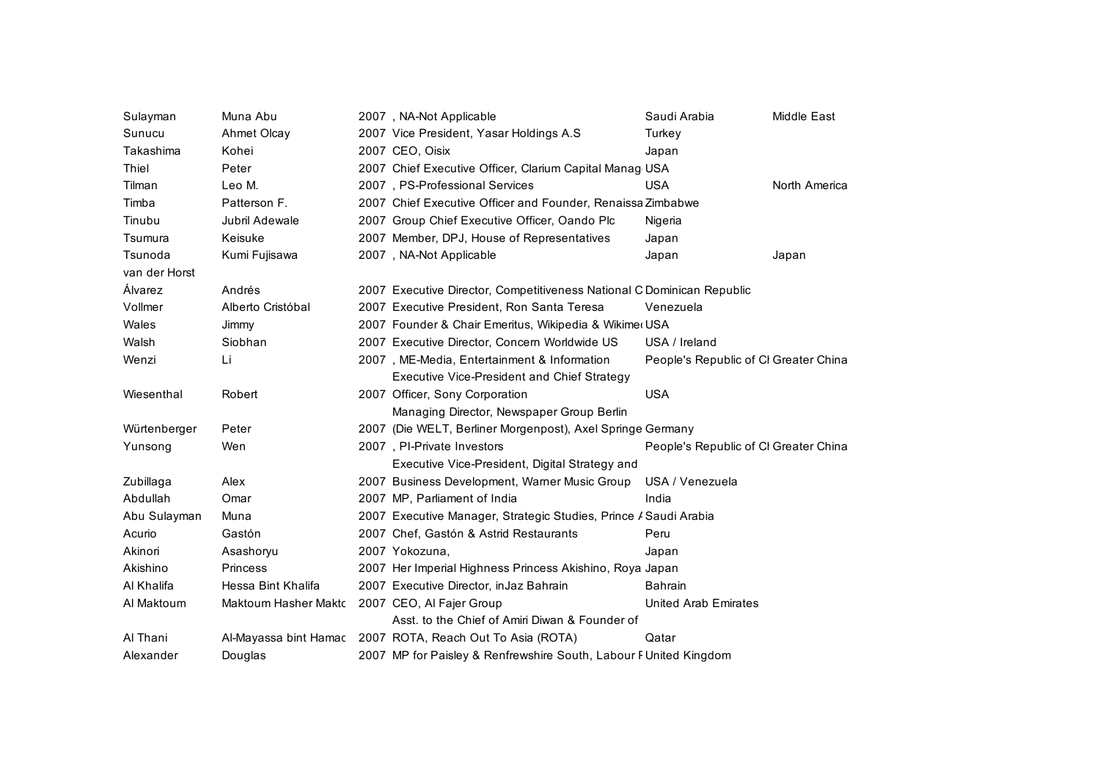| Sulayman      | Muna Abu                    | 2007, NA-Not Applicable                                                | Saudi Arabia                          | Middle East   |
|---------------|-----------------------------|------------------------------------------------------------------------|---------------------------------------|---------------|
| Sunucu        | Ahmet Olcay                 | 2007 Vice President, Yasar Holdings A.S.                               | Turkey                                |               |
| Takashima     | Kohei                       | 2007 CEO, Oisix                                                        | Japan                                 |               |
| Thiel         | Peter                       | 2007 Chief Executive Officer, Clarium Capital Manag USA                |                                       |               |
| Tilman        | Leo M.                      | 2007, PS-Professional Services                                         | <b>USA</b>                            | North America |
| Timba         | Patterson F.                | 2007 Chief Executive Officer and Founder, Renaissa Zimbabwe            |                                       |               |
| Tinubu        | Jubril Adewale              | 2007 Group Chief Executive Officer, Oando Plc                          | Nigeria                               |               |
| Tsumura       | Keisuke                     | 2007 Member, DPJ, House of Representatives                             | Japan                                 |               |
| Tsunoda       | Kumi Fujisawa               | 2007, NA-Not Applicable                                                | Japan                                 | Japan         |
| van der Horst |                             |                                                                        |                                       |               |
| Álvarez       | Andrés                      | 2007 Executive Director, Competitiveness National C Dominican Republic |                                       |               |
| Vollmer       | Alberto Cristóbal           | 2007 Executive President, Ron Santa Teresa                             | Venezuela                             |               |
| Wales         | Jimmy                       | 2007 Founder & Chair Emeritus, Wikipedia & Wikimer USA                 |                                       |               |
| Walsh         | Siobhan                     | 2007 Executive Director, Concern Worldwide US                          | USA / Ireland                         |               |
| Wenzi         | Li                          | 2007, ME-Media, Entertainment & Information                            | People's Republic of CI Greater China |               |
|               |                             | <b>Executive Vice-President and Chief Strategy</b>                     |                                       |               |
| Wiesenthal    | Robert                      | 2007 Officer, Sony Corporation                                         | <b>USA</b>                            |               |
|               |                             | Managing Director, Newspaper Group Berlin                              |                                       |               |
| Würtenberger  | Peter                       | 2007 (Die WELT, Berliner Morgenpost), Axel Springe Germany             |                                       |               |
| Yunsong       | Wen                         | 2007, PI-Private Investors                                             | People's Republic of CI Greater China |               |
|               |                             | Executive Vice-President, Digital Strategy and                         |                                       |               |
| Zubillaga     | Alex                        | 2007 Business Development, Warner Music Group                          | USA / Venezuela                       |               |
| Abdullah      | Omar                        | 2007 MP, Parliament of India                                           | India                                 |               |
| Abu Sulayman  | Muna                        | 2007 Executive Manager, Strategic Studies, Prince / Saudi Arabia       |                                       |               |
| Acurio        | Gastón                      | 2007 Chef, Gastón & Astrid Restaurants                                 | Peru                                  |               |
| Akinori       | Asashoryu                   | 2007 Yokozuna,                                                         | Japan                                 |               |
| Akishino      | <b>Princess</b>             | 2007 Her Imperial Highness Princess Akishino, Roya Japan               |                                       |               |
| Al Khalifa    | Hessa Bint Khalifa          | 2007 Executive Director, in Jaz Bahrain                                | <b>Bahrain</b>                        |               |
| Al Maktoum    | <b>Maktoum Hasher Makto</b> | 2007 CEO, Al Fajer Group                                               | <b>United Arab Emirates</b>           |               |
|               |                             | Asst. to the Chief of Amiri Diwan & Founder of                         |                                       |               |
| Al Thani      | Al-Mayassa bint Hamac       | 2007 ROTA, Reach Out To Asia (ROTA)                                    | Qatar                                 |               |
| Alexander     | Douglas                     | 2007 MP for Paisley & Renfrewshire South, Labour F United Kingdom      |                                       |               |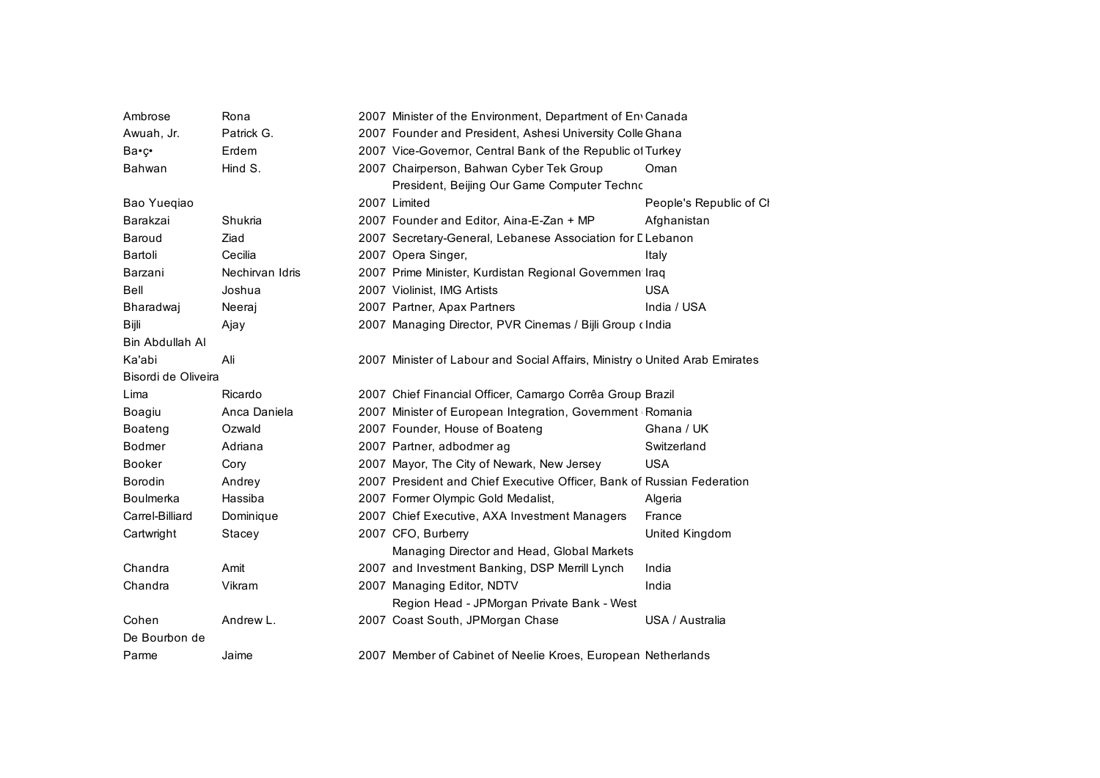| Ambrose             | Rona            | 2007 Minister of the Environment, Department of En Canada                   |                         |  |
|---------------------|-----------------|-----------------------------------------------------------------------------|-------------------------|--|
| Awuah. Jr.          | Patrick G.      | 2007 Founder and President, Ashesi University Colle Ghana                   |                         |  |
| Ba•ç•               | Erdem           | 2007 Vice-Governor, Central Bank of the Republic of Turkey                  |                         |  |
| Bahwan              | Hind S.         | 2007 Chairperson, Bahwan Cyber Tek Group                                    | Oman                    |  |
|                     |                 | President, Beijing Our Game Computer Techno                                 |                         |  |
| Bao Yuegiao         |                 | 2007 Limited                                                                | People's Republic of Cl |  |
| Barakzai            | Shukria         | 2007 Founder and Editor, Aina-E-Zan + MP                                    | Afghanistan             |  |
| Baroud              | Ziad            | 2007 Secretary-General, Lebanese Association for LLebanon                   |                         |  |
| Bartoli             | Cecilia         | 2007 Opera Singer,                                                          | Italy                   |  |
| Barzani             | Nechirvan Idris | 2007 Prime Minister, Kurdistan Regional Governmen Iraq                      |                         |  |
| Bell                | Joshua          | 2007 Violinist, IMG Artists                                                 | <b>USA</b>              |  |
| Bharadwaj           | Neeraj          | 2007 Partner, Apax Partners                                                 | India / USA             |  |
| Bijli               | Ajay            | 2007 Managing Director, PVR Cinemas / Bijli Group ‹ India                   |                         |  |
| Bin Abdullah Al     |                 |                                                                             |                         |  |
| Ka'abi              | Ali             | 2007 Minister of Labour and Social Affairs, Ministry o United Arab Emirates |                         |  |
| Bisordi de Oliveira |                 |                                                                             |                         |  |
| Lima                | Ricardo         | 2007 Chief Financial Officer, Camargo Corrêa Group Brazil                   |                         |  |
| Boagiu              | Anca Daniela    | 2007 Minister of European Integration, Government Romania                   |                         |  |
| <b>Boateng</b>      | Ozwald          | 2007 Founder, House of Boateng                                              | Ghana / UK              |  |
| <b>Bodmer</b>       | Adriana         | 2007 Partner, adbodmer ag                                                   | Switzerland             |  |
| <b>Booker</b>       | Cory            | 2007 Mayor, The City of Newark, New Jersey                                  | <b>USA</b>              |  |
| <b>Borodin</b>      | Andrey          | 2007 President and Chief Executive Officer, Bank of Russian Federation      |                         |  |
| <b>Boulmerka</b>    | Hassiba         | 2007 Former Olympic Gold Medalist,                                          | Algeria                 |  |
| Carrel-Billiard     | Dominique       | 2007 Chief Executive, AXA Investment Managers                               | France                  |  |
| Cartwright          | Stacey          | 2007 CFO, Burberry                                                          | United Kingdom          |  |
|                     |                 | Managing Director and Head, Global Markets                                  |                         |  |
| Chandra             | Amit            | 2007 and Investment Banking, DSP Merrill Lynch                              | India                   |  |
| Chandra             | Vikram          | 2007 Managing Editor, NDTV                                                  | India                   |  |
|                     |                 | Region Head - JPMorgan Private Bank - West                                  |                         |  |
| Cohen               | Andrew L.       | 2007 Coast South, JPMorgan Chase                                            | USA / Australia         |  |
| De Bourbon de       |                 |                                                                             |                         |  |
| Parme               | Jaime           | 2007 Member of Cabinet of Neelie Kroes, European Netherlands                |                         |  |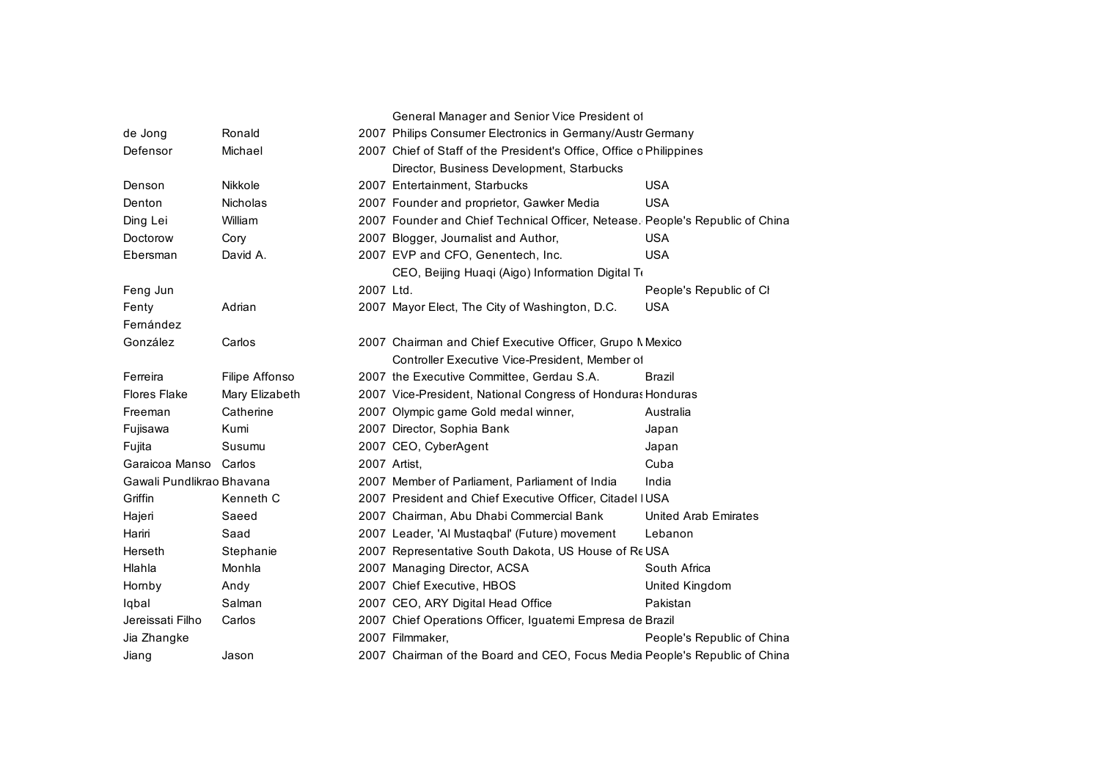|                           |                 |           | General Manager and Senior Vice President of                                  |                            |
|---------------------------|-----------------|-----------|-------------------------------------------------------------------------------|----------------------------|
| de Jong                   | Ronald          |           | 2007 Philips Consumer Electronics in Germany/Austr Germany                    |                            |
| Defensor                  | Michael         |           | 2007 Chief of Staff of the President's Office, Office c Philippines           |                            |
|                           |                 |           | Director, Business Development, Starbucks                                     |                            |
| Denson                    | Nikkole         |           | 2007 Entertainment, Starbucks                                                 | <b>USA</b>                 |
| Denton                    | <b>Nicholas</b> |           | 2007 Founder and proprietor, Gawker Media                                     | <b>USA</b>                 |
| Ding Lei                  | William         |           | 2007 Founder and Chief Technical Officer, Netease. People's Republic of China |                            |
| Doctorow                  | Cory            |           | 2007 Blogger, Journalist and Author,                                          | <b>USA</b>                 |
| Ebersman                  | David A.        |           | 2007 EVP and CFO, Genentech, Inc.                                             | <b>USA</b>                 |
|                           |                 |           | CEO, Beijing Huaqi (Aigo) Information Digital To                              |                            |
| Feng Jun                  |                 | 2007 Ltd. |                                                                               | People's Republic of Cl    |
| Fenty                     | Adrian          |           | 2007 Mayor Elect, The City of Washington, D.C.                                | <b>USA</b>                 |
| Femández                  |                 |           |                                                                               |                            |
| González                  | Carlos          |           | 2007 Chairman and Chief Executive Officer, Grupo Mexico                       |                            |
|                           |                 |           | Controller Executive Vice-President, Member of                                |                            |
| Ferreira                  | Filipe Affonso  |           | 2007 the Executive Committee, Gerdau S.A.                                     | Brazil                     |
| <b>Flores Flake</b>       | Mary Elizabeth  |           | 2007 Vice-President, National Congress of Honduras Honduras                   |                            |
| Freeman                   | Catherine       |           | 2007 Olympic game Gold medal winner,                                          | Australia                  |
| Fujisawa                  | Kumi            |           | 2007 Director, Sophia Bank                                                    | Japan                      |
| Fujita                    | Susumu          |           | 2007 CEO, CyberAgent                                                          | Japan                      |
| Garaicoa Manso Carlos     |                 |           | 2007 Artist.                                                                  | Cuba                       |
| Gawali Pundlikrao Bhavana |                 |           | 2007 Member of Parliament, Parliament of India                                | India                      |
| Griffin                   | Kenneth C       |           | 2007 President and Chief Executive Officer, Citadel IUSA                      |                            |
| Hajeri                    | Saeed           |           | 2007 Chairman, Abu Dhabi Commercial Bank                                      | United Arab Emirates       |
| Hariri                    | Saad            |           | 2007 Leader, 'Al Mustaqbal' (Future) movement                                 | Lebanon                    |
| Herseth                   | Stephanie       |           | 2007 Representative South Dakota, US House of Re USA                          |                            |
| Hlahla                    | Monhla          |           | 2007 Managing Director, ACSA                                                  | South Africa               |
| Hornby                    | Andy            |           | 2007 Chief Executive, HBOS                                                    | United Kingdom             |
| Iqbal                     | Salman          |           | 2007 CEO, ARY Digital Head Office                                             | Pakistan                   |
| Jereissati Filho          | Carlos          |           | 2007 Chief Operations Officer, Iguatemi Empresa de Brazil                     |                            |
| Jia Zhangke               |                 |           | 2007 Filmmaker,                                                               | People's Republic of China |
| Jiang                     | Jason           |           | 2007 Chairman of the Board and CEO, Focus Media People's Republic of China    |                            |
|                           |                 |           |                                                                               |                            |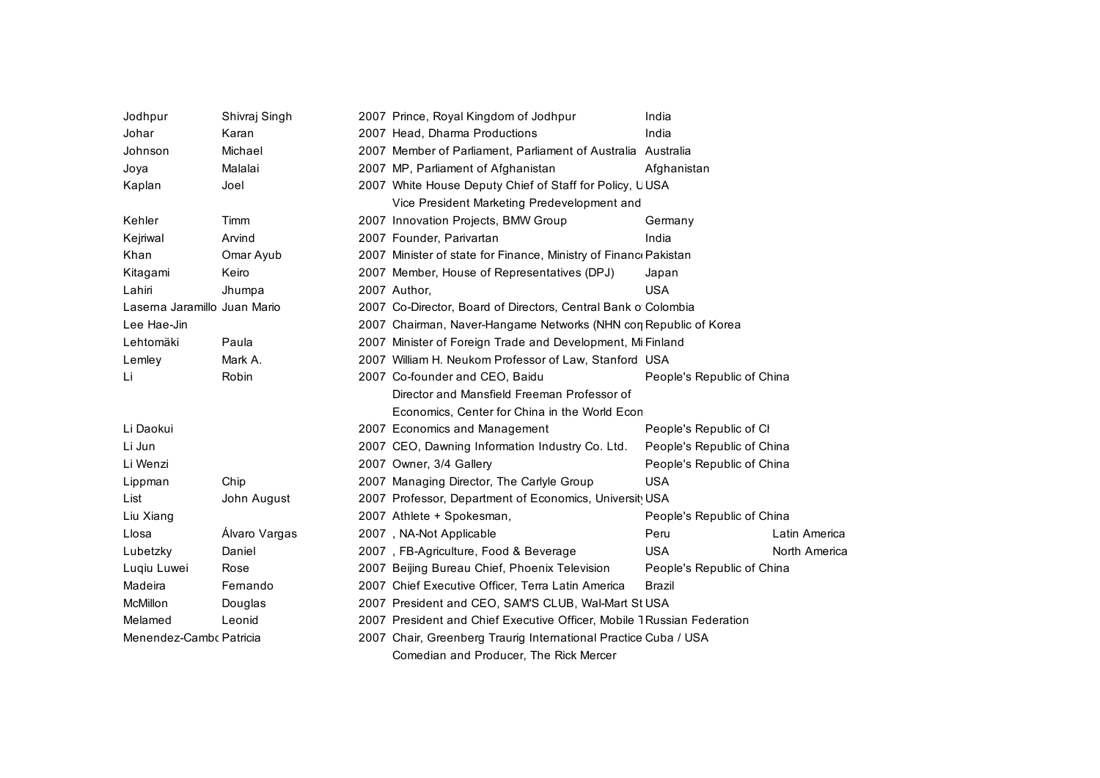| Jodhpur                      | Shivraj Singh | 2007 Prince, Royal Kingdom of Jodhpur                                   | India                                                      |               |  |
|------------------------------|---------------|-------------------------------------------------------------------------|------------------------------------------------------------|---------------|--|
| Johar                        | Karan         | 2007 Head, Dharma Productions                                           | India                                                      |               |  |
| Johnson                      | Michael       | 2007 Member of Parliament, Parliament of Australia Australia            |                                                            |               |  |
| Joya                         | Malalai       | 2007 MP, Parliament of Afghanistan                                      | Afghanistan                                                |               |  |
| Kaplan                       | Joel          | 2007 White House Deputy Chief of Staff for Policy, UUSA                 |                                                            |               |  |
|                              |               | Vice President Marketing Predevelopment and                             |                                                            |               |  |
| Kehler                       | Timm          | 2007 Innovation Projects, BMW Group                                     | Germany                                                    |               |  |
| Kejriwal                     | Arvind        | 2007 Founder, Parivartan                                                | India                                                      |               |  |
| Khan                         | Omar Ayub     | 2007 Minister of state for Finance, Ministry of Financ Pakistan         |                                                            |               |  |
| Kitagami                     | Keiro         | 2007 Member, House of Representatives (DPJ)                             | Japan                                                      |               |  |
| Lahiri                       | Jhumpa        | 2007 Author.                                                            | <b>USA</b>                                                 |               |  |
| Laserna Jaramillo Juan Mario |               | 2007 Co-Director, Board of Directors, Central Bank o Colombia           |                                                            |               |  |
| Lee Hae-Jin                  |               | 2007 Chairman, Naver-Hangame Networks (NHN con Republic of Korea        |                                                            |               |  |
| Lehtomäki                    | Paula         |                                                                         | 2007 Minister of Foreign Trade and Development, Mi Finland |               |  |
| Lemley                       | Mark A.       | 2007 William H. Neukom Professor of Law, Stanford USA                   |                                                            |               |  |
| Li                           | Robin         | 2007 Co-founder and CEO, Baidu                                          | People's Republic of China                                 |               |  |
|                              |               | Director and Mansfield Freeman Professor of                             |                                                            |               |  |
|                              |               | Economics, Center for China in the World Econ                           |                                                            |               |  |
| Li Daokui                    |               | 2007 Economics and Management                                           | People's Republic of Cl                                    |               |  |
| Li Jun                       |               | 2007 CEO, Dawning Information Industry Co. Ltd.                         | People's Republic of China                                 |               |  |
| Li Wenzi                     |               | 2007 Owner, 3/4 Gallery                                                 | People's Republic of China                                 |               |  |
| Lippman                      | Chip          | 2007 Managing Director, The Carlyle Group                               | <b>USA</b>                                                 |               |  |
| List                         | John August   | 2007 Professor, Department of Economics, Universit USA                  |                                                            |               |  |
| Liu Xiang                    |               | 2007 Athlete + Spokesman,                                               | People's Republic of China                                 |               |  |
| Llosa                        | Álvaro Vargas | 2007, NA-Not Applicable                                                 | Peru                                                       | Latin America |  |
| Lubetzky                     | Daniel        | 2007, FB-Agriculture, Food & Beverage                                   | USA                                                        | North America |  |
| Lugiu Luwei                  | Rose          | 2007 Beijing Bureau Chief, Phoenix Television                           | People's Republic of China                                 |               |  |
| Madeira                      | Fernando      | 2007 Chief Executive Officer, Terra Latin America                       | <b>Brazil</b>                                              |               |  |
| McMillon                     | Douglas       | 2007 President and CEO, SAM'S CLUB, Wal-Mart St USA                     |                                                            |               |  |
| Melamed                      | Leonid        | 2007 President and Chief Executive Officer, Mobile 1 Russian Federation |                                                            |               |  |
| Menendez-Cambo Patricia      |               | 2007 Chair, Greenberg Traurig International Practice Cuba / USA         |                                                            |               |  |
|                              |               | Comedian and Producer, The Rick Mercer                                  |                                                            |               |  |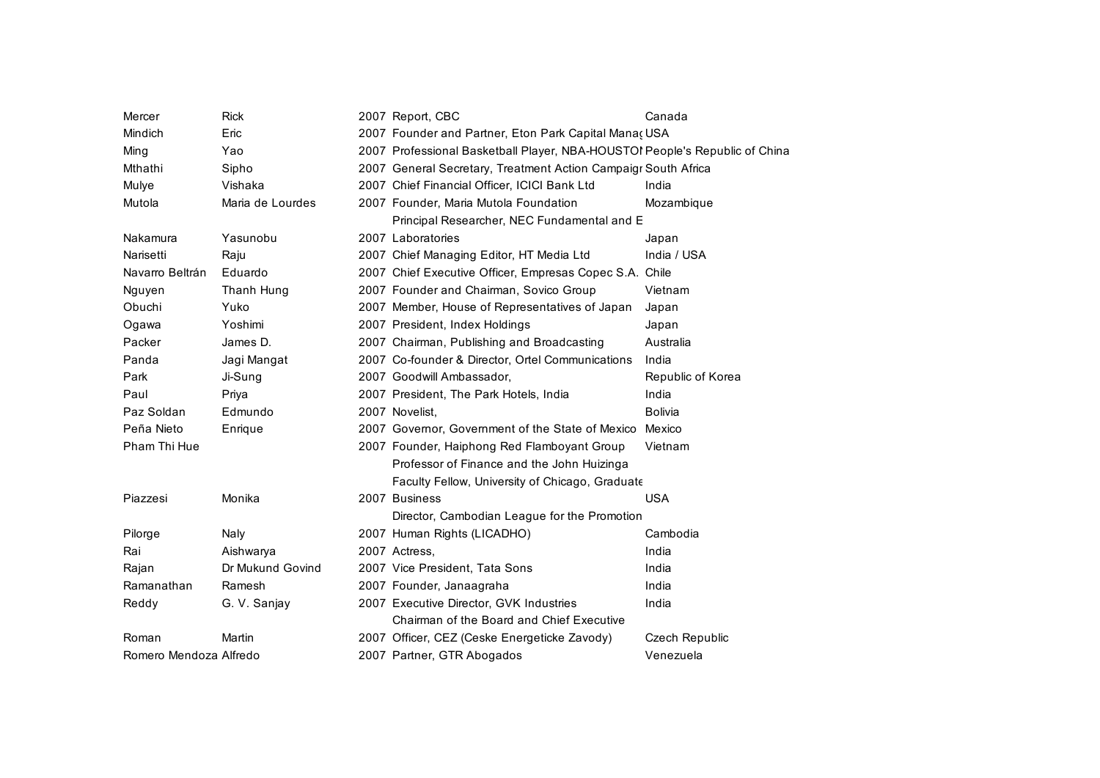| Mercer                 | <b>Rick</b>      | 2007 Report, CBC                                                            | Canada            |
|------------------------|------------------|-----------------------------------------------------------------------------|-------------------|
| Mindich                | Eric             | 2007 Founder and Partner, Eton Park Capital Manaç USA                       |                   |
| Ming                   | Yao              | 2007 Professional Basketball Player, NBA-HOUSTOI People's Republic of China |                   |
| Mthathi                | Sipho            | 2007 General Secretary, Treatment Action Campaigr South Africa              |                   |
| Mulye                  | Vishaka          | 2007 Chief Financial Officer, ICICI Bank Ltd                                | India             |
| Mutola                 | Maria de Lourdes | 2007 Founder, Maria Mutola Foundation                                       | Mozambique        |
|                        |                  | Principal Researcher, NEC Fundamental and E                                 |                   |
| Nakamura               | Yasunobu         | 2007 Laboratories                                                           | Japan             |
| Narisetti              | Raju             | 2007 Chief Managing Editor, HT Media Ltd                                    | India / USA       |
| Navarro Beltrán        | Eduardo          | 2007 Chief Executive Officer, Empresas Copec S.A. Chile                     |                   |
| Nguyen                 | Thanh Hung       | 2007 Founder and Chairman, Sovico Group                                     | Vietnam           |
| Obuchi                 | Yuko             | 2007 Member, House of Representatives of Japan                              | Japan             |
| Ogawa                  | Yoshimi          | 2007 President, Index Holdings                                              | Japan             |
| Packer                 | James D.         | 2007 Chairman, Publishing and Broadcasting                                  | Australia         |
| Panda                  | Jagi Mangat      | 2007 Co-founder & Director, Ortel Communications                            | India             |
| Park                   | Ji-Sung          | 2007 Goodwill Ambassador,                                                   | Republic of Korea |
| Paul                   | Priya            | 2007 President, The Park Hotels, India                                      | India             |
| Paz Soldan             | Edmundo          | 2007 Novelist,                                                              | <b>Bolivia</b>    |
| Peña Nieto             | Enrique          | 2007 Governor, Government of the State of Mexico                            | Mexico            |
| Pham Thi Hue           |                  | 2007 Founder, Haiphong Red Flamboyant Group                                 | Vietnam           |
|                        |                  | Professor of Finance and the John Huizinga                                  |                   |
|                        |                  | Faculty Fellow, University of Chicago, Graduate                             |                   |
| Piazzesi               | Monika           | 2007 Business                                                               | <b>USA</b>        |
|                        |                  | Director, Cambodian League for the Promotion                                |                   |
| Pilorge                | Naly             | 2007 Human Rights (LICADHO)                                                 | Cambodia          |
| Rai                    | Aishwarya        | 2007 Actress.                                                               | India             |
| Rajan                  | Dr Mukund Govind | 2007 Vice President, Tata Sons                                              | India             |
| Ramanathan             | Ramesh           | 2007 Founder, Janaagraha                                                    | India             |
| Reddy                  | G. V. Sanjay     | 2007 Executive Director, GVK Industries                                     | India             |
|                        |                  | Chairman of the Board and Chief Executive                                   |                   |
| Roman                  | Martin           | 2007 Officer, CEZ (Ceske Energeticke Zavody)                                | Czech Republic    |
| Romero Mendoza Alfredo |                  | 2007 Partner, GTR Abogados                                                  | Venezuela         |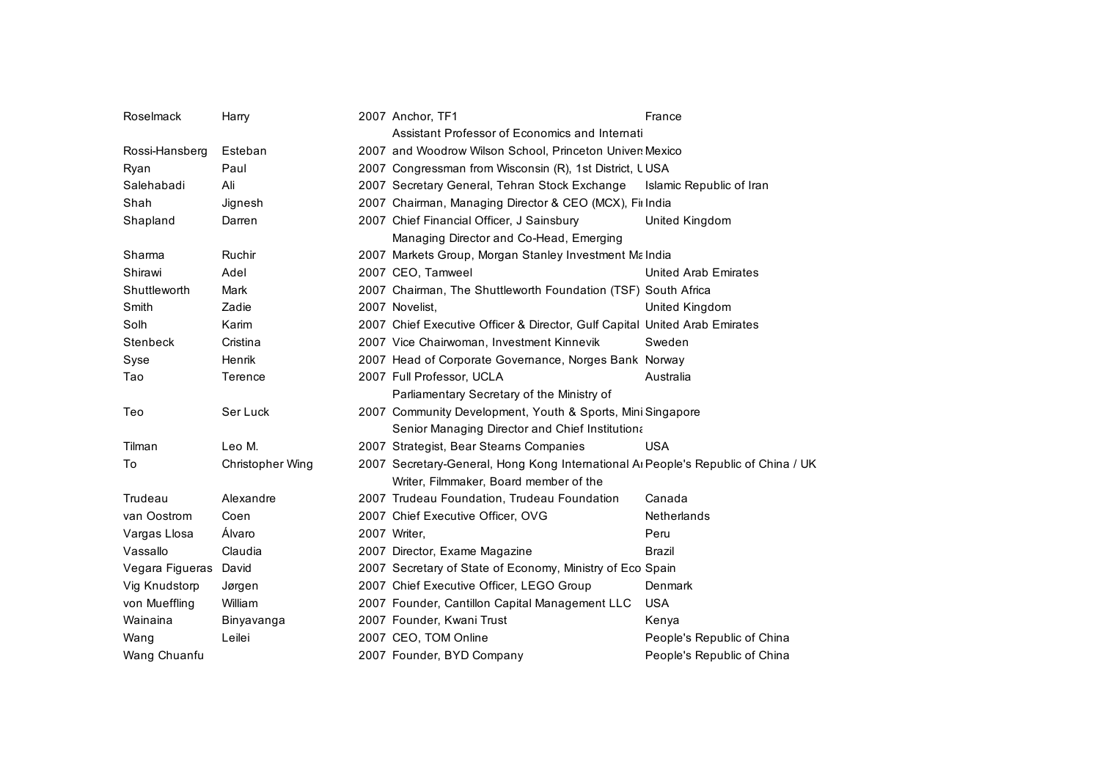| Roselmack             | Harry            | 2007 Anchor, TF1                                                                   | France                      |
|-----------------------|------------------|------------------------------------------------------------------------------------|-----------------------------|
|                       |                  | Assistant Professor of Economics and Internati                                     |                             |
| Rossi-Hansberg        | Esteban          | 2007 and Woodrow Wilson School, Princeton Univer Mexico                            |                             |
| Ryan                  | Paul             | 2007 Congressman from Wisconsin (R), 1st District, LUSA                            |                             |
| Salehabadi            | Ali              | 2007 Secretary General, Tehran Stock Exchange                                      | Islamic Republic of Iran    |
| Shah                  | Jignesh          | 2007 Chairman, Managing Director & CEO (MCX), Fillndia                             |                             |
| Shapland              | Darren           | 2007 Chief Financial Officer, J Sainsbury                                          | United Kingdom              |
|                       |                  | Managing Director and Co-Head, Emerging                                            |                             |
| Sharma                | Ruchir           | 2007 Markets Group, Morgan Stanley Investment Ma India                             |                             |
| Shirawi               | Adel             | 2007 CEO, Tamweel                                                                  | <b>United Arab Emirates</b> |
| Shuttleworth          | Mark             | 2007 Chairman, The Shuttleworth Foundation (TSF) South Africa                      |                             |
| Smith                 | Zadie            | 2007 Novelist,                                                                     | United Kingdom              |
| Solh                  | Karim            | 2007 Chief Executive Officer & Director, Gulf Capital United Arab Emirates         |                             |
| Stenbeck              | Cristina         | 2007 Vice Chairwoman, Investment Kinnevik                                          | Sweden                      |
| Syse                  | Henrik           | 2007 Head of Corporate Governance, Norges Bank Norway                              |                             |
| Tao                   | Terence          | 2007 Full Professor, UCLA                                                          | Australia                   |
|                       |                  | Parliamentary Secretary of the Ministry of                                         |                             |
| Teo                   | Ser Luck         | 2007 Community Development, Youth & Sports, Mini Singapore                         |                             |
|                       |                  | Senior Managing Director and Chief Institutiona                                    |                             |
| Tilman                | Leo M.           | 2007 Strategist, Bear Stearns Companies                                            | <b>USA</b>                  |
| To                    | Christopher Wing | 2007 Secretary-General, Hong Kong International AI People's Republic of China / UK |                             |
|                       |                  | Writer, Filmmaker, Board member of the                                             |                             |
| Trudeau               | Alexandre        | 2007 Trudeau Foundation, Trudeau Foundation                                        | Canada                      |
| van Oostrom           | Coen             | 2007 Chief Executive Officer, OVG                                                  | Netherlands                 |
| Vargas Llosa          | Álvaro           | 2007 Writer.                                                                       | Peru                        |
| Vassallo              | Claudia          | 2007 Director, Exame Magazine                                                      | <b>Brazil</b>               |
| Vegara Figueras David |                  | 2007 Secretary of State of Economy, Ministry of Eco Spain                          |                             |
| Vig Knudstorp         | Jørgen           | 2007 Chief Executive Officer, LEGO Group                                           | Denmark                     |
| von Mueffling         | William          | 2007 Founder, Cantillon Capital Management LLC                                     | <b>USA</b>                  |
| Wainaina              | Binyavanga       | 2007 Founder, Kwani Trust                                                          | Kenya                       |
| Wang                  | Leilei           | 2007 CEO, TOM Online                                                               | People's Republic of China  |
| Wang Chuanfu          |                  | 2007 Founder, BYD Company                                                          | People's Republic of China  |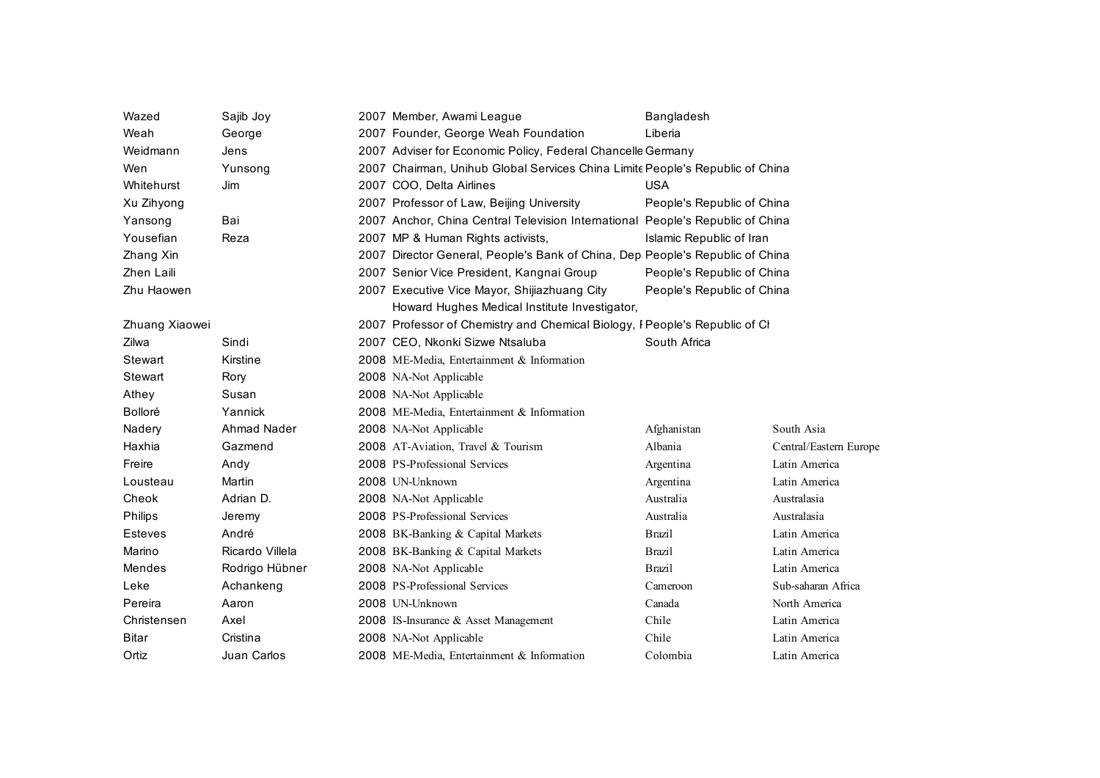| Wazed          | Sajib Joy          | 2007 Member, Awami League                                                      | Bangladesh                 |                        |
|----------------|--------------------|--------------------------------------------------------------------------------|----------------------------|------------------------|
| Weah           | George             | 2007 Founder, George Weah Foundation                                           | Liberia                    |                        |
| Weidmann       | Jens               | 2007 Adviser for Economic Policy, Federal Chancelle Germany                    |                            |                        |
| Wen            | Yunsong            | 2007 Chairman, Unihub Global Services China Limite People's Republic of China  |                            |                        |
| Whitehurst     | <b>Jim</b>         | 2007 COO, Delta Airlines                                                       | <b>USA</b>                 |                        |
| Xu Zihyong     |                    | 2007 Professor of Law, Beijing University                                      | People's Republic of China |                        |
| Yansong        | Bai                | 2007 Anchor, China Central Television International People's Republic of China |                            |                        |
| Yousefian      | Reza               | 2007 MP & Human Rights activists,                                              | Islamic Republic of Iran   |                        |
| Zhang Xin      |                    | 2007 Director General, People's Bank of China, Dep People's Republic of China  |                            |                        |
| Zhen Laili     |                    | 2007 Senior Vice President, Kangnai Group                                      | People's Republic of China |                        |
| Zhu Haowen     |                    | 2007 Executive Vice Mayor, Shijiazhuang City                                   | People's Republic of China |                        |
|                |                    | Howard Hughes Medical Institute Investigator,                                  |                            |                        |
| Zhuang Xiaowei |                    | 2007 Professor of Chemistry and Chemical Biology, I People's Republic of Cl    |                            |                        |
| Zilwa          | Sindi              | 2007 CEO, Nkonki Sizwe Ntsaluba                                                | South Africa               |                        |
| Stewart        | Kirstine           | 2008 ME-Media, Entertainment & Information                                     |                            |                        |
| Stewart        | Rory               | 2008 NA-Not Applicable                                                         |                            |                        |
| Athey          | Susan              | 2008 NA-Not Applicable                                                         |                            |                        |
| Bolloré        | Yannick            | 2008 ME-Media, Entertainment & Information                                     |                            |                        |
| Nadery         | <b>Ahmad Nader</b> | 2008 NA-Not Applicable                                                         | Afghanistan                | South Asia             |
| Haxhia         | Gazmend            | 2008 AT-Aviation, Travel & Tourism                                             | Albania                    | Central/Eastern Europe |
| Freire         | Andy               | 2008 PS-Professional Services                                                  | Argentina                  | Latin America          |
| Lousteau       | Martin             | 2008 UN-Unknown                                                                | Argentina                  | Latin America          |
| Cheok          | Adrian D.          | 2008 NA-Not Applicable                                                         | Australia                  | Australasia            |
| <b>Philips</b> | Jeremy             | 2008 PS-Professional Services                                                  | Australia                  | Australasia            |
| Esteves        | André              | 2008 BK-Banking & Capital Markets                                              | <b>Brazil</b>              | Latin America          |
| Marino         | Ricardo Villela    | 2008 BK-Banking & Capital Markets                                              | <b>Brazil</b>              | Latin America          |
| Mendes         | Rodrigo Hübner     | 2008 NA-Not Applicable                                                         | <b>Brazil</b>              | Latin America          |
| Leke           | Achankeng          | 2008 PS-Professional Services                                                  | Cameroon                   | Sub-saharan Africa     |
| Pereira        | Aaron              | 2008 UN-Unknown                                                                | Canada                     | North America          |
| Christensen    | Axel               | 2008 IS-Insurance & Asset Management                                           | Chile                      | Latin America          |
| <b>Bitar</b>   | Cristina           | 2008 NA-Not Applicable                                                         | Chile                      | Latin America          |
| Ortiz          | Juan Carlos        | 2008 ME-Media, Entertainment & Information                                     | Colombia                   | Latin America          |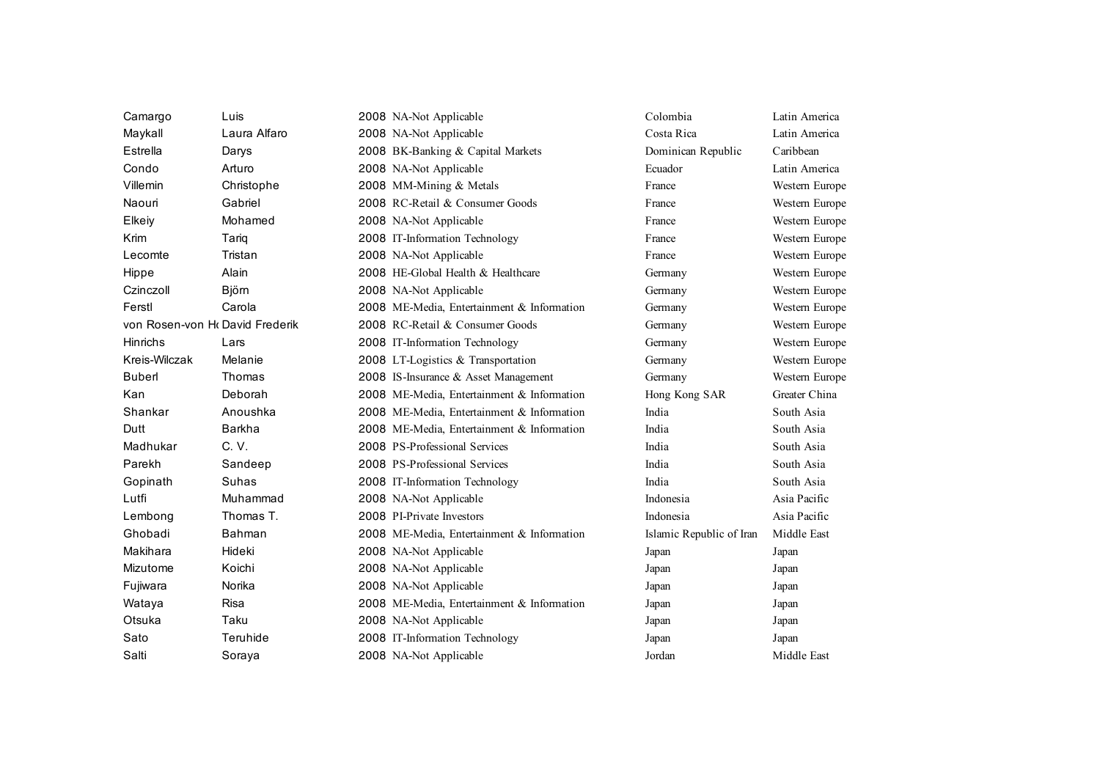| Camargo                         | Luis         | 2008 NA-Not Applicable                     | Colombia                 | Latin America  |
|---------------------------------|--------------|--------------------------------------------|--------------------------|----------------|
| Maykall                         | Laura Alfaro | 2008 NA-Not Applicable                     | Costa Rica               | Latin America  |
| Estrella                        | Darys        | 2008 BK-Banking & Capital Markets          | Dominican Republic       | Caribbean      |
| Condo                           | Arturo       | 2008 NA-Not Applicable                     | Ecuador                  | Latin America  |
| Villemin                        | Christophe   | 2008 MM-Mining & Metals                    | France                   | Western Europe |
| Naouri                          | Gabriel      | 2008 RC-Retail & Consumer Goods            | France                   | Western Europe |
| Elkeiy                          | Mohamed      | 2008 NA-Not Applicable                     | France                   | Western Europe |
| Krim                            | Tariq        | 2008 IT-Information Technology             | France                   | Western Europe |
| Lecomte                         | Tristan      | 2008 NA-Not Applicable                     | France                   | Western Europe |
| Hippe                           | Alain        | 2008 HE-Global Health & Healthcare         | Germany                  | Western Europe |
| Czinczoll                       | <b>Björn</b> | 2008 NA-Not Applicable                     | Germany                  | Western Europe |
| Ferstl                          | Carola       | 2008 ME-Media, Entertainment & Information | Germany                  | Western Europe |
| von Rosen-von Hr David Frederik |              | 2008 RC-Retail & Consumer Goods            | Germany                  | Western Europe |
| <b>Hinrichs</b>                 | Lars         | 2008 IT-Information Technology             | Germany                  | Western Europe |
| Kreis-Wilczak                   | Melanie      | 2008 LT-Logistics & Transportation         | Germany                  | Western Europe |
| <b>Buberl</b>                   | Thomas       | 2008 IS-Insurance & Asset Management       | Germany                  | Western Europe |
| Kan                             | Deborah      | 2008 ME-Media, Entertainment & Information | Hong Kong SAR            | Greater China  |
| Shankar                         | Anoushka     | 2008 ME-Media, Entertainment & Information | India                    | South Asia     |
| Dutt                            | Barkha       | 2008 ME-Media, Entertainment & Information | India                    | South Asia     |
| Madhukar                        | C. V.        | 2008 PS-Professional Services              | India                    | South Asia     |
| Parekh                          | Sandeep      | 2008 PS-Professional Services              | India                    | South Asia     |
| Gopinath                        | Suhas        | 2008 IT-Information Technology             | India                    | South Asia     |
| Lutfi                           | Muhammad     | 2008 NA-Not Applicable                     | Indonesia                | Asia Pacific   |
| Lembong                         | Thomas T.    | 2008 PI-Private Investors                  | Indonesia                | Asia Pacific   |
| Ghobadi                         | Bahman       | 2008 ME-Media, Entertainment & Information | Islamic Republic of Iran | Middle East    |
| Makihara                        | Hideki       | 2008 NA-Not Applicable                     | Japan                    | Japan          |
| Mizutome                        | Koichi       | 2008 NA-Not Applicable                     | Japan                    | Japan          |
| Fujiwara                        | Norika       | 2008 NA-Not Applicable                     | Japan                    | Japan          |
| Wataya                          | <b>Risa</b>  | 2008 ME-Media, Entertainment & Information | Japan                    | Japan          |
| Otsuka                          | Taku         | 2008 NA-Not Applicable                     | Japan                    | Japan          |
| Sato                            | Teruhide     | 2008 IT-Information Technology             | Japan                    | Japan          |
| Salti                           | Soraya       | 2008 NA-Not Applicable                     | Jordan                   | Middle East    |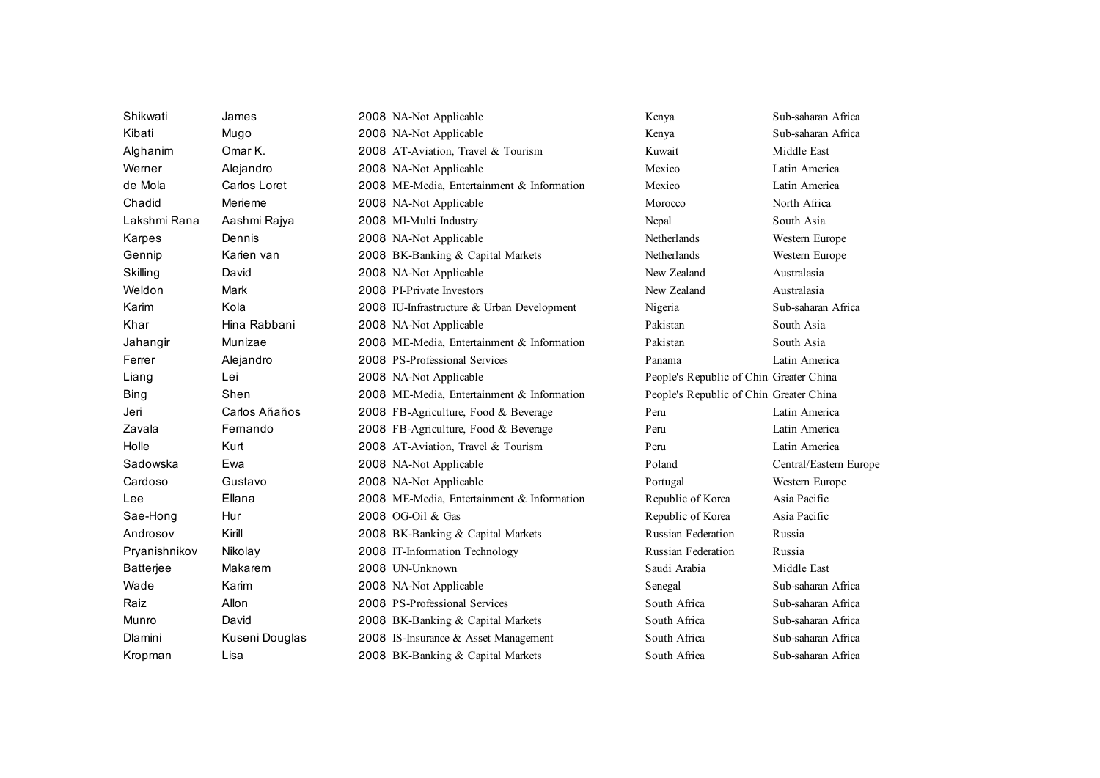| Shikwati         | James          | 2008 NA-Not Applicable                     | Kenya                                    | Sub-saharan Africa     |
|------------------|----------------|--------------------------------------------|------------------------------------------|------------------------|
| Kibati           | Mugo           | 2008 NA-Not Applicable                     | Kenya                                    | Sub-saharan Africa     |
| Alghanim         | Omar K.        | 2008 AT-Aviation, Travel & Tourism         | Kuwait                                   | Middle East            |
| Werner           | Alejandro      | 2008 NA-Not Applicable                     | Mexico                                   | Latin America          |
| de Mola          | Carlos Loret   | 2008 ME-Media, Entertainment & Information | Mexico                                   | Latin America          |
| Chadid           | Merieme        | 2008 NA-Not Applicable                     | Morocco                                  | North Africa           |
| Lakshmi Rana     | Aashmi Rajya   | 2008 MI-Multi Industry                     | Nepal                                    | South Asia             |
| Karpes           | Dennis         | 2008 NA-Not Applicable                     | Netherlands                              | Western Europe         |
| Gennip           | Karien van     | 2008 BK-Banking & Capital Markets          | Netherlands                              | Western Europe         |
| Skilling         | David          | 2008 NA-Not Applicable                     | New Zealand                              | Australasia            |
| Weldon           | Mark           | 2008 PI-Private Investors                  | New Zealand                              | Australasia            |
| Karim            | Kola           | 2008 IU-Infrastructure & Urban Development | Nigeria                                  | Sub-saharan Africa     |
| Khar             | Hina Rabbani   | 2008 NA-Not Applicable                     | Pakistan                                 | South Asia             |
| Jahangir         | Munizae        | 2008 ME-Media, Entertainment & Information | Pakistan                                 | South Asia             |
| Ferrer           | Alejandro      | 2008 PS-Professional Services              | Panama                                   | Latin America          |
| Liang            | Lei            | 2008 NA-Not Applicable                     | People's Republic of China Greater China |                        |
| <b>Bing</b>      | Shen           | 2008 ME-Media, Entertainment & Information | People's Republic of China Greater China |                        |
| Jeri             | Carlos Añaños  | 2008 FB-Agriculture, Food & Beverage       | Peru                                     | Latin America          |
| Zavala           | Fernando       | 2008 FB-Agriculture, Food & Beverage       | Peru                                     | Latin America          |
| Holle            | Kurt           | 2008 AT-Aviation, Travel & Tourism         | Peru                                     | Latin America          |
| Sadowska         | Ewa            | 2008 NA-Not Applicable                     | Poland                                   | Central/Eastern Europe |
| Cardoso          | Gustavo        | 2008 NA-Not Applicable                     | Portugal                                 | Western Europe         |
| Lee              | Ellana         | 2008 ME-Media, Entertainment & Information | Republic of Korea                        | Asia Pacific           |
| Sae-Hong         | Hur            | 2008 OG-Oil & Gas                          | Republic of Korea                        | Asia Pacific           |
| Androsov         | Kirill         | 2008 BK-Banking & Capital Markets          | <b>Russian Federation</b>                | Russia                 |
| Pryanishnikov    | Nikolay        | 2008 IT-Information Technology             | <b>Russian Federation</b>                | Russia                 |
| <b>Batterjee</b> | Makarem        | 2008 UN-Unknown                            | Saudi Arabia                             | Middle East            |
| Wade             | Karim          | 2008 NA-Not Applicable                     | Senegal                                  | Sub-saharan Africa     |
| Raiz             | Allon          | 2008 PS-Professional Services              | South Africa                             | Sub-saharan Africa     |
| Munro            | David          | 2008 BK-Banking & Capital Markets          | South Africa                             | Sub-saharan Africa     |
| Dlamini          | Kuseni Douglas | 2008 IS-Insurance & Asset Management       | South Africa                             | Sub-saharan Africa     |
| Kropman          | Lisa           | 2008 BK-Banking & Capital Markets          | South Africa                             | Sub-saharan Africa     |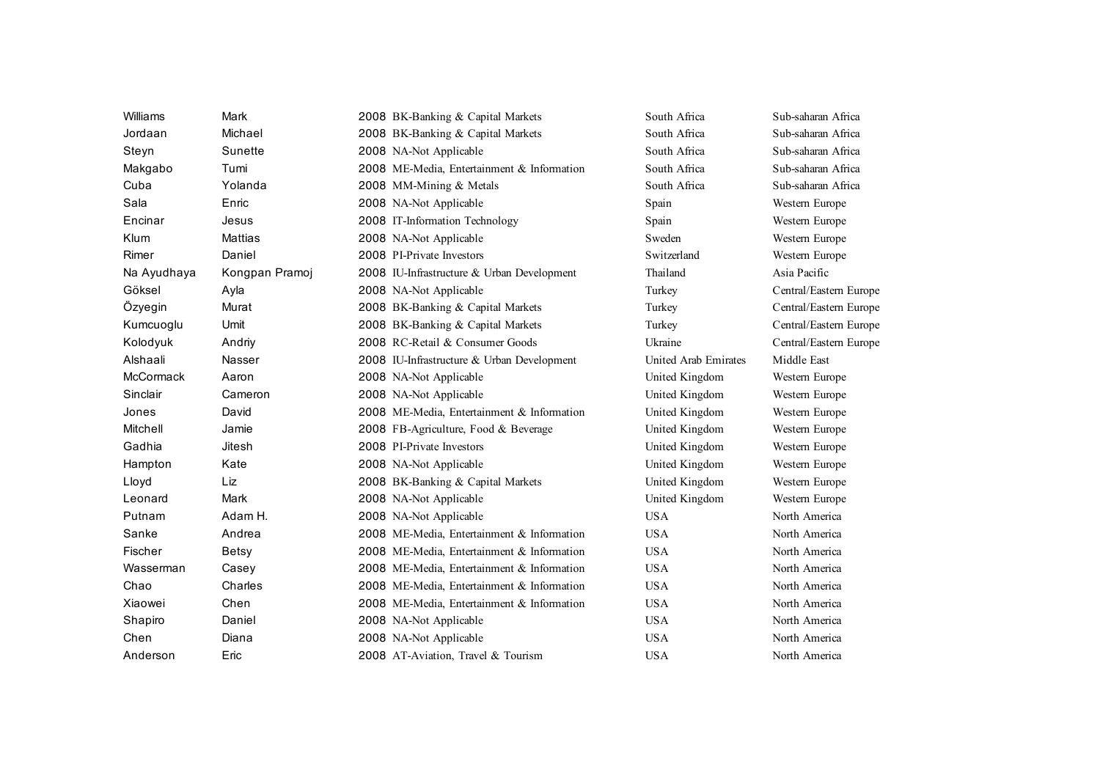| Williams    | Mark           | 2008 BK-Banking & Capital Markets          | South Africa         | Sub-saharan Africa     |
|-------------|----------------|--------------------------------------------|----------------------|------------------------|
| Jordaan     | Michael        | 2008 BK-Banking & Capital Markets          | South Africa         | Sub-saharan Africa     |
| Steyn       | Sunette        | 2008 NA-Not Applicable                     | South Africa         | Sub-saharan Africa     |
| Makgabo     | Tumi           | 2008 ME-Media, Entertainment & Information | South Africa         | Sub-saharan Africa     |
| Cuba        | Yolanda        | 2008 MM-Mining & Metals                    | South Africa         | Sub-saharan Africa     |
| Sala        | Enric          | 2008 NA-Not Applicable                     | Spain                | Western Europe         |
| Encinar     | Jesus          | 2008 IT-Information Technology             | Spain                | Western Europe         |
| Klum        | <b>Mattias</b> | 2008 NA-Not Applicable                     | Sweden               | Western Europe         |
| Rimer       | Daniel         | 2008 PI-Private Investors                  | Switzerland          | Western Europe         |
| Na Ayudhaya | Kongpan Pramoj | 2008 IU-Infrastructure & Urban Development | Thailand             | Asia Pacific           |
| Göksel      | Ayla           | 2008 NA-Not Applicable                     | Turkey               | Central/Eastern Europe |
| Özyegin     | Murat          | 2008 BK-Banking & Capital Markets          | Turkey               | Central/Eastern Europe |
| Kumcuoglu   | Umit           | 2008 BK-Banking & Capital Markets          | Turkey               | Central/Eastern Europe |
| Kolodyuk    | Andriy         | 2008 RC-Retail & Consumer Goods            | Ukraine              | Central/Eastern Europe |
| Alshaali    | <b>Nasser</b>  | 2008 IU-Infrastructure & Urban Development | United Arab Emirates | Middle East            |
| McCormack   | Aaron          | 2008 NA-Not Applicable                     | United Kingdom       | Western Europe         |
| Sinclair    | Cameron        | 2008 NA-Not Applicable                     | United Kingdom       | Western Europe         |
| Jones       | David          | 2008 ME-Media, Entertainment & Information | United Kingdom       | Western Europe         |
| Mitchell    | Jamie          | 2008 FB-Agriculture, Food & Beverage       | United Kingdom       | Western Europe         |
| Gadhia      | <b>Jitesh</b>  | 2008 PI-Private Investors                  | United Kingdom       | Western Europe         |
| Hampton     | Kate           | 2008 NA-Not Applicable                     | United Kingdom       | Western Europe         |
| Lloyd       | Liz            | 2008 BK-Banking & Capital Markets          | United Kingdom       | Western Europe         |
| Leonard     | Mark           | 2008 NA-Not Applicable                     | United Kingdom       | Western Europe         |
| Putnam      | Adam H.        | 2008 NA-Not Applicable                     | <b>USA</b>           | North America          |
| Sanke       | Andrea         | 2008 ME-Media, Entertainment & Information | <b>USA</b>           | North America          |
| Fischer     | <b>Betsy</b>   | 2008 ME-Media, Entertainment & Information | <b>USA</b>           | North America          |
| Wasserman   | Casey          | 2008 ME-Media, Entertainment & Information | <b>USA</b>           | North America          |
| Chao        | Charles        | 2008 ME-Media, Entertainment & Information | <b>USA</b>           | North America          |
| Xiaowei     | Chen           | 2008 ME-Media, Entertainment & Information | <b>USA</b>           | North America          |
| Shapiro     | Daniel         | 2008 NA-Not Applicable                     | <b>USA</b>           | North America          |
| Chen        | Diana          | 2008 NA-Not Applicable                     | <b>USA</b>           | North America          |
| Anderson    | Eric           | 2008 AT-Aviation, Travel & Tourism         | <b>USA</b>           | North America          |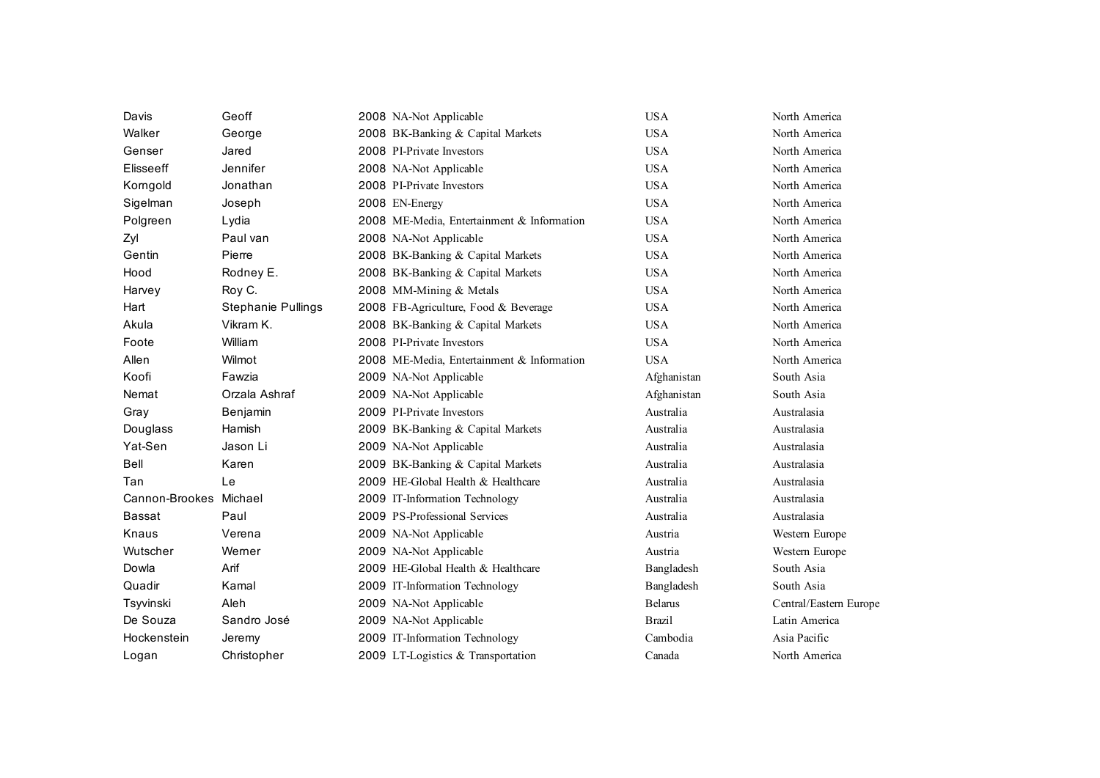| Davis                  | Geoff                     | 2008 NA-Not Applicable                     | <b>USA</b>     | North America          |
|------------------------|---------------------------|--------------------------------------------|----------------|------------------------|
| Walker                 | George                    | 2008 BK-Banking & Capital Markets          | <b>USA</b>     | North America          |
| Genser                 | Jared                     | 2008 PI-Private Investors                  | <b>USA</b>     | North America          |
| <b>Elisseeff</b>       | Jennifer                  | 2008 NA-Not Applicable                     | <b>USA</b>     | North America          |
| Korngold               | Jonathan                  | 2008 PI-Private Investors                  | <b>USA</b>     | North America          |
| Sigelman               | Joseph                    | 2008 EN-Energy                             | <b>USA</b>     | North America          |
| Polgreen               | Lydia                     | 2008 ME-Media, Entertainment & Information | <b>USA</b>     | North America          |
| Zyl                    | Paul van                  | 2008 NA-Not Applicable                     | <b>USA</b>     | North America          |
| Gentin                 | Pierre                    | 2008 BK-Banking & Capital Markets          | <b>USA</b>     | North America          |
| Hood                   | Rodney E.                 | 2008 BK-Banking & Capital Markets          | <b>USA</b>     | North America          |
| Harvey                 | Roy C.                    | 2008 MM-Mining & Metals                    | <b>USA</b>     | North America          |
| Hart                   | <b>Stephanie Pullings</b> | 2008 FB-Agriculture, Food & Beverage       | <b>USA</b>     | North America          |
| Akula                  | Vikram K.                 | 2008 BK-Banking & Capital Markets          | <b>USA</b>     | North America          |
| Foote                  | William                   | 2008 PI-Private Investors                  | <b>USA</b>     | North America          |
| Allen                  | Wilmot                    | 2008 ME-Media, Entertainment & Information | <b>USA</b>     | North America          |
| Koofi                  | Fawzia                    | 2009 NA-Not Applicable                     | Afghanistan    | South Asia             |
| Nemat                  | Orzala Ashraf             | 2009 NA-Not Applicable                     | Afghanistan    | South Asia             |
| Gray                   | Benjamin                  | 2009 PI-Private Investors                  | Australia      | Australasia            |
| Douglass               | Hamish                    | 2009 BK-Banking & Capital Markets          | Australia      | Australasia            |
| Yat-Sen                | Jason Li                  | 2009 NA-Not Applicable                     | Australia      | Australasia            |
| <b>Bell</b>            | Karen                     | 2009 BK-Banking & Capital Markets          | Australia      | Australasia            |
| Tan                    | Le                        | 2009 HE-Global Health & Healthcare         | Australia      | Australasia            |
| Cannon-Brookes Michael |                           | 2009 IT-Information Technology             | Australia      | Australasia            |
| <b>Bassat</b>          | Paul                      | 2009 PS-Professional Services              | Australia      | Australasia            |
| Knaus                  | Verena                    | 2009 NA-Not Applicable                     | Austria        | Western Europe         |
| Wutscher               | Werner                    | 2009 NA-Not Applicable                     | Austria        | Western Europe         |
| Dowla                  | Arif                      | 2009 HE-Global Health & Healthcare         | Bangladesh     | South Asia             |
| Quadir                 | Kamal                     | 2009 IT-Information Technology             | Bangladesh     | South Asia             |
| Tsyvinski              | Aleh                      | 2009 NA-Not Applicable                     | <b>Belarus</b> | Central/Eastern Europe |
| De Souza               | Sandro José               | 2009 NA-Not Applicable                     | <b>Brazil</b>  | Latin America          |
| Hockenstein            | Jeremy                    | 2009 IT-Information Technology             | Cambodia       | Asia Pacific           |
| Logan                  | Christopher               | 2009 LT-Logistics & Transportation         | Canada         | North America          |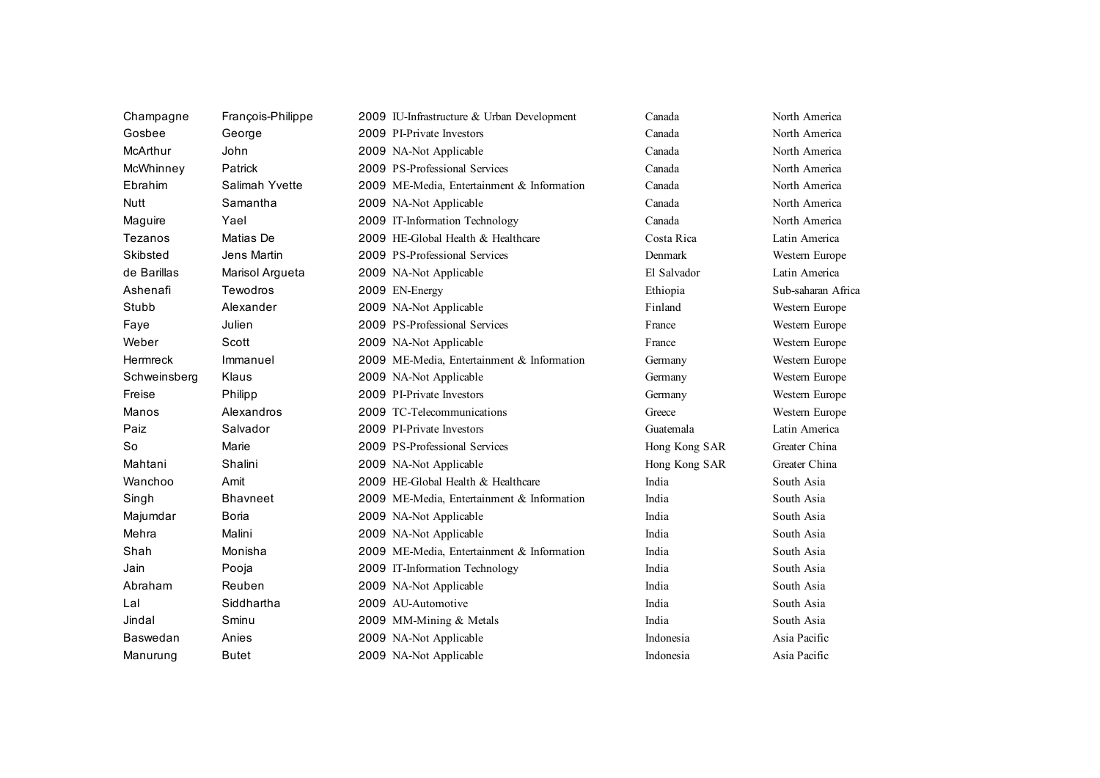| Champagne       | François-Philippe | 2009 IU-Infrastructure & Urban Development | Canada        | North America      |
|-----------------|-------------------|--------------------------------------------|---------------|--------------------|
| Gosbee          | George            | 2009 PI-Private Investors                  | Canada        | North America      |
| McArthur        | John              | 2009 NA-Not Applicable                     | Canada        | North America      |
| McWhinney       | Patrick           | 2009 PS-Professional Services              | Canada        | North America      |
| Ebrahim         | Salimah Yvette    | 2009 ME-Media, Entertainment & Information | Canada        | North America      |
| <b>Nutt</b>     | Samantha          | 2009 NA-Not Applicable                     | Canada        | North America      |
| Maguire         | Yael              | 2009 IT-Information Technology             | Canada        | North America      |
| Tezanos         | Matias De         | 2009 HE-Global Health & Healthcare         | Costa Rica    | Latin America      |
| Skibsted        | Jens Martin       | 2009 PS-Professional Services              | Denmark       | Western Europe     |
| de Barillas     | Marisol Argueta   | 2009 NA-Not Applicable                     | El Salvador   | Latin America      |
| Ashenafi        | Tewodros          | 2009 EN-Energy                             | Ethiopia      | Sub-saharan Africa |
| Stubb           | Alexander         | 2009 NA-Not Applicable                     | Finland       | Western Europe     |
| Faye            | Julien            | 2009 PS-Professional Services              | France        | Western Europe     |
| Weber           | Scott             | 2009 NA-Not Applicable                     | France        | Western Europe     |
| <b>Hermreck</b> | Immanuel          | 2009 ME-Media, Entertainment & Information | Germany       | Western Europe     |
| Schweinsberg    | Klaus             | 2009 NA-Not Applicable                     | Germany       | Western Europe     |
| Freise          | Philipp           | 2009 PI-Private Investors                  | Germany       | Western Europe     |
| Manos           | Alexandros        | 2009 TC-Telecommunications                 | Greece        | Western Europe     |
| Paiz            | Salvador          | 2009 PI-Private Investors                  | Guatemala     | Latin America      |
| So              | Marie             | 2009 PS-Professional Services              | Hong Kong SAR | Greater China      |
| Mahtani         | Shalini           | 2009 NA-Not Applicable                     | Hong Kong SAR | Greater China      |
| Wanchoo         | Amit              | 2009 HE-Global Health & Healthcare         | India         | South Asia         |
| Singh           | <b>Bhavneet</b>   | 2009 ME-Media, Entertainment & Information | India         | South Asia         |
| Majumdar        | Boria             | 2009 NA-Not Applicable                     | India         | South Asia         |
| Mehra           | Malini            | 2009 NA-Not Applicable                     | India         | South Asia         |
| Shah            | Monisha           | 2009 ME-Media, Entertainment & Information | India         | South Asia         |
| Jain            | Pooja             | 2009 IT-Information Technology             | India         | South Asia         |
| Abraham         | Reuben            | 2009 NA-Not Applicable                     | India         | South Asia         |
| Lal             | Siddhartha        | 2009 AU-Automotive                         | India         | South Asia         |
| Jindal          | Sminu             | 2009 MM-Mining & Metals                    | India         | South Asia         |
| <b>Baswedan</b> | Anies             | 2009 NA-Not Applicable                     | Indonesia     | Asia Pacific       |
| Manurung        | Butet             | 2009 NA-Not Applicable                     | Indonesia     | Asia Pacific       |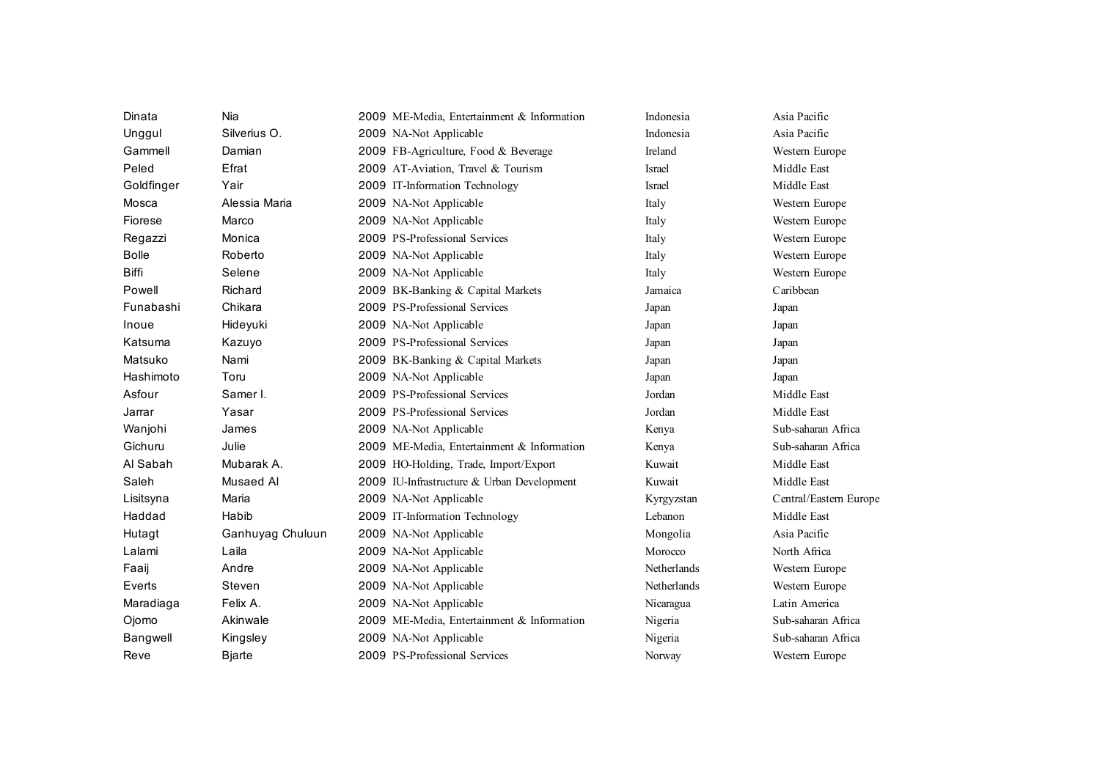| Dinata       | Nia              | 2009 ME-Media, Entertainment & Information | Indonesia          | Asia Pacific           |
|--------------|------------------|--------------------------------------------|--------------------|------------------------|
| Unggul       | Silverius O.     | 2009 NA-Not Applicable                     | Indonesia          | Asia Pacific           |
| Gammell      | Damian           | 2009 FB-Agriculture, Food & Beverage       | Ireland            | Western Europe         |
| Peled        | Efrat            | 2009 AT-Aviation, Travel & Tourism         | <b>Israel</b>      | Middle East            |
| Goldfinger   | Yair             | 2009 IT-Information Technology             | <b>Israel</b>      | Middle East            |
| Mosca        | Alessia Maria    | 2009 NA-Not Applicable                     | Italy              | Western Europe         |
| Fiorese      | Marco            | 2009 NA-Not Applicable                     | Italy              | Western Europe         |
| Regazzi      | Monica           | 2009 PS-Professional Services              | Italy              | Western Europe         |
| <b>Bolle</b> | Roberto          | 2009 NA-Not Applicable                     | Italy              | Western Europe         |
| <b>Biffi</b> | Selene           | 2009 NA-Not Applicable                     | Italy              | Western Europe         |
| Powell       | Richard          | 2009 BK-Banking & Capital Markets          | Jamaica            | Caribbean              |
| Funabashi    | Chikara          | 2009 PS-Professional Services              | Japan              | Japan                  |
| Inoue        | Hideyuki         | 2009 NA-Not Applicable                     | Japan              | Japan                  |
| Katsuma      | Kazuyo           | 2009 PS-Professional Services              | Japan              | Japan                  |
| Matsuko      | Nami             | 2009 BK-Banking & Capital Markets          | Japan              | Japan                  |
| Hashimoto    | Toru             | 2009 NA-Not Applicable                     | Japan              | Japan                  |
| Asfour       | Samer I.         | 2009 PS-Professional Services              | Jordan             | Middle East            |
| Jarrar       | Yasar            | 2009 PS-Professional Services              | Jordan             | Middle East            |
| Wanjohi      | James            | 2009 NA-Not Applicable                     | Kenya              | Sub-saharan Africa     |
| Gichuru      | Julie            | 2009 ME-Media, Entertainment & Information | Kenya              | Sub-saharan Africa     |
| Al Sabah     | Mubarak A.       | 2009 HO-Holding, Trade, Import/Export      | Kuwait             | Middle East            |
| Saleh        | Musaed Al        | 2009 IU-Infrastructure & Urban Development | Kuwait             | Middle East            |
| Lisitsyna    | Maria            | 2009 NA-Not Applicable                     | Kyrgyzstan         | Central/Eastern Europe |
| Haddad       | Habib            | 2009 IT-Information Technology             | Lebanon            | Middle East            |
| Hutagt       | Ganhuyag Chuluun | 2009 NA-Not Applicable                     | Mongolia           | Asia Pacific           |
| Lalami       | Laila            | 2009 NA-Not Applicable                     | Morocco            | North Africa           |
| Faaij        | Andre            | 2009 NA-Not Applicable                     | <b>Netherlands</b> | Western Europe         |
| Everts       | Steven           | 2009 NA-Not Applicable                     | Netherlands        | Western Europe         |
| Maradiaga    | Felix A.         | 2009 NA-Not Applicable                     | Nicaragua          | Latin America          |
| Ojomo        | Akinwale         | 2009 ME-Media, Entertainment & Information | Nigeria            | Sub-saharan Africa     |
| Bangwell     | Kingsley         | 2009 NA-Not Applicable                     | Nigeria            | Sub-saharan Africa     |
| Reve         | <b>Bjarte</b>    | 2009 PS-Professional Services              | Norway             | Western Europe         |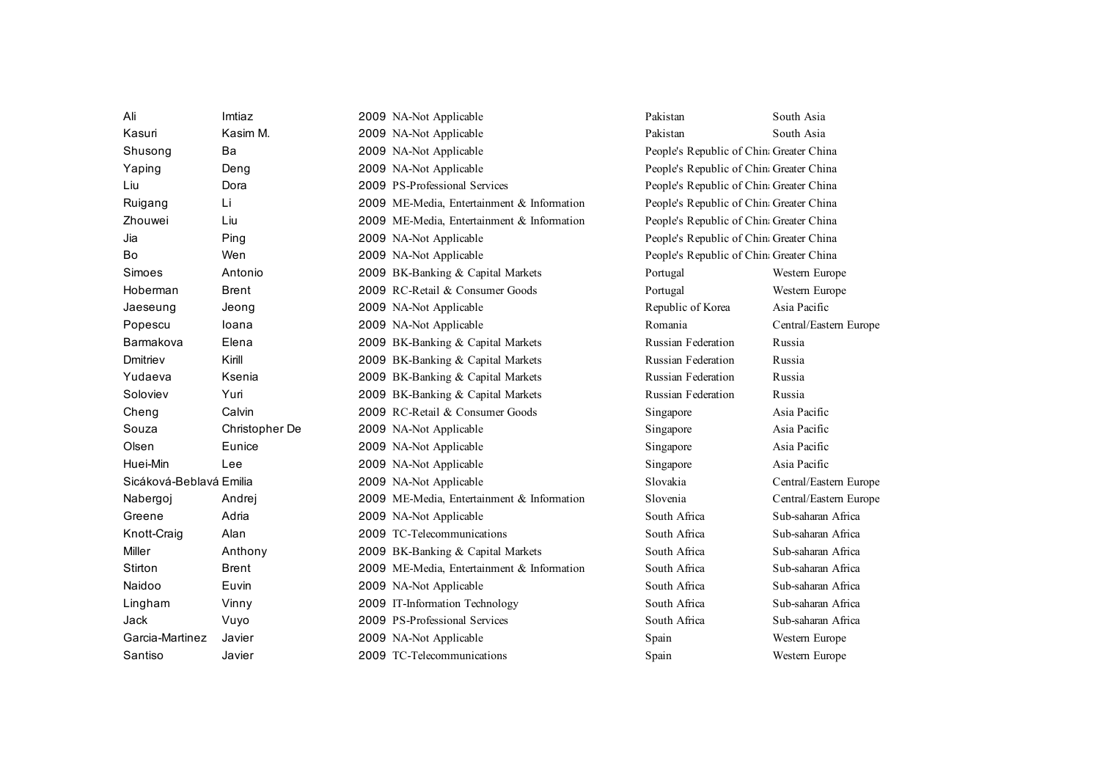| Ali                     | Imtiaz         | 2009 NA-Not Applicable                     | Pakistan                                 | South Asia             |
|-------------------------|----------------|--------------------------------------------|------------------------------------------|------------------------|
| Kasuri                  | Kasim M.       | 2009 NA-Not Applicable                     | Pakistan                                 | South Asia             |
| Shusong                 | Ba             | 2009 NA-Not Applicable                     | People's Republic of China Greater China |                        |
| Yaping                  | Deng           | 2009 NA-Not Applicable                     | People's Republic of China Greater China |                        |
| Liu                     | Dora           | 2009 PS-Professional Services              | People's Republic of China Greater China |                        |
| Ruigang                 | Li             | 2009 ME-Media, Entertainment & Information | People's Republic of China Greater China |                        |
| Zhouwei                 | Liu            | 2009 ME-Media, Entertainment & Information | People's Republic of China Greater China |                        |
| Jia                     | Ping           | 2009 NA-Not Applicable                     | People's Republic of China Greater China |                        |
| Bo                      | Wen            | 2009 NA-Not Applicable                     | People's Republic of China Greater China |                        |
| Simoes                  | Antonio        | 2009 BK-Banking & Capital Markets          | Portugal                                 | Western Europe         |
| Hoberman                | <b>Brent</b>   | 2009 RC-Retail & Consumer Goods            | Portugal                                 | Western Europe         |
| Jaeseung                | Jeong          | 2009 NA-Not Applicable                     | Republic of Korea                        | Asia Pacific           |
| Popescu                 | loana          | 2009 NA-Not Applicable                     | Romania                                  | Central/Eastern Europe |
| Barmakova               | Elena          | 2009 BK-Banking & Capital Markets          | <b>Russian Federation</b>                | Russia                 |
| Dmitriev                | Kirill         | 2009 BK-Banking & Capital Markets          | <b>Russian Federation</b>                | Russia                 |
| Yudaeva                 | Ksenia         | 2009 BK-Banking & Capital Markets          | Russian Federation                       | Russia                 |
| Soloviev                | Yuri           | 2009 BK-Banking & Capital Markets          | <b>Russian Federation</b>                | Russia                 |
| Cheng                   | Calvin         | 2009 RC-Retail & Consumer Goods            | Singapore                                | Asia Pacific           |
| Souza                   | Christopher De | 2009 NA-Not Applicable                     | Singapore                                | Asia Pacific           |
| Olsen                   | Eunice         | 2009 NA-Not Applicable                     | Singapore                                | Asia Pacific           |
| Huei-Min                | Lee            | 2009 NA-Not Applicable                     | Singapore                                | Asia Pacific           |
| Sicáková-Beblavá Emilia |                | 2009 NA-Not Applicable                     | Slovakia                                 | Central/Eastern Europe |
| Nabergoj                | Andrej         | 2009 ME-Media, Entertainment & Information | Slovenia                                 | Central/Eastern Europe |
| Greene                  | Adria          | 2009 NA-Not Applicable                     | South Africa                             | Sub-saharan Africa     |
| Knott-Craig             | Alan           | 2009 TC-Telecommunications                 | South Africa                             | Sub-saharan Africa     |
| Miller                  | Anthony        | 2009 BK-Banking & Capital Markets          | South Africa                             | Sub-saharan Africa     |
| Stirton                 | <b>Brent</b>   | 2009 ME-Media, Entertainment & Information | South Africa                             | Sub-saharan Africa     |
| Naidoo                  | Euvin          | 2009 NA-Not Applicable                     | South Africa                             | Sub-saharan Africa     |
| Lingham                 | Vinny          | 2009 IT-Information Technology             | South Africa                             | Sub-saharan Africa     |
| Jack                    | Vuyo           | 2009 PS-Professional Services              | South Africa                             | Sub-saharan Africa     |
| Garcia-Martinez         | Javier         | 2009 NA-Not Applicable                     | Spain                                    | Western Europe         |
| Santiso                 | Javier         | 2009 TC-Telecommunications                 | Spain                                    | Western Europe         |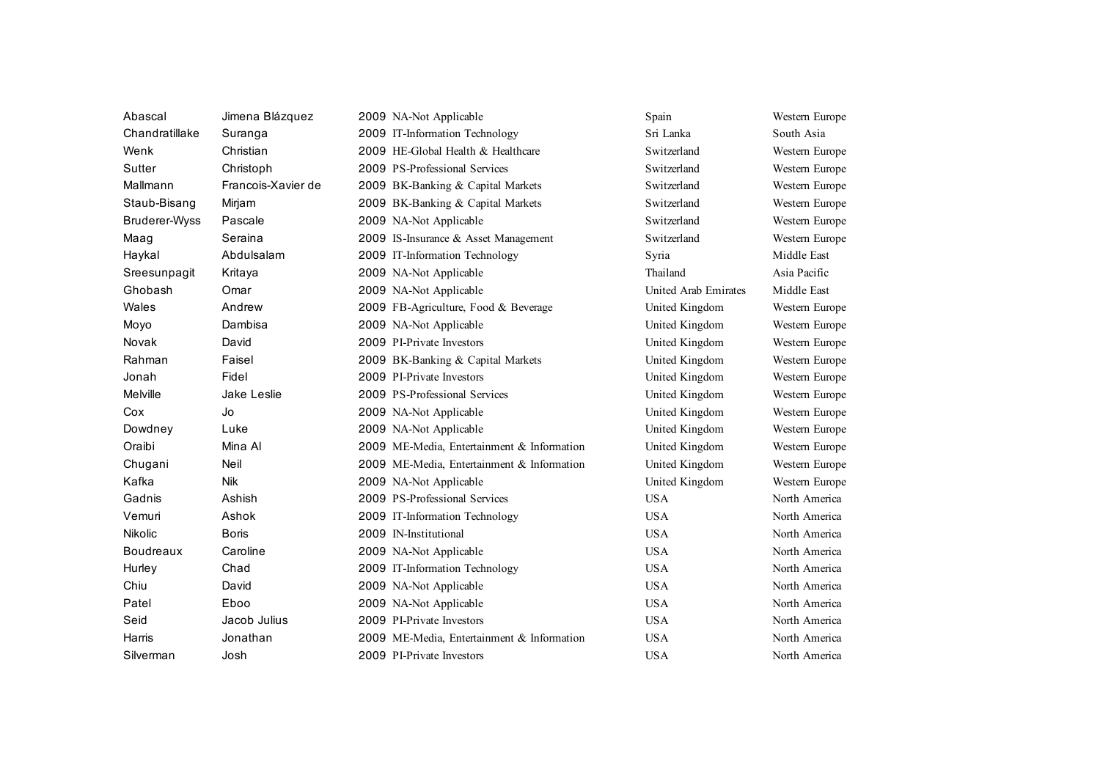| Abascal              | Jimena Blázquez    | 2009 NA-Not Applicable                     | Spain                | Western Europe |
|----------------------|--------------------|--------------------------------------------|----------------------|----------------|
| Chandratillake       | Suranga            | 2009 IT-Information Technology             | Sri Lanka            | South Asia     |
| Wenk                 | Christian          | 2009 HE-Global Health & Healthcare         | Switzerland          | Western Europe |
| Sutter               | Christoph          | 2009 PS-Professional Services              | Switzerland          | Western Europe |
| Mallmann             | Francois-Xavier de | 2009 BK-Banking & Capital Markets          | Switzerland          | Western Europe |
| Staub-Bisang         | Mirjam             | 2009 BK-Banking & Capital Markets          | Switzerland          | Western Europe |
| <b>Bruderer-Wyss</b> | Pascale            | 2009 NA-Not Applicable                     | Switzerland          | Western Europe |
| Maag                 | Seraina            | 2009 IS-Insurance & Asset Management       | Switzerland          | Western Europe |
| Haykal               | Abdulsalam         | 2009 IT-Information Technology             | Syria                | Middle East    |
| Sreesunpagit         | Kritaya            | 2009 NA-Not Applicable                     | Thailand             | Asia Pacific   |
| Ghobash              | Omar               | 2009 NA-Not Applicable                     | United Arab Emirates | Middle East    |
| Wales                | Andrew             | 2009 FB-Agriculture, Food & Beverage       | United Kingdom       | Western Europe |
| Moyo                 | Dambisa            | 2009 NA-Not Applicable                     | United Kingdom       | Western Europe |
| Novak                | David              | 2009 PI-Private Investors                  | United Kingdom       | Western Europe |
| Rahman               | Faisel             | 2009 BK-Banking & Capital Markets          | United Kingdom       | Western Europe |
| Jonah                | Fidel              | 2009 PI-Private Investors                  | United Kingdom       | Western Europe |
| Melville             | Jake Leslie        | 2009 PS-Professional Services              | United Kingdom       | Western Europe |
| Cox                  | Jo                 | 2009 NA-Not Applicable                     | United Kingdom       | Western Europe |
| Dowdney              | Luke               | 2009 NA-Not Applicable                     | United Kingdom       | Western Europe |
| Oraibi               | Mina Al            | 2009 ME-Media, Entertainment & Information | United Kingdom       | Western Europe |
| Chugani              | <b>Neil</b>        | 2009 ME-Media, Entertainment & Information | United Kingdom       | Western Europe |
| Kafka                | <b>Nik</b>         | 2009 NA-Not Applicable                     | United Kingdom       | Western Europe |
| Gadnis               | Ashish             | 2009 PS-Professional Services              | <b>USA</b>           | North America  |
| Vemuri               | Ashok              | 2009 IT-Information Technology             | <b>USA</b>           | North America  |
| Nikolic              | <b>Boris</b>       | 2009 IN-Institutional                      | <b>USA</b>           | North America  |
| Boudreaux            | Caroline           | 2009 NA-Not Applicable                     | <b>USA</b>           | North America  |
| Hurley               | Chad               | 2009 IT-Information Technology             | <b>USA</b>           | North America  |
| Chiu                 | David              | 2009 NA-Not Applicable                     | <b>USA</b>           | North America  |
| Patel                | Eboo               | 2009 NA-Not Applicable                     | <b>USA</b>           | North America  |
| Seid                 | Jacob Julius       | 2009 PI-Private Investors                  | <b>USA</b>           | North America  |
| Harris               | Jonathan           | 2009 ME-Media, Entertainment & Information | <b>USA</b>           | North America  |
| Silverman            | Josh               | 2009 PI-Private Investors                  | <b>USA</b>           | North America  |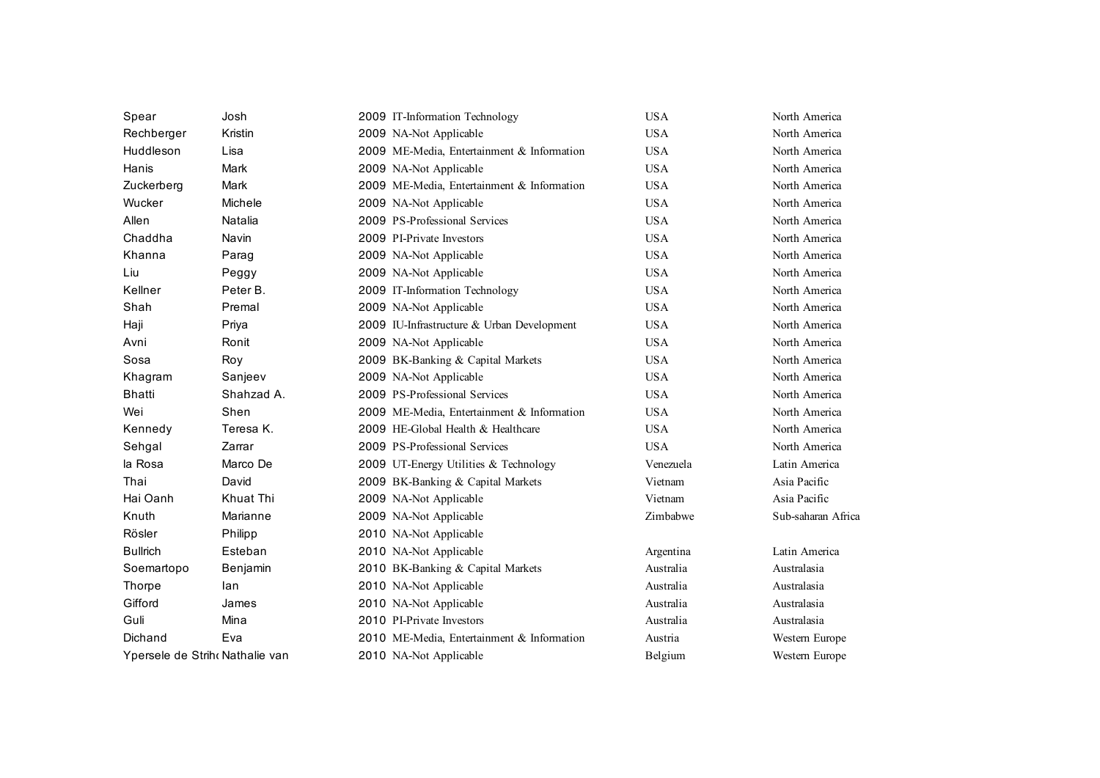| Spear           | Josh                            | 2009 IT-Information Technology             | <b>USA</b> | North America      |
|-----------------|---------------------------------|--------------------------------------------|------------|--------------------|
| Rechberger      | Kristin                         | 2009 NA-Not Applicable                     | <b>USA</b> | North America      |
| Huddleson       | Lisa                            | 2009 ME-Media, Entertainment & Information | <b>USA</b> | North America      |
| Hanis           | Mark                            | 2009 NA-Not Applicable                     | <b>USA</b> | North America      |
| Zuckerberg      | Mark                            | 2009 ME-Media, Entertainment & Information | <b>USA</b> | North America      |
| Wucker          | Michele                         | 2009 NA-Not Applicable                     | <b>USA</b> | North America      |
| Allen           | Natalia                         | 2009 PS-Professional Services              | <b>USA</b> | North America      |
| Chaddha         | Navin                           | 2009 PI-Private Investors                  | <b>USA</b> | North America      |
| Khanna          | Parag                           | 2009 NA-Not Applicable                     | <b>USA</b> | North America      |
| Liu             | Peggy                           | 2009 NA-Not Applicable                     | <b>USA</b> | North America      |
| Kellner         | Peter B.                        | 2009 IT-Information Technology             | <b>USA</b> | North America      |
| Shah            | Premal                          | 2009 NA-Not Applicable                     | <b>USA</b> | North America      |
| Haji            | Priya                           | 2009 IU-Infrastructure & Urban Development | <b>USA</b> | North America      |
| Avni            | Ronit                           | 2009 NA-Not Applicable                     | <b>USA</b> | North America      |
| Sosa            | Roy                             | 2009 BK-Banking & Capital Markets          | <b>USA</b> | North America      |
| Khagram         | Sanjeev                         | 2009 NA-Not Applicable                     | <b>USA</b> | North America      |
| <b>Bhatti</b>   | Shahzad A.                      | 2009 PS-Professional Services              | <b>USA</b> | North America      |
| Wei             | Shen                            | 2009 ME-Media, Entertainment & Information | <b>USA</b> | North America      |
| Kennedy         | Teresa K.                       | 2009 HE-Global Health & Healthcare         | <b>USA</b> | North America      |
| Sehgal          | Zarrar                          | 2009 PS-Professional Services              | <b>USA</b> | North America      |
| la Rosa         | Marco De                        | 2009 UT-Energy Utilities & Technology      | Venezuela  | Latin America      |
| Thai            | David                           | 2009 BK-Banking & Capital Markets          | Vietnam    | Asia Pacific       |
| Hai Oanh        | Khuat Thi                       | 2009 NA-Not Applicable                     | Vietnam    | Asia Pacific       |
| Knuth           | Marianne                        | 2009 NA-Not Applicable                     | Zimbabwe   | Sub-saharan Africa |
| Rösler          | Philipp                         | 2010 NA-Not Applicable                     |            |                    |
| <b>Bullrich</b> | Esteban                         | 2010 NA-Not Applicable                     | Argentina  | Latin America      |
| Soemartopo      | Benjamin                        | 2010 BK-Banking & Capital Markets          | Australia  | Australasia        |
| Thorpe          | lan                             | 2010 NA-Not Applicable                     | Australia  | Australasia        |
| Gifford         | James                           | 2010 NA-Not Applicable                     | Australia  | Australasia        |
| Guli            | Mina                            | 2010 PI-Private Investors                  | Australia  | Australasia        |
| Dichand         | Eva                             | 2010 ME-Media, Entertainment & Information | Austria    | Western Europe     |
|                 | Ypersele de Strih‹ Nathalie van | 2010 NA-Not Applicable                     | Belgium    | Western Europe     |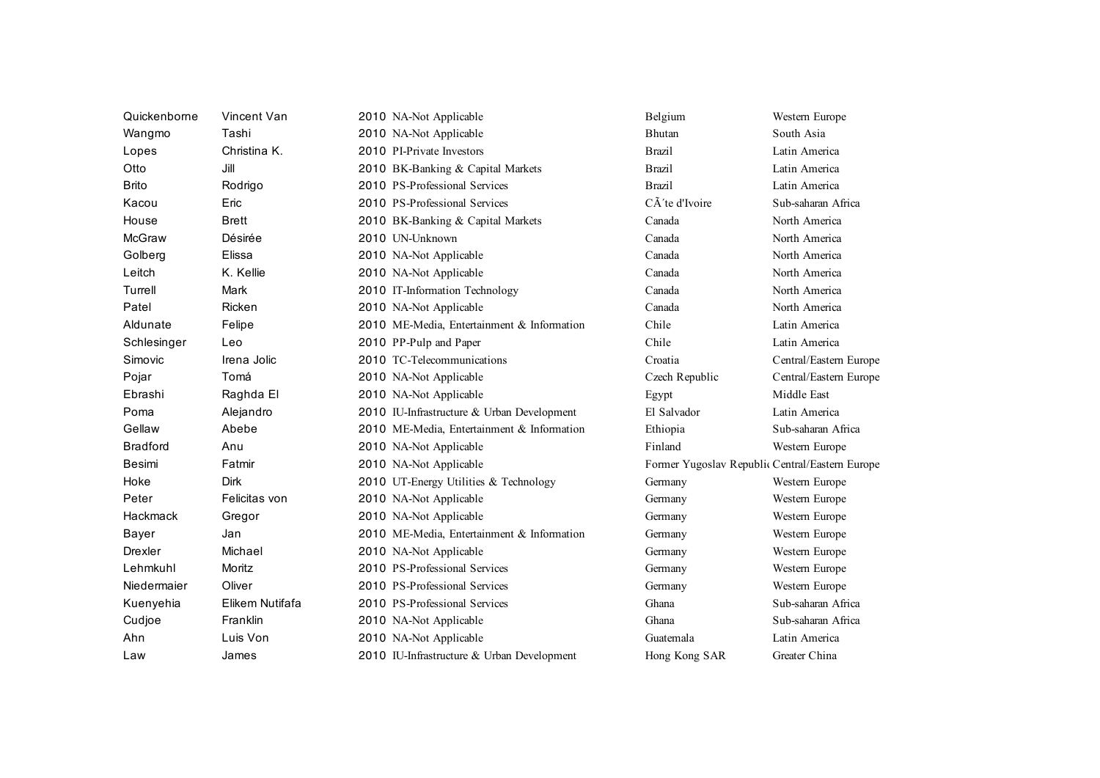| Quickenborne    | Vincent Van     | 2010 NA-Not Applicable                     | Belgium                                         | Western Europe         |
|-----------------|-----------------|--------------------------------------------|-------------------------------------------------|------------------------|
| Wangmo          | Tashi           | 2010 NA-Not Applicable                     | Bhutan                                          | South Asia             |
| Lopes           | Christina K.    | 2010 PI-Private Investors                  | <b>Brazil</b>                                   | Latin America          |
| Otto            | Jill            | 2010 BK-Banking & Capital Markets          | <b>Brazil</b>                                   | Latin America          |
| <b>Brito</b>    | Rodrigo         | 2010 PS-Professional Services              | <b>Brazil</b>                                   | Latin America          |
| Kacou           | Eric            | 2010 PS-Professional Services              | CÂ'te d'Ivoire                                  | Sub-saharan Africa     |
| House           | <b>Brett</b>    | 2010 BK-Banking & Capital Markets          | Canada                                          | North America          |
| <b>McGraw</b>   | Désirée         | 2010 UN-Unknown                            | Canada                                          | North America          |
| Golberg         | Elissa          | 2010 NA-Not Applicable                     | Canada                                          | North America          |
| Leitch          | K. Kellie       | 2010 NA-Not Applicable                     | Canada                                          | North America          |
| Turrell         | Mark            | 2010 IT-Information Technology             | Canada                                          | North America          |
| Patel           | Ricken          | 2010 NA-Not Applicable                     | Canada                                          | North America          |
| Aldunate        | Felipe          | 2010 ME-Media, Entertainment & Information | Chile                                           | Latin America          |
| Schlesinger     | Leo             | 2010 PP-Pulp and Paper                     | Chile                                           | Latin America          |
| Simovic         | Irena Jolic     | 2010 TC-Telecommunications                 | Croatia                                         | Central/Eastern Europe |
| Pojar           | Tomá            | 2010 NA-Not Applicable                     | Czech Republic                                  | Central/Eastern Europe |
| Ebrashi         | Raghda El       | 2010 NA-Not Applicable                     | Egypt                                           | Middle East            |
| Poma            | Alejandro       | 2010 IU-Infrastructure & Urban Development | El Salvador                                     | Latin America          |
| Gellaw          | Abebe           | 2010 ME-Media, Entertainment & Information | Ethiopia                                        | Sub-saharan Africa     |
| <b>Bradford</b> | Anu             | 2010 NA-Not Applicable                     | Finland                                         | Western Europe         |
| Besimi          | Fatmir          | 2010 NA-Not Applicable                     | Former Yugoslav Republic Central/Eastern Europe |                        |
| Hoke            | <b>Dirk</b>     | 2010 UT-Energy Utilities & Technology      | Germany                                         | Western Europe         |
| Peter           | Felicitas von   | 2010 NA-Not Applicable                     | Germany                                         | Western Europe         |
| Hackmack        | Gregor          | 2010 NA-Not Applicable                     | Germany                                         | Western Europe         |
| Bayer           | Jan             | 2010 ME-Media, Entertainment & Information | Germany                                         | Western Europe         |
| <b>Drexler</b>  | Michael         | 2010 NA-Not Applicable                     | Germany                                         | Western Europe         |
| Lehmkuhl        | Moritz          | 2010 PS-Professional Services              | Germany                                         | Western Europe         |
| Niedermaier     | Oliver          | 2010 PS-Professional Services              | Germany                                         | Western Europe         |
| Kuenyehia       | Elikem Nutifafa | 2010 PS-Professional Services              | Ghana                                           | Sub-saharan Africa     |
| Cudjoe          | Franklin        | 2010 NA-Not Applicable                     | Ghana                                           | Sub-saharan Africa     |
| Ahn             | Luis Von        | 2010 NA-Not Applicable                     | Guatemala                                       | Latin America          |
| Law             | James           | 2010 IU-Infrastructure & Urban Development | Hong Kong SAR                                   | Greater China          |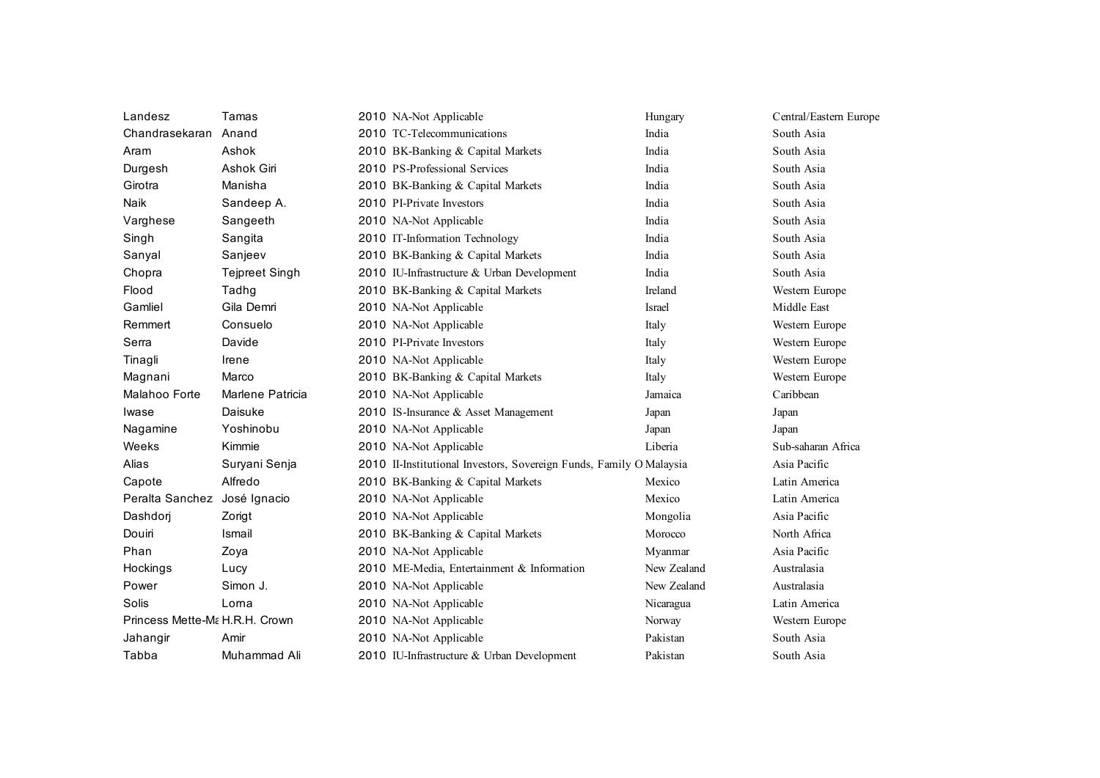| Landesz                        | Tamas                 | 2010 NA-Not Applicable                                              | Hungary     | Central/Eastern Europe |
|--------------------------------|-----------------------|---------------------------------------------------------------------|-------------|------------------------|
| Chandrasekaran                 | Anand                 | 2010 TC-Telecommunications                                          | India       | South Asia             |
| Aram                           | Ashok                 | 2010 BK-Banking & Capital Markets                                   | India       | South Asia             |
| Durgesh                        | Ashok Giri            | 2010 PS-Professional Services                                       | India       | South Asia             |
| Girotra                        | Manisha               | 2010 BK-Banking & Capital Markets                                   | India       | South Asia             |
| Naik                           | Sandeep A.            | 2010 PI-Private Investors                                           | India       | South Asia             |
| Varghese                       | Sangeeth              | 2010 NA-Not Applicable                                              | India       | South Asia             |
| Singh                          | Sangita               | 2010 IT-Information Technology                                      | India       | South Asia             |
| Sanyal                         | Sanjeev               | 2010 BK-Banking & Capital Markets                                   | India       | South Asia             |
| Chopra                         | <b>Tejpreet Singh</b> | 2010 IU-Infrastructure & Urban Development                          | India       | South Asia             |
| Flood                          | Tadhg                 | 2010 BK-Banking & Capital Markets                                   | Ireland     | Western Europe         |
| Gamliel                        | Gila Demri            | 2010 NA-Not Applicable                                              | Israel      | Middle East            |
| Remmert                        | Consuelo              | 2010 NA-Not Applicable                                              | Italy       | Western Europe         |
| Serra                          | Davide                | 2010 PI-Private Investors                                           | Italy       | Western Europe         |
| Tinagli                        | Irene                 | 2010 NA-Not Applicable                                              | Italy       | Western Europe         |
| Magnani                        | Marco                 | 2010 BK-Banking & Capital Markets                                   | Italy       | Western Europe         |
| Malahoo Forte                  | Marlene Patricia      | 2010 NA-Not Applicable                                              | Jamaica     | Caribbean              |
| Iwase                          | Daisuke               | 2010 IS-Insurance & Asset Management                                | Japan       | Japan                  |
| Nagamine                       | Yoshinobu             | 2010 NA-Not Applicable                                              | Japan       | Japan                  |
| Weeks                          | Kimmie                | 2010 NA-Not Applicable                                              | Liberia     | Sub-saharan Africa     |
| Alias                          | Suryani Senja         | 2010 II-Institutional Investors, Sovereign Funds, Family O Malaysia |             | Asia Pacific           |
| Capote                         | Alfredo               | 2010 BK-Banking & Capital Markets                                   | Mexico      | Latin America          |
| Peralta Sanchez José Ignacio   |                       | 2010 NA-Not Applicable                                              | Mexico      | Latin America          |
| Dashdorj                       | Zorigt                | 2010 NA-Not Applicable                                              | Mongolia    | Asia Pacific           |
| Douiri                         | Ismail                | 2010 BK-Banking & Capital Markets                                   | Morocco     | North Africa           |
| Phan                           | Zoya                  | 2010 NA-Not Applicable                                              | Myanmar     | Asia Pacific           |
| Hockings                       | Lucy                  | 2010 ME-Media, Entertainment & Information                          | New Zealand | Australasia            |
| Power                          | Simon J.              | 2010 NA-Not Applicable                                              | New Zealand | Australasia            |
| Solis                          | Lorna                 | 2010 NA-Not Applicable                                              | Nicaragua   | Latin America          |
| Princess Mette-Ma H.R.H. Crown |                       | 2010 NA-Not Applicable                                              | Norway      | Western Europe         |
| Jahangir                       | Amir                  | 2010 NA-Not Applicable                                              | Pakistan    | South Asia             |
| Tabba                          | Muhammad Ali          | 2010 IU-Infrastructure & Urban Development                          | Pakistan    | South Asia             |
|                                |                       |                                                                     |             |                        |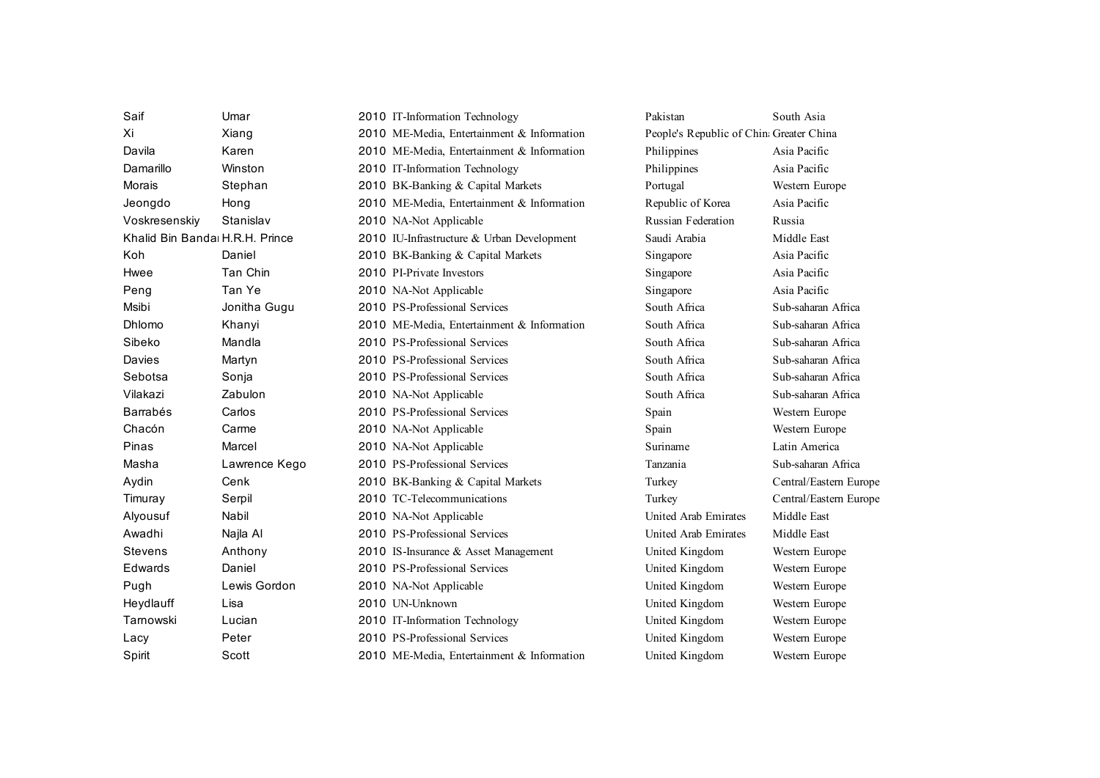| Saif                           | Umar          | 2010 IT-Information Technology             | Pakistan                                 | South Asia             |
|--------------------------------|---------------|--------------------------------------------|------------------------------------------|------------------------|
| Xi                             | Xiang         | 2010 ME-Media, Entertainment & Information | People's Republic of China Greater China |                        |
| Davila                         | Karen         | 2010 ME-Media, Entertainment & Information | Philippines                              | Asia Pacific           |
| Damarillo                      | Winston       | 2010 IT-Information Technology             | Philippines                              | Asia Pacific           |
| Morais                         | Stephan       | 2010 BK-Banking & Capital Markets          | Portugal                                 | Western Europe         |
| Jeongdo                        | Hong          | 2010 ME-Media, Entertainment & Information | Republic of Korea                        | Asia Pacific           |
| Voskresenskiy                  | Stanislav     | 2010 NA-Not Applicable                     | Russian Federation                       | Russia                 |
| Khalid Bin Banda H.R.H. Prince |               | 2010 IU-Infrastructure & Urban Development | Saudi Arabia                             | Middle East            |
| Koh                            | Daniel        | 2010 BK-Banking & Capital Markets          | Singapore                                | Asia Pacific           |
| Hwee                           | Tan Chin      | 2010 PI-Private Investors                  | Singapore                                | Asia Pacific           |
| Peng                           | Tan Ye        | 2010 NA-Not Applicable                     | Singapore                                | Asia Pacific           |
| Msibi                          | Jonitha Gugu  | 2010 PS-Professional Services              | South Africa                             | Sub-saharan Africa     |
| Dhlomo                         | Khanyi        | 2010 ME-Media, Entertainment & Information | South Africa                             | Sub-saharan Africa     |
| Sibeko                         | Mandla        | 2010 PS-Professional Services              | South Africa                             | Sub-saharan Africa     |
| Davies                         | Martyn        | 2010 PS-Professional Services              | South Africa                             | Sub-saharan Africa     |
| Sebotsa                        | Sonja         | 2010 PS-Professional Services              | South Africa                             | Sub-saharan Africa     |
| Vilakazi                       | Zabulon       | 2010 NA-Not Applicable                     | South Africa                             | Sub-saharan Africa     |
| <b>Barrabés</b>                | Carlos        | 2010 PS-Professional Services              | Spain                                    | Western Europe         |
| Chacón                         | Carme         | 2010 NA-Not Applicable                     | Spain                                    | Western Europe         |
| Pinas                          | Marcel        | 2010 NA-Not Applicable                     | Suriname                                 | Latin America          |
| Masha                          | Lawrence Kego | 2010 PS-Professional Services              | Tanzania                                 | Sub-saharan Africa     |
| Aydin                          | Cenk          | 2010 BK-Banking & Capital Markets          | Turkey                                   | Central/Eastern Europe |
| Timuray                        | Serpil        | 2010 TC-Telecommunications                 | Turkey                                   | Central/Eastern Europe |
| Alyousuf                       | Nabil         | 2010 NA-Not Applicable                     | United Arab Emirates                     | Middle East            |
| Awadhi                         | Najla Al      | 2010 PS-Professional Services              | United Arab Emirates                     | Middle East            |
| <b>Stevens</b>                 | Anthony       | 2010 IS-Insurance & Asset Management       | United Kingdom                           | Western Europe         |
| Edwards                        | Daniel        | 2010 PS-Professional Services              | United Kingdom                           | Western Europe         |
| Pugh                           | Lewis Gordon  | 2010 NA-Not Applicable                     | United Kingdom                           | Western Europe         |
| Heydlauff                      | Lisa          | 2010 UN-Unknown                            | United Kingdom                           | Western Europe         |
| Tarnowski                      | Lucian        | 2010 IT-Information Technology             | United Kingdom                           | Western Europe         |
| Lacy                           | Peter         | 2010 PS-Professional Services              | United Kingdom                           | Western Europe         |
| Spirit                         | Scott         | 2010 ME-Media, Entertainment & Information | United Kingdom                           | Western Europe         |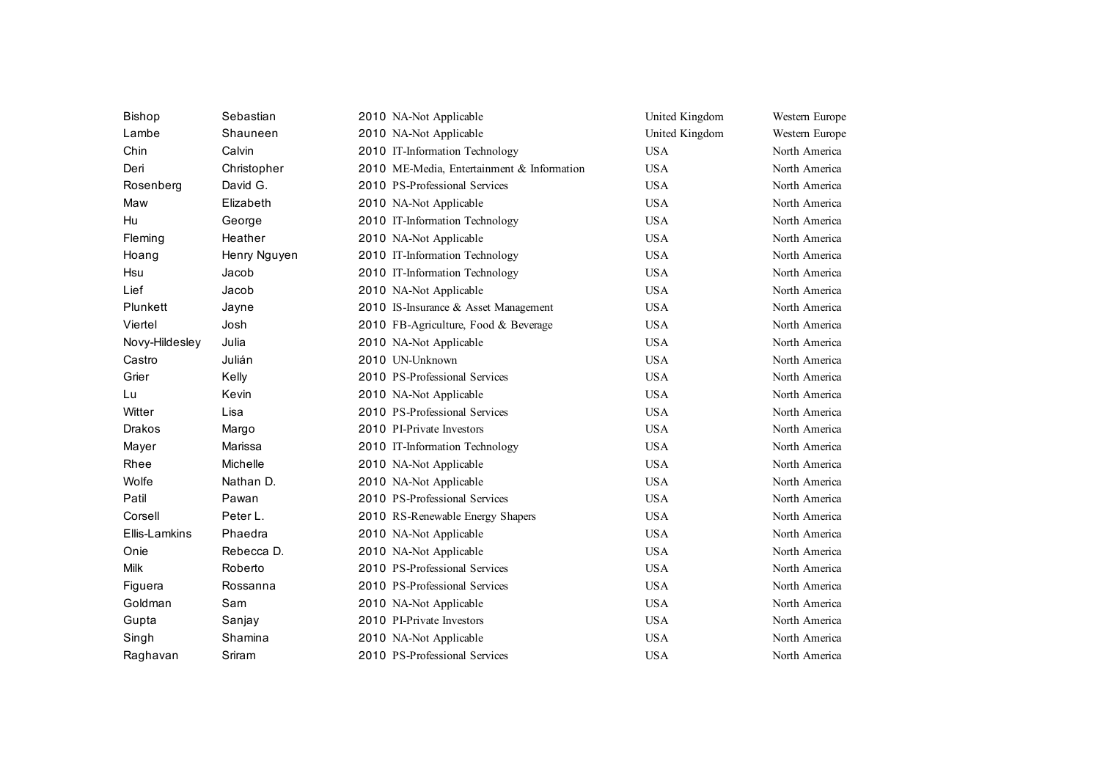| <b>Bishop</b>  | Sebastian    | 2010 NA-Not Applicable                     | United Kingdom | Western Europe |
|----------------|--------------|--------------------------------------------|----------------|----------------|
| Lambe          | Shauneen     | 2010 NA-Not Applicable                     | United Kingdom | Western Europe |
| Chin           | Calvin       | 2010 IT-Information Technology             | <b>USA</b>     | North America  |
| Deri           | Christopher  | 2010 ME-Media, Entertainment & Information | <b>USA</b>     | North America  |
| Rosenberg      | David G.     | 2010 PS-Professional Services              | <b>USA</b>     | North America  |
| Maw            | Elizabeth    | 2010 NA-Not Applicable                     | <b>USA</b>     | North America  |
| Hu             | George       | 2010 IT-Information Technology             | <b>USA</b>     | North America  |
| Fleming        | Heather      | 2010 NA-Not Applicable                     | <b>USA</b>     | North America  |
| Hoang          | Henry Nguyen | 2010 IT-Information Technology             | <b>USA</b>     | North America  |
| Hsu            | Jacob        | 2010 IT-Information Technology             | <b>USA</b>     | North America  |
| Lief           | Jacob        | 2010 NA-Not Applicable                     | <b>USA</b>     | North America  |
| Plunkett       | Jayne        | 2010 IS-Insurance & Asset Management       | <b>USA</b>     | North America  |
| Viertel        | Josh         | 2010 FB-Agriculture, Food & Beverage       | <b>USA</b>     | North America  |
| Novy-Hildesley | Julia        | 2010 NA-Not Applicable                     | <b>USA</b>     | North America  |
| Castro         | Julián       | 2010 UN-Unknown                            | <b>USA</b>     | North America  |
| Grier          | Kelly        | 2010 PS-Professional Services              | <b>USA</b>     | North America  |
| Lu             | Kevin        | 2010 NA-Not Applicable                     | <b>USA</b>     | North America  |
| Witter         | Lisa         | 2010 PS-Professional Services              | <b>USA</b>     | North America  |
| <b>Drakos</b>  | Margo        | 2010 PI-Private Investors                  | <b>USA</b>     | North America  |
| Mayer          | Marissa      | 2010 IT-Information Technology             | <b>USA</b>     | North America  |
| Rhee           | Michelle     | 2010 NA-Not Applicable                     | <b>USA</b>     | North America  |
| Wolfe          | Nathan D.    | 2010 NA-Not Applicable                     | <b>USA</b>     | North America  |
| Patil          | Pawan        | 2010 PS-Professional Services              | <b>USA</b>     | North America  |
| Corsell        | Peter L.     | 2010 RS-Renewable Energy Shapers           | <b>USA</b>     | North America  |
| Ellis-Lamkins  | Phaedra      | 2010 NA-Not Applicable                     | <b>USA</b>     | North America  |
| Onie           | Rebecca D.   | 2010 NA-Not Applicable                     | <b>USA</b>     | North America  |
| Milk           | Roberto      | 2010 PS-Professional Services              | <b>USA</b>     | North America  |
| Figuera        | Rossanna     | 2010 PS-Professional Services              | <b>USA</b>     | North America  |
| Goldman        | Sam          | 2010 NA-Not Applicable                     | <b>USA</b>     | North America  |
| Gupta          | Sanjay       | 2010 PI-Private Investors                  | <b>USA</b>     | North America  |
| Singh          | Shamina      | 2010 NA-Not Applicable                     | <b>USA</b>     | North America  |
| Raghavan       | Sriram       | 2010 PS-Professional Services              | <b>USA</b>     | North America  |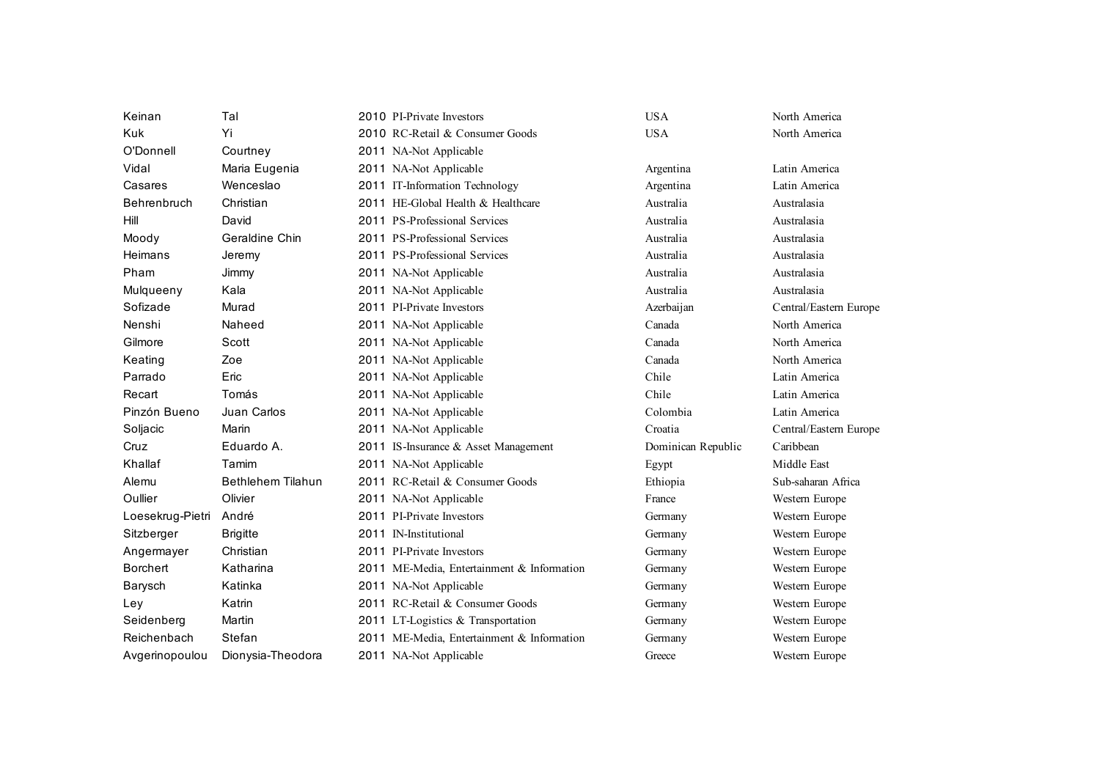| Keinan           | Tal                      | 2010 PI-Private Investors                  | <b>USA</b>         | North America          |
|------------------|--------------------------|--------------------------------------------|--------------------|------------------------|
| <b>Kuk</b>       | Yi                       | 2010 RC-Retail & Consumer Goods            | <b>USA</b>         | North America          |
| O'Donnell        | Courtney                 | 2011 NA-Not Applicable                     |                    |                        |
| Vidal            | Maria Eugenia            | 2011 NA-Not Applicable                     | Argentina          | Latin America          |
| Casares          | Wenceslao                | 2011 IT-Information Technology             | Argentina          | Latin America          |
| Behrenbruch      | Christian                | 2011 HE-Global Health & Healthcare         | Australia          | Australasia            |
| Hill             | David                    | 2011 PS-Professional Services              | Australia          | Australasia            |
| Moody            | Geraldine Chin           | 2011 PS-Professional Services              | Australia          | Australasia            |
| Heimans          | Jeremy                   | 2011 PS-Professional Services              | Australia          | Australasia            |
| Pham             | Jimmy                    | 2011 NA-Not Applicable                     | Australia          | Australasia            |
| Mulqueeny        | Kala                     | 2011 NA-Not Applicable                     | Australia          | Australasia            |
| Sofizade         | Murad                    | 2011 PI-Private Investors                  | Azerbaijan         | Central/Eastern Europe |
| Nenshi           | Naheed                   | 2011 NA-Not Applicable                     | Canada             | North America          |
| Gilmore          | Scott                    | 2011 NA-Not Applicable                     | Canada             | North America          |
| Keating          | Zoe                      | 2011 NA-Not Applicable                     | Canada             | North America          |
| Parrado          | Eric                     | 2011 NA-Not Applicable                     | Chile              | Latin America          |
| Recart           | Tomás                    | 2011 NA-Not Applicable                     | Chile              | Latin America          |
| Pinzón Bueno     | Juan Carlos              | 2011 NA-Not Applicable                     | Colombia           | Latin America          |
| Soljacic         | Marin                    | 2011 NA-Not Applicable                     | Croatia            | Central/Eastern Europe |
| Cruz             | Eduardo A.               | 2011 IS-Insurance & Asset Management       | Dominican Republic | Caribbean              |
| Khallaf          | Tamim                    | 2011 NA-Not Applicable                     | Egypt              | Middle East            |
| Alemu            | <b>Bethlehem Tilahun</b> | 2011 RC-Retail & Consumer Goods            | Ethiopia           | Sub-saharan Africa     |
| Oullier          | Olivier                  | 2011 NA-Not Applicable                     | France             | Western Europe         |
| Loesekrug-Pietri | André                    | 2011 PI-Private Investors                  | Germany            | Western Europe         |
| Sitzberger       | <b>Brigitte</b>          | 2011 IN-Institutional                      | Germany            | Western Europe         |
| Angermayer       | Christian                | 2011 PI-Private Investors                  | Germany            | Western Europe         |
| <b>Borchert</b>  | Katharina                | 2011 ME-Media, Entertainment & Information | Germany            | Western Europe         |
| Barysch          | Katinka                  | 2011 NA-Not Applicable                     | Germany            | Western Europe         |
| Ley              | Katrin                   | 2011 RC-Retail & Consumer Goods            | Germany            | Western Europe         |
| Seidenberg       | Martin                   | 2011 LT-Logistics & Transportation         | Germany            | Western Europe         |
| Reichenbach      | Stefan                   | 2011 ME-Media, Entertainment & Information | Germany            | Western Europe         |
| Avgerinopoulou   | Dionysia-Theodora        | 2011 NA-Not Applicable                     | Greece             | Western Europe         |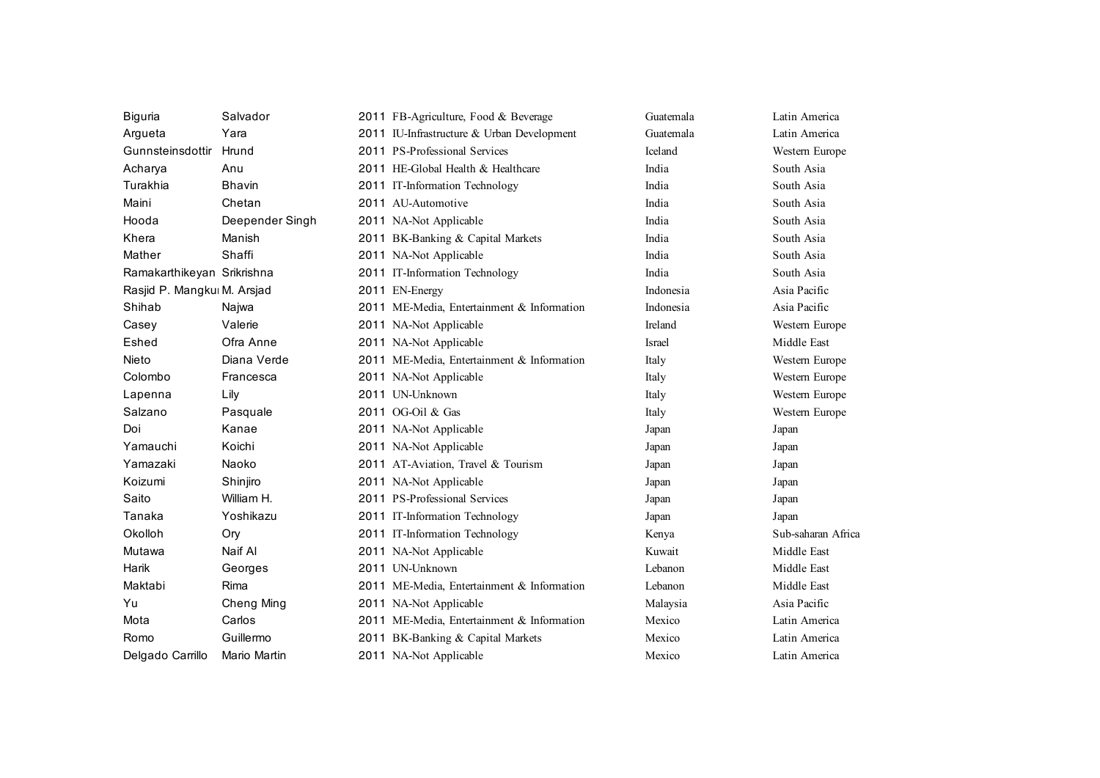| Biguria                     | Salvador        | 2011 FB-Agriculture, Food & Beverage       | Guatemala     | Latin America      |
|-----------------------------|-----------------|--------------------------------------------|---------------|--------------------|
| Argueta                     | Yara            | 2011 IU-Infrastructure & Urban Development | Guatemala     | Latin America      |
| Gunnsteinsdottir            | Hrund           | 2011 PS-Professional Services              | Iceland       | Western Europe     |
| Acharya                     | Anu             | 2011 HE-Global Health & Healthcare         | India         | South Asia         |
| Turakhia                    | <b>Bhavin</b>   | 2011 IT-Information Technology             | India         | South Asia         |
| Maini                       | Chetan          | 2011 AU-Automotive                         | India         | South Asia         |
| Hooda                       | Deepender Singh | 2011 NA-Not Applicable                     | India         | South Asia         |
| Khera                       | Manish          | 2011 BK-Banking & Capital Markets          | India         | South Asia         |
| Mather                      | Shaffi          | 2011 NA-Not Applicable                     | India         | South Asia         |
| Ramakarthikeyan Srikrishna  |                 | 2011 IT-Information Technology             | India         | South Asia         |
| Rasjid P. Mangkul M. Arsjad |                 | 2011 EN-Energy                             | Indonesia     | Asia Pacific       |
| Shihab                      | Najwa           | 2011 ME-Media, Entertainment & Information | Indonesia     | Asia Pacific       |
| Casey                       | Valerie         | 2011 NA-Not Applicable                     | Ireland       | Western Europe     |
| Eshed                       | Ofra Anne       | 2011 NA-Not Applicable                     | <b>Israel</b> | Middle East        |
| Nieto                       | Diana Verde     | 2011 ME-Media, Entertainment & Information | Italy         | Western Europe     |
| Colombo                     | Francesca       | 2011 NA-Not Applicable                     | Italy         | Western Europe     |
| Lapenna                     | Lily            | 2011 UN-Unknown                            | Italy         | Western Europe     |
| Salzano                     | Pasquale        | 2011 OG-Oil & Gas                          | Italy         | Western Europe     |
| Doi                         | Kanae           | 2011 NA-Not Applicable                     | Japan         | Japan              |
| Yamauchi                    | Koichi          | 2011 NA-Not Applicable                     | Japan         | Japan              |
| Yamazaki                    | Naoko           | 2011 AT-Aviation, Travel & Tourism         | Japan         | Japan              |
| Koizumi                     | Shinjiro        | 2011 NA-Not Applicable                     | Japan         | Japan              |
| Saito                       | William H.      | 2011 PS-Professional Services              | Japan         | Japan              |
| Tanaka                      | Yoshikazu       | 2011 IT-Information Technology             | Japan         | Japan              |
| Okolloh                     | Ory             | 2011 IT-Information Technology             | Kenya         | Sub-saharan Africa |
| Mutawa                      | Naif Al         | 2011 NA-Not Applicable                     | Kuwait        | Middle East        |
| Harik                       | Georges         | 2011 UN-Unknown                            | Lebanon       | Middle East        |
| Maktabi                     | Rima            | 2011 ME-Media, Entertainment & Information | Lebanon       | Middle East        |
| Yu                          | Cheng Ming      | 2011 NA-Not Applicable                     | Malaysia      | Asia Pacific       |
| Mota                        | Carlos          | 2011 ME-Media, Entertainment & Information | Mexico        | Latin America      |
| Romo                        | Guillermo       | 2011 BK-Banking & Capital Markets          | Mexico        | Latin America      |
| Delgado Carrillo            | Mario Martin    | 2011 NA-Not Applicable                     | Mexico        | Latin America      |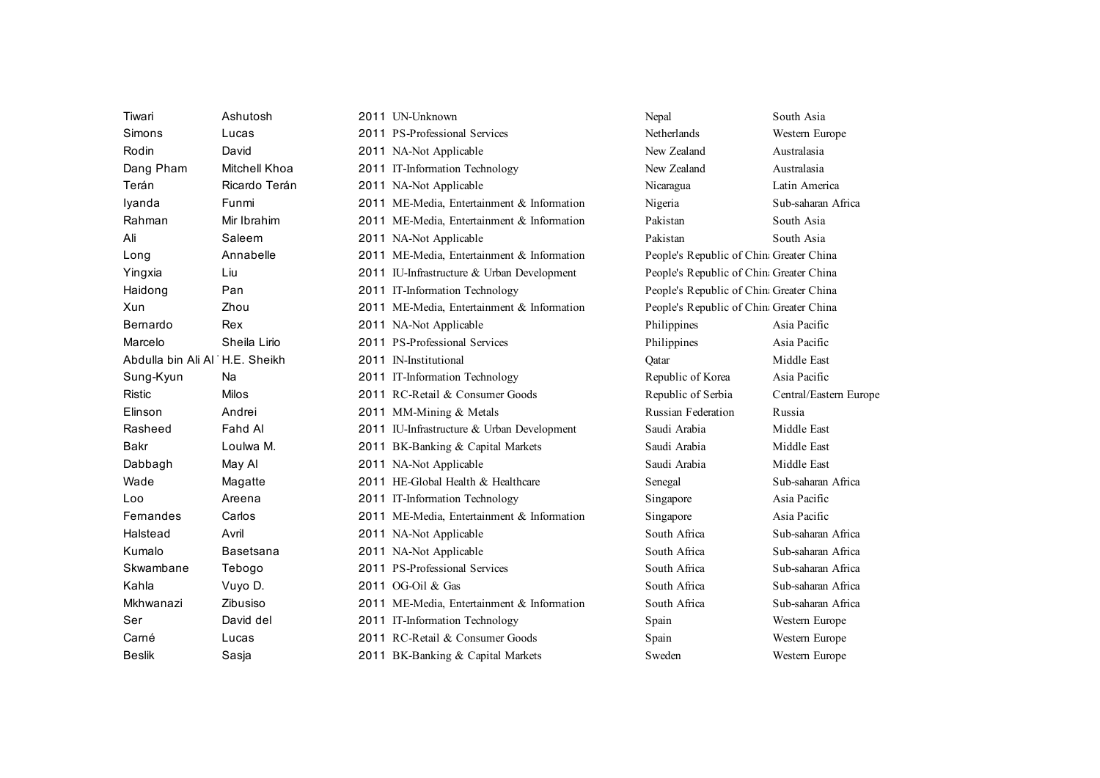| Tiwari                         | Ashutosh             | 2011 UN-Unknown                            | Nepal                                    | South Asia             |
|--------------------------------|----------------------|--------------------------------------------|------------------------------------------|------------------------|
| Simons                         | Lucas                | 2011 PS-Professional Services              | Netherlands                              | Western Europe         |
| Rodin                          | David                | 2011 NA-Not Applicable                     | New Zealand                              | Australasia            |
| Dang Pham                      | <b>Mitchell Khoa</b> | 2011 IT-Information Technology             | New Zealand                              | Australasia            |
| Terán                          | Ricardo Terán        | 2011 NA-Not Applicable                     | Nicaragua                                | Latin America          |
| Iyanda                         | Funmi                | 2011 ME-Media, Entertainment & Information | Nigeria                                  | Sub-saharan Africa     |
| Rahman                         | Mir Ibrahim          | 2011 ME-Media, Entertainment & Information | Pakistan                                 | South Asia             |
| Ali                            | Saleem               | 2011 NA-Not Applicable                     | Pakistan                                 | South Asia             |
| Long                           | Annabelle            | 2011 ME-Media, Entertainment & Information | People's Republic of China Greater China |                        |
| Yingxia                        | Liu                  | 2011 IU-Infrastructure & Urban Development | People's Republic of China Greater China |                        |
| Haidong                        | Pan                  | 2011 IT-Information Technology             | People's Republic of China Greater China |                        |
| Xun                            | Zhou                 | 2011 ME-Media, Entertainment & Information | People's Republic of China Greater China |                        |
| Bernardo                       | Rex                  | 2011 NA-Not Applicable                     | Philippines                              | Asia Pacific           |
| Marcelo                        | Sheila Lirio         | 2011 PS-Professional Services              | Philippines                              | Asia Pacific           |
| Abdulla bin Ali Al H.E. Sheikh |                      | 2011 IN-Institutional                      | Qatar                                    | Middle East            |
| Sung-Kyun                      | Na                   | 2011 IT-Information Technology             | Republic of Korea                        | Asia Pacific           |
| <b>Ristic</b>                  | <b>Milos</b>         | 2011 RC-Retail & Consumer Goods            | Republic of Serbia                       | Central/Eastern Europe |
| Elinson                        | Andrei               | 2011 MM-Mining & Metals                    | Russian Federation                       | Russia                 |
| Rasheed                        | Fahd Al              | 2011 IU-Infrastructure & Urban Development | Saudi Arabia                             | Middle East            |
| <b>Bakr</b>                    | Loulwa M.            | 2011 BK-Banking & Capital Markets          | Saudi Arabia                             | Middle East            |
| Dabbagh                        | May Al               | 2011 NA-Not Applicable                     | Saudi Arabia                             | Middle East            |
| Wade                           | Magatte              | 2011 HE-Global Health & Healthcare         | Senegal                                  | Sub-saharan Africa     |
| Loo                            | Areena               | 2011 IT-Information Technology             | Singapore                                | Asia Pacific           |
| Femandes                       | Carlos               | 2011 ME-Media, Entertainment & Information | Singapore                                | Asia Pacific           |
| Halstead                       | Avril                | 2011 NA-Not Applicable                     | South Africa                             | Sub-saharan Africa     |
| Kumalo                         | Basetsana            | 2011 NA-Not Applicable                     | South Africa                             | Sub-saharan Africa     |
| Skwambane                      | Tebogo               | 2011 PS-Professional Services              | South Africa                             | Sub-saharan Africa     |
| Kahla                          | Vuyo D.              | 2011 OG-Oil & Gas                          | South Africa                             | Sub-saharan Africa     |
| Mkhwanazi                      | Zibusiso             | 2011 ME-Media, Entertainment & Information | South Africa                             | Sub-saharan Africa     |
| Ser                            | David del            | 2011 IT-Information Technology             | Spain                                    | Western Europe         |
| Carné                          | Lucas                | 2011 RC-Retail & Consumer Goods            | Spain                                    | Western Europe         |
| <b>Beslik</b>                  | Sasia                | 2011 BK-Banking & Capital Markets          | Sweden                                   | Western Europe         |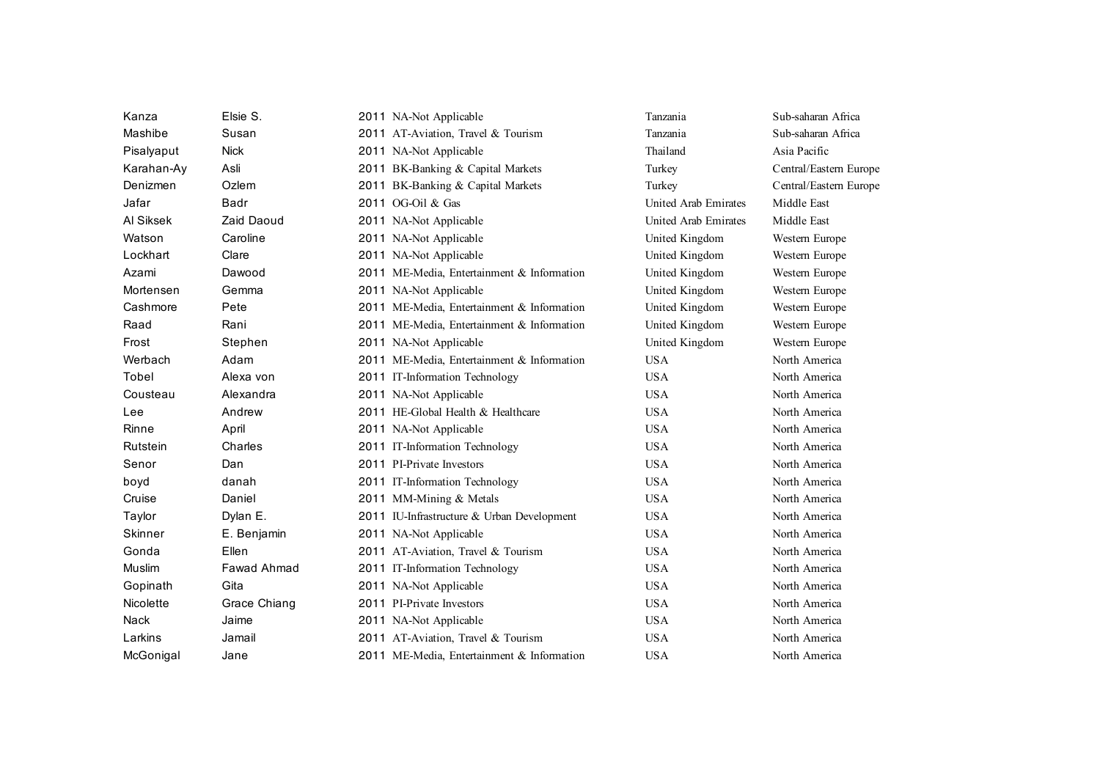| Kanza          | Elsie S.     | 2011 NA-Not Applicable                     | Tanzania             | Sub-saharan Africa     |
|----------------|--------------|--------------------------------------------|----------------------|------------------------|
| Mashibe        | Susan        | 2011 AT-Aviation, Travel & Tourism         | Tanzania             | Sub-saharan Africa     |
| Pisalyaput     | <b>Nick</b>  | 2011 NA-Not Applicable                     | Thailand             | Asia Pacific           |
| Karahan-Ay     | Asli         | 2011 BK-Banking & Capital Markets          | Turkey               | Central/Eastern Europe |
| Denizmen       | Ozlem        | 2011 BK-Banking & Capital Markets          | Turkey               | Central/Eastern Europe |
| Jafar          | Badr         | 2011 OG-Oil & Gas                          | United Arab Emirates | Middle East            |
| Al Siksek      | Zaid Daoud   | 2011 NA-Not Applicable                     | United Arab Emirates | Middle East            |
| Watson         | Caroline     | 2011 NA-Not Applicable                     | United Kingdom       | Western Europe         |
| Lockhart       | Clare        | 2011 NA-Not Applicable                     | United Kingdom       | Western Europe         |
| Azami          | Dawood       | 2011 ME-Media, Entertainment & Information | United Kingdom       | Western Europe         |
| Mortensen      | Gemma        | 2011 NA-Not Applicable                     | United Kingdom       | Western Europe         |
| Cashmore       | Pete         | 2011 ME-Media, Entertainment & Information | United Kingdom       | Western Europe         |
| Raad           | Rani         | 2011 ME-Media, Entertainment & Information | United Kingdom       | Western Europe         |
| Frost          | Stephen      | 2011 NA-Not Applicable                     | United Kingdom       | Western Europe         |
| Werbach        | Adam         | 2011 ME-Media, Entertainment & Information | <b>USA</b>           | North America          |
| Tobel          | Alexa von    | 2011 IT-Information Technology             | <b>USA</b>           | North America          |
| Cousteau       | Alexandra    | 2011 NA-Not Applicable                     | <b>USA</b>           | North America          |
| Lee            | Andrew       | 2011 HE-Global Health & Healthcare         | <b>USA</b>           | North America          |
| Rinne          | April        | 2011 NA-Not Applicable                     | <b>USA</b>           | North America          |
| Rutstein       | Charles      | 2011 IT-Information Technology             | <b>USA</b>           | North America          |
| Senor          | Dan          | 2011 PI-Private Investors                  | <b>USA</b>           | North America          |
| boyd           | danah        | 2011 IT-Information Technology             | <b>USA</b>           | North America          |
| Cruise         | Daniel       | 2011 MM-Mining & Metals                    | <b>USA</b>           | North America          |
| Taylor         | Dylan E.     | 2011 IU-Infrastructure & Urban Development | <b>USA</b>           | North America          |
| <b>Skinner</b> | E. Benjamin  | 2011 NA-Not Applicable                     | <b>USA</b>           | North America          |
| Gonda          | Ellen        | 2011 AT-Aviation, Travel & Tourism         | <b>USA</b>           | North America          |
| Muslim         | Fawad Ahmad  | 2011 IT-Information Technology             | <b>USA</b>           | North America          |
| Gopinath       | Gita         | 2011 NA-Not Applicable                     | <b>USA</b>           | North America          |
| Nicolette      | Grace Chiang | 2011 PI-Private Investors                  | <b>USA</b>           | North America          |
| Nack           | Jaime        | 2011 NA-Not Applicable                     | <b>USA</b>           | North America          |
| Larkins        | Jamail       | 2011 AT-Aviation, Travel & Tourism         | <b>USA</b>           | North America          |
| McGonigal      | Jane         | 2011 ME-Media, Entertainment & Information | <b>USA</b>           | North America          |
|                |              |                                            |                      |                        |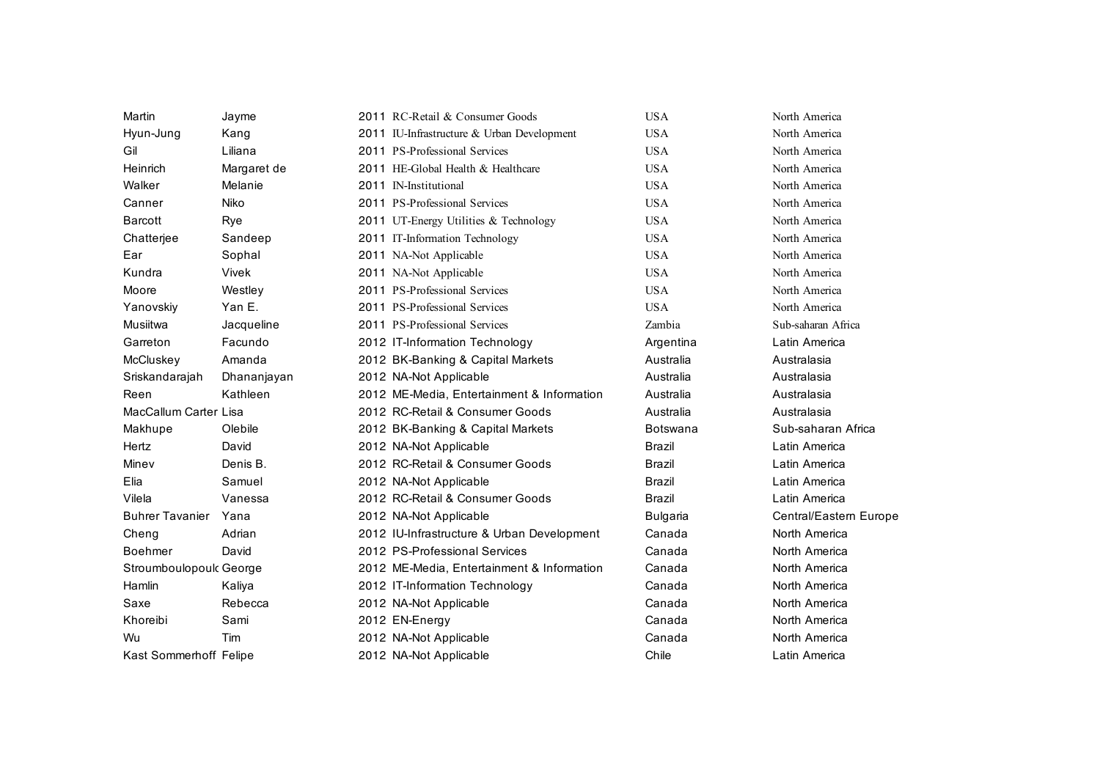| Martin                       | Jayme       | 2011 RC-Retail & Consumer Goods            | <b>USA</b>      | North America          |
|------------------------------|-------------|--------------------------------------------|-----------------|------------------------|
| Hyun-Jung                    | Kang        | 2011 IU-Infrastructure & Urban Development | <b>USA</b>      | North America          |
| Gil                          | Liliana     | 2011 PS-Professional Services              | <b>USA</b>      | North America          |
| Heinrich                     | Margaret de | 2011 HE-Global Health & Healthcare         | <b>USA</b>      | North America          |
| Walker                       | Melanie     | 2011 IN-Institutional                      | <b>USA</b>      | North America          |
| Canner                       | Niko        | 2011 PS-Professional Services              | <b>USA</b>      | North America          |
| <b>Barcott</b>               | Rye         | 2011 UT-Energy Utilities & Technology      | <b>USA</b>      | North America          |
| Chatterjee                   | Sandeep     | 2011 IT-Information Technology             | <b>USA</b>      | North America          |
| Ear                          | Sophal      | 2011 NA-Not Applicable                     | <b>USA</b>      | North America          |
| Kundra                       | Vivek       | 2011 NA-Not Applicable                     | <b>USA</b>      | North America          |
| Moore                        | Westley     | 2011 PS-Professional Services              | <b>USA</b>      | North America          |
| Yanovskiy                    | Yan E.      | 2011 PS-Professional Services              | <b>USA</b>      | North America          |
| Musiitwa                     | Jacqueline  | 2011 PS-Professional Services              | Zambia          | Sub-saharan Africa     |
| Garreton                     | Facundo     | 2012 IT-Information Technology             | Argentina       | Latin America          |
| McCluskey                    | Amanda      | 2012 BK-Banking & Capital Markets          | Australia       | Australasia            |
| Sriskandarajah               | Dhananjayan | 2012 NA-Not Applicable                     | Australia       | Australasia            |
| Reen                         | Kathleen    | 2012 ME-Media, Entertainment & Information | Australia       | Australasia            |
| <b>MacCallum Carter Lisa</b> |             | 2012 RC-Retail & Consumer Goods            | Australia       | Australasia            |
| Makhupe                      | Olebile     | 2012 BK-Banking & Capital Markets          | <b>Botswana</b> | Sub-saharan Africa     |
| Hertz                        | David       | 2012 NA-Not Applicable                     | <b>Brazil</b>   | Latin America          |
| Minev                        | Denis B.    | 2012 RC-Retail & Consumer Goods            | <b>Brazil</b>   | Latin America          |
| Elia                         | Samuel      | 2012 NA-Not Applicable                     | <b>Brazil</b>   | Latin America          |
| Vilela                       | Vanessa     | 2012 RC-Retail & Consumer Goods            | <b>Brazil</b>   | Latin America          |
| <b>Buhrer Tavanier</b>       | Yana        | 2012 NA-Not Applicable                     | <b>Bulgaria</b> | Central/Eastern Europe |
| Cheng                        | Adrian      | 2012 IU-Infrastructure & Urban Development | Canada          | North America          |
| <b>Boehmer</b>               | David       | 2012 PS-Professional Services              | Canada          | North America          |
| Stroumboulopoulc George      |             | 2012 ME-Media, Entertainment & Information | Canada          | North America          |
| Hamlin                       | Kaliya      | 2012 IT-Information Technology             | Canada          | North America          |
| Saxe                         | Rebecca     | 2012 NA-Not Applicable                     | Canada          | North America          |
| Khoreibi                     | Sami        | 2012 EN-Energy                             | Canada          | North America          |
| Wu                           | Tim         | 2012 NA-Not Applicable                     | Canada          | North America          |
| Kast Sommerhoff Felipe       |             | 2012 NA-Not Applicable                     | Chile           | Latin America          |
|                              |             |                                            |                 |                        |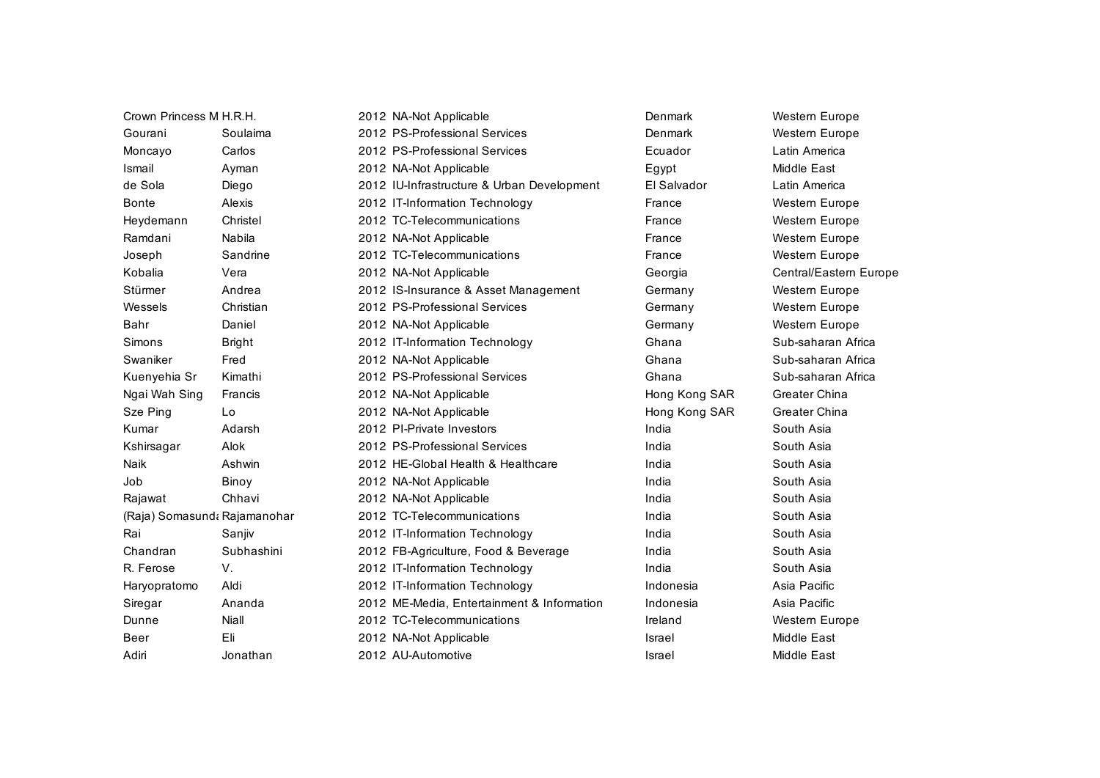| Crown Princess M H.R.H. |                              | 2012 NA-Not Applicable                     | Denmark       | Western Europe         |
|-------------------------|------------------------------|--------------------------------------------|---------------|------------------------|
| Gourani                 | Soulaima                     | 2012 PS-Professional Services              | Denmark       | Western Europe         |
| Moncayo                 | Carlos                       | 2012 PS-Professional Services              | Ecuador       | Latin America          |
| Ismail                  | Ayman                        | 2012 NA-Not Applicable                     | Egypt         | Middle East            |
| de Sola                 | Diego                        | 2012 IU-Infrastructure & Urban Development | El Salvador   | Latin America          |
| <b>Bonte</b>            | Alexis                       | 2012 IT-Information Technology             | France        | Western Europe         |
| Heydemann               | Christel                     | 2012 TC-Telecommunications                 | France        | Western Europe         |
| Ramdani                 | Nabila                       | 2012 NA-Not Applicable                     | France        | <b>Western Europe</b>  |
| Joseph                  | Sandrine                     | 2012 TC-Telecommunications                 | France        | Western Europe         |
| Kobalia                 | Vera                         | 2012 NA-Not Applicable                     | Georgia       | Central/Eastern Europe |
| Stürmer                 | Andrea                       | 2012 IS-Insurance & Asset Management       | Germany       | Western Europe         |
| Wessels                 | Christian                    | 2012 PS-Professional Services              | Germany       | Western Europe         |
| Bahr                    | Daniel                       | 2012 NA-Not Applicable                     | Germany       | Western Europe         |
| <b>Simons</b>           | <b>Bright</b>                | 2012 IT-Information Technology             | Ghana         | Sub-saharan Africa     |
| Swaniker                | Fred                         | 2012 NA-Not Applicable                     | Ghana         | Sub-saharan Africa     |
| Kuenyehia Sr            | Kimathi                      | 2012 PS-Professional Services              | Ghana         | Sub-saharan Africa     |
| Ngai Wah Sing           | Francis                      | 2012 NA-Not Applicable                     | Hong Kong SAR | Greater China          |
| Sze Ping                | Lo                           | 2012 NA-Not Applicable                     | Hong Kong SAR | <b>Greater China</b>   |
| Kumar                   | Adarsh                       | 2012 PI-Private Investors                  | India         | South Asia             |
| Kshirsagar              | Alok                         | 2012 PS-Professional Services              | India         | South Asia             |
| Naik                    | Ashwin                       | 2012 HE-Global Health & Healthcare         | India         | South Asia             |
| Job                     | Binoy                        | 2012 NA-Not Applicable                     | India         | South Asia             |
| Rajawat                 | Chhavi                       | 2012 NA-Not Applicable                     | India         | South Asia             |
|                         | (Raja) Somasund: Rajamanohar | 2012 TC-Telecommunications                 | India         | South Asia             |
| Rai                     | Sanjiv                       | 2012 IT-Information Technology             | India         | South Asia             |
| Chandran                | Subhashini                   | 2012 FB-Agriculture, Food & Beverage       | India         | South Asia             |
| R. Ferose               | V.                           | 2012 IT-Information Technology             | India         | South Asia             |
| Haryopratomo            | Aldi                         | 2012 IT-Information Technology             | Indonesia     | Asia Pacific           |
| Siregar                 | Ananda                       | 2012 ME-Media, Entertainment & Information | Indonesia     | Asia Pacific           |
| Dunne                   | Niall                        | 2012 TC-Telecommunications                 | Ireland       | Western Europe         |
| <b>Beer</b>             | Eli                          | 2012 NA-Not Applicable                     | Israel        | <b>Middle East</b>     |
| Adiri                   | Jonathan                     | 2012 AU-Automotive                         | Israel        | Middle East            |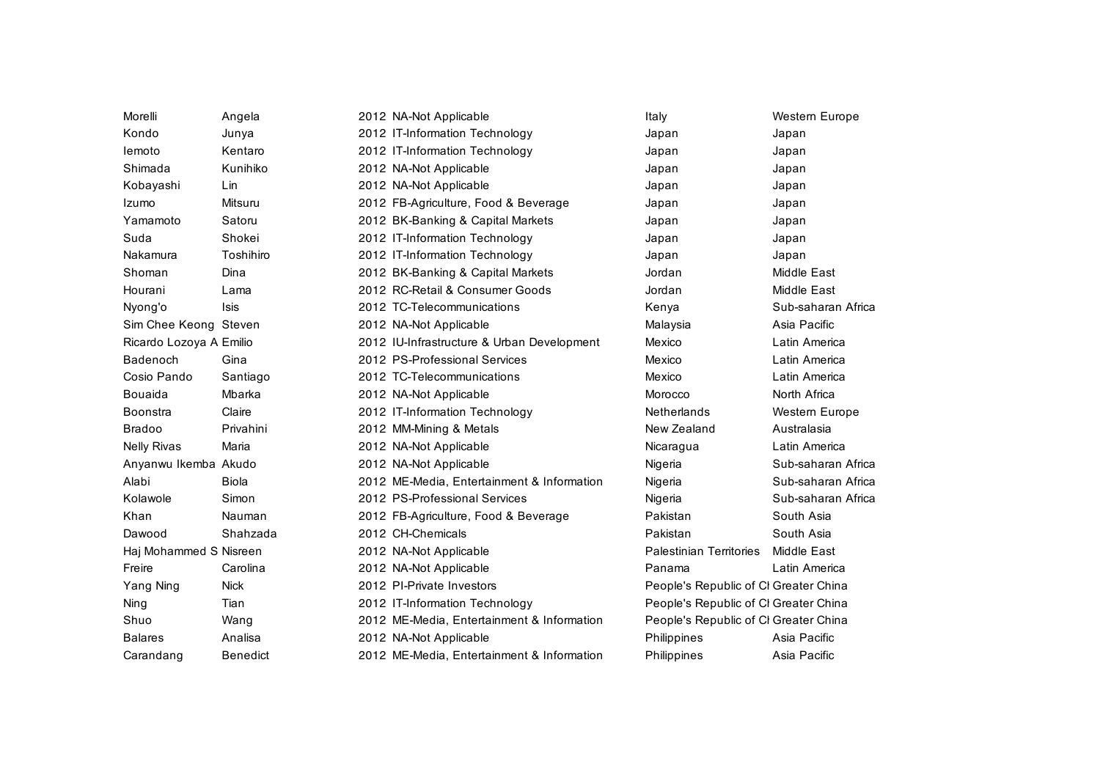| Morelli                 | Angela          | 2012 NA-Not Applicable                     | Italy                                 | <b>Western Europe</b> |
|-------------------------|-----------------|--------------------------------------------|---------------------------------------|-----------------------|
| Kondo                   | Junya           | 2012 IT-Information Technology             | Japan                                 | Japan                 |
| lemoto                  | Kentaro         | 2012 IT-Information Technology             | Japan                                 | Japan                 |
| Shimada                 | Kunihiko        | 2012 NA-Not Applicable                     | Japan                                 | Japan                 |
| Kobayashi               | Lin             | 2012 NA-Not Applicable                     | Japan                                 | Japan                 |
| Izumo                   | Mitsuru         | 2012 FB-Agriculture, Food & Beverage       | Japan                                 | Japan                 |
| Yamamoto                | Satoru          | 2012 BK-Banking & Capital Markets          | Japan                                 | Japan                 |
| Suda                    | Shokei          | 2012 IT-Information Technology             | Japan                                 | Japan                 |
| Nakamura                | Toshihiro       | 2012 IT-Information Technology             | Japan                                 | Japan                 |
| Shoman                  | Dina            | 2012 BK-Banking & Capital Markets          | Jordan                                | Middle East           |
| Hourani                 | Lama            | 2012 RC-Retail & Consumer Goods            | Jordan                                | <b>Middle East</b>    |
| Nyong'o                 | Isis            | 2012 TC-Telecommunications                 | Kenya                                 | Sub-saharan Africa    |
| Sim Chee Keong Steven   |                 | 2012 NA-Not Applicable                     | Malaysia                              | Asia Pacific          |
| Ricardo Lozoya A Emilio |                 | 2012 IU-Infrastructure & Urban Development | Mexico                                | Latin America         |
| Badenoch                | Gina            | 2012 PS-Professional Services              | Mexico                                | Latin America         |
| Cosio Pando             | Santiago        | 2012 TC-Telecommunications                 | Mexico                                | Latin America         |
| <b>Bouaida</b>          | Mbarka          | 2012 NA-Not Applicable                     | Morocco                               | North Africa          |
| <b>Boonstra</b>         | Claire          | 2012 IT-Information Technology             | <b>Netherlands</b>                    | Western Europe        |
| <b>Bradoo</b>           | Privahini       | 2012 MM-Mining & Metals                    | New Zealand                           | Australasia           |
| <b>Nelly Rivas</b>      | Maria           | 2012 NA-Not Applicable                     | Nicaragua                             | Latin America         |
| Anyanwu Ikemba Akudo    |                 | 2012 NA-Not Applicable                     | Nigeria                               | Sub-saharan Africa    |
| Alabi                   | <b>Biola</b>    | 2012 ME-Media, Entertainment & Information | Nigeria                               | Sub-saharan Africa    |
| Kolawole                | Simon           | 2012 PS-Professional Services              | Nigeria                               | Sub-saharan Africa    |
| Khan                    | Nauman          | 2012 FB-Agriculture, Food & Beverage       | Pakistan                              | South Asia            |
| Dawood                  | Shahzada        | 2012 CH-Chemicals                          | Pakistan                              | South Asia            |
| Haj Mohammed S Nisreen  |                 | 2012 NA-Not Applicable                     | <b>Palestinian Territories</b>        | Middle East           |
| Freire                  | Carolina        | 2012 NA-Not Applicable                     | Panama                                | Latin America         |
| Yang Ning               | <b>Nick</b>     | 2012 PI-Private Investors                  | People's Republic of CI Greater China |                       |
| Ning                    | Tian            | 2012 IT-Information Technology             | People's Republic of CI Greater China |                       |
| Shuo                    | Wang            | 2012 ME-Media, Entertainment & Information | People's Republic of CI Greater China |                       |
| <b>Balares</b>          | Analisa         | 2012 NA-Not Applicable                     | Philippines                           | Asia Pacific          |
| Carandang               | <b>Benedict</b> | 2012 ME-Media, Entertainment & Information | Philippines                           | Asia Pacific          |
|                         |                 |                                            |                                       |                       |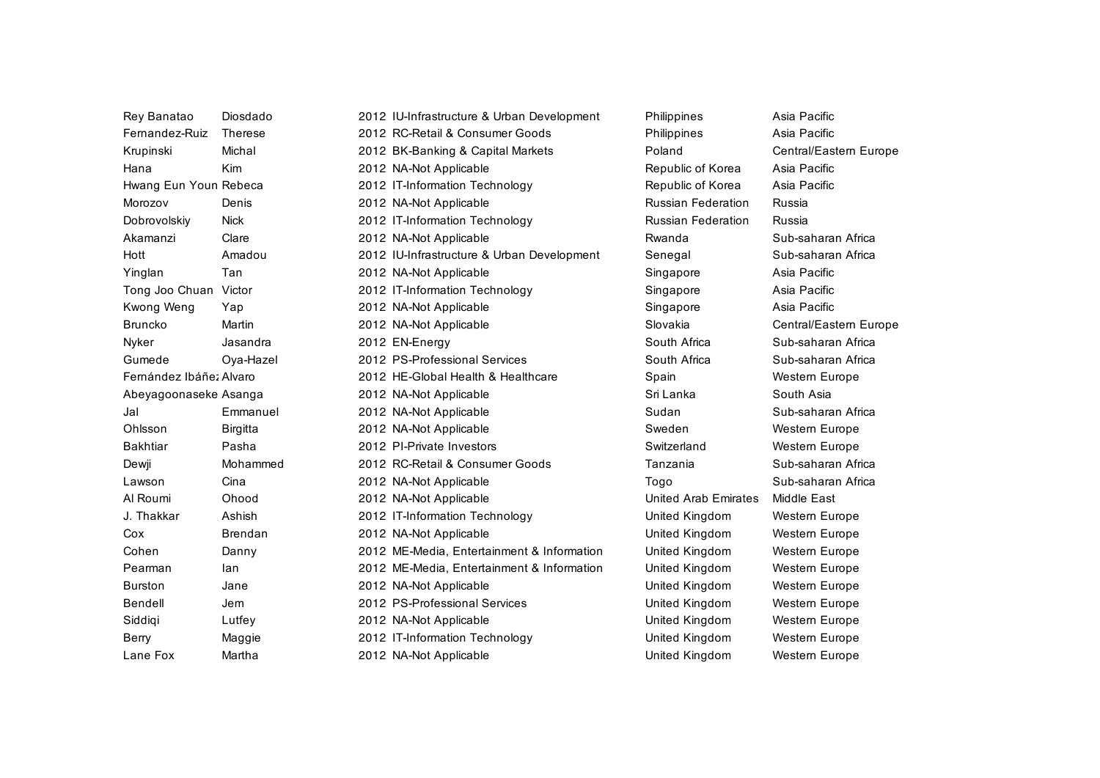| Rey Banatao             | Diosdado        | 2012 IU-Infrastructure & Urban Development | Philippines                 | Asia Pacific           |
|-------------------------|-----------------|--------------------------------------------|-----------------------------|------------------------|
| Femandez-Ruiz           | <b>Therese</b>  | 2012 RC-Retail & Consumer Goods            | Philippines                 | Asia Pacific           |
| Krupinski               | Michal          | 2012 BK-Banking & Capital Markets          | Poland                      | Central/Eastern Europe |
| Hana                    | Kim             | 2012 NA-Not Applicable                     | Republic of Korea           | Asia Pacific           |
| Hwang Eun Youn Rebeca   |                 | 2012 IT-Information Technology             | Republic of Korea           | Asia Pacific           |
| Morozov                 | Denis           | 2012 NA-Not Applicable                     | <b>Russian Federation</b>   | Russia                 |
| Dobrovolskiy            | <b>Nick</b>     | 2012 IT-Information Technology             | <b>Russian Federation</b>   | Russia                 |
| Akamanzi                | Clare           | 2012 NA-Not Applicable                     | Rwanda                      | Sub-saharan Africa     |
| Hott                    | Amadou          | 2012 IU-Infrastructure & Urban Development | Senegal                     | Sub-saharan Africa     |
| Yinglan                 | Tan             | 2012 NA-Not Applicable                     | Singapore                   | Asia Pacific           |
| Tong Joo Chuan          | Victor          | 2012 IT-Information Technology             | Singapore                   | Asia Pacific           |
| Kwong Weng              | Yap             | 2012 NA-Not Applicable                     | Singapore                   | Asia Pacific           |
| <b>Bruncko</b>          | Martin          | 2012 NA-Not Applicable                     | Slovakia                    | Central/Eastern Europe |
| Nyker                   | Jasandra        | 2012 EN-Energy                             | South Africa                | Sub-saharan Africa     |
| Gumede                  | Oya-Hazel       | 2012 PS-Professional Services              | South Africa                | Sub-saharan Africa     |
| Fernández Ibáñez Alvaro |                 | 2012 HE-Global Health & Healthcare         | Spain                       | Western Europe         |
| Abeyagoonaseke Asanga   |                 | 2012 NA-Not Applicable                     | Sri Lanka                   | South Asia             |
| Jal                     | Emmanuel        | 2012 NA-Not Applicable                     | Sudan                       | Sub-saharan Africa     |
| Ohlsson                 | <b>Birgitta</b> | 2012 NA-Not Applicable                     | Sweden                      | <b>Western Europe</b>  |
| <b>Bakhtiar</b>         | Pasha           | 2012 PI-Private Investors                  | Switzerland                 | Western Europe         |
| Dewji                   | Mohammed        | 2012 RC-Retail & Consumer Goods            | Tanzania                    | Sub-saharan Africa     |
| Lawson                  | Cina            | 2012 NA-Not Applicable                     | Togo                        | Sub-saharan Africa     |
| Al Roumi                | Ohood           | 2012 NA-Not Applicable                     | <b>United Arab Emirates</b> | Middle East            |
| J. Thakkar              | Ashish          | 2012 IT-Information Technology             | United Kingdom              | Western Europe         |
| Cox                     | <b>Brendan</b>  | 2012 NA-Not Applicable                     | United Kingdom              | Western Europe         |
| Cohen                   | Danny           | 2012 ME-Media, Entertainment & Information | United Kingdom              | Western Europe         |
| Pearman                 | lan             | 2012 ME-Media, Entertainment & Information | United Kingdom              | <b>Western Europe</b>  |
| <b>Burston</b>          | Jane            | 2012 NA-Not Applicable                     | United Kingdom              | Western Europe         |
| Bendell                 | Jem             | 2012 PS-Professional Services              | United Kingdom              | Western Europe         |
| Siddiqi                 | Lutfey          | 2012 NA-Not Applicable                     | United Kingdom              | Western Europe         |
| Berry                   | Maggie          | 2012 IT-Information Technology             | United Kingdom              | Western Europe         |
| Lane Fox                | Martha          | 2012 NA-Not Applicable                     | <b>United Kingdom</b>       | <b>Western Europe</b>  |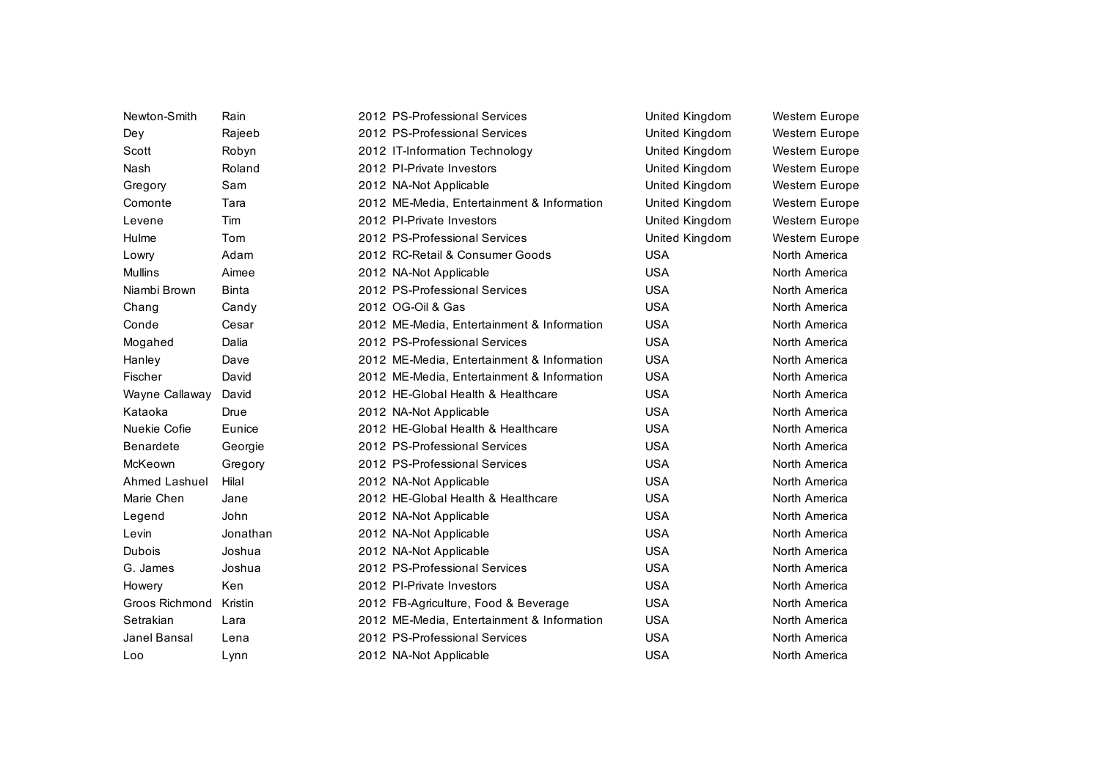| Newton-Smith         | Rain         | 2012 PS-Professional Services              | United Kingdom | Western Europe        |
|----------------------|--------------|--------------------------------------------|----------------|-----------------------|
|                      |              | 2012 PS-Professional Services              |                |                       |
| Dey                  | Rajeeb       |                                            | United Kingdom | Western Europe        |
| Scott                | Robyn        | 2012 IT-Information Technology             | United Kingdom | Western Europe        |
| Nash                 | Roland       | 2012 PI-Private Investors                  | United Kingdom | Western Europe        |
| Gregory              | Sam          | 2012 NA-Not Applicable                     | United Kingdom | <b>Western Europe</b> |
| Comonte              | Tara         | 2012 ME-Media, Entertainment & Information | United Kingdom | Western Europe        |
| Levene               | Tim          | 2012 PI-Private Investors                  | United Kingdom | <b>Western Europe</b> |
| Hulme                | Tom          | 2012 PS-Professional Services              | United Kingdom | Western Europe        |
| Lowry                | Adam         | 2012 RC-Retail & Consumer Goods            | <b>USA</b>     | North America         |
| <b>Mullins</b>       | Aimee        | 2012 NA-Not Applicable                     | <b>USA</b>     | North America         |
| Niambi Brown         | <b>Binta</b> | 2012 PS-Professional Services              | <b>USA</b>     | North America         |
| Chang                | Candy        | 2012 OG-Oil & Gas                          | <b>USA</b>     | North America         |
| Conde                | Cesar        | 2012 ME-Media, Entertainment & Information | <b>USA</b>     | North America         |
| Mogahed              | Dalia        | 2012 PS-Professional Services              | <b>USA</b>     | North America         |
| Hanley               | Dave         | 2012 ME-Media, Entertainment & Information | <b>USA</b>     | North America         |
| Fischer              | David        | 2012 ME-Media, Entertainment & Information | <b>USA</b>     | North America         |
| Wayne Callaway       | David        | 2012 HE-Global Health & Healthcare         | <b>USA</b>     | North America         |
| Kataoka              | Drue         | 2012 NA-Not Applicable                     | <b>USA</b>     | North America         |
| Nuekie Cofie         | Eunice       | 2012 HE-Global Health & Healthcare         | <b>USA</b>     | North America         |
| <b>Benardete</b>     | Georgie      | 2012 PS-Professional Services              | <b>USA</b>     | North America         |
| McKeown              | Gregory      | 2012 PS-Professional Services              | <b>USA</b>     | North America         |
| <b>Ahmed Lashuel</b> | Hilal        | 2012 NA-Not Applicable                     | <b>USA</b>     | North America         |
| Marie Chen           | Jane         | 2012 HE-Global Health & Healthcare         | <b>USA</b>     | North America         |
| Legend               | John         | 2012 NA-Not Applicable                     | <b>USA</b>     | North America         |
| Levin                | Jonathan     | 2012 NA-Not Applicable                     | <b>USA</b>     | North America         |
| <b>Dubois</b>        | Joshua       | 2012 NA-Not Applicable                     | <b>USA</b>     | North America         |
| G. James             | Joshua       | 2012 PS-Professional Services              | <b>USA</b>     | North America         |
| Howery               | Ken          | 2012 PI-Private Investors                  | <b>USA</b>     | North America         |
| Groos Richmond       | Kristin      | 2012 FB-Agriculture, Food & Beverage       | <b>USA</b>     | North America         |
| Setrakian            | Lara         | 2012 ME-Media, Entertainment & Information | <b>USA</b>     | North America         |
| Janel Bansal         | Lena         | 2012 PS-Professional Services              | <b>USA</b>     | North America         |
| Loo                  | Lynn         | 2012 NA-Not Applicable                     | <b>USA</b>     | North America         |
|                      |              |                                            |                |                       |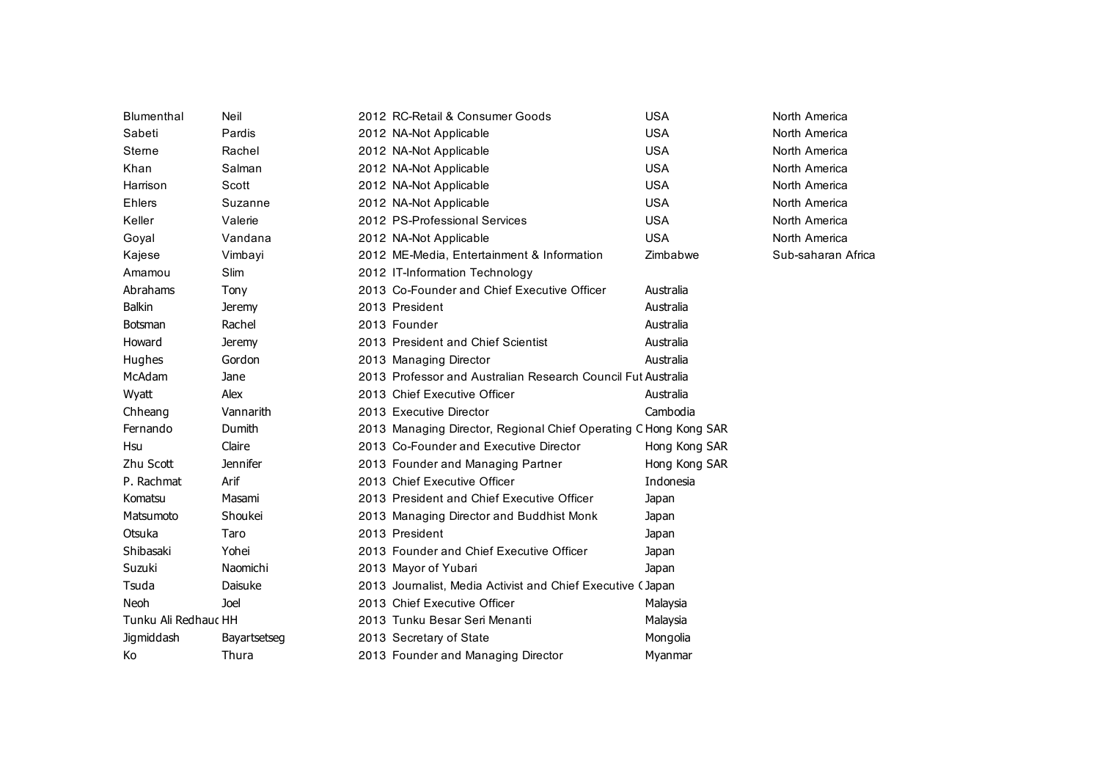| <b>Blumenthal</b>    | Neil            | 2012 RC-Retail & Consumer Goods                                  | <b>USA</b>    | North America      |
|----------------------|-----------------|------------------------------------------------------------------|---------------|--------------------|
| Sabeti               | Pardis          | 2012 NA-Not Applicable                                           | <b>USA</b>    | North America      |
| Sterne               | Rachel          | 2012 NA-Not Applicable                                           | <b>USA</b>    | North America      |
| Khan                 | Salman          | 2012 NA-Not Applicable                                           | <b>USA</b>    | North America      |
| Harrison             | Scott           | 2012 NA-Not Applicable                                           | <b>USA</b>    | North America      |
| Ehlers               | Suzanne         | 2012 NA-Not Applicable                                           | <b>USA</b>    | North America      |
| Keller               | Valerie         | 2012 PS-Professional Services                                    | <b>USA</b>    | North America      |
| Goyal                | Vandana         | 2012 NA-Not Applicable                                           | <b>USA</b>    | North America      |
| Kajese               | Vimbayi         | 2012 ME-Media, Entertainment & Information                       | Zimbabwe      | Sub-saharan Africa |
| Amamou               | Slim            | 2012 IT-Information Technology                                   |               |                    |
| Abrahams             | Tony            | 2013 Co-Founder and Chief Executive Officer                      | Australia     |                    |
| Balkin               | <b>Jeremy</b>   | 2013 President                                                   | Australia     |                    |
| <b>Botsman</b>       | Rachel          | 2013 Founder                                                     | Australia     |                    |
| Howard               | <b>Jeremy</b>   | 2013 President and Chief Scientist                               | Australia     |                    |
| Hughes               | Gordon          | 2013 Managing Director                                           | Australia     |                    |
| McAdam               | Jane            | 2013 Professor and Australian Research Council Fut Australia     |               |                    |
| Wyatt                | Alex            | 2013 Chief Executive Officer                                     | Australia     |                    |
| Chheang              | Vannarith       | 2013 Executive Director                                          | Cambodia      |                    |
| Fernando             | Dumith          | 2013 Managing Director, Regional Chief Operating C Hong Kong SAR |               |                    |
| Hsu                  | Claire          | 2013 Co-Founder and Executive Director                           | Hong Kong SAR |                    |
| Zhu Scott            | <b>Jennifer</b> | 2013 Founder and Managing Partner                                | Hong Kong SAR |                    |
| P. Rachmat           | Arif            | 2013 Chief Executive Officer                                     | Indonesia     |                    |
| Komatsu              | Masami          | 2013 President and Chief Executive Officer                       | Japan         |                    |
| Matsumoto            | Shoukei         | 2013 Managing Director and Buddhist Monk                         | Japan         |                    |
| Otsuka               | Taro            | 2013 President                                                   | Japan         |                    |
| Shibasaki            | Yohei           | 2013 Founder and Chief Executive Officer                         | Japan         |                    |
| Suzuki               | Naomichi        | 2013 Mayor of Yubari                                             | Japan         |                    |
| Tsuda                | Daisuke         | 2013 Journalist, Media Activist and Chief Executive (Japan       |               |                    |
| <b>Neoh</b>          | Joel            | 2013 Chief Executive Officer                                     | Malaysia      |                    |
| Tunku Ali Redhauc HH |                 | 2013 Tunku Besar Seri Menanti                                    | Malaysia      |                    |
| <b>Jigmiddash</b>    | Bayartsetseg    | 2013 Secretary of State                                          | Mongolia      |                    |
| Кo                   | Thura           | 2013 Founder and Managing Director                               | Myanmar       |                    |
|                      |                 |                                                                  |               |                    |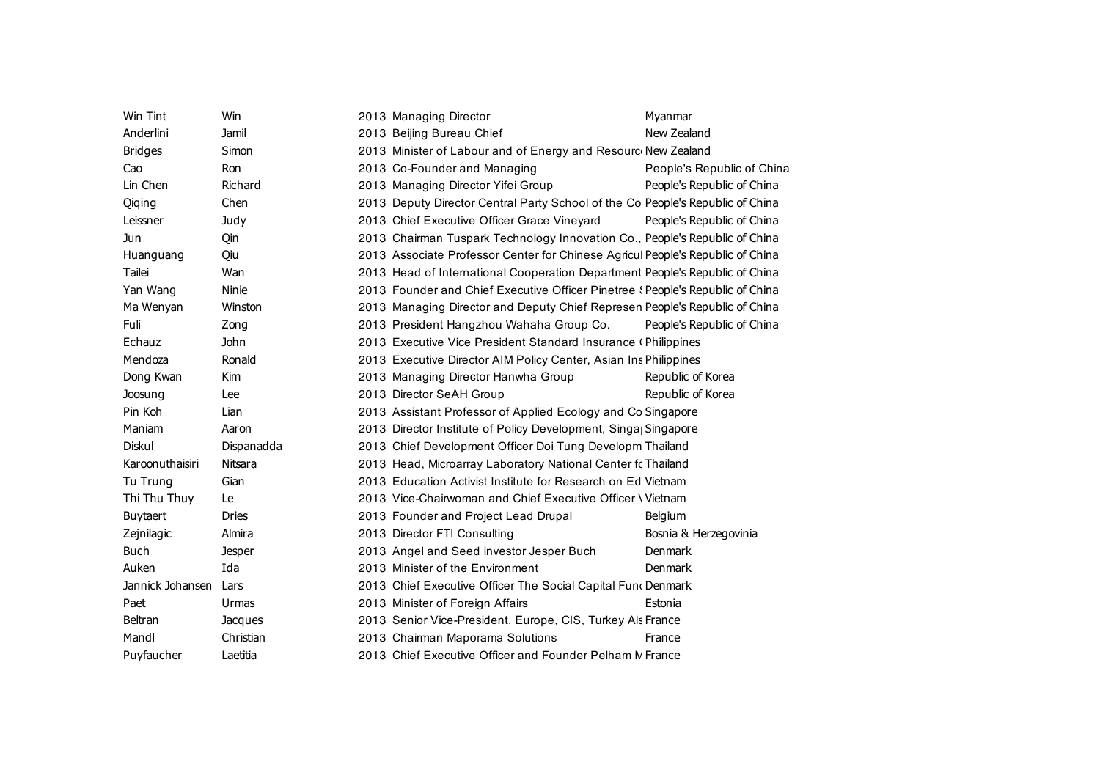| Win Tint         | <b>Win</b>   | 2013 Managing Director                                                         | Myanmar                    |
|------------------|--------------|--------------------------------------------------------------------------------|----------------------------|
| Anderlini        | Jamil        | 2013 Beijing Bureau Chief                                                      | New Zealand                |
| <b>Bridges</b>   | Simon        | 2013 Minister of Labour and of Energy and Resourc New Zealand                  |                            |
| Cao              | Ron          | 2013 Co-Founder and Managing                                                   | People's Republic of China |
| Lin Chen         | Richard      | 2013 Managing Director Yifei Group                                             | People's Republic of China |
| Qiqing           | Chen         | 2013 Deputy Director Central Party School of the Co People's Republic of China |                            |
| Leissner         | Judy         | 2013 Chief Executive Officer Grace Vineyard                                    | People's Republic of China |
| <b>Jun</b>       | Qin          | 2013 Chairman Tuspark Technology Innovation Co., People's Republic of China    |                            |
| Huanguang        | Qiu          | 2013 Associate Professor Center for Chinese Agricul People's Republic of China |                            |
| Tailei           | Wan          | 2013 Head of International Cooperation Department People's Republic of China   |                            |
| Yan Wang         | Ninie        | 2013 Founder and Chief Executive Officer Pinetree (People's Republic of China  |                            |
| Ma Wenyan        | Winston      | 2013 Managing Director and Deputy Chief Represen People's Republic of China    |                            |
| Fuli             | Zong         | 2013 President Hangzhou Wahaha Group Co.                                       | People's Republic of China |
| Echauz           | <b>John</b>  | 2013 Executive Vice President Standard Insurance (Philippines                  |                            |
| Mendoza          | Ronald       | 2013 Executive Director AIM Policy Center, Asian Ins Philippines               |                            |
| Dong Kwan        | Kim          | 2013 Managing Director Hanwha Group                                            | Republic of Korea          |
| Joosung          | Lee          | 2013 Director SeAH Group                                                       | Republic of Korea          |
| Pin Koh          | Lian         | 2013 Assistant Professor of Applied Ecology and Co Singapore                   |                            |
| Maniam           | Aaron        | 2013 Director Institute of Policy Development, Singa <sub>l</sub> Singapore    |                            |
| Diskul           | Dispanadda   | 2013 Chief Development Officer Doi Tung Developm Thailand                      |                            |
| Karoonuthaisiri  | Nitsara      | 2013 Head, Microarray Laboratory National Center fc Thailand                   |                            |
| Tu Trung         | Gian         | 2013 Education Activist Institute for Research on Ed Vietnam                   |                            |
| Thi Thu Thuy     | Le           | 2013 Vice-Chairwoman and Chief Executive Officer \ Vietnam                     |                            |
| Buytaert         | <b>Dries</b> | 2013 Founder and Project Lead Drupal                                           | Belgium                    |
| Zejnilagic       | Almira       | 2013 Director FTI Consulting                                                   | Bosnia & Herzegovinia      |
| <b>Buch</b>      | Jesper       | 2013 Angel and Seed investor Jesper Buch                                       | Denmark                    |
| Auken            | Ida          | 2013 Minister of the Environment                                               | Denmark                    |
| Jannick Johansen | Lars         | 2013 Chief Executive Officer The Social Capital Fund Denmark                   |                            |
| Paet             | Urmas        | 2013 Minister of Foreign Affairs                                               | Estonia                    |
| Beltran          | Jacques      | 2013 Senior Vice-President, Europe, CIS, Turkey Als France                     |                            |
| Mandl            | Christian    | 2013 Chairman Maporama Solutions                                               | France                     |
| Puyfaucher       | Laetitia     | 2013 Chief Executive Officer and Founder Pelham IV France                      |                            |
|                  |              |                                                                                |                            |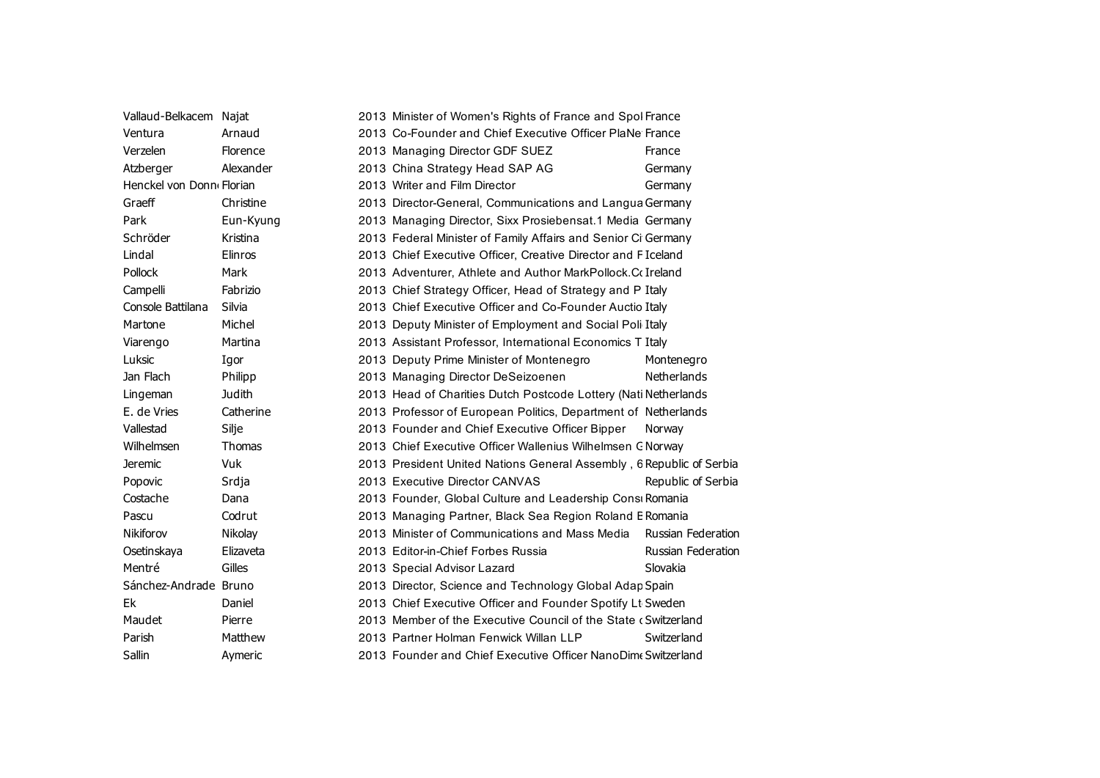| Vallaud-Belkacem Najat   |            | 2013 Minister of Women's Rights of France and Spol France            |                           |
|--------------------------|------------|----------------------------------------------------------------------|---------------------------|
| Ventura                  | Arnaud     | 2013 Co-Founder and Chief Executive Officer PlaNe France             |                           |
| Verzelen                 | Florence   | 2013 Managing Director GDF SUEZ                                      | France                    |
| Atzberger                | Alexander  | 2013 China Strategy Head SAP AG                                      | Germany                   |
| Henckel von Donn Florian |            | 2013 Writer and Film Director                                        | Germany                   |
| Graeff                   | Christine  | 2013 Director-General, Communications and Langua Germany             |                           |
| Park                     | Eun-Kyung  | 2013 Managing Director, Sixx Prosiebensat.1 Media Germany            |                           |
| Schröder                 | Kristina   | 2013 Federal Minister of Family Affairs and Senior Ci Germany        |                           |
| Lindal                   | Elinros    | 2013 Chief Executive Officer, Creative Director and F Iceland        |                           |
| Pollock                  | Mark       | 2013 Adventurer, Athlete and Author MarkPollock.Collreland           |                           |
| Campelli                 | Fabrizio   | 2013 Chief Strategy Officer, Head of Strategy and P Italy            |                           |
| Console Battilana        | Silvia     | 2013 Chief Executive Officer and Co-Founder Auctio Italy             |                           |
| Martone                  | Michel     | 2013 Deputy Minister of Employment and Social Poli Italy             |                           |
| Viarengo                 | Martina    | 2013 Assistant Professor, International Economics T Italy            |                           |
| Luksic                   | Igor       | 2013 Deputy Prime Minister of Montenegro                             | Montenegro                |
| Jan Flach                | Philipp    | 2013 Managing Director DeSeizoenen                                   | Netherlands               |
| Lingeman                 | Judith     | 2013 Head of Charities Dutch Postcode Lottery (Nati Netherlands      |                           |
| E. de Vries              | Catherine  | 2013 Professor of European Politics, Department of Netherlands       |                           |
| Vallestad                | Silje      | 2013 Founder and Chief Executive Officer Bipper                      | Norway                    |
| Wilhelmsen               | Thomas     | 2013 Chief Executive Officer Wallenius Wilhelmsen C Norway           |                           |
| <b>Jeremic</b>           | <b>Vuk</b> | 2013 President United Nations General Assembly, 6 Republic of Serbia |                           |
| Popovic                  | Srdja      | 2013 Executive Director CANVAS                                       | Republic of Serbia        |
| Costache                 | Dana       | 2013 Founder, Global Culture and Leadership Consi Romania            |                           |
| Pascu                    | Codrut     | 2013 Managing Partner, Black Sea Region Roland E Romania             |                           |
| Nikiforov                | Nikolay    | 2013 Minister of Communications and Mass Media                       | <b>Russian Federation</b> |
| Osetinskaya              | Elizaveta  | 2013 Editor-in-Chief Forbes Russia                                   | Russian Federation        |
| Mentré                   | Gilles     | 2013 Special Advisor Lazard                                          | Slovakia                  |
| Sánchez-Andrade Bruno    |            | 2013 Director, Science and Technology Global Adap Spain              |                           |
| Ek                       | Daniel     | 2013 Chief Executive Officer and Founder Spotify Lt Sweden           |                           |
| Maudet                   | Pierre     | 2013 Member of the Executive Council of the State (Switzerland       |                           |
| Parish                   | Matthew    | 2013 Partner Holman Fenwick Willan LLP                               | Switzerland               |
| Sallin                   | Aymeric    | 2013 Founder and Chief Executive Officer NanoDim Switzerland         |                           |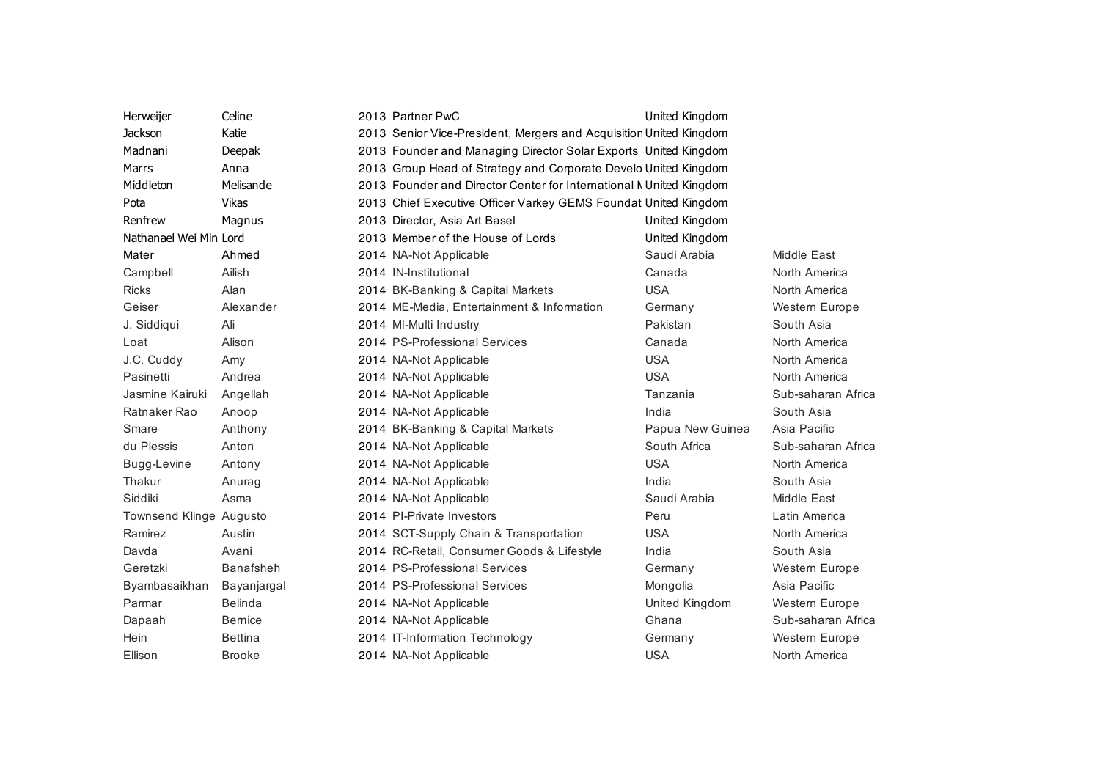| Herweijer               | Celine         | 2013 Partner PwC                                                    | United Kingdom                   |                       |
|-------------------------|----------------|---------------------------------------------------------------------|----------------------------------|-----------------------|
| <b>Jackson</b>          | Katie          | 2013 Senior Vice-President, Mergers and Acquisition United Kingdom  |                                  |                       |
| Madnani                 | Deepak         | 2013 Founder and Managing Director Solar Exports United Kingdom     |                                  |                       |
| Marrs                   | Anna           | 2013 Group Head of Strategy and Corporate Develo United Kingdom     |                                  |                       |
| Middleton               | Melisande      | 2013 Founder and Director Center for International N United Kingdom |                                  |                       |
| Pota                    | <b>Vikas</b>   | 2013 Chief Executive Officer Varkey GEMS Foundat United Kingdom     |                                  |                       |
| Renfrew                 |                | 2013 Director, Asia Art Basel                                       |                                  |                       |
| Nathanael Wei Min Lord  | Magnus         | 2013 Member of the House of Lords                                   | United Kingdom<br>United Kingdom |                       |
|                         |                |                                                                     |                                  |                       |
| Mater                   | Ahmed          | 2014 NA-Not Applicable                                              | Saudi Arabia                     | Middle East           |
| Campbell                | Ailish         | 2014 IN-Institutional                                               | Canada                           | North America         |
| <b>Ricks</b>            | Alan           | 2014 BK-Banking & Capital Markets                                   | <b>USA</b>                       | North America         |
| Geiser                  | Alexander      | 2014 ME-Media, Entertainment & Information                          | Germany                          | <b>Western Europe</b> |
| J. Siddiqui             | Ali            | 2014 MI-Multi Industry                                              | Pakistan                         | South Asia            |
| Loat                    | Alison         | 2014 PS-Professional Services                                       | Canada                           | North America         |
| J.C. Cuddy              | Amy            | 2014 NA-Not Applicable                                              | <b>USA</b>                       | North America         |
| Pasinetti               | Andrea         | 2014 NA-Not Applicable                                              | <b>USA</b>                       | North America         |
| Jasmine Kairuki         | Angellah       | 2014 NA-Not Applicable                                              | Tanzania                         | Sub-saharan Africa    |
| Ratnaker Rao            | Anoop          | 2014 NA-Not Applicable                                              | India                            | South Asia            |
| Smare                   | Anthony        | 2014 BK-Banking & Capital Markets                                   | Papua New Guinea                 | Asia Pacific          |
| du Plessis              | Anton          | 2014 NA-Not Applicable                                              | South Africa                     | Sub-saharan Africa    |
| Bugg-Levine             | Antony         | 2014 NA-Not Applicable                                              | <b>USA</b>                       | North America         |
| Thakur                  | Anurag         | 2014 NA-Not Applicable                                              | India                            | South Asia            |
| Siddiki                 | Asma           | 2014 NA-Not Applicable                                              | Saudi Arabia                     | Middle East           |
| Townsend Klinge Augusto |                | 2014 PI-Private Investors                                           | Peru                             | Latin America         |
| Ramirez                 | Austin         | 2014 SCT-Supply Chain & Transportation                              | <b>USA</b>                       | North America         |
| Davda                   | Avani          | 2014 RC-Retail, Consumer Goods & Lifestyle                          | India                            | South Asia            |
| Geretzki                | Banafsheh      | 2014 PS-Professional Services                                       | Germany                          | Western Europe        |
| Byambasaikhan           | Bayanjargal    | 2014 PS-Professional Services                                       | Mongolia                         | Asia Pacific          |
| Parmar                  | <b>Belinda</b> | 2014 NA-Not Applicable                                              | United Kingdom                   | Western Europe        |
| Dapaah                  | <b>Bernice</b> | 2014 NA-Not Applicable                                              | Ghana                            | Sub-saharan Africa    |
| Hein                    | <b>Bettina</b> | 2014 IT-Information Technology                                      | Germany                          | Western Europe        |
| Ellison                 | <b>Brooke</b>  | 2014 NA-Not Applicable                                              | <b>USA</b>                       | North America         |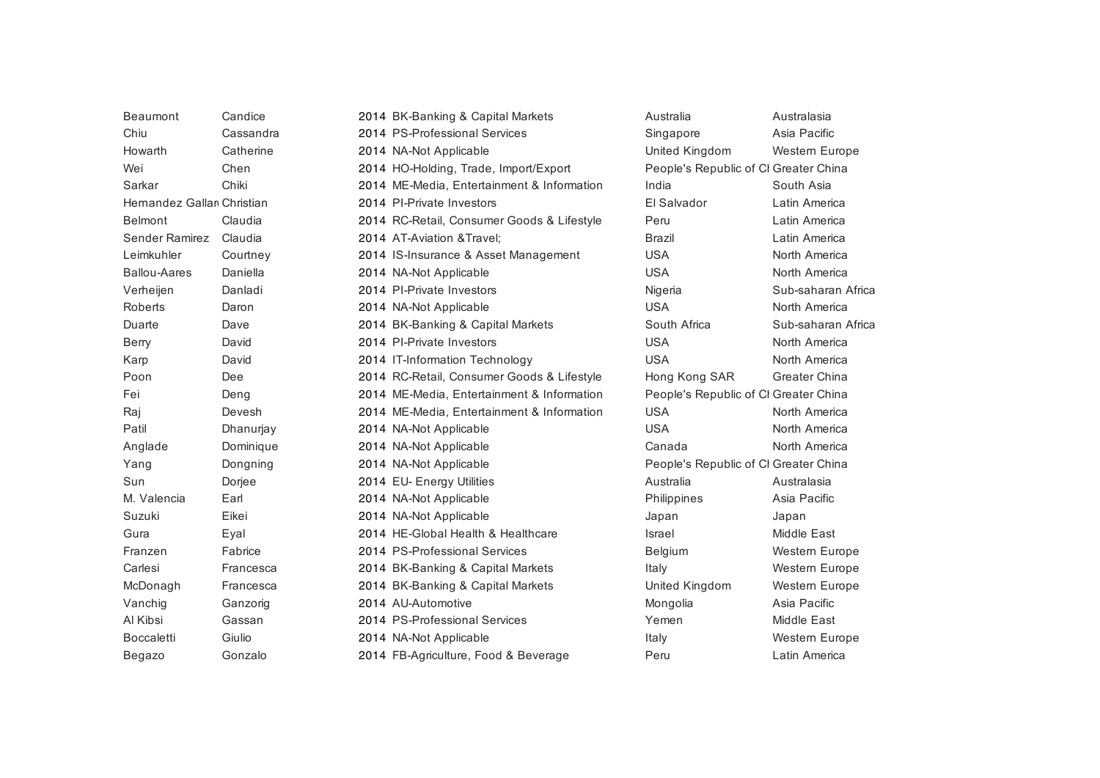| Beaumont                   | Candice   | 2014 BK-Banking & Capital Markets          | Australia                             | Australasia        |
|----------------------------|-----------|--------------------------------------------|---------------------------------------|--------------------|
| Chiu                       | Cassandra | 2014 PS-Professional Services              | Singapore                             | Asia Pacific       |
| Howarth                    | Catherine | 2014 NA-Not Applicable                     | United Kingdom                        | Western Europe     |
| Wei                        | Chen      | 2014 HO-Holding, Trade, Import/Export      | People's Republic of CI Greater China |                    |
| Sarkar                     | Chiki     | 2014 ME-Media, Entertainment & Information | India                                 | South Asia         |
| Hernandez Gallan Christian |           | 2014 PI-Private Investors                  | El Salvador                           | Latin America      |
| <b>Belmont</b>             | Claudia   | 2014 RC-Retail, Consumer Goods & Lifestyle | Peru                                  | Latin America      |
| Sender Ramirez             | Claudia   | 2014 AT-Aviation & Travel;                 | <b>Brazil</b>                         | Latin America      |
| Leimkuhler                 | Courtney  | 2014 IS-Insurance & Asset Management       | <b>USA</b>                            | North America      |
| <b>Ballou-Aares</b>        | Daniella  | 2014 NA-Not Applicable                     | <b>USA</b>                            | North America      |
| Verheijen                  | Danladi   | 2014 PI-Private Investors                  | Nigeria                               | Sub-saharan Africa |
| Roberts                    | Daron     | 2014 NA-Not Applicable                     | <b>USA</b>                            | North America      |
| Duarte                     | Dave      | 2014 BK-Banking & Capital Markets          | South Africa                          | Sub-saharan Africa |
| <b>Berry</b>               | David     | 2014 PI-Private Investors                  | <b>USA</b>                            | North America      |
| Karp                       | David     | 2014 IT-Information Technology             | <b>USA</b>                            | North America      |
| Poon                       | Dee       | 2014 RC-Retail, Consumer Goods & Lifestyle | Hong Kong SAR                         | Greater China      |
| Fei                        | Deng      | 2014 ME-Media, Entertainment & Information | People's Republic of CI Greater China |                    |
| Raj                        | Devesh    | 2014 ME-Media, Entertainment & Information | <b>USA</b>                            | North America      |
| Patil                      | Dhanurjay | 2014 NA-Not Applicable                     | <b>USA</b>                            | North America      |
| Anglade                    | Dominique | 2014 NA-Not Applicable                     | Canada                                | North America      |
| Yang                       | Dongning  | 2014 NA-Not Applicable                     | People's Republic of CI Greater China |                    |
| Sun                        | Dorjee    | 2014 EU- Energy Utilities                  | Australia                             | Australasia        |
| M. Valencia                | Earl      | 2014 NA-Not Applicable                     | Philippines                           | Asia Pacific       |
| Suzuki                     | Eikei     | 2014 NA-Not Applicable                     | Japan                                 | Japan              |
| Gura                       | Eyal      | 2014 HE-Global Health & Healthcare         | Israel                                | Middle East        |
| Franzen                    | Fabrice   | 2014 PS-Professional Services              | Belgium                               | Western Europe     |
| Carlesi                    | Francesca | 2014 BK-Banking & Capital Markets          | Italy                                 | Western Europe     |
| McDonagh                   | Francesca | 2014 BK-Banking & Capital Markets          | United Kingdom                        | Western Europe     |
| Vanchig                    | Ganzorig  | 2014 AU-Automotive                         | Mongolia                              | Asia Pacific       |
| Al Kibsi                   | Gassan    | 2014 PS-Professional Services              | Yemen                                 | Middle East        |
| <b>Boccaletti</b>          | Giulio    | 2014 NA-Not Applicable                     | Italy                                 | Western Europe     |
| Begazo                     | Gonzalo   | 2014 FB-Agriculture, Food & Beverage       | Peru                                  | Latin America      |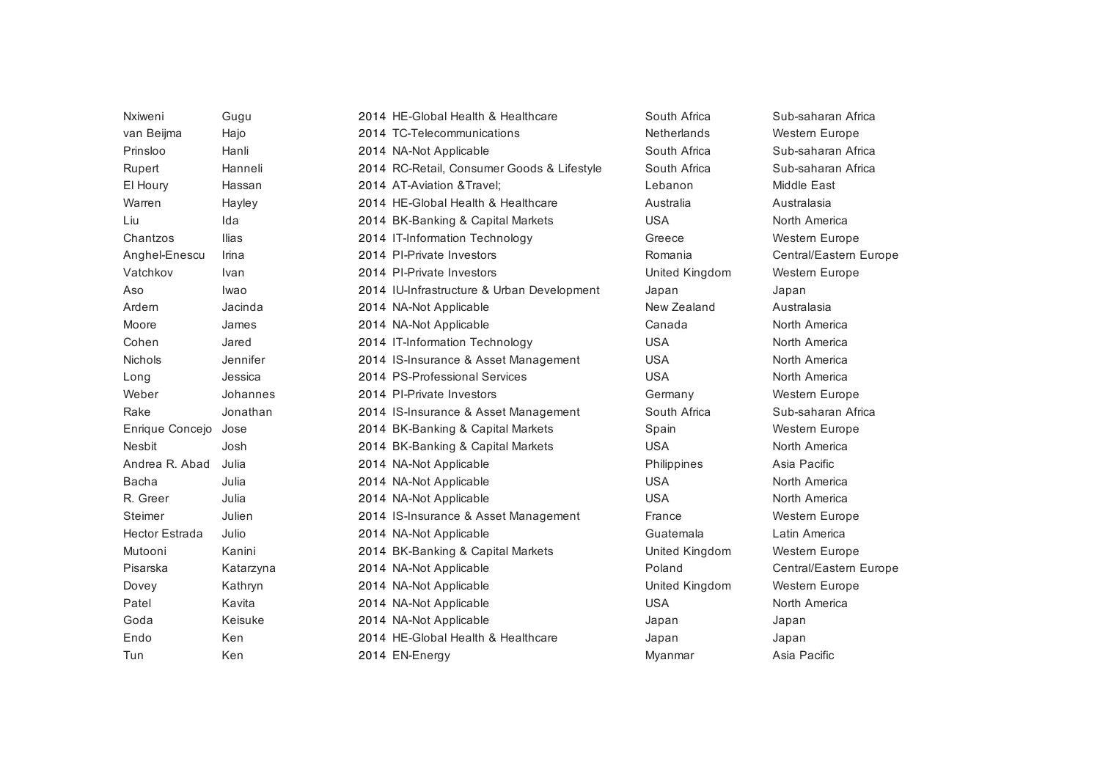| Nxiweni               | Gugu      | 2014 HE-Global Health & Healthcare         | South Africa       | Sub-saharan Africa     |
|-----------------------|-----------|--------------------------------------------|--------------------|------------------------|
| van Beijma            | Hajo      | 2014 TC-Telecommunications                 | <b>Netherlands</b> | <b>Western Europe</b>  |
| Prinsloo              | Hanli     | 2014 NA-Not Applicable                     | South Africa       | Sub-saharan Africa     |
| Rupert                | Hanneli   | 2014 RC-Retail, Consumer Goods & Lifestyle | South Africa       | Sub-saharan Africa     |
| El Houry              | Hassan    | 2014 AT-Aviation & Travel:                 | Lebanon            | Middle East            |
| Warren                | Hayley    | 2014 HE-Global Health & Healthcare         | Australia          | Australasia            |
| Liu                   | Ida       | 2014 BK-Banking & Capital Markets          | <b>USA</b>         | North America          |
| Chantzos              | Ilias     | 2014 IT-Information Technology             | Greece             | <b>Western Europe</b>  |
| Anghel-Enescu         | Irina     | 2014 PI-Private Investors                  | Romania            | Central/Eastern Europe |
| Vatchkov              | Ivan      | 2014 PI-Private Investors                  | United Kingdom     | Western Europe         |
| Aso                   | Iwao      | 2014 IU-Infrastructure & Urban Development | Japan              | Japan                  |
| Ardern                | Jacinda   | 2014 NA-Not Applicable                     | New Zealand        | Australasia            |
| Moore                 | James     | 2014 NA-Not Applicable                     | Canada             | North America          |
| Cohen                 | Jared     | 2014 IT-Information Technology             | <b>USA</b>         | North America          |
| <b>Nichols</b>        | Jennifer  | 2014 IS-Insurance & Asset Management       | <b>USA</b>         | North America          |
| Long                  | Jessica   | 2014 PS-Professional Services              | <b>USA</b>         | North America          |
| Weber                 | Johannes  | 2014 PI-Private Investors                  | Germany            | Western Europe         |
| Rake                  | Jonathan  | 2014 IS-Insurance & Asset Management       | South Africa       | Sub-saharan Africa     |
| Enrique Concejo       | Jose      | 2014 BK-Banking & Capital Markets          | Spain              | Western Europe         |
| <b>Nesbit</b>         | Josh      | 2014 BK-Banking & Capital Markets          | <b>USA</b>         | North America          |
| Andrea R. Abad        | Julia     | 2014 NA-Not Applicable                     | Philippines        | Asia Pacific           |
| <b>Bacha</b>          | Julia     | 2014 NA-Not Applicable                     | <b>USA</b>         | North America          |
| R. Greer              | Julia     | 2014 NA-Not Applicable                     | <b>USA</b>         | North America          |
| Steimer               | Julien    | 2014 IS-Insurance & Asset Management       | France             | Western Europe         |
| <b>Hector Estrada</b> | Julio     | 2014 NA-Not Applicable                     | Guatemala          | Latin America          |
| Mutooni               | Kanini    | 2014 BK-Banking & Capital Markets          | United Kingdom     | Western Europe         |
| Pisarska              | Katarzyna | 2014 NA-Not Applicable                     | Poland             | Central/Eastern Europe |
| Dovey                 | Kathryn   | 2014 NA-Not Applicable                     | United Kingdom     | <b>Western Europe</b>  |
| Patel                 | Kavita    | 2014 NA-Not Applicable                     | <b>USA</b>         | North America          |
| Goda                  | Keisuke   | 2014 NA-Not Applicable                     | Japan              | Japan                  |
| Endo                  | Ken       | 2014 HE-Global Health & Healthcare         | Japan              | Japan                  |
| Tun                   | Ken       | 2014 EN-Energy                             | Myanmar            | Asia Pacific           |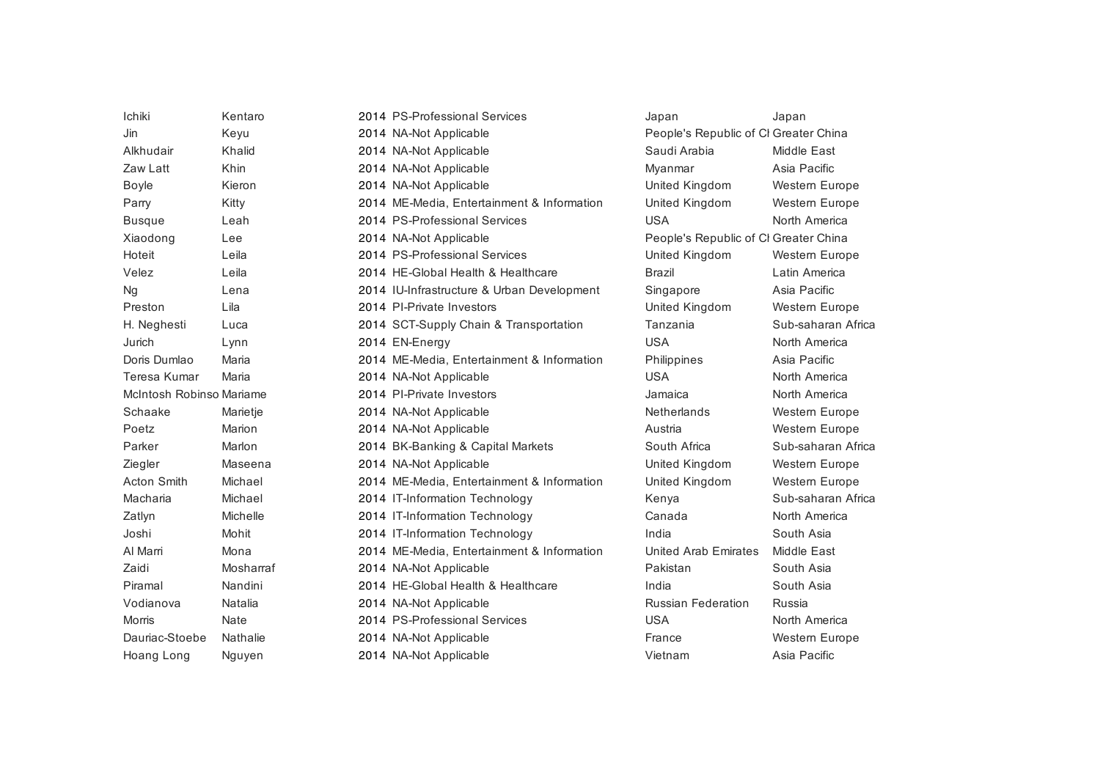| Ichiki                   | Kentaro     | 2014 PS-Professional Services              | Japan                                 | Japan              |
|--------------------------|-------------|--------------------------------------------|---------------------------------------|--------------------|
| Jin                      | Keyu        | 2014 NA-Not Applicable                     | People's Republic of CI Greater China |                    |
| Alkhudair                | Khalid      | 2014 NA-Not Applicable                     | Saudi Arabia                          | Middle East        |
| Zaw Latt                 | Khin        | 2014 NA-Not Applicable                     | Myanmar                               | Asia Pacific       |
| <b>Boyle</b>             | Kieron      | 2014 NA-Not Applicable                     | United Kingdom                        | Western Europe     |
| Parry                    | Kitty       | 2014 ME-Media, Entertainment & Information | United Kingdom                        | Western Europe     |
| <b>Busque</b>            | Leah        | 2014 PS-Professional Services              | <b>USA</b>                            | North America      |
| Xiaodong                 | Lee         | 2014 NA-Not Applicable                     | People's Republic of CI Greater China |                    |
| Hoteit                   | Leila       | 2014 PS-Professional Services              | United Kingdom                        | Western Europe     |
| Velez                    | Leila       | 2014 HE-Global Health & Healthcare         | <b>Brazil</b>                         | Latin America      |
| <b>Ng</b>                | Lena        | 2014 IU-Infrastructure & Urban Development | Singapore                             | Asia Pacific       |
| Preston                  | Lila        | 2014 PI-Private Investors                  | United Kingdom                        | Western Europe     |
| H. Neghesti              | Luca        | 2014 SCT-Supply Chain & Transportation     | Tanzania                              | Sub-saharan Africa |
| Jurich                   | Lynn        | 2014 EN-Energy                             | <b>USA</b>                            | North America      |
| Doris Dumlao             | Maria       | 2014 ME-Media, Entertainment & Information | Philippines                           | Asia Pacific       |
| Teresa Kumar             | Maria       | 2014 NA-Not Applicable                     | <b>USA</b>                            | North America      |
| McIntosh Robinso Mariame |             | 2014 PI-Private Investors                  | Jamaica                               | North America      |
| Schaake                  | Marietje    | 2014 NA-Not Applicable                     | <b>Netherlands</b>                    | Western Europe     |
| Poetz                    | Marion      | 2014 NA-Not Applicable                     | Austria                               | Western Europe     |
| Parker                   | Marlon      | 2014 BK-Banking & Capital Markets          | South Africa                          | Sub-saharan Africa |
| Ziegler                  | Maseena     | 2014 NA-Not Applicable                     | United Kingdom                        | Western Europe     |
| <b>Acton Smith</b>       | Michael     | 2014 ME-Media, Entertainment & Information | United Kingdom                        | Western Europe     |
| Macharia                 | Michael     | 2014 IT-Information Technology             | Kenya                                 | Sub-saharan Africa |
| Zatlyn                   | Michelle    | 2014 IT-Information Technology             | Canada                                | North America      |
| Joshi                    | Mohit       | 2014 IT-Information Technology             | India                                 | South Asia         |
| Al Marri                 | Mona        | 2014 ME-Media, Entertainment & Information | <b>United Arab Emirates</b>           | Middle East        |
| Zaidi                    | Mosharraf   | 2014 NA-Not Applicable                     | Pakistan                              | South Asia         |
| Piramal                  | Nandini     | 2014 HE-Global Health & Healthcare         | India                                 | South Asia         |
| Vodianova                | Natalia     | 2014 NA-Not Applicable                     | <b>Russian Federation</b>             | Russia             |
| <b>Morris</b>            | <b>Nate</b> | 2014 PS-Professional Services              | <b>USA</b>                            | North America      |
| Dauriac-Stoebe           | Nathalie    | 2014 NA-Not Applicable                     | France                                | Western Europe     |
| Hoang Long               | Nguyen      | 2014 NA-Not Applicable                     | Vietnam                               | Asia Pacific       |
|                          |             |                                            |                                       |                    |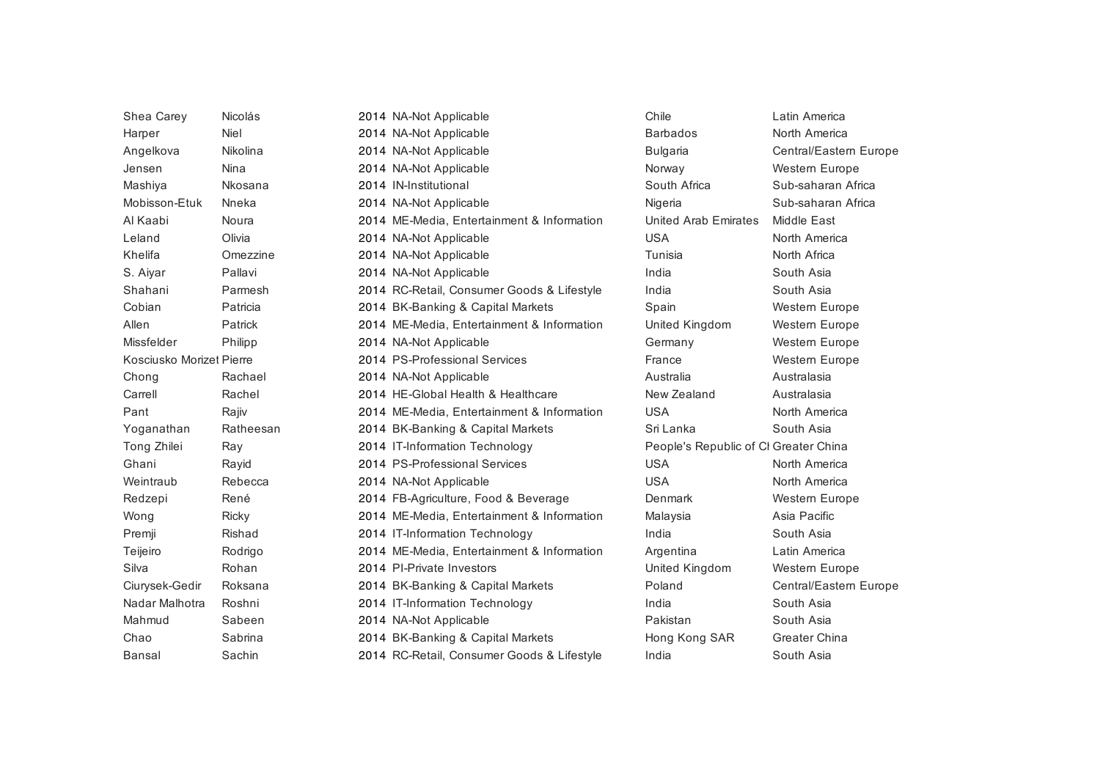| North America<br>Niel<br><b>Barbados</b><br>2014 NA-Not Applicable<br>Harper<br>Angelkova<br>Nikolina<br>2014 NA-Not Applicable<br><b>Bulgaria</b><br>Nina<br>2014 NA-Not Applicable<br>Jensen<br>Norway<br>South Africa<br>Mashiya<br>Nkosana<br>2014 IN-Institutional<br>Mobisson-Etuk<br>Nneka<br>2014 NA-Not Applicable<br>Nigeria<br>Al Kaabi<br>Noura<br>2014 ME-Media, Entertainment & Information<br>Middle East<br>United Arab Emirates<br>Olivia<br><b>USA</b><br>Leland<br>2014 NA-Not Applicable<br>North America<br>Tunisia<br>Khelifa<br>Omezzine<br>2014 NA-Not Applicable<br>North Africa<br>S. Aiyar<br>Pallavi<br>2014 NA-Not Applicable<br>India<br>South Asia<br>Shahani<br>India<br>Parmesh<br>2014 RC-Retail, Consumer Goods & Lifestyle<br>South Asia<br>Cobian<br>Patricia<br>2014 BK-Banking & Capital Markets<br>Spain<br>Allen<br>Patrick<br>2014 ME-Media, Entertainment & Information<br>United Kingdom<br>Missfelder<br>Philipp<br>2014 NA-Not Applicable<br>Germany<br>Kosciusko Morizet Pierre<br>2014 PS-Professional Services<br>France<br>Australia<br>Rachael<br>2014 NA-Not Applicable<br>Australasia<br>Chong<br>Rachel<br>2014 HE-Global Health & Healthcare<br>New Zealand<br>Australasia<br>Carrell<br>Pant<br>Rajiv<br>2014 ME-Media, Entertainment & Information<br><b>USA</b><br>North America<br>Ratheesan<br>2014 BK-Banking & Capital Markets<br>Sri Lanka<br>South Asia<br>Yoganathan<br>Tong Zhilei<br>2014 IT-Information Technology<br>People's Republic of CI Greater China<br>Ray<br>Ghani<br>2014 PS-Professional Services<br><b>USA</b><br>North America<br>Rayid<br>Weintraub<br>Rebecca<br><b>USA</b><br>North America<br>2014 NA-Not Applicable<br>2014 FB-Agriculture, Food & Beverage<br>Denmark<br>Redzepi<br>René<br>2014 ME-Media, Entertainment & Information<br>Asia Pacific<br><b>Ricky</b><br>Wong<br>Malaysia<br>2014 IT-Information Technology<br>India<br>Premji<br>Rishad<br>South Asia<br>Teijeiro<br>Rodrigo<br>2014 ME-Media, Entertainment & Information<br>Argentina<br>Latin America<br>Silva<br>Rohan<br>United Kingdom<br>2014 PI-Private Investors<br>Roksana<br>Poland<br>Ciurysek-Gedir<br>2014 BK-Banking & Capital Markets<br>Nadar Malhotra<br>Roshni<br>South Asia<br>2014 IT-Information Technology<br>India<br>Mahmud<br>Sabeen<br>2014 NA-Not Applicable<br>Pakistan<br>South Asia<br>Greater China<br>Chao<br>Sabrina<br>2014 BK-Banking & Capital Markets<br>Hong Kong SAR<br>2014 RC-Retail, Consumer Goods & Lifestyle<br>Sachin<br>India<br>South Asia<br>Bansal | Shea Carey | Nicolás | 2014 NA-Not Applicable | Chile | Latin America          |
|----------------------------------------------------------------------------------------------------------------------------------------------------------------------------------------------------------------------------------------------------------------------------------------------------------------------------------------------------------------------------------------------------------------------------------------------------------------------------------------------------------------------------------------------------------------------------------------------------------------------------------------------------------------------------------------------------------------------------------------------------------------------------------------------------------------------------------------------------------------------------------------------------------------------------------------------------------------------------------------------------------------------------------------------------------------------------------------------------------------------------------------------------------------------------------------------------------------------------------------------------------------------------------------------------------------------------------------------------------------------------------------------------------------------------------------------------------------------------------------------------------------------------------------------------------------------------------------------------------------------------------------------------------------------------------------------------------------------------------------------------------------------------------------------------------------------------------------------------------------------------------------------------------------------------------------------------------------------------------------------------------------------------------------------------------------------------------------------------------------------------------------------------------------------------------------------------------------------------------------------------------------------------------------------------------------------------------------------------------------------------------------------------------------------------------------------------------------------------------------------------------------------------------------------------------------|------------|---------|------------------------|-------|------------------------|
|                                                                                                                                                                                                                                                                                                                                                                                                                                                                                                                                                                                                                                                                                                                                                                                                                                                                                                                                                                                                                                                                                                                                                                                                                                                                                                                                                                                                                                                                                                                                                                                                                                                                                                                                                                                                                                                                                                                                                                                                                                                                                                                                                                                                                                                                                                                                                                                                                                                                                                                                                                |            |         |                        |       |                        |
|                                                                                                                                                                                                                                                                                                                                                                                                                                                                                                                                                                                                                                                                                                                                                                                                                                                                                                                                                                                                                                                                                                                                                                                                                                                                                                                                                                                                                                                                                                                                                                                                                                                                                                                                                                                                                                                                                                                                                                                                                                                                                                                                                                                                                                                                                                                                                                                                                                                                                                                                                                |            |         |                        |       | Central/Eastern Europe |
|                                                                                                                                                                                                                                                                                                                                                                                                                                                                                                                                                                                                                                                                                                                                                                                                                                                                                                                                                                                                                                                                                                                                                                                                                                                                                                                                                                                                                                                                                                                                                                                                                                                                                                                                                                                                                                                                                                                                                                                                                                                                                                                                                                                                                                                                                                                                                                                                                                                                                                                                                                |            |         |                        |       | Western Europe         |
|                                                                                                                                                                                                                                                                                                                                                                                                                                                                                                                                                                                                                                                                                                                                                                                                                                                                                                                                                                                                                                                                                                                                                                                                                                                                                                                                                                                                                                                                                                                                                                                                                                                                                                                                                                                                                                                                                                                                                                                                                                                                                                                                                                                                                                                                                                                                                                                                                                                                                                                                                                |            |         |                        |       | Sub-saharan Africa     |
|                                                                                                                                                                                                                                                                                                                                                                                                                                                                                                                                                                                                                                                                                                                                                                                                                                                                                                                                                                                                                                                                                                                                                                                                                                                                                                                                                                                                                                                                                                                                                                                                                                                                                                                                                                                                                                                                                                                                                                                                                                                                                                                                                                                                                                                                                                                                                                                                                                                                                                                                                                |            |         |                        |       | Sub-saharan Africa     |
|                                                                                                                                                                                                                                                                                                                                                                                                                                                                                                                                                                                                                                                                                                                                                                                                                                                                                                                                                                                                                                                                                                                                                                                                                                                                                                                                                                                                                                                                                                                                                                                                                                                                                                                                                                                                                                                                                                                                                                                                                                                                                                                                                                                                                                                                                                                                                                                                                                                                                                                                                                |            |         |                        |       |                        |
|                                                                                                                                                                                                                                                                                                                                                                                                                                                                                                                                                                                                                                                                                                                                                                                                                                                                                                                                                                                                                                                                                                                                                                                                                                                                                                                                                                                                                                                                                                                                                                                                                                                                                                                                                                                                                                                                                                                                                                                                                                                                                                                                                                                                                                                                                                                                                                                                                                                                                                                                                                |            |         |                        |       |                        |
|                                                                                                                                                                                                                                                                                                                                                                                                                                                                                                                                                                                                                                                                                                                                                                                                                                                                                                                                                                                                                                                                                                                                                                                                                                                                                                                                                                                                                                                                                                                                                                                                                                                                                                                                                                                                                                                                                                                                                                                                                                                                                                                                                                                                                                                                                                                                                                                                                                                                                                                                                                |            |         |                        |       |                        |
|                                                                                                                                                                                                                                                                                                                                                                                                                                                                                                                                                                                                                                                                                                                                                                                                                                                                                                                                                                                                                                                                                                                                                                                                                                                                                                                                                                                                                                                                                                                                                                                                                                                                                                                                                                                                                                                                                                                                                                                                                                                                                                                                                                                                                                                                                                                                                                                                                                                                                                                                                                |            |         |                        |       |                        |
|                                                                                                                                                                                                                                                                                                                                                                                                                                                                                                                                                                                                                                                                                                                                                                                                                                                                                                                                                                                                                                                                                                                                                                                                                                                                                                                                                                                                                                                                                                                                                                                                                                                                                                                                                                                                                                                                                                                                                                                                                                                                                                                                                                                                                                                                                                                                                                                                                                                                                                                                                                |            |         |                        |       |                        |
|                                                                                                                                                                                                                                                                                                                                                                                                                                                                                                                                                                                                                                                                                                                                                                                                                                                                                                                                                                                                                                                                                                                                                                                                                                                                                                                                                                                                                                                                                                                                                                                                                                                                                                                                                                                                                                                                                                                                                                                                                                                                                                                                                                                                                                                                                                                                                                                                                                                                                                                                                                |            |         |                        |       | Western Europe         |
|                                                                                                                                                                                                                                                                                                                                                                                                                                                                                                                                                                                                                                                                                                                                                                                                                                                                                                                                                                                                                                                                                                                                                                                                                                                                                                                                                                                                                                                                                                                                                                                                                                                                                                                                                                                                                                                                                                                                                                                                                                                                                                                                                                                                                                                                                                                                                                                                                                                                                                                                                                |            |         |                        |       | <b>Western Europe</b>  |
|                                                                                                                                                                                                                                                                                                                                                                                                                                                                                                                                                                                                                                                                                                                                                                                                                                                                                                                                                                                                                                                                                                                                                                                                                                                                                                                                                                                                                                                                                                                                                                                                                                                                                                                                                                                                                                                                                                                                                                                                                                                                                                                                                                                                                                                                                                                                                                                                                                                                                                                                                                |            |         |                        |       | Western Europe         |
|                                                                                                                                                                                                                                                                                                                                                                                                                                                                                                                                                                                                                                                                                                                                                                                                                                                                                                                                                                                                                                                                                                                                                                                                                                                                                                                                                                                                                                                                                                                                                                                                                                                                                                                                                                                                                                                                                                                                                                                                                                                                                                                                                                                                                                                                                                                                                                                                                                                                                                                                                                |            |         |                        |       | Western Europe         |
|                                                                                                                                                                                                                                                                                                                                                                                                                                                                                                                                                                                                                                                                                                                                                                                                                                                                                                                                                                                                                                                                                                                                                                                                                                                                                                                                                                                                                                                                                                                                                                                                                                                                                                                                                                                                                                                                                                                                                                                                                                                                                                                                                                                                                                                                                                                                                                                                                                                                                                                                                                |            |         |                        |       |                        |
|                                                                                                                                                                                                                                                                                                                                                                                                                                                                                                                                                                                                                                                                                                                                                                                                                                                                                                                                                                                                                                                                                                                                                                                                                                                                                                                                                                                                                                                                                                                                                                                                                                                                                                                                                                                                                                                                                                                                                                                                                                                                                                                                                                                                                                                                                                                                                                                                                                                                                                                                                                |            |         |                        |       |                        |
|                                                                                                                                                                                                                                                                                                                                                                                                                                                                                                                                                                                                                                                                                                                                                                                                                                                                                                                                                                                                                                                                                                                                                                                                                                                                                                                                                                                                                                                                                                                                                                                                                                                                                                                                                                                                                                                                                                                                                                                                                                                                                                                                                                                                                                                                                                                                                                                                                                                                                                                                                                |            |         |                        |       |                        |
|                                                                                                                                                                                                                                                                                                                                                                                                                                                                                                                                                                                                                                                                                                                                                                                                                                                                                                                                                                                                                                                                                                                                                                                                                                                                                                                                                                                                                                                                                                                                                                                                                                                                                                                                                                                                                                                                                                                                                                                                                                                                                                                                                                                                                                                                                                                                                                                                                                                                                                                                                                |            |         |                        |       |                        |
|                                                                                                                                                                                                                                                                                                                                                                                                                                                                                                                                                                                                                                                                                                                                                                                                                                                                                                                                                                                                                                                                                                                                                                                                                                                                                                                                                                                                                                                                                                                                                                                                                                                                                                                                                                                                                                                                                                                                                                                                                                                                                                                                                                                                                                                                                                                                                                                                                                                                                                                                                                |            |         |                        |       |                        |
|                                                                                                                                                                                                                                                                                                                                                                                                                                                                                                                                                                                                                                                                                                                                                                                                                                                                                                                                                                                                                                                                                                                                                                                                                                                                                                                                                                                                                                                                                                                                                                                                                                                                                                                                                                                                                                                                                                                                                                                                                                                                                                                                                                                                                                                                                                                                                                                                                                                                                                                                                                |            |         |                        |       |                        |
|                                                                                                                                                                                                                                                                                                                                                                                                                                                                                                                                                                                                                                                                                                                                                                                                                                                                                                                                                                                                                                                                                                                                                                                                                                                                                                                                                                                                                                                                                                                                                                                                                                                                                                                                                                                                                                                                                                                                                                                                                                                                                                                                                                                                                                                                                                                                                                                                                                                                                                                                                                |            |         |                        |       |                        |
|                                                                                                                                                                                                                                                                                                                                                                                                                                                                                                                                                                                                                                                                                                                                                                                                                                                                                                                                                                                                                                                                                                                                                                                                                                                                                                                                                                                                                                                                                                                                                                                                                                                                                                                                                                                                                                                                                                                                                                                                                                                                                                                                                                                                                                                                                                                                                                                                                                                                                                                                                                |            |         |                        |       | Western Europe         |
|                                                                                                                                                                                                                                                                                                                                                                                                                                                                                                                                                                                                                                                                                                                                                                                                                                                                                                                                                                                                                                                                                                                                                                                                                                                                                                                                                                                                                                                                                                                                                                                                                                                                                                                                                                                                                                                                                                                                                                                                                                                                                                                                                                                                                                                                                                                                                                                                                                                                                                                                                                |            |         |                        |       |                        |
|                                                                                                                                                                                                                                                                                                                                                                                                                                                                                                                                                                                                                                                                                                                                                                                                                                                                                                                                                                                                                                                                                                                                                                                                                                                                                                                                                                                                                                                                                                                                                                                                                                                                                                                                                                                                                                                                                                                                                                                                                                                                                                                                                                                                                                                                                                                                                                                                                                                                                                                                                                |            |         |                        |       |                        |
|                                                                                                                                                                                                                                                                                                                                                                                                                                                                                                                                                                                                                                                                                                                                                                                                                                                                                                                                                                                                                                                                                                                                                                                                                                                                                                                                                                                                                                                                                                                                                                                                                                                                                                                                                                                                                                                                                                                                                                                                                                                                                                                                                                                                                                                                                                                                                                                                                                                                                                                                                                |            |         |                        |       |                        |
|                                                                                                                                                                                                                                                                                                                                                                                                                                                                                                                                                                                                                                                                                                                                                                                                                                                                                                                                                                                                                                                                                                                                                                                                                                                                                                                                                                                                                                                                                                                                                                                                                                                                                                                                                                                                                                                                                                                                                                                                                                                                                                                                                                                                                                                                                                                                                                                                                                                                                                                                                                |            |         |                        |       | Western Europe         |
|                                                                                                                                                                                                                                                                                                                                                                                                                                                                                                                                                                                                                                                                                                                                                                                                                                                                                                                                                                                                                                                                                                                                                                                                                                                                                                                                                                                                                                                                                                                                                                                                                                                                                                                                                                                                                                                                                                                                                                                                                                                                                                                                                                                                                                                                                                                                                                                                                                                                                                                                                                |            |         |                        |       | Central/Eastern Europe |
|                                                                                                                                                                                                                                                                                                                                                                                                                                                                                                                                                                                                                                                                                                                                                                                                                                                                                                                                                                                                                                                                                                                                                                                                                                                                                                                                                                                                                                                                                                                                                                                                                                                                                                                                                                                                                                                                                                                                                                                                                                                                                                                                                                                                                                                                                                                                                                                                                                                                                                                                                                |            |         |                        |       |                        |
|                                                                                                                                                                                                                                                                                                                                                                                                                                                                                                                                                                                                                                                                                                                                                                                                                                                                                                                                                                                                                                                                                                                                                                                                                                                                                                                                                                                                                                                                                                                                                                                                                                                                                                                                                                                                                                                                                                                                                                                                                                                                                                                                                                                                                                                                                                                                                                                                                                                                                                                                                                |            |         |                        |       |                        |
|                                                                                                                                                                                                                                                                                                                                                                                                                                                                                                                                                                                                                                                                                                                                                                                                                                                                                                                                                                                                                                                                                                                                                                                                                                                                                                                                                                                                                                                                                                                                                                                                                                                                                                                                                                                                                                                                                                                                                                                                                                                                                                                                                                                                                                                                                                                                                                                                                                                                                                                                                                |            |         |                        |       |                        |
|                                                                                                                                                                                                                                                                                                                                                                                                                                                                                                                                                                                                                                                                                                                                                                                                                                                                                                                                                                                                                                                                                                                                                                                                                                                                                                                                                                                                                                                                                                                                                                                                                                                                                                                                                                                                                                                                                                                                                                                                                                                                                                                                                                                                                                                                                                                                                                                                                                                                                                                                                                |            |         |                        |       |                        |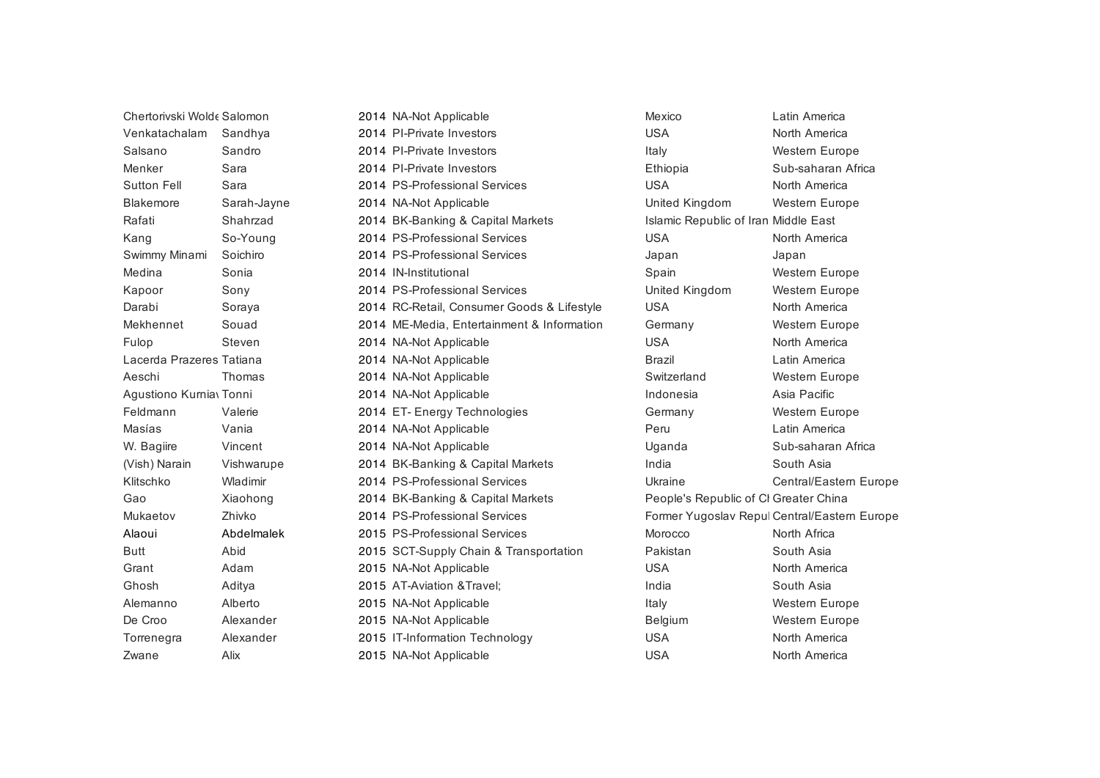| Chertorivski Wolde Salomon |             | 2014 NA-Not Applicable                     | Mexico                                | Latin America                                |
|----------------------------|-------------|--------------------------------------------|---------------------------------------|----------------------------------------------|
| Venkatachalam              | Sandhya     | 2014 PI-Private Investors                  | <b>USA</b>                            | North America                                |
| Salsano                    | Sandro      | 2014 PI-Private Investors                  | Italy                                 | Western Europe                               |
| Menker                     | Sara        | 2014 PI-Private Investors                  | Ethiopia                              | Sub-saharan Africa                           |
| <b>Sutton Fell</b>         | Sara        | 2014 PS-Professional Services              | <b>USA</b>                            | North America                                |
| <b>Blakemore</b>           | Sarah-Jayne | 2014 NA-Not Applicable                     | United Kingdom                        | <b>Western Europe</b>                        |
| Rafati                     | Shahrzad    | 2014 BK-Banking & Capital Markets          | Islamic Republic of Iran Middle East  |                                              |
| Kang                       | So-Young    | 2014 PS-Professional Services              | <b>USA</b>                            | North America                                |
| Swimmy Minami              | Soichiro    | 2014 PS-Professional Services              | Japan                                 | Japan                                        |
| Medina                     | Sonia       | 2014 IN-Institutional                      | Spain                                 | Western Europe                               |
| Kapoor                     | Sony        | 2014 PS-Professional Services              | United Kingdom                        | Western Europe                               |
| Darabi                     | Soraya      | 2014 RC-Retail, Consumer Goods & Lifestyle | <b>USA</b>                            | North America                                |
| Mekhennet                  | Souad       | 2014 ME-Media, Entertainment & Information | Germany                               | Western Europe                               |
| Fulop                      | Steven      | 2014 NA-Not Applicable                     | <b>USA</b>                            | North America                                |
| Lacerda Prazeres Tatiana   |             | 2014 NA-Not Applicable                     | <b>Brazil</b>                         | Latin America                                |
| Aeschi                     | Thomas      | 2014 NA-Not Applicable                     | Switzerland                           | Western Europe                               |
| Agustiono Kurnia Tonni     |             | 2014 NA-Not Applicable                     | Indonesia                             | Asia Pacific                                 |
| Feldmann                   | Valerie     | 2014 ET- Energy Technologies               | Germany                               | Western Europe                               |
| Masías                     | Vania       | 2014 NA-Not Applicable                     | Peru                                  | Latin America                                |
| W. Bagiire                 | Vincent     | 2014 NA-Not Applicable                     | Uganda                                | Sub-saharan Africa                           |
| (Vish) Narain              | Vishwarupe  | 2014 BK-Banking & Capital Markets          | India                                 | South Asia                                   |
| Klitschko                  | Wladimir    | 2014 PS-Professional Services              | Ukraine                               | Central/Eastern Europe                       |
| Gao                        | Xiaohong    | 2014 BK-Banking & Capital Markets          | People's Republic of Cl Greater China |                                              |
| Mukaetov                   | Zhivko      | 2014 PS-Professional Services              |                                       | Former Yugoslav Repul Central/Eastern Europe |
| Alaoui                     | Abdelmalek  | 2015 PS-Professional Services              | Morocco                               | North Africa                                 |
| <b>Butt</b>                | Abid        | 2015 SCT-Supply Chain & Transportation     | Pakistan                              | South Asia                                   |
| Grant                      | Adam        | 2015 NA-Not Applicable                     | <b>USA</b>                            | North America                                |
| Ghosh                      | Aditya      | 2015 AT-Aviation & Travel;                 | India                                 | South Asia                                   |
| Alemanno                   | Alberto     | 2015 NA-Not Applicable                     | Italy                                 | Western Europe                               |
| De Croo                    | Alexander   | 2015 NA-Not Applicable                     | Belgium                               | Western Europe                               |
| Torrenegra                 | Alexander   | 2015 IT-Information Technology             | <b>USA</b>                            | North America                                |
| Zwane                      | Alix        | 2015 NA-Not Applicable                     | <b>USA</b>                            | North America                                |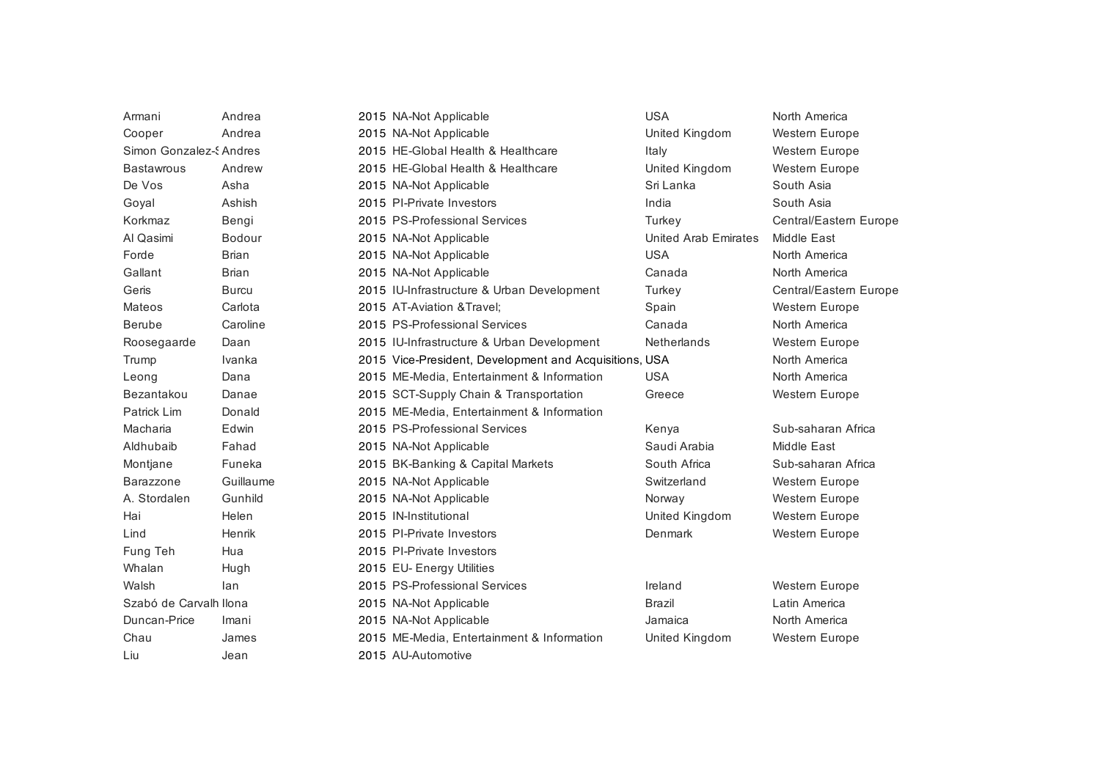| Armani                  | Andrea        | 2015 NA-Not Applicable                                 | <b>USA</b>           | North America          |
|-------------------------|---------------|--------------------------------------------------------|----------------------|------------------------|
| Cooper                  | Andrea        | 2015 NA-Not Applicable                                 | United Kingdom       | Western Europe         |
| Simon Gonzalez-S Andres |               | 2015 HE-Global Health & Healthcare                     | Italy                | Western Europe         |
| <b>Bastawrous</b>       | Andrew        | 2015 HE-Global Health & Healthcare                     | United Kingdom       | Western Europe         |
| De Vos                  | Asha          | 2015 NA-Not Applicable                                 | Sri Lanka            | South Asia             |
| Goyal                   | Ashish        | 2015 PI-Private Investors                              | India                | South Asia             |
| Korkmaz                 | Bengi         | 2015 PS-Professional Services                          | Turkey               | Central/Eastern Europe |
| Al Qasimi               | <b>Bodour</b> | 2015 NA-Not Applicable                                 | United Arab Emirates | Middle East            |
| Forde                   | <b>Brian</b>  | 2015 NA-Not Applicable                                 | <b>USA</b>           | North America          |
| Gallant                 | <b>Brian</b>  | 2015 NA-Not Applicable                                 | Canada               | North America          |
| Geris                   | <b>Burcu</b>  | 2015 IU-Infrastructure & Urban Development             | Turkey               | Central/Eastern Europe |
| <b>Mateos</b>           | Carlota       | 2015 AT-Aviation & Travel;                             | Spain                | Western Europe         |
| <b>Berube</b>           | Caroline      | 2015 PS-Professional Services                          | Canada               | North America          |
| Roosegaarde             | Daan          | 2015 IU-Infrastructure & Urban Development             | <b>Netherlands</b>   | Western Europe         |
| Trump                   | Ivanka        | 2015 Vice-President, Development and Acquisitions, USA |                      | North America          |
| Leong                   | Dana          | 2015 ME-Media, Entertainment & Information             | <b>USA</b>           | North America          |
| Bezantakou              | Danae         | 2015 SCT-Supply Chain & Transportation                 | Greece               | Western Europe         |
| Patrick Lim             | Donald        | 2015 ME-Media, Entertainment & Information             |                      |                        |
| Macharia                | Edwin         | 2015 PS-Professional Services                          | Kenya                | Sub-saharan Africa     |
| Aldhubaib               | Fahad         | 2015 NA-Not Applicable                                 | Saudi Arabia         | Middle East            |
| Montjane                | Funeka        | 2015 BK-Banking & Capital Markets                      | South Africa         | Sub-saharan Africa     |
| <b>Barazzone</b>        | Guillaume     | 2015 NA-Not Applicable                                 | Switzerland          | Western Europe         |
| A. Stordalen            | Gunhild       | 2015 NA-Not Applicable                                 | Norway               | Western Europe         |
| Hai                     | Helen         | 2015 IN-Institutional                                  | United Kingdom       | Western Europe         |
| Lind                    | Henrik        | 2015 PI-Private Investors                              | Denmark              | <b>Western Europe</b>  |
| Fung Teh                | Hua           | 2015 PI-Private Investors                              |                      |                        |
| Whalan                  | Hugh          | 2015 EU- Energy Utilities                              |                      |                        |
| Walsh                   | lan           | 2015 PS-Professional Services                          | Ireland              | Western Europe         |
| Szabó de Carvalh Ilona  |               | 2015 NA-Not Applicable                                 | <b>Brazil</b>        | Latin America          |
| Duncan-Price            | Imani         | 2015 NA-Not Applicable                                 | Jamaica              | North America          |
| Chau                    | James         | 2015 ME-Media, Entertainment & Information             | United Kingdom       | Western Europe         |
| Liu                     | Jean          | 2015 AU-Automotive                                     |                      |                        |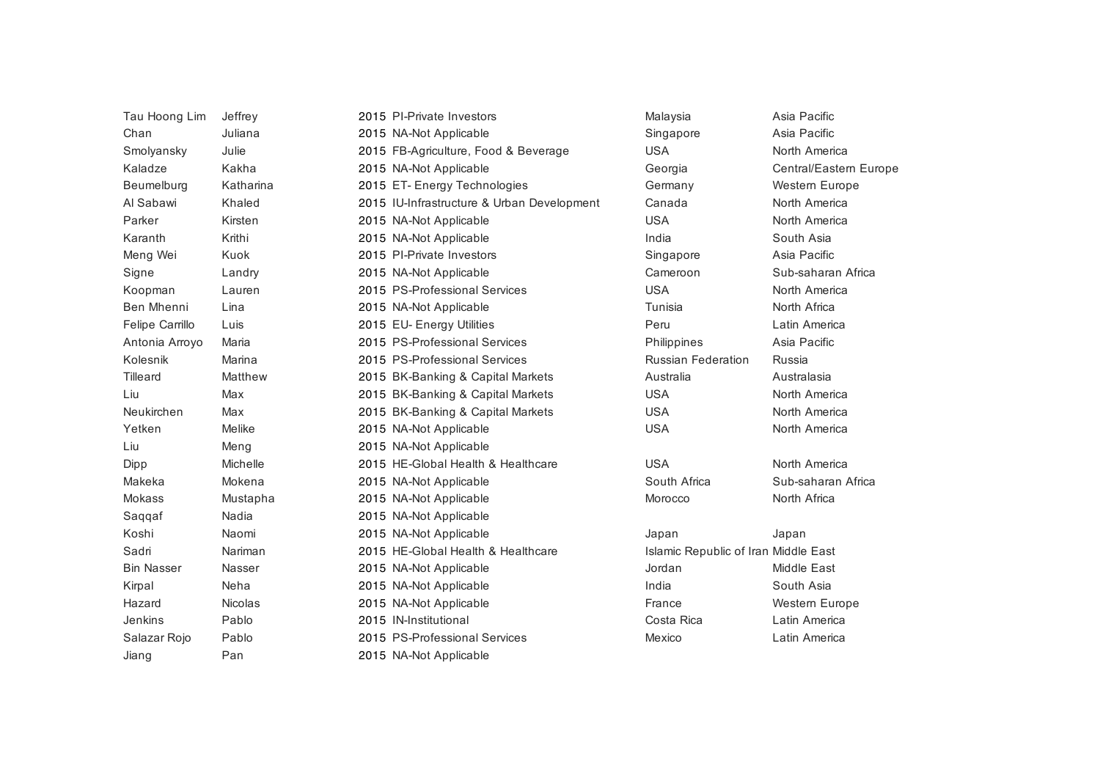| Tau Hoong Lim     | Jeffrey        | 2015 PI-Private Investors                  | Malaysia                             | Asia Pacific           |
|-------------------|----------------|--------------------------------------------|--------------------------------------|------------------------|
| Chan              | Juliana        | 2015 NA-Not Applicable                     | Singapore                            | Asia Pacific           |
| Smolyansky        | Julie          | 2015 FB-Agriculture, Food & Beverage       | <b>USA</b>                           | North America          |
| Kaladze           | Kakha          | 2015 NA-Not Applicable                     | Georgia                              | Central/Eastern Europe |
| Beumelburg        | Katharina      | 2015 ET- Energy Technologies               | Germany                              | Western Europe         |
| Al Sabawi         | Khaled         | 2015 IU-Infrastructure & Urban Development | Canada                               | North America          |
| Parker            | Kirsten        | 2015 NA-Not Applicable                     | <b>USA</b>                           | North America          |
| Karanth           | Krithi         | 2015 NA-Not Applicable                     | India                                | South Asia             |
| Meng Wei          | Kuok           | 2015 PI-Private Investors                  | Singapore                            | Asia Pacific           |
| Signe             | Landry         | 2015 NA-Not Applicable                     | Cameroon                             | Sub-saharan Africa     |
| Koopman           | Lauren         | 2015 PS-Professional Services              | <b>USA</b>                           | North America          |
| Ben Mhenni        | Lina           | 2015 NA-Not Applicable                     | Tunisia                              | North Africa           |
| Felipe Carrillo   | Luis           | 2015 EU- Energy Utilities                  | Peru                                 | Latin America          |
| Antonia Arroyo    | Maria          | 2015 PS-Professional Services              | Philippines                          | Asia Pacific           |
| Kolesnik          | Marina         | 2015 PS-Professional Services              | <b>Russian Federation</b>            | Russia                 |
| Tilleard          | Matthew        | 2015 BK-Banking & Capital Markets          | Australia                            | Australasia            |
| Liu               | Max            | 2015 BK-Banking & Capital Markets          | <b>USA</b>                           | North America          |
| Neukirchen        | Max            | 2015 BK-Banking & Capital Markets          | <b>USA</b>                           | North America          |
| Yetken            | Melike         | 2015 NA-Not Applicable                     | <b>USA</b>                           | North America          |
| Liu               | Meng           | 2015 NA-Not Applicable                     |                                      |                        |
| Dipp              | Michelle       | 2015 HE-Global Health & Healthcare         | <b>USA</b>                           | North America          |
| Makeka            | Mokena         | 2015 NA-Not Applicable                     | South Africa                         | Sub-saharan Africa     |
| Mokass            | Mustapha       | 2015 NA-Not Applicable                     | Morocco                              | North Africa           |
| Saqqaf            | Nadia          | 2015 NA-Not Applicable                     |                                      |                        |
| Koshi             | Naomi          | 2015 NA-Not Applicable                     | Japan                                | Japan                  |
| Sadri             | Nariman        | 2015 HE-Global Health & Healthcare         | Islamic Republic of Iran Middle East |                        |
| <b>Bin Nasser</b> | Nasser         | 2015 NA-Not Applicable                     | Jordan                               | Middle East            |
| Kirpal            | Neha           | 2015 NA-Not Applicable                     | India                                | South Asia             |
| Hazard            | <b>Nicolas</b> | 2015 NA-Not Applicable                     | France                               | Western Europe         |
| Jenkins           | Pablo          | 2015 IN-Institutional                      | Costa Rica                           | Latin America          |
| Salazar Rojo      | Pablo          | 2015 PS-Professional Services              | Mexico                               | Latin America          |
| Jiang             | Pan            | 2015 NA-Not Applicable                     |                                      |                        |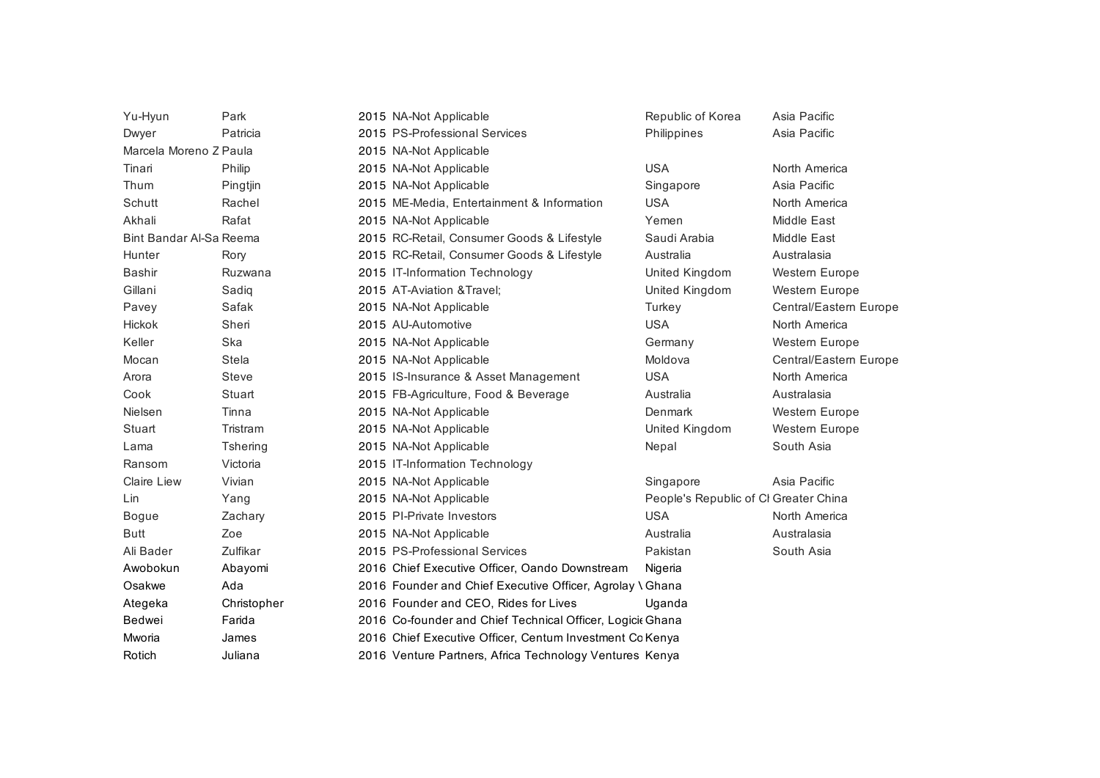| Yu-Hyun                 | Park            | 2015 NA-Not Applicable                                     | Republic of Korea                     | Asia Pacific           |
|-------------------------|-----------------|------------------------------------------------------------|---------------------------------------|------------------------|
| Dwyer                   | Patricia        | 2015 PS-Professional Services                              | Philippines                           | Asia Pacific           |
| Marcela Moreno Z Paula  |                 | 2015 NA-Not Applicable                                     |                                       |                        |
| Tinari                  | Philip          | 2015 NA-Not Applicable                                     | <b>USA</b>                            | North America          |
| Thum                    | Pingtjin        | 2015 NA-Not Applicable                                     | Singapore                             | Asia Pacific           |
| Schutt                  | Rachel          | 2015 ME-Media, Entertainment & Information                 | <b>USA</b>                            | North America          |
| Akhali                  | Rafat           | 2015 NA-Not Applicable                                     | Yemen                                 | Middle East            |
| Bint Bandar Al-Sa Reema |                 | 2015 RC-Retail, Consumer Goods & Lifestyle                 | Saudi Arabia                          | Middle East            |
| Hunter                  | Rory            | 2015 RC-Retail, Consumer Goods & Lifestyle                 | Australia                             | Australasia            |
| Bashir                  | Ruzwana         | 2015 IT-Information Technology                             | United Kingdom                        | Western Europe         |
| Gillani                 | Sadiq           | 2015 AT-Aviation & Travel;                                 | United Kingdom                        | Western Europe         |
| Pavey                   | Safak           | 2015 NA-Not Applicable                                     | Turkey                                | Central/Eastern Europe |
| <b>Hickok</b>           | Sheri           | 2015 AU-Automotive                                         | <b>USA</b>                            | North America          |
| Keller                  | Ska             | 2015 NA-Not Applicable                                     | Germany                               | Western Europe         |
| Mocan                   | <b>Stela</b>    | 2015 NA-Not Applicable                                     | Moldova                               | Central/Eastern Europe |
| Arora                   | <b>Steve</b>    | 2015 IS-Insurance & Asset Management                       | <b>USA</b>                            | North America          |
| Cook                    | Stuart          | 2015 FB-Agriculture, Food & Beverage                       | Australia                             | Australasia            |
| Nielsen                 | Tinna           | 2015 NA-Not Applicable                                     | Denmark                               | Western Europe         |
| Stuart                  | Tristram        | 2015 NA-Not Applicable                                     | United Kingdom                        | Western Europe         |
| Lama                    | <b>Tshering</b> | 2015 NA-Not Applicable                                     | Nepal                                 | South Asia             |
| Ransom                  | Victoria        | 2015 IT-Information Technology                             |                                       |                        |
| <b>Claire Liew</b>      | Vivian          | 2015 NA-Not Applicable                                     | Singapore                             | Asia Pacific           |
| Lin                     | Yang            | 2015 NA-Not Applicable                                     | People's Republic of CI Greater China |                        |
| <b>Bogue</b>            | Zachary         | 2015 PI-Private Investors                                  | <b>USA</b>                            | North America          |
| <b>Butt</b>             | Zoe             | 2015 NA-Not Applicable                                     | Australia                             | Australasia            |
| Ali Bader               | Zulfikar        | 2015 PS-Professional Services                              | Pakistan                              | South Asia             |
| Awobokun                | Abayomi         | 2016 Chief Executive Officer, Oando Downstream             | Nigeria                               |                        |
| Osakwe                  | Ada             | 2016 Founder and Chief Executive Officer, Agrolay \ Ghana  |                                       |                        |
| Ategeka                 | Christopher     | 2016 Founder and CEO, Rides for Lives                      | Uganda                                |                        |
| Bedwei                  | Farida          | 2016 Co-founder and Chief Technical Officer, Logicit Ghana |                                       |                        |
| Mworia                  | James           | 2016 Chief Executive Officer, Centum Investment Co Kenya   |                                       |                        |
| Rotich                  | Juliana         | 2016 Venture Partners, Africa Technology Ventures Kenya    |                                       |                        |
|                         |                 |                                                            |                                       |                        |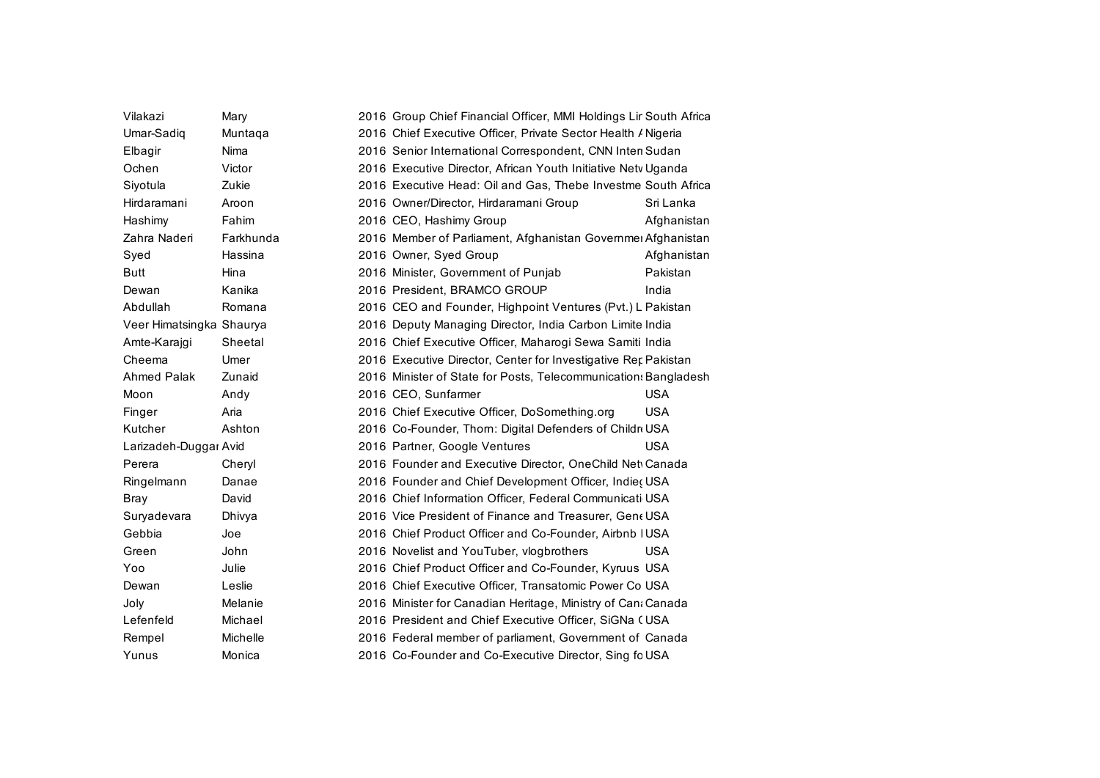| Vilakazi                 | Mary      | 2016 Group Chief Financial Officer, MMI Holdings Lir South Africa |  |
|--------------------------|-----------|-------------------------------------------------------------------|--|
| Umar-Sadig               | Muntaqa   | 2016 Chief Executive Officer, Private Sector Health / Nigeria     |  |
| Elbagir                  | Nima      | 2016 Senior International Correspondent, CNN Inter Sudan          |  |
| Ochen                    | Victor    | 2016 Executive Director, African Youth Initiative Netv Uganda     |  |
| Siyotula                 | Zukie     | 2016 Executive Head: Oil and Gas, Thebe Investme South Africa     |  |
| Hirdaramani              | Aroon     | 2016 Owner/Director, Hirdaramani Group<br>Sri Lanka               |  |
| Hashimy                  | Fahim     | 2016 CEO, Hashimy Group<br>Afghanistan                            |  |
| Zahra Naderi             | Farkhunda | 2016 Member of Parliament, Afghanistan Governmer Afghanistan      |  |
| Syed                     | Hassina   | 2016 Owner, Syed Group<br>Afghanistan                             |  |
| <b>Butt</b>              | Hina      | Pakistan<br>2016 Minister, Government of Punjab                   |  |
| Dewan                    | Kanika    | 2016 President, BRAMCO GROUP<br>India                             |  |
| Abdullah                 | Romana    | 2016 CEO and Founder, Highpoint Ventures (Pvt.) L Pakistan        |  |
| Veer Himatsingka Shaurya |           | 2016 Deputy Managing Director, India Carbon Limite India          |  |
| Amte-Karajgi             | Sheetal   | 2016 Chief Executive Officer, Maharogi Sewa Samiti India          |  |
| Cheema                   | Umer      | 2016 Executive Director, Center for Investigative Ret Pakistan    |  |
| Ahmed Palak              | Zunaid    | 2016 Minister of State for Posts, Telecommunication: Bangladesh   |  |
| Moon                     | Andy      | <b>USA</b><br>2016 CEO, Sunfarmer                                 |  |
| Finger                   | Aria      | <b>USA</b><br>2016 Chief Executive Officer, DoSomething.org       |  |
| Kutcher                  | Ashton    | 2016 Co-Founder, Thom: Digital Defenders of Childr USA            |  |
| Larizadeh-Duggar Avid    |           | <b>USA</b><br>2016 Partner, Google Ventures                       |  |
| Perera                   | Cheryl    | 2016 Founder and Executive Director, OneChild Net Canada          |  |
| Ringelmann               | Danae     | 2016 Founder and Chief Development Officer, Indieç USA            |  |
| Bray                     | David     | 2016 Chief Information Officer, Federal Communicati USA           |  |
| Suryadevara              | Dhivya    | 2016 Vice President of Finance and Treasurer, Gene USA            |  |
| Gebbia                   | Joe       | 2016 Chief Product Officer and Co-Founder, Airbnb   USA           |  |
| Green                    | John      | 2016 Novelist and YouTuber, vlogbrothers<br><b>USA</b>            |  |
| Yoo                      | Julie     | 2016 Chief Product Officer and Co-Founder, Kyruus USA             |  |
| Dewan                    | Leslie    | 2016 Chief Executive Officer, Transatomic Power Co USA            |  |
| Joly                     | Melanie   | 2016 Minister for Canadian Heritage, Ministry of Cana Canada      |  |
| Lefenfeld                | Michael   | 2016 President and Chief Executive Officer, SiGNa (USA            |  |
| Rempel                   | Michelle  | 2016 Federal member of parliament, Government of Canada           |  |
| Yunus                    | Monica    | 2016 Co-Founder and Co-Executive Director, Sing fo USA            |  |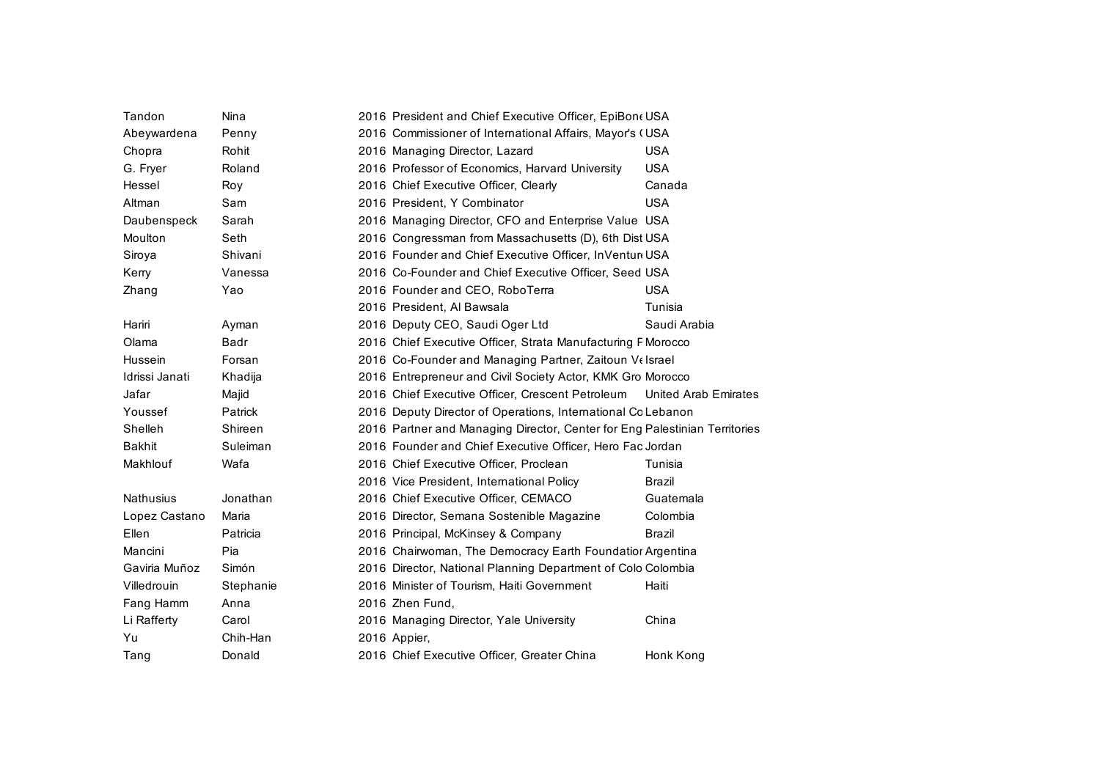| Tandon         | Nina      | 2016 President and Chief Executive Officer, EpiBon (USA                    |               |
|----------------|-----------|----------------------------------------------------------------------------|---------------|
| Abeywardena    | Penny     | 2016 Commissioner of International Affairs, Mayor's (USA                   |               |
| Chopra         | Rohit     | 2016 Managing Director, Lazard                                             | <b>USA</b>    |
| G. Fryer       | Roland    | 2016 Professor of Economics, Harvard University                            | <b>USA</b>    |
| Hessel         | Roy       | 2016 Chief Executive Officer, Clearly                                      | Canada        |
| Altman         | Sam       | 2016 President, Y Combinator                                               | <b>USA</b>    |
| Daubenspeck    | Sarah     | 2016 Managing Director, CFO and Enterprise Value USA                       |               |
| Moulton        | Seth      | 2016 Congressman from Massachusetts (D), 6th Dist USA                      |               |
| Siroya         | Shivani   | 2016 Founder and Chief Executive Officer, InVentur USA                     |               |
| Kerry          | Vanessa   | 2016 Co-Founder and Chief Executive Officer, Seed USA                      |               |
| Zhang          | Yao       | 2016 Founder and CEO, RoboTerra                                            | <b>USA</b>    |
|                |           | 2016 President, Al Bawsala                                                 | Tunisia       |
| Hariri         | Ayman     | 2016 Deputy CEO, Saudi Oger Ltd                                            | Saudi Arabia  |
| Olama          | Badr      | 2016 Chief Executive Officer, Strata Manufacturing F Morocco               |               |
| Hussein        | Forsan    | 2016 Co-Founder and Managing Partner, Zaitoun Velsrael                     |               |
| Idrissi Janati | Khadija   | 2016 Entrepreneur and Civil Society Actor, KMK Gro Morocco                 |               |
| Jafar          | Majid     | 2016 Chief Executive Officer, Crescent Petroleum United Arab Emirates      |               |
| Youssef        | Patrick   | 2016 Deputy Director of Operations, International Co Lebanon               |               |
| Shelleh        | Shireen   | 2016 Partner and Managing Director, Center for Eng Palestinian Territories |               |
| <b>Bakhit</b>  | Suleiman  | 2016 Founder and Chief Executive Officer, Hero Fac Jordan                  |               |
| Makhlouf       | Wafa      | 2016 Chief Executive Officer, Proclean                                     | Tunisia       |
|                |           | 2016 Vice President, International Policy                                  | <b>Brazil</b> |
| Nathusius      | Jonathan  | 2016 Chief Executive Officer, CEMACO                                       | Guatemala     |
| Lopez Castano  | Maria     | 2016 Director, Semana Sostenible Magazine                                  | Colombia      |
| Ellen          | Patricia  | 2016 Principal, McKinsey & Company                                         | Brazil        |
| Mancini        | Pia       | 2016 Chairwoman, The Democracy Earth Foundatior Argentina                  |               |
| Gaviria Muñoz  | Simón     | 2016 Director, National Planning Department of Colo Colombia               |               |
| Villedrouin    | Stephanie | 2016 Minister of Tourism, Haiti Government                                 | Haiti         |
| Fang Hamm      | Anna      | 2016 Zhen Fund,                                                            |               |
| Li Rafferty    | Carol     | 2016 Managing Director, Yale University                                    | China         |
| Yu             | Chih-Han  | 2016 Appier,                                                               |               |
| Tang           | Donald    | 2016 Chief Executive Officer, Greater China                                | Honk Kong     |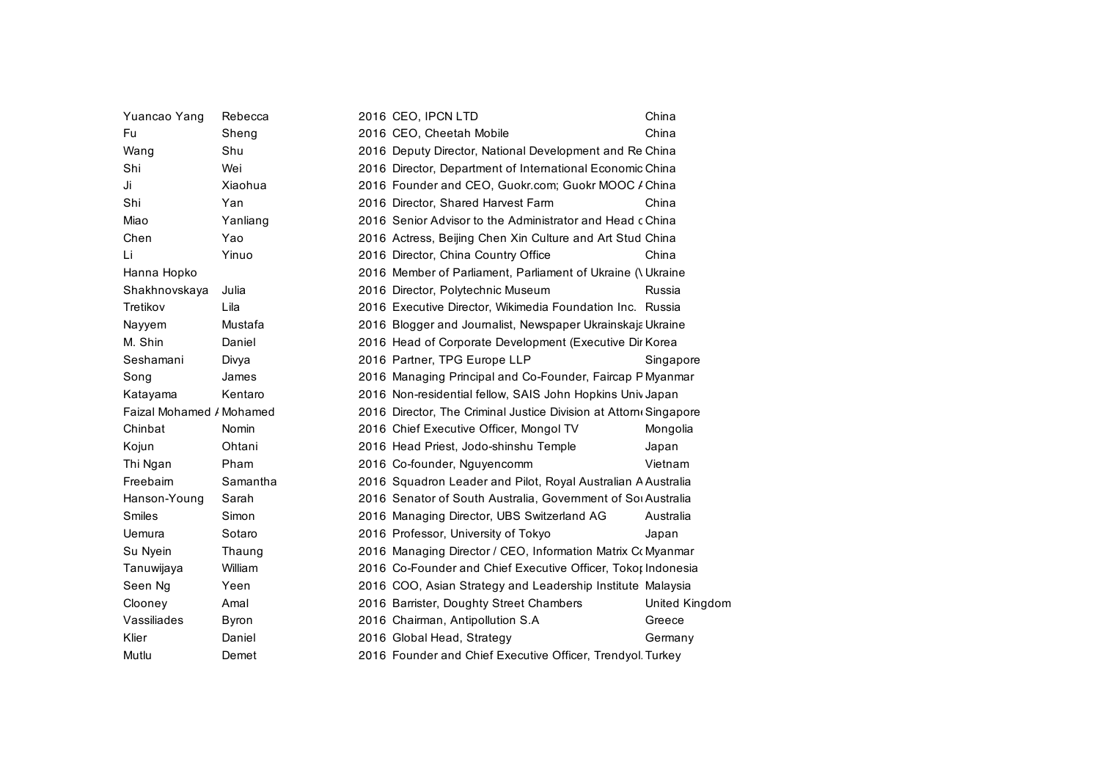| Yuancao Yang             | Rebecca  | 2016 CEO, IPCN LTD                                               | China          |
|--------------------------|----------|------------------------------------------------------------------|----------------|
| Fu                       | Sheng    | 2016 CEO, Cheetah Mobile                                         | China          |
| Wang                     | Shu      | 2016 Deputy Director, National Development and Re China          |                |
| Shi                      | Wei      | 2016 Director, Department of International Economic China        |                |
| Ji                       | Xiaohua  | 2016 Founder and CEO, Guokr.com; Guokr MOOC / China              |                |
| Shi                      | Yan      | 2016 Director, Shared Harvest Farm                               | China          |
| Miao                     | Yanliang | 2016 Senior Advisor to the Administrator and Head c China        |                |
| Chen                     | Yao      | 2016 Actress, Beijing Chen Xin Culture and Art Stud China        |                |
| Li                       | Yinuo    | 2016 Director, China Country Office                              | China          |
| Hanna Hopko              |          | 2016 Member of Parliament, Parliament of Ukraine (\ Ukraine      |                |
| Shakhnovskaya            | Julia    | 2016 Director, Polytechnic Museum                                | Russia         |
| Tretikov                 | Lila     | 2016 Executive Director, Wikimedia Foundation Inc. Russia        |                |
| Nayyem                   | Mustafa  | 2016 Blogger and Journalist, Newspaper Ukrainskaja Ukraine       |                |
| M. Shin                  | Daniel   | 2016 Head of Corporate Development (Executive Dir Korea          |                |
| Seshamani                | Divya    | 2016 Partner, TPG Europe LLP                                     | Singapore      |
| Song                     | James    | 2016 Managing Principal and Co-Founder, Faircap P Myanmar        |                |
| Katayama                 | Kentaro  | 2016 Non-residential fellow, SAIS John Hopkins Univ Japan        |                |
| Faizal Mohamed / Mohamed |          | 2016 Director, The Criminal Justice Division at Attorn Singapore |                |
| Chinbat                  | Nomin    | 2016 Chief Executive Officer, Mongol TV                          | Mongolia       |
| Kojun                    | Ohtani   | 2016 Head Priest, Jodo-shinshu Temple                            | Japan          |
| Thi Ngan                 | Pham     | 2016 Co-founder, Nguyencomm                                      | Vietnam        |
| Freebairn                | Samantha | 2016 Squadron Leader and Pilot, Royal Australian A Australia     |                |
| Hanson-Young             | Sarah    | 2016 Senator of South Australia, Government of Sol Australia     |                |
| <b>Smiles</b>            | Simon    | 2016 Managing Director, UBS Switzerland AG                       | Australia      |
| Uemura                   | Sotaro   | 2016 Professor, University of Tokyo                              | Japan          |
| Su Nyein                 | Thaung   | 2016 Managing Director / CEO, Information Matrix Co Myanmar      |                |
| Tanuwijaya               | William  | 2016 Co-Founder and Chief Executive Officer, Tokor Indonesia     |                |
| Seen Ng                  | Yeen     | 2016 COO, Asian Strategy and Leadership Institute Malaysia       |                |
| Clooney                  | Amal     | 2016 Barrister, Doughty Street Chambers                          | United Kingdom |
| Vassiliades              | Byron    | 2016 Chairman, Antipollution S.A                                 | Greece         |
| Klier                    | Daniel   | 2016 Global Head, Strategy                                       | Germany        |
| Mutlu                    | Demet    | 2016 Founder and Chief Executive Officer, Trendyol Turkey        |                |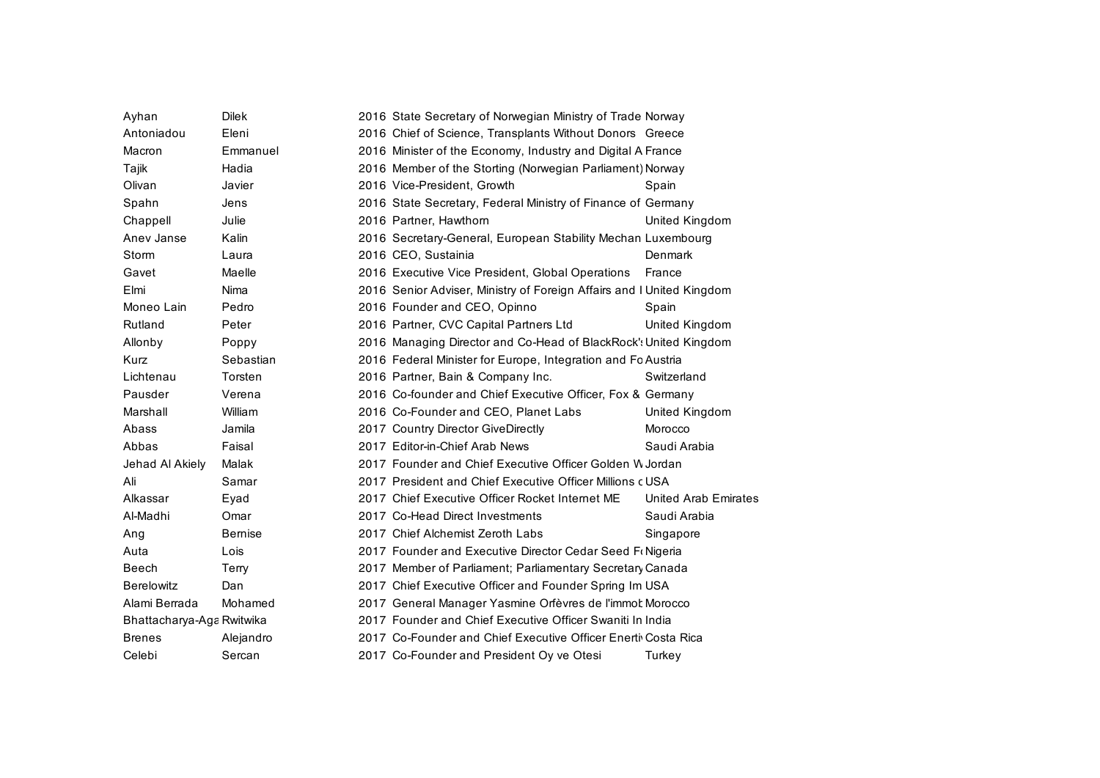| Ayhan                     | <b>Dilek</b>  | 2016 State Secretary of Norwegian Ministry of Trade Norway            |                             |
|---------------------------|---------------|-----------------------------------------------------------------------|-----------------------------|
| Antoniadou                | Eleni         | 2016 Chief of Science, Transplants Without Donors Greece              |                             |
| Macron                    | Emmanuel      | 2016 Minister of the Economy, Industry and Digital A France           |                             |
| Tajik                     | Hadia         | 2016 Member of the Storting (Norwegian Parliament) Norway             |                             |
| Olivan                    | Javier        | 2016 Vice-President, Growth                                           | Spain                       |
| Spahn                     | Jens          | 2016 State Secretary, Federal Ministry of Finance of Germany          |                             |
| Chappell                  | Julie         | 2016 Partner, Hawthorn                                                | United Kingdom              |
| Anev Janse                | Kalin         | 2016 Secretary-General, European Stability Mechan Luxembourg          |                             |
| Storm                     | Laura         | 2016 CEO, Sustainia                                                   | Denmark                     |
| Gavet                     | Maelle        | 2016 Executive Vice President, Global Operations                      | France                      |
| Elmi                      | Nima          | 2016 Senior Adviser, Ministry of Foreign Affairs and I United Kingdom |                             |
| Moneo Lain                | Pedro         | 2016 Founder and CEO, Opinno                                          | Spain                       |
| Rutland                   | Peter         | 2016 Partner, CVC Capital Partners Ltd                                | United Kingdom              |
| Allonby                   | Poppy         | 2016 Managing Director and Co-Head of BlackRock': United Kingdom      |                             |
| Kurz                      | Sebastian     | 2016 Federal Minister for Europe, Integration and Fc Austria          |                             |
| Lichtenau                 | Torsten       | 2016 Partner, Bain & Company Inc.                                     | Switzerland                 |
| Pausder                   | Verena        | 2016 Co-founder and Chief Executive Officer, Fox & Germany            |                             |
| Marshall                  | William       | 2016 Co-Founder and CEO, Planet Labs                                  | United Kingdom              |
| Abass                     | Jamila        | 2017 Country Director GiveDirectly                                    | Morocco                     |
| Abbas                     | Faisal        | 2017 Editor-in-Chief Arab News                                        | Saudi Arabia                |
| Jehad Al Akiely           | Malak         | 2017 Founder and Chief Executive Officer Golden W Jordan              |                             |
| Ali                       | Samar         | 2017 President and Chief Executive Officer Millions c USA             |                             |
| Alkassar                  | Eyad          | 2017 Chief Executive Officer Rocket Internet ME                       | <b>United Arab Emirates</b> |
| Al-Madhi                  | Omar          | 2017 Co-Head Direct Investments                                       | Saudi Arabia                |
| Ang                       | <b>Bemise</b> | 2017 Chief Alchemist Zeroth Labs                                      | Singapore                   |
| Auta                      | Lois          | 2017 Founder and Executive Director Cedar Seed Fr Nigeria             |                             |
| Beech                     | Terry         | 2017 Member of Parliament; Parliamentary Secretary Canada             |                             |
| <b>Berelowitz</b>         | Dan           | 2017 Chief Executive Officer and Founder Spring Im USA                |                             |
| Alami Berrada             | Mohamed       | 2017 General Manager Yasmine Orfèvres de l'immot Morocco              |                             |
| Bhattacharya-Aga Rwitwika |               | 2017 Founder and Chief Executive Officer Swaniti In India             |                             |
| <b>Brenes</b>             | Alejandro     | 2017 Co-Founder and Chief Executive Officer Enerti Costa Rica         |                             |
| Celebi                    | Sercan        | 2017 Co-Founder and President Oy ve Otesi                             | Turkey                      |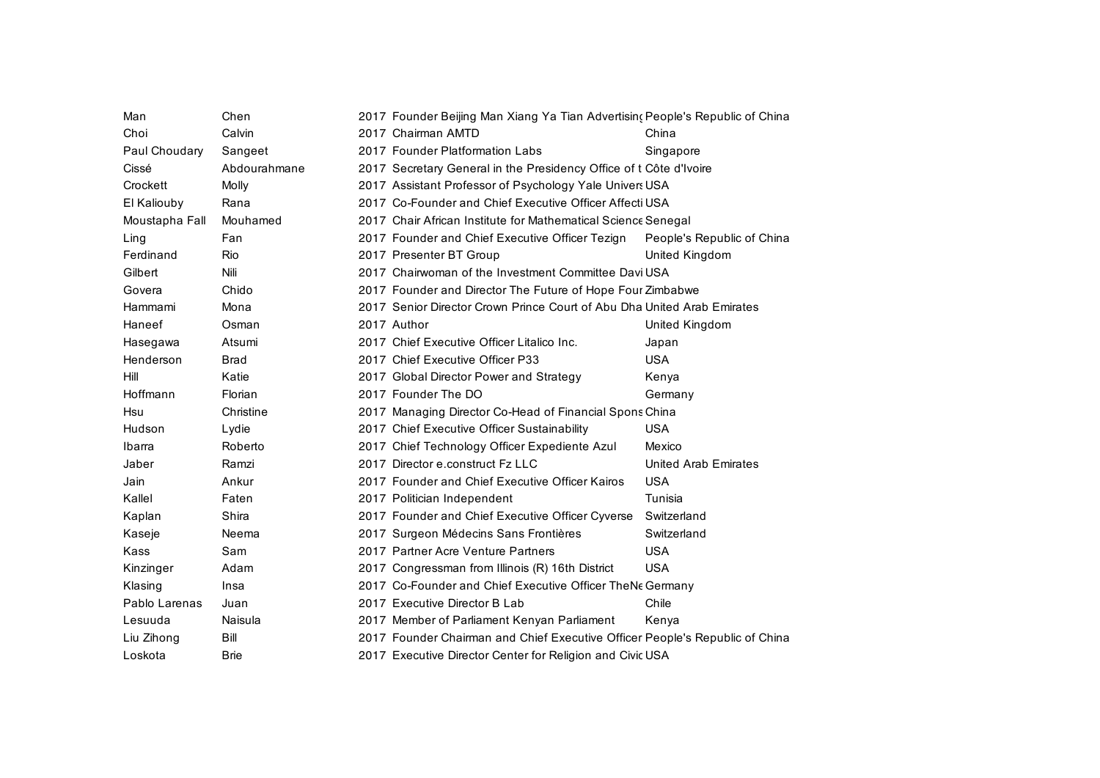| Man            | Chen                    | 2017 Founder Beijing Man Xiang Ya Tian Advertising People's Republic of China |                            |
|----------------|-------------------------|-------------------------------------------------------------------------------|----------------------------|
| Choi           | Calvin                  | 2017 Chairman AMTD                                                            | China                      |
| Paul Choudary  |                         | 2017 Founder Platformation Labs                                               | Singapore                  |
|                | Sangeet<br>Abdourahmane |                                                                               |                            |
| Cissé          |                         | 2017 Secretary General in the Presidency Office of t Côte d'Ivoire            |                            |
| Crockett       | Molly                   | 2017 Assistant Professor of Psychology Yale Univers USA                       |                            |
| El Kaliouby    | Rana                    | 2017 Co-Founder and Chief Executive Officer Affecti USA                       |                            |
| Moustapha Fall | Mouhamed                | 2017 Chair African Institute for Mathematical Science Senegal                 |                            |
| Ling           | Fan                     | 2017 Founder and Chief Executive Officer Tezign                               | People's Republic of China |
| Ferdinand      | Rio                     | 2017 Presenter BT Group                                                       | United Kingdom             |
| Gilbert        | Nili                    | 2017 Chairwoman of the Investment Committee Davi USA                          |                            |
| Govera         | Chido                   | 2017 Founder and Director The Future of Hope Four Zimbabwe                    |                            |
| Hammami        | Mona                    | 2017 Senior Director Crown Prince Court of Abu Dha United Arab Emirates       |                            |
| Haneef         | Osman                   | 2017 Author                                                                   | United Kingdom             |
| Hasegawa       | Atsumi                  | 2017 Chief Executive Officer Litalico Inc.                                    | Japan                      |
| Henderson      | <b>Brad</b>             | 2017 Chief Executive Officer P33                                              | <b>USA</b>                 |
| Hill           | Katie                   | 2017 Global Director Power and Strategy                                       | Kenya                      |
| Hoffmann       | Florian                 | 2017 Founder The DO                                                           | Germany                    |
| Hsu            | Christine               | 2017 Managing Director Co-Head of Financial Spons China                       |                            |
| Hudson         | Lydie                   | 2017 Chief Executive Officer Sustainability                                   | <b>USA</b>                 |
| Ibarra         | Roberto                 | 2017 Chief Technology Officer Expediente Azul                                 | Mexico                     |
| Jaber          | Ramzi                   | 2017 Director e.construct Fz LLC                                              | United Arab Emirates       |
| Jain           | Ankur                   | 2017 Founder and Chief Executive Officer Kairos                               | <b>USA</b>                 |
| Kallel         | Faten                   | 2017 Politician Independent                                                   | Tunisia                    |
| Kaplan         | Shira                   | 2017 Founder and Chief Executive Officer Cyverse                              | Switzerland                |
| Kaseje         | Neema                   | 2017 Surgeon Médecins Sans Frontières                                         | Switzerland                |
| Kass           | Sam                     | 2017 Partner Acre Venture Partners                                            | <b>USA</b>                 |
| Kinzinger      | Adam                    | 2017 Congressman from Illinois (R) 16th District                              | <b>USA</b>                 |
| Klasing        | Insa                    | 2017 Co-Founder and Chief Executive Officer TheNe Germany                     |                            |
| Pablo Larenas  | Juan                    | 2017 Executive Director B Lab                                                 | Chile                      |
| Lesuuda        | Naisula                 | 2017 Member of Parliament Kenyan Parliament                                   | Kenya                      |
| Liu Zihong     | Bill                    | 2017 Founder Chairman and Chief Executive Officer People's Republic of China  |                            |
| Loskota        | <b>Brie</b>             | 2017 Executive Director Center for Religion and Civic USA                     |                            |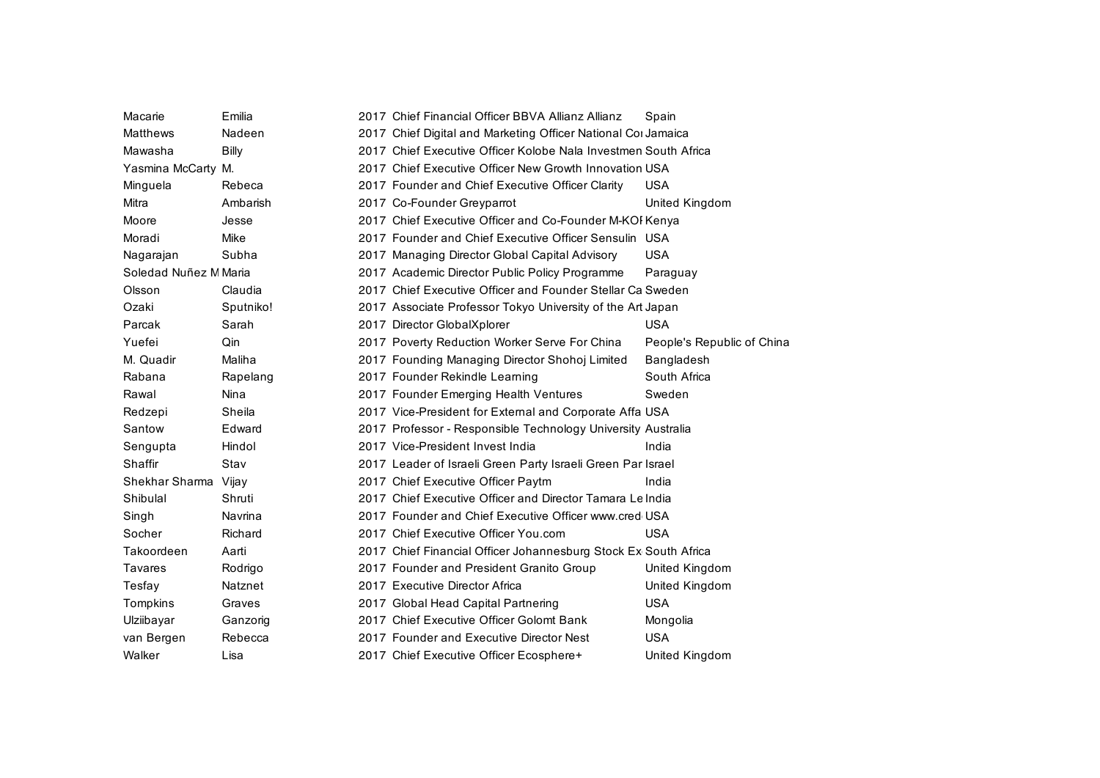| Macarie               | Emilia       | 2017 Chief Financial Officer BBVA Allianz Allianz               | Spain                      |
|-----------------------|--------------|-----------------------------------------------------------------|----------------------------|
| <b>Matthews</b>       | Nadeen       | 2017 Chief Digital and Marketing Officer National Cor Jamaica   |                            |
| Mawasha               | <b>Billy</b> | 2017 Chief Executive Officer Kolobe Nala Investmen South Africa |                            |
| Yasmina McCarty M.    |              | 2017 Chief Executive Officer New Growth Innovation USA          |                            |
| Minguela              | Rebeca       | 2017 Founder and Chief Executive Officer Clarity                | <b>USA</b>                 |
| Mitra                 | Ambarish     | 2017 Co-Founder Greyparrot                                      | United Kingdom             |
| Moore                 | Jesse        | 2017 Chief Executive Officer and Co-Founder M-KOI Kenya         |                            |
| Moradi                | Mike         | 2017 Founder and Chief Executive Officer Sensulin USA           |                            |
| Nagarajan             | Subha        | 2017 Managing Director Global Capital Advisory                  | <b>USA</b>                 |
| Soledad Nuñez M Maria |              | 2017 Academic Director Public Policy Programme                  | Paraguay                   |
| Olsson                | Claudia      | 2017 Chief Executive Officer and Founder Stellar Ca Sweden      |                            |
| Ozaki                 | Sputniko!    | 2017 Associate Professor Tokyo University of the Art Japan      |                            |
| Parcak                | Sarah        | 2017 Director GlobalXplorer                                     | <b>USA</b>                 |
| Yuefei                | Qin          | 2017 Poverty Reduction Worker Serve For China                   | People's Republic of China |
| M. Quadir             | Maliha       | 2017 Founding Managing Director Shohoj Limited                  | Bangladesh                 |
| Rabana                | Rapelang     | 2017 Founder Rekindle Learning                                  | South Africa               |
| Rawal                 | Nina         | 2017 Founder Emerging Health Ventures                           | Sweden                     |
| Redzepi               | Sheila       | 2017 Vice-President for External and Corporate Affa USA         |                            |
| Santow                | Edward       | 2017 Professor - Responsible Technology University Australia    |                            |
| Sengupta              | Hindol       | 2017 Vice-President Invest India                                | India                      |
| Shaffir               | Stav         | 2017 Leader of Israeli Green Party Israeli Green Par Israel     |                            |
| Shekhar Sharma Vijay  |              | 2017 Chief Executive Officer Paytm                              | India                      |
| Shibulal              | Shruti       | 2017 Chief Executive Officer and Director Tamara Lelndia        |                            |
| Singh                 | Navrina      | 2017 Founder and Chief Executive Officer www.cred USA           |                            |
| Socher                | Richard      | 2017 Chief Executive Officer You.com                            | <b>USA</b>                 |
| Takoordeen            | Aarti        | 2017 Chief Financial Officer Johannesburg Stock Ex South Africa |                            |
| <b>Tavares</b>        | Rodrigo      | 2017 Founder and President Granito Group                        | United Kingdom             |
| Tesfay                | Natznet      | 2017 Executive Director Africa                                  | United Kingdom             |
| Tompkins              | Graves       | 2017 Global Head Capital Partnering                             | <b>USA</b>                 |
| Ulziibayar            | Ganzorig     | 2017 Chief Executive Officer Golomt Bank                        | Mongolia                   |
| van Bergen            | Rebecca      | 2017 Founder and Executive Director Nest                        | <b>USA</b>                 |
| Walker                | Lisa         | 2017 Chief Executive Officer Ecosphere+                         | United Kingdom             |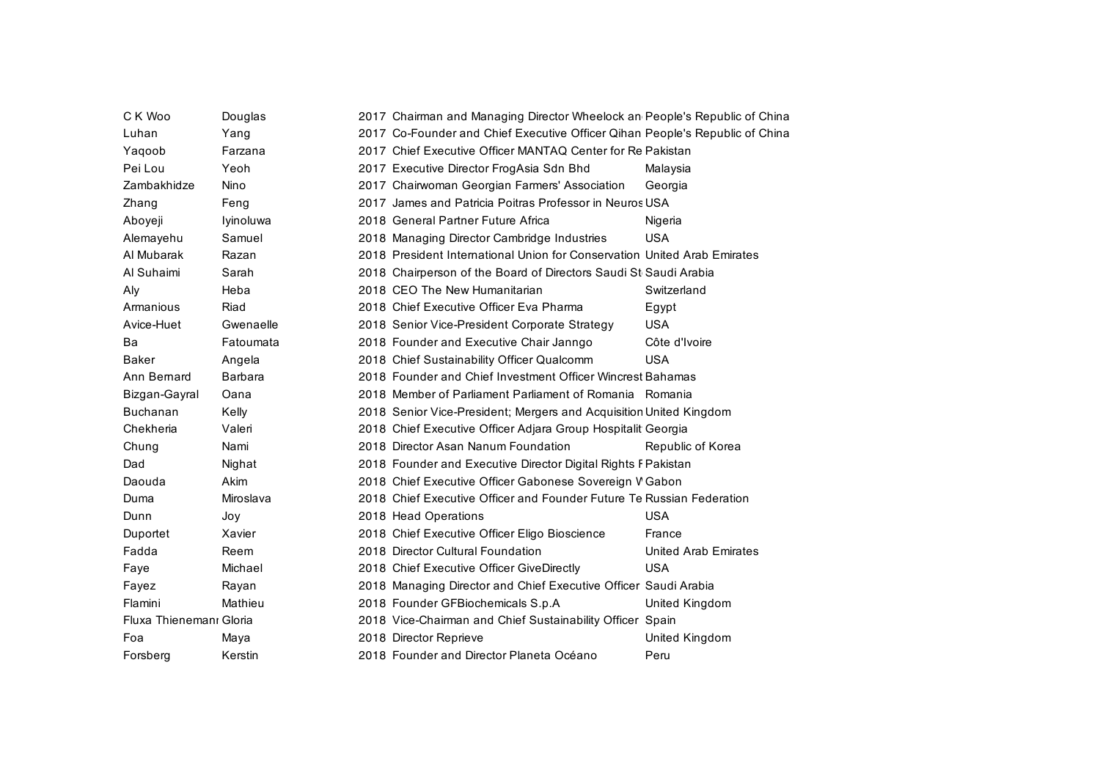| C K Woo                 | Douglas   | 2017 Chairman and Managing Director Wheelock an People's Republic of China   |                      |
|-------------------------|-----------|------------------------------------------------------------------------------|----------------------|
| Luhan                   | Yang      | 2017 Co-Founder and Chief Executive Officer Qihan People's Republic of China |                      |
| Yaqoob                  | Farzana   | 2017 Chief Executive Officer MANTAQ Center for Re Pakistan                   |                      |
| Pei Lou                 | Yeoh      | 2017 Executive Director FrogAsia Sdn Bhd                                     | Malaysia             |
| Zambakhidze             | Nino      | 2017 Chairwoman Georgian Farmers' Association                                | Georgia              |
| Zhang                   | Feng      | 2017 James and Patricia Poitras Professor in Neuros USA                      |                      |
| Aboyeji                 | Iyinoluwa | 2018 General Partner Future Africa                                           | Nigeria              |
| Alemayehu               | Samuel    | 2018 Managing Director Cambridge Industries                                  | <b>USA</b>           |
| Al Mubarak              | Razan     | 2018 President International Union for Conservation United Arab Emirates     |                      |
| Al Suhaimi              | Sarah     | 2018 Chairperson of the Board of Directors Saudi St Saudi Arabia             |                      |
| Aly                     | Heba      | 2018 CEO The New Humanitarian                                                | Switzerland          |
| Armanious               | Riad      | 2018 Chief Executive Officer Eva Pharma                                      | Egypt                |
| Avice-Huet              | Gwenaelle | 2018 Senior Vice-President Corporate Strategy                                | <b>USA</b>           |
| Ba                      | Fatoumata | 2018 Founder and Executive Chair Janngo                                      | Côte d'Ivoire        |
| <b>Baker</b>            | Angela    | 2018 Chief Sustainability Officer Qualcomm                                   | <b>USA</b>           |
| Ann Bernard             | Barbara   | 2018 Founder and Chief Investment Officer Wincrest Bahamas                   |                      |
| Bizgan-Gayral           | Oana      | 2018 Member of Parliament Parliament of Romania Romania                      |                      |
| <b>Buchanan</b>         | Kelly     | 2018 Senior Vice-President; Mergers and Acquisition United Kingdom           |                      |
| Chekheria               | Valeri    | 2018 Chief Executive Officer Adjara Group Hospitalit Georgia                 |                      |
| Chung                   | Nami      | 2018 Director Asan Nanum Foundation                                          | Republic of Korea    |
| Dad                     | Nighat    | 2018 Founder and Executive Director Digital Rights F Pakistan                |                      |
| Daouda                  | Akim      | 2018 Chief Executive Officer Gabonese Sovereign V Gabon                      |                      |
| Duma                    | Miroslava | 2018 Chief Executive Officer and Founder Future Te Russian Federation        |                      |
| Dunn                    | Joy       | 2018 Head Operations                                                         | <b>USA</b>           |
| Duportet                | Xavier    | 2018 Chief Executive Officer Eligo Bioscience                                | France               |
| Fadda                   | Reem      | 2018 Director Cultural Foundation                                            | United Arab Emirates |
| Faye                    | Michael   | 2018 Chief Executive Officer GiveDirectly                                    | <b>USA</b>           |
| Fayez                   | Rayan     | 2018 Managing Director and Chief Executive Officer Saudi Arabia              |                      |
| Flamini                 | Mathieu   | 2018 Founder GFBiochemicals S.p.A                                            | United Kingdom       |
| Fluxa Thienemanı Gloria |           | 2018 Vice-Chairman and Chief Sustainability Officer Spain                    |                      |
| Foa                     | Maya      | 2018 Director Reprieve                                                       | United Kingdom       |
| Forsberg                | Kerstin   | 2018 Founder and Director Planeta Océano                                     | Peru                 |
|                         |           |                                                                              |                      |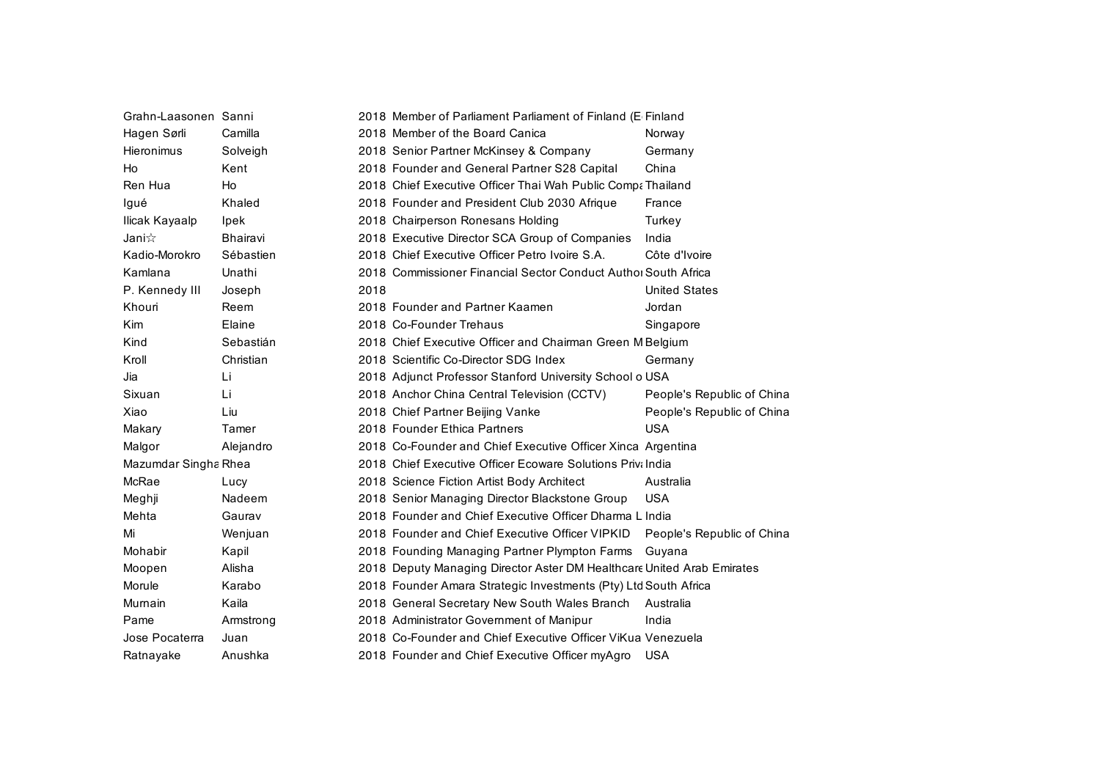| Grahn-Laasonen Sanni |             |      | 2018 Member of Parliament Parliament of Finland (E Finland             |                            |
|----------------------|-------------|------|------------------------------------------------------------------------|----------------------------|
| Hagen Sørli          | Camilla     |      | 2018 Member of the Board Canica                                        | Norway                     |
| Hieronimus           | Solveigh    |      | 2018 Senior Partner McKinsey & Company                                 | Germany                    |
| Ho                   | Kent        |      | 2018 Founder and General Partner S28 Capital                           | China                      |
| Ren Hua              | Ho          |      | 2018 Chief Executive Officer Thai Wah Public Compa Thailand            |                            |
| Igué                 | Khaled      |      | 2018 Founder and President Club 2030 Afrique                           | France                     |
| Ilicak Kayaalp       | <b>lpek</b> |      | 2018 Chairperson Ronesans Holding                                      | Turkey                     |
| Jani $\propto$       | Bhairavi    |      | 2018 Executive Director SCA Group of Companies                         | India                      |
| Kadio-Morokro        | Sébastien   |      | 2018 Chief Executive Officer Petro Ivoire S.A.                         | Côte d'Ivoire              |
| Kamlana              | Unathi      |      | 2018 Commissioner Financial Sector Conduct Authol South Africa         |                            |
| P. Kennedy III       | Joseph      | 2018 |                                                                        | <b>United States</b>       |
| Khouri               | Reem        |      | 2018 Founder and Partner Kaamen                                        | Jordan                     |
| <b>Kim</b>           | Elaine      |      | 2018 Co-Founder Trehaus                                                | Singapore                  |
| Kind                 | Sebastián   |      | 2018 Chief Executive Officer and Chairman Green M Belgium              |                            |
| Kroll                | Christian   |      | 2018 Scientific Co-Director SDG Index                                  | Germany                    |
| Jia                  | Li          |      | 2018 Adjunct Professor Stanford University School o USA                |                            |
| Sixuan               | Li          |      | 2018 Anchor China Central Television (CCTV)                            | People's Republic of China |
| Xiao                 | Liu         |      | 2018 Chief Partner Beijing Vanke                                       | People's Republic of China |
| Makary               | Tamer       |      | 2018 Founder Ethica Partners                                           | <b>USA</b>                 |
| Malgor               | Alejandro   |      | 2018 Co-Founder and Chief Executive Officer Xinca Argentina            |                            |
| Mazumdar Singha Rhea |             |      | 2018 Chief Executive Officer Ecoware Solutions Privil ndia             |                            |
| McRae                | Lucy        |      | 2018 Science Fiction Artist Body Architect                             | Australia                  |
| Meghji               | Nadeem      |      | 2018 Senior Managing Director Blackstone Group                         | <b>USA</b>                 |
| Mehta                | Gaurav      |      | 2018 Founder and Chief Executive Officer Dharma L India                |                            |
| Mi                   | Wenjuan     |      | 2018 Founder and Chief Executive Officer VIPKID                        | People's Republic of China |
| Mohabir              | Kapil       |      | 2018 Founding Managing Partner Plympton Farms                          | Guyana                     |
| Moopen               | Alisha      |      | 2018 Deputy Managing Director Aster DM Healthcare United Arab Emirates |                            |
| Morule               | Karabo      |      | 2018 Founder Amara Strategic Investments (Pty) Ltd South Africa        |                            |
| Murnain              | Kaila       |      | 2018 General Secretary New South Wales Branch                          | Australia                  |
| Pame                 | Armstrong   |      | 2018 Administrator Government of Manipur                               | India                      |
| Jose Pocaterra       | Juan        |      | 2018 Co-Founder and Chief Executive Officer ViKua Venezuela            |                            |
| Ratnayake            | Anushka     |      | 2018 Founder and Chief Executive Officer myAgro                        | <b>USA</b>                 |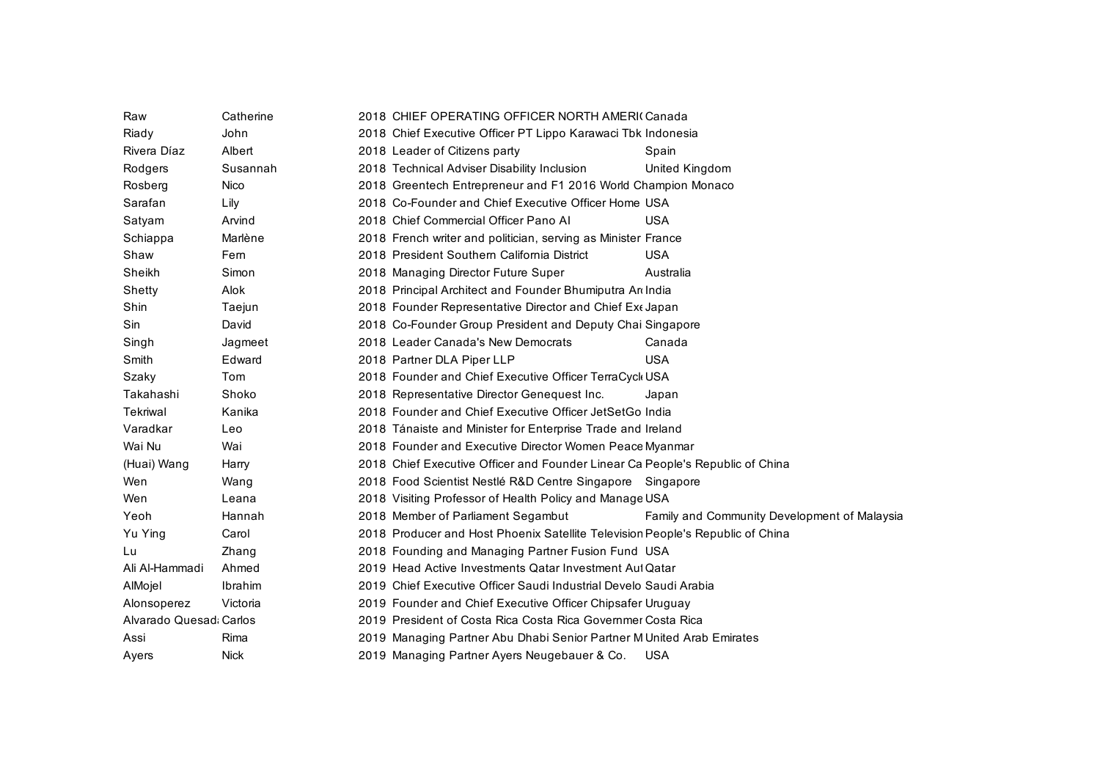| Raw                     | Catherine   | 2018 CHIEF OPERATING OFFICER NORTH AMERIC Canada                                   |
|-------------------------|-------------|------------------------------------------------------------------------------------|
| Riady                   | John        | 2018 Chief Executive Officer PT Lippo Karawaci Tbk Indonesia                       |
| Rivera Díaz             | Albert      | 2018 Leader of Citizens party<br>Spain                                             |
| Rodgers                 | Susannah    | 2018 Technical Adviser Disability Inclusion<br>United Kingdom                      |
| Rosberg                 | Nico        | 2018 Greentech Entrepreneur and F1 2016 World Champion Monaco                      |
| Sarafan                 | Lily        | 2018 Co-Founder and Chief Executive Officer Home USA                               |
| Satyam                  | Arvind      | 2018 Chief Commercial Officer Pano Al<br><b>USA</b>                                |
| Schiappa                | Marlène     | 2018 French writer and politician, serving as Minister France                      |
| Shaw                    | Fern        | 2018 President Southern California District<br><b>USA</b>                          |
| Sheikh                  | Simon       | 2018 Managing Director Future Super<br>Australia                                   |
| Shetty                  | Alok        | 2018 Principal Architect and Founder Bhumiputra Ar India                           |
| Shin                    | Taejun      | 2018 Founder Representative Director and Chief Ext Japan                           |
| Sin                     | David       | 2018 Co-Founder Group President and Deputy Chai Singapore                          |
| Singh                   | Jagmeet     | 2018 Leader Canada's New Democrats<br>Canada                                       |
| Smith                   | Edward      | <b>USA</b><br>2018 Partner DLA Piper LLP                                           |
| Szaky                   | Tom         | 2018 Founder and Chief Executive Officer TerraCyck USA                             |
| Takahashi               | Shoko       | 2018 Representative Director Genequest Inc.<br>Japan                               |
| Tekriwal                | Kanika      | 2018 Founder and Chief Executive Officer JetSetGo India                            |
| Varadkar                | Leo         | 2018 Tánaiste and Minister for Enterprise Trade and Ireland                        |
| Wai Nu                  | Wai         | 2018 Founder and Executive Director Women Peace Myanmar                            |
| (Huai) Wang             | Harry       | 2018 Chief Executive Officer and Founder Linear Ca People's Republic of China      |
| Wen                     | Wang        | 2018 Food Scientist Nestlé R&D Centre Singapore Singapore                          |
| Wen                     | Leana       | 2018 Visiting Professor of Health Policy and Manage USA                            |
| Yeoh                    | Hannah      | 2018 Member of Parliament Segambut<br>Family and Community Development of Malaysia |
| Yu Ying                 | Carol       | 2018 Producer and Host Phoenix Satellite Television People's Republic of China     |
| Lu                      | Zhang       | 2018 Founding and Managing Partner Fusion Fund USA                                 |
| Ali Al-Hammadi          | Ahmed       | 2019 Head Active Investments Qatar Investment Aut Qatar                            |
| AlMojel                 | Ibrahim     | 2019 Chief Executive Officer Saudi Industrial Develo Saudi Arabia                  |
| Alonsoperez             | Victoria    | 2019 Founder and Chief Executive Officer Chipsafer Uruguay                         |
| Alvarado Quesad: Carlos |             | 2019 President of Costa Rica Costa Rica Governmer Costa Rica                       |
| Assi                    | Rima        | 2019 Managing Partner Abu Dhabi Senior Partner M United Arab Emirates              |
| Ayers                   | <b>Nick</b> | 2019 Managing Partner Ayers Neugebauer & Co.<br><b>USA</b>                         |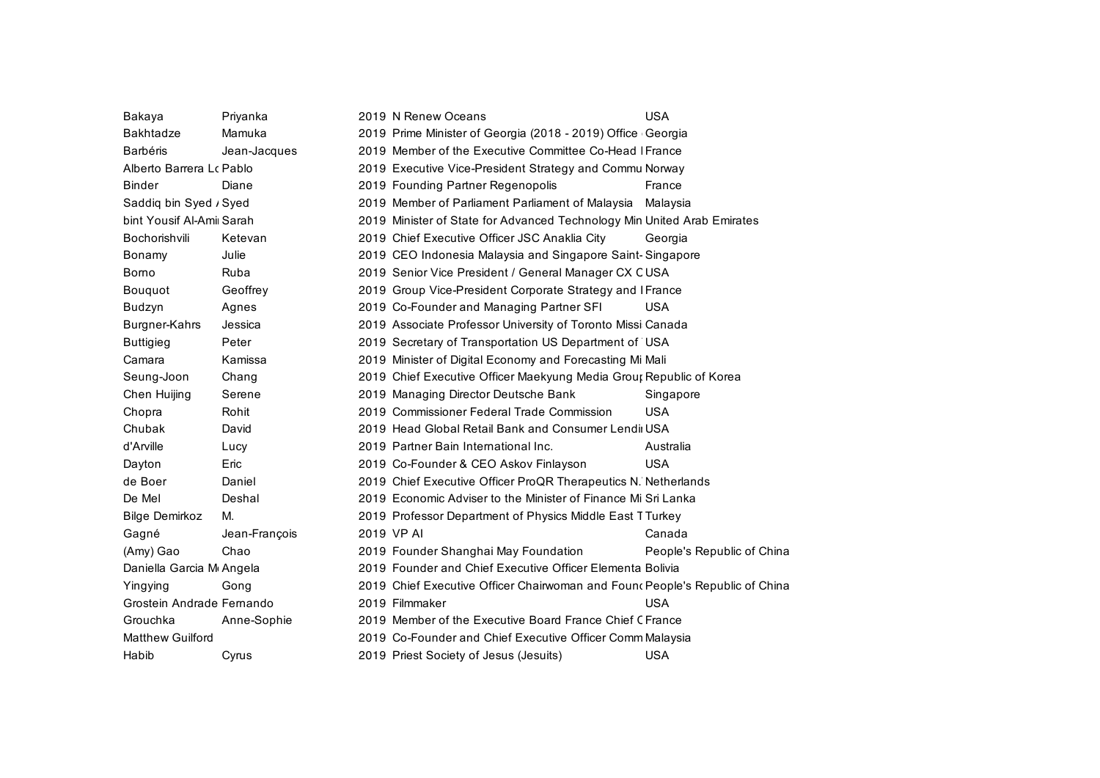| Bakaya                    | Priyanka      | 2019 N Renew Oceans                                                          | <b>USA</b>                 |
|---------------------------|---------------|------------------------------------------------------------------------------|----------------------------|
| <b>Bakhtadze</b>          | Mamuka        | 2019 Prime Minister of Georgia (2018 - 2019) Office Georgia                  |                            |
| <b>Barbéris</b>           | Jean-Jacques  | 2019 Member of the Executive Committee Co-Head   France                      |                            |
| Alberto Barrera Lo Pablo  |               | 2019 Executive Vice-President Strategy and Commu Norway                      |                            |
| Binder                    | Diane         | 2019 Founding Partner Regenopolis                                            | France                     |
| Saddiq bin Syed / Syed    |               | 2019 Member of Parliament Parliament of Malaysia                             | Malaysia                   |
| bint Yousif Al-Ami Sarah  |               | 2019 Minister of State for Advanced Technology Min United Arab Emirates      |                            |
| Bochorishvili             | Ketevan       | 2019 Chief Executive Officer JSC Anaklia City                                | Georgia                    |
| Bonamy                    | Julie         | 2019 CEO Indonesia Malaysia and Singapore Saint-Singapore                    |                            |
| Borno                     | Ruba          | 2019 Senior Vice President / General Manager CX CUSA                         |                            |
| Bouquot                   | Geoffrey      | 2019 Group Vice-President Corporate Strategy and IFrance                     |                            |
| Budzyn                    | Agnes         | 2019 Co-Founder and Managing Partner SFI                                     | <b>USA</b>                 |
| Burgner-Kahrs             | Jessica       | 2019 Associate Professor University of Toronto Missi Canada                  |                            |
| <b>Buttigieg</b>          | Peter         | 2019 Secretary of Transportation US Department of USA                        |                            |
| Camara                    | Kamissa       | 2019 Minister of Digital Economy and Forecasting Mi Mali                     |                            |
| Seung-Joon                | Chang         | 2019 Chief Executive Officer Maekyung Media Grour Republic of Korea          |                            |
| Chen Huijing              | Serene        | 2019 Managing Director Deutsche Bank                                         | Singapore                  |
| Chopra                    | Rohit         | 2019 Commissioner Federal Trade Commission                                   | <b>USA</b>                 |
| Chubak                    | David         | 2019 Head Global Retail Bank and Consumer Lendii USA                         |                            |
| d'Arville                 | Lucy          | 2019 Partner Bain International Inc.                                         | Australia                  |
| Dayton                    | Eric          | 2019 Co-Founder & CEO Askov Finlayson                                        | <b>USA</b>                 |
| de Boer                   | Daniel        | 2019 Chief Executive Officer ProQR Therapeutics N. Netherlands               |                            |
| De Mel                    | Deshal        | 2019 Economic Adviser to the Minister of Finance Mi Sri Lanka                |                            |
| <b>Bilge Demirkoz</b>     | М.            | 2019 Professor Department of Physics Middle East TTurkey                     |                            |
| Gagné                     | Jean-François | 2019 VP AI                                                                   | Canada                     |
| (Amy) Gao                 | Chao          | 2019 Founder Shanghai May Foundation                                         | People's Republic of China |
| Daniella Garcia M Angela  |               | 2019 Founder and Chief Executive Officer Elementa Bolivia                    |                            |
| Yingying                  | Gong          | 2019 Chief Executive Officer Chairwoman and Foun (People's Republic of China |                            |
| Grostein Andrade Fernando |               | 2019 Filmmaker                                                               | <b>USA</b>                 |
| Grouchka                  | Anne-Sophie   | 2019 Member of the Executive Board France Chief CFrance                      |                            |
| <b>Matthew Guilford</b>   |               | 2019 Co-Founder and Chief Executive Officer Comm Malaysia                    |                            |
| Habib                     | Cyrus         | 2019 Priest Society of Jesus (Jesuits)                                       | <b>USA</b>                 |
|                           |               |                                                                              |                            |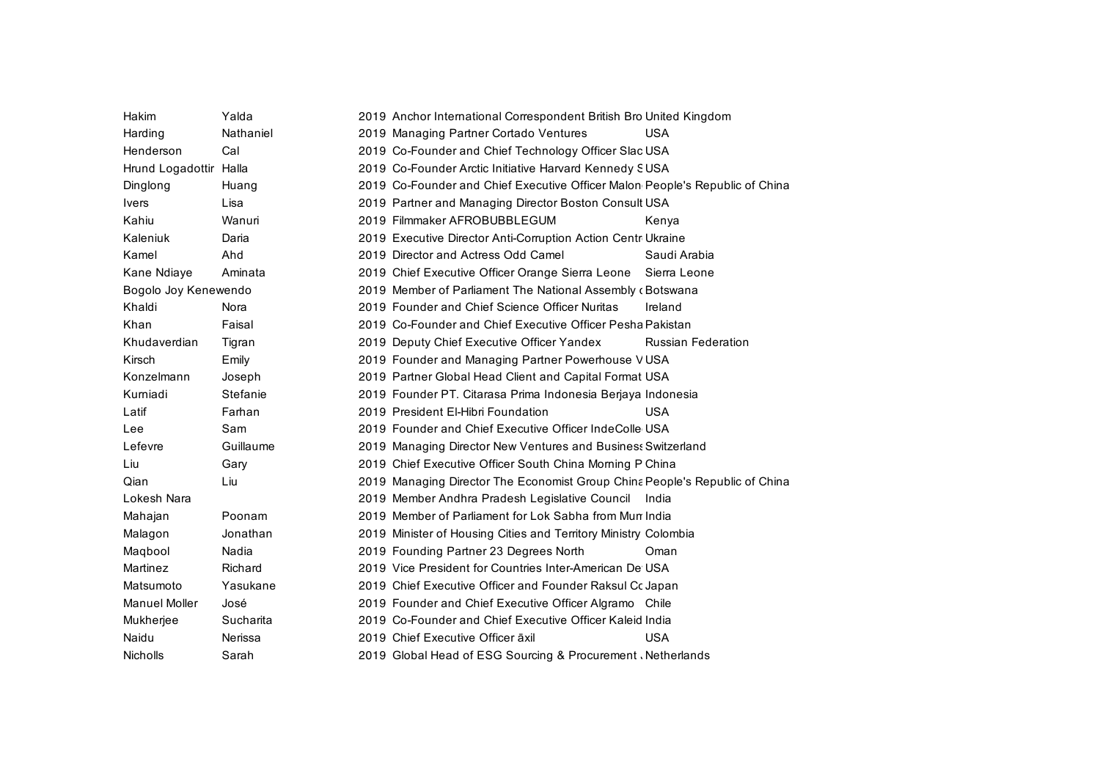| Hakim                  | Yalda     | 2019 Anchor International Correspondent British Bro United Kingdom           |                           |
|------------------------|-----------|------------------------------------------------------------------------------|---------------------------|
| Harding                | Nathaniel | 2019 Managing Partner Cortado Ventures                                       | USA                       |
| Henderson              | Cal       | 2019 Co-Founder and Chief Technology Officer Slac USA                        |                           |
| Hrund Logadottir Halla |           | 2019 Co-Founder Arctic Initiative Harvard Kennedy SUSA                       |                           |
| Dinglong               | Huang     | 2019 Co-Founder and Chief Executive Officer Malon People's Republic of China |                           |
| <b>Ivers</b>           | Lisa      | 2019 Partner and Managing Director Boston Consult USA                        |                           |
| Kahiu                  | Wanuri    | 2019 Filmmaker AFROBUBBLEGUM                                                 | Kenya                     |
| Kaleniuk               | Daria     | 2019 Executive Director Anti-Corruption Action Centr Ukraine                 |                           |
| Kamel                  | Ahd       | 2019 Director and Actress Odd Camel                                          | Saudi Arabia              |
| Kane Ndiaye            | Aminata   | 2019 Chief Executive Officer Orange Sierra Leone Sierra Leone                |                           |
| Bogolo Joy Kenewendo   |           | 2019 Member of Parliament The National Assembly (Botswana                    |                           |
| Khaldi                 | Nora      | 2019 Founder and Chief Science Officer Nuritas                               | Ireland                   |
| Khan                   | Faisal    | 2019 Co-Founder and Chief Executive Officer Pesha Pakistan                   |                           |
| Khudaverdian           | Tigran    | 2019 Deputy Chief Executive Officer Yandex                                   | <b>Russian Federation</b> |
| Kirsch                 | Emily     | 2019 Founder and Managing Partner Powerhouse VUSA                            |                           |
| Konzelmann             | Joseph    | 2019 Partner Global Head Client and Capital Format USA                       |                           |
| Kurniadi               | Stefanie  | 2019 Founder PT. Citarasa Prima Indonesia Berjaya Indonesia                  |                           |
| Latif                  | Farhan    | 2019 President El-Hibri Foundation                                           | USA                       |
| Lee                    | Sam       | 2019 Founder and Chief Executive Officer IndeColle USA                       |                           |
| Lefevre                | Guillaume | 2019 Managing Director New Ventures and Business Switzerland                 |                           |
| Liu                    | Gary      | 2019 Chief Executive Officer South China Morning P China                     |                           |
| Qian                   | Liu       | 2019 Managing Director The Economist Group China People's Republic of China  |                           |
| Lokesh Nara            |           | 2019 Member Andhra Pradesh Legislative Council India                         |                           |
| Mahajan                | Poonam    | 2019 Member of Parliament for Lok Sabha from Mun India                       |                           |
| Malagon                | Jonathan  | 2019 Minister of Housing Cities and Territory Ministry Colombia              |                           |
| Magbool                | Nadia     | 2019 Founding Partner 23 Degrees North                                       | Oman                      |
| Martinez               | Richard   | 2019 Vice President for Countries Inter-American De USA                      |                           |
| Matsumoto              | Yasukane  | 2019 Chief Executive Officer and Founder Raksul Cc Japan                     |                           |
| <b>Manuel Moller</b>   | José      | 2019 Founder and Chief Executive Officer Algramo Chile                       |                           |
| Mukherjee              | Sucharita | 2019 Co-Founder and Chief Executive Officer Kaleid India                     |                           |
| Naidu                  | Nerissa   | 2019 Chief Executive Officer āxil                                            | <b>USA</b>                |
| Nicholls               | Sarah     | 2019 Global Head of ESG Sourcing & Procurement Netherlands                   |                           |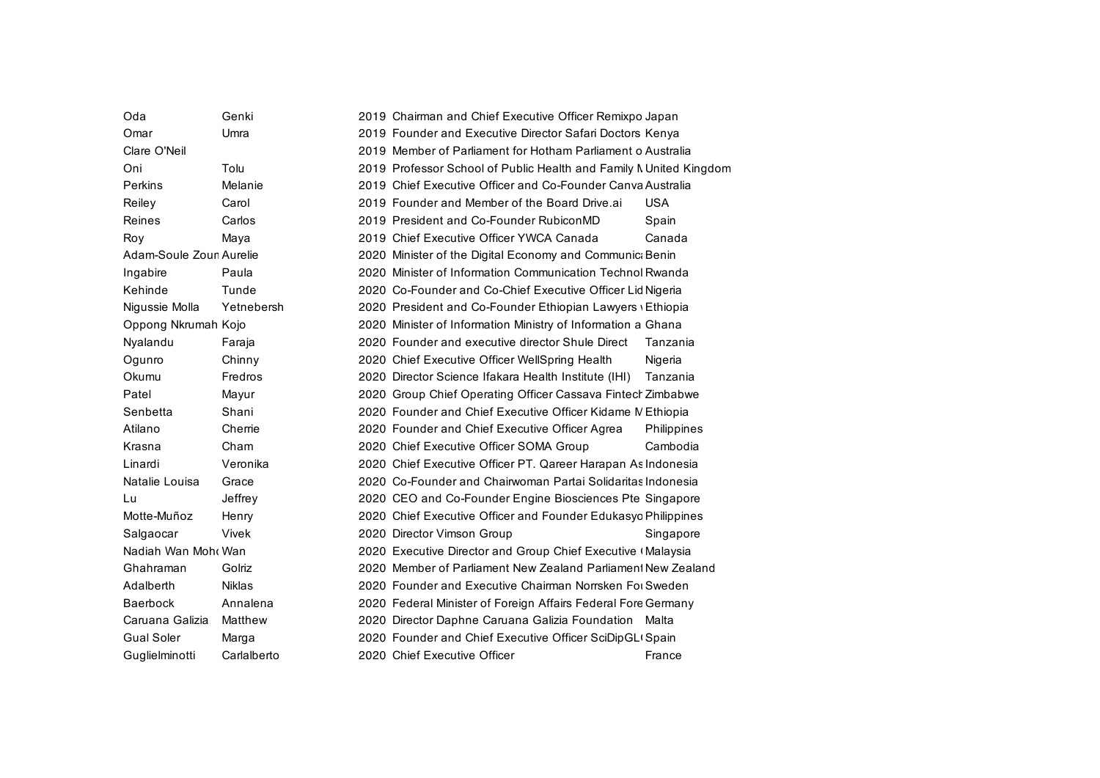| Oda                     | Genki         | 2019 Chairman and Chief Executive Officer Remixpo Japan            |             |
|-------------------------|---------------|--------------------------------------------------------------------|-------------|
| Omar                    | Umra          | 2019 Founder and Executive Director Safari Doctors Kenya           |             |
| Clare O'Neil            |               | 2019 Member of Parliament for Hotham Parliament o Australia        |             |
| Oni                     | Tolu          | 2019 Professor School of Public Health and Family N United Kingdom |             |
| Perkins                 | Melanie       | 2019 Chief Executive Officer and Co-Founder Canva Australia        |             |
| Reiley                  | Carol         | 2019 Founder and Member of the Board Drive.ai                      | <b>USA</b>  |
| Reines                  | Carlos        | 2019 President and Co-Founder RubiconMD                            | Spain       |
| Roy                     | Maya          | 2019 Chief Executive Officer YWCA Canada                           | Canada      |
| Adam-Soule Zoun Aurelie |               | 2020 Minister of the Digital Economy and Communic: Benin           |             |
| Ingabire                | Paula         | 2020 Minister of Information Communication Technol Rwanda          |             |
| Kehinde                 | Tunde         | 2020 Co-Founder and Co-Chief Executive Officer Lid Nigeria         |             |
| Nigussie Molla          | Yetnebersh    | 2020 President and Co-Founder Ethiopian Lawyers Ethiopia           |             |
| Oppong Nkrumah Kojo     |               | 2020 Minister of Information Ministry of Information a Ghana       |             |
| Nyalandu                | Faraja        | 2020 Founder and executive director Shule Direct                   | Tanzania    |
| Ogunro                  | Chinny        | 2020 Chief Executive Officer WellSpring Health                     | Nigeria     |
| Okumu                   | Fredros       | 2020 Director Science Ifakara Health Institute (IHI)               | Tanzania    |
| Patel                   | Mayur         | 2020 Group Chief Operating Officer Cassava Fintech Zimbabwe        |             |
| Senbetta                | Shani         | 2020 Founder and Chief Executive Officer Kidame M Ethiopia         |             |
| Atilano                 | Cherrie       | 2020 Founder and Chief Executive Officer Agrea                     | Philippines |
| Krasna                  | Cham          | 2020 Chief Executive Officer SOMA Group                            | Cambodia    |
| Linardi                 | Veronika      | 2020 Chief Executive Officer PT. Qareer Harapan As Indonesia       |             |
| Natalie Louisa          | Grace         | 2020 Co-Founder and Chairwoman Partai Solidaritas Indonesia        |             |
| Lu                      | Jeffrey       | 2020 CEO and Co-Founder Engine Biosciences Pte Singapore           |             |
| Motte-Muñoz             | Henry         | 2020 Chief Executive Officer and Founder Edukasyc Philippines      |             |
| Salgaocar               | Vivek         | 2020 Director Vimson Group                                         | Singapore   |
| Nadiah Wan Moh  Wan     |               | 2020 Executive Director and Group Chief Executive (Malaysia        |             |
| Ghahraman               | Golriz        | 2020 Member of Parliament New Zealand Parliament New Zealand       |             |
| Adalberth               | <b>Niklas</b> | 2020 Founder and Executive Chairman Norrsken For Sweden            |             |
| <b>Baerbock</b>         | Annalena      | 2020 Federal Minister of Foreign Affairs Federal Fore Germany      |             |
| Caruana Galizia         | Matthew       | 2020 Director Daphne Caruana Galizia Foundation Malta              |             |
| <b>Gual Soler</b>       | Marga         | 2020 Founder and Chief Executive Officer SciDipGL Spain            |             |
| Guglielminotti          | Carlalberto   | 2020 Chief Executive Officer                                       | France      |
|                         |               |                                                                    |             |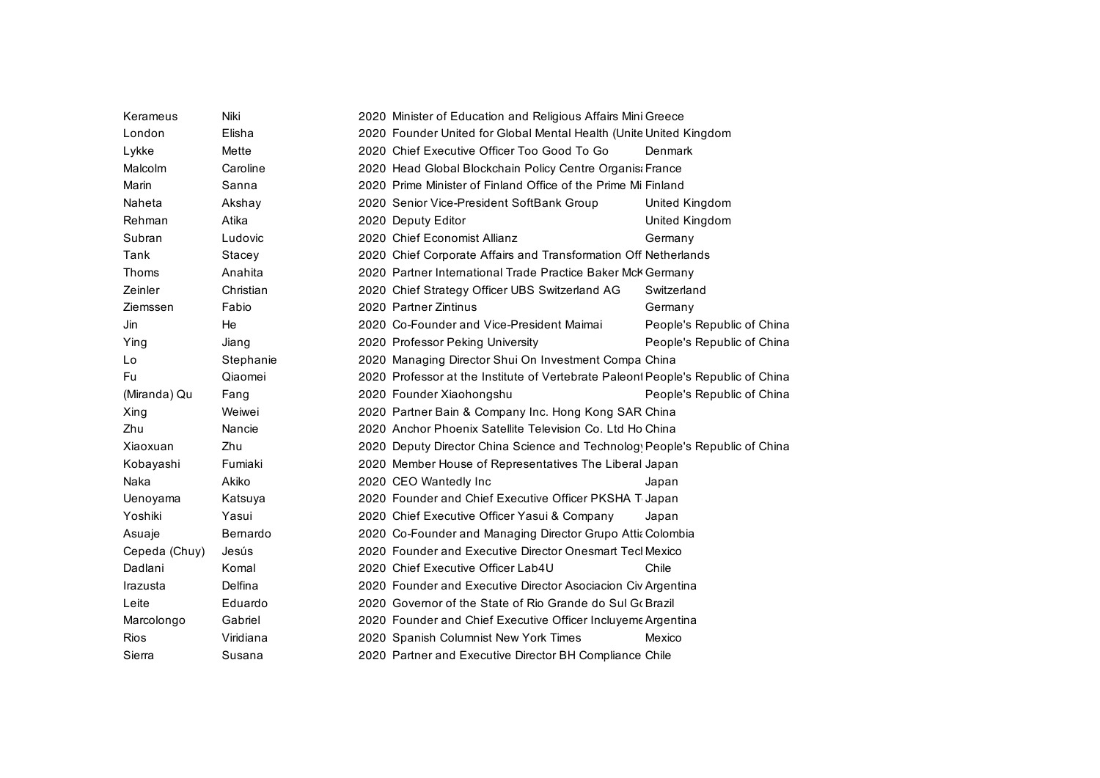| Kerameus      | Niki      | 2020 Minister of Education and Religious Affairs Mini Greece                     |                            |
|---------------|-----------|----------------------------------------------------------------------------------|----------------------------|
| London        | Elisha    | 2020 Founder United for Global Mental Health (Unite United Kingdom               |                            |
| Lykke         | Mette     | 2020 Chief Executive Officer Too Good To Go                                      | Denmark                    |
| Malcolm       | Caroline  | 2020 Head Global Blockchain Policy Centre Organis: France                        |                            |
| Marin         | Sanna     | 2020 Prime Minister of Finland Office of the Prime Mi Finland                    |                            |
| Naheta        | Akshay    | 2020 Senior Vice-President SoftBank Group                                        | United Kingdom             |
| Rehman        | Atika     | 2020 Deputy Editor                                                               | United Kingdom             |
| Subran        | Ludovic   | 2020 Chief Economist Allianz                                                     | Germany                    |
| Tank          | Stacey    | 2020 Chief Corporate Affairs and Transformation Off Netherlands                  |                            |
| Thoms         | Anahita   | 2020 Partner International Trade Practice Baker Mck Germany                      |                            |
| Zeinler       | Christian | 2020 Chief Strategy Officer UBS Switzerland AG                                   | Switzerland                |
| Ziemssen      | Fabio     | 2020 Partner Zintinus                                                            | Germany                    |
| Jin           | He        | 2020 Co-Founder and Vice-President Maimai                                        | People's Republic of China |
| Ying          | Jiang     | 2020 Professor Peking University                                                 | People's Republic of China |
| Lo            | Stephanie | 2020 Managing Director Shui On Investment Compa China                            |                            |
| Fu            | Qiaomei   | 2020 Professor at the Institute of Vertebrate Paleon! People's Republic of China |                            |
| (Miranda) Qu  | Fang      | 2020 Founder Xiaohongshu                                                         | People's Republic of China |
| Xing          | Weiwei    | 2020 Partner Bain & Company Inc. Hong Kong SAR China                             |                            |
| Zhu           | Nancie    | 2020 Anchor Phoenix Satellite Television Co. Ltd Ho China                        |                            |
| Xiaoxuan      | Zhu       | 2020 Deputy Director China Science and Technolog People's Republic of China      |                            |
| Kobayashi     | Fumiaki   | 2020 Member House of Representatives The Liberal Japan                           |                            |
| Naka          | Akiko     | 2020 CEO Wantedly Inc                                                            | Japan                      |
| Uenoyama      | Katsuya   | 2020 Founder and Chief Executive Officer PKSHA T Japan                           |                            |
| Yoshiki       | Yasui     | 2020 Chief Executive Officer Yasui & Company                                     | Japan                      |
| Asuaje        | Bernardo  | 2020 Co-Founder and Managing Director Grupo Attia Colombia                       |                            |
| Cepeda (Chuy) | Jesús     | 2020 Founder and Executive Director Onesmart Tecl Mexico                         |                            |
| Dadlani       | Komal     | 2020 Chief Executive Officer Lab4U                                               | Chile                      |
| Irazusta      | Delfina   | 2020 Founder and Executive Director Asociacion Civ Argentina                     |                            |
| Leite         | Eduardo   | 2020 Governor of the State of Rio Grande do Sul Go Brazil                        |                            |
| Marcolongo    | Gabriel   | 2020 Founder and Chief Executive Officer Incluyeme Argentina                     |                            |
| Rios          | Viridiana | 2020 Spanish Columnist New York Times                                            | Mexico                     |
| Sierra        | Susana    | 2020 Partner and Executive Director BH Compliance Chile                          |                            |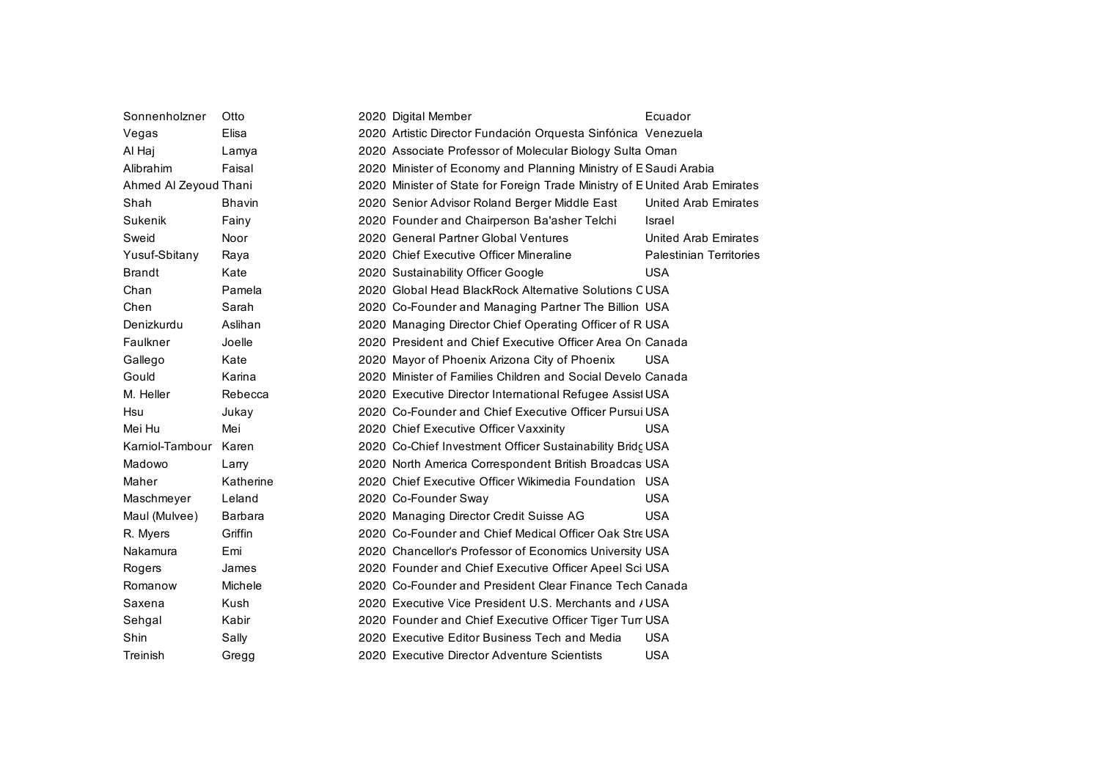| Sonnenholzner         | Otto           | 2020 Digital Member                                                         | Ecuador                        |
|-----------------------|----------------|-----------------------------------------------------------------------------|--------------------------------|
| Vegas                 | Elisa          | 2020 Artistic Director Fundación Orquesta Sinfónica Venezuela               |                                |
| Al Haj                | Lamya          | 2020 Associate Professor of Molecular Biology Sulta Oman                    |                                |
| Alibrahim             | Faisal         | 2020 Minister of Economy and Planning Ministry of E Saudi Arabia            |                                |
| Ahmed Al Zeyoud Thani |                | 2020 Minister of State for Foreign Trade Ministry of E United Arab Emirates |                                |
| Shah                  | <b>Bhavin</b>  | 2020 Senior Advisor Roland Berger Middle East                               | United Arab Emirates           |
| Sukenik               | Fainy          | 2020 Founder and Chairperson Ba'asher Telchi                                | Israel                         |
| Sweid                 | Noor           | 2020 General Partner Global Ventures                                        | <b>United Arab Emirates</b>    |
| Yusuf-Sbitany         | Raya           | 2020 Chief Executive Officer Mineraline                                     | <b>Palestinian Territories</b> |
| <b>Brandt</b>         | Kate           | 2020 Sustainability Officer Google                                          | <b>USA</b>                     |
| Chan                  | Pamela         | 2020 Global Head BlackRock Alternative Solutions CUSA                       |                                |
| Chen                  | Sarah          | 2020 Co-Founder and Managing Partner The Billion USA                        |                                |
| Denizkurdu            | Aslihan        | 2020 Managing Director Chief Operating Officer of R USA                     |                                |
| Faulkner              | Joelle         | 2020 President and Chief Executive Officer Area On Canada                   |                                |
| Gallego               | Kate           | 2020 Mayor of Phoenix Arizona City of Phoenix                               | <b>USA</b>                     |
| Gould                 | Karina         | 2020 Minister of Families Children and Social Develo Canada                 |                                |
| M. Heller             | Rebecca        | 2020 Executive Director International Refugee Assist USA                    |                                |
| Hsu                   | Jukay          | 2020 Co-Founder and Chief Executive Officer Pursui USA                      |                                |
| Mei Hu                | Mei            | 2020 Chief Executive Officer Vaxxinity                                      | <b>USA</b>                     |
| Karniol-Tambour       | Karen          | 2020 Co-Chief Investment Officer Sustainability Bridç USA                   |                                |
| Madowo                | Larry          | 2020 North America Correspondent British Broadcas USA                       |                                |
| Maher                 | Katherine      | 2020 Chief Executive Officer Wikimedia Foundation USA                       |                                |
| Maschmeyer            | Leland         | 2020 Co-Founder Sway                                                        | <b>USA</b>                     |
| Maul (Mulvee)         | <b>Barbara</b> | 2020 Managing Director Credit Suisse AG                                     | <b>USA</b>                     |
| R. Myers              | Griffin        | 2020 Co-Founder and Chief Medical Officer Oak Stre USA                      |                                |
| Nakamura              | Emi            | 2020 Chancellor's Professor of Economics University USA                     |                                |
| Rogers                | James          | 2020 Founder and Chief Executive Officer Apeel Sci USA                      |                                |
| Romanow               | Michele        | 2020 Co-Founder and President Clear Finance Tech Canada                     |                                |
| Saxena                | Kush           | 2020 Executive Vice President U.S. Merchants and / USA                      |                                |
| Sehgal                | Kabir          | 2020 Founder and Chief Executive Officer Tiger Turr USA                     |                                |
| Shin                  | Sally          | 2020 Executive Editor Business Tech and Media                               | <b>USA</b>                     |
| Treinish              | Gregg          | 2020 Executive Director Adventure Scientists                                | <b>USA</b>                     |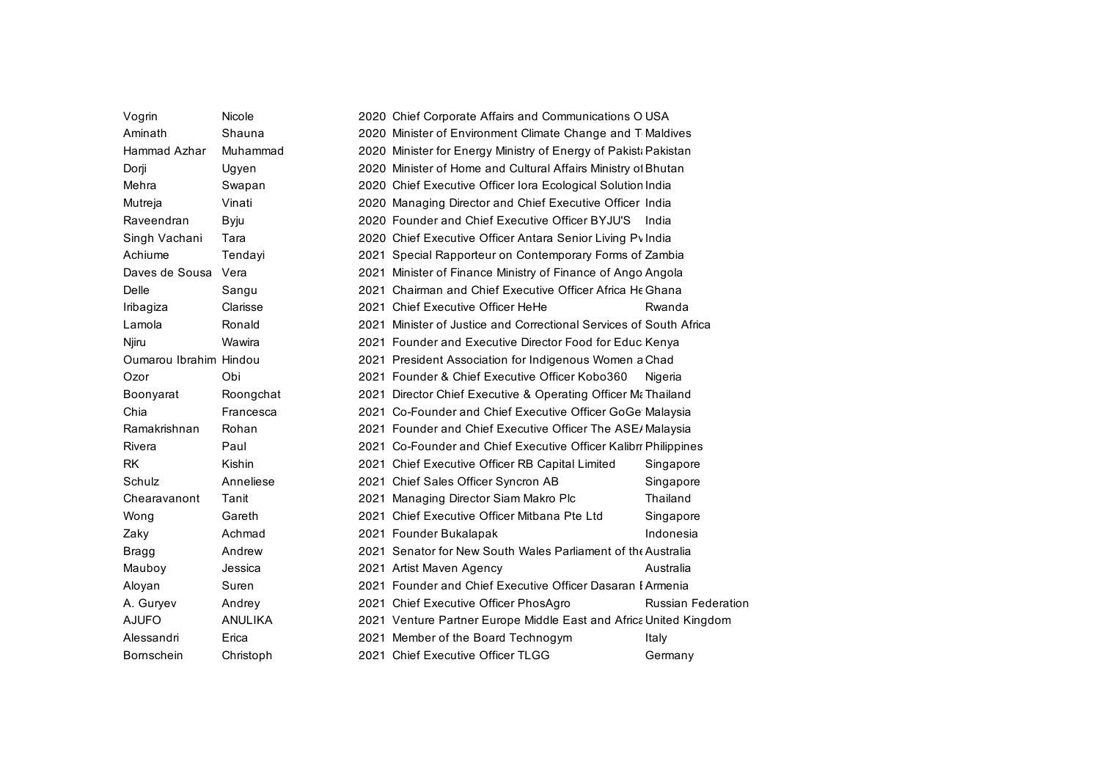| Vogrin                 | Nicole    |      | 2020 Chief Corporate Affairs and Communications O USA              |                           |
|------------------------|-----------|------|--------------------------------------------------------------------|---------------------------|
| Aminath                | Shauna    |      | 2020 Minister of Environment Climate Change and T Maldives         |                           |
| Hammad Azhar           | Muhammad  |      | 2020 Minister for Energy Ministry of Energy of Pakist: Pakistan    |                           |
| Dorji                  | Ugyen     |      | 2020 Minister of Home and Cultural Affairs Ministry of Bhutan      |                           |
| Mehra                  | Swapan    |      | 2020 Chief Executive Officer Iora Ecological Solution India        |                           |
| Mutreja                | Vinati    |      | 2020 Managing Director and Chief Executive Officer India           |                           |
| Raveendran             | Byju      |      | 2020 Founder and Chief Executive Officer BYJU'S India              |                           |
| Singh Vachani          | Tara      |      | 2020 Chief Executive Officer Antara Senior Living Pv India         |                           |
| Achiume                | Tendayi   |      | 2021 Special Rapporteur on Contemporary Forms of Zambia            |                           |
| Daves de Sousa Vera    |           |      | 2021 Minister of Finance Ministry of Finance of Ango Angola        |                           |
| Delle                  | Sangu     | 2021 | Chairman and Chief Executive Officer Africa He Ghana               |                           |
| Iribagiza              | Clarisse  |      | 2021 Chief Executive Officer HeHe                                  | Rwanda                    |
| Lamola                 | Ronald    |      | 2021 Minister of Justice and Correctional Services of South Africa |                           |
| Njiru                  | Wawira    |      | 2021 Founder and Executive Director Food for Educ Kenya            |                           |
| Oumarou Ibrahim Hindou |           |      | 2021 President Association for Indigenous Women a Chad             |                           |
| Ozor                   | Obi       |      | 2021 Founder & Chief Executive Officer Kobo360                     | Nigeria                   |
| Boonyarat              | Roongchat |      | 2021 Director Chief Executive & Operating Officer M Thailand       |                           |
| Chia                   | Francesca |      | 2021 Co-Founder and Chief Executive Officer GoGe Malaysia          |                           |
| Ramakrishnan           | Rohan     |      | 2021 Founder and Chief Executive Officer The ASE/ Malaysia         |                           |
| Rivera                 | Paul      |      | 2021 Co-Founder and Chief Executive Officer Kalibr Philippines     |                           |
| RK                     | Kishin    |      | 2021 Chief Executive Officer RB Capital Limited                    | Singapore                 |
| Schulz                 | Anneliese |      | 2021 Chief Sales Officer Syncron AB                                | Singapore                 |
| Chearavanont           | Tanit     |      | 2021 Managing Director Siam Makro Plc                              | Thailand                  |
| Wong                   | Gareth    |      | 2021 Chief Executive Officer Mitbana Pte Ltd                       | Singapore                 |
| Zaky                   | Achmad    |      | 2021 Founder Bukalapak                                             | Indonesia                 |
| Bragg                  | Andrew    |      | 2021 Senator for New South Wales Parliament of the Australia       |                           |
| Mauboy                 | Jessica   |      | 2021 Artist Maven Agency                                           | Australia                 |
| Aloyan                 | Suren     |      | 2021 Founder and Chief Executive Officer Dasaran I Armenia         |                           |
| A. Guryev              | Andrey    |      | 2021 Chief Executive Officer PhosAgro                              | <b>Russian Federation</b> |
| <b>AJUFO</b>           | ANULIKA   |      | 2021 Venture Partner Europe Middle East and Africa United Kingdom  |                           |
| Alessandri             | Erica     |      | 2021 Member of the Board Technogym                                 | Italy                     |
| Bornschein             | Christoph |      | 2021 Chief Executive Officer TLGG                                  | Germany                   |
|                        |           |      |                                                                    |                           |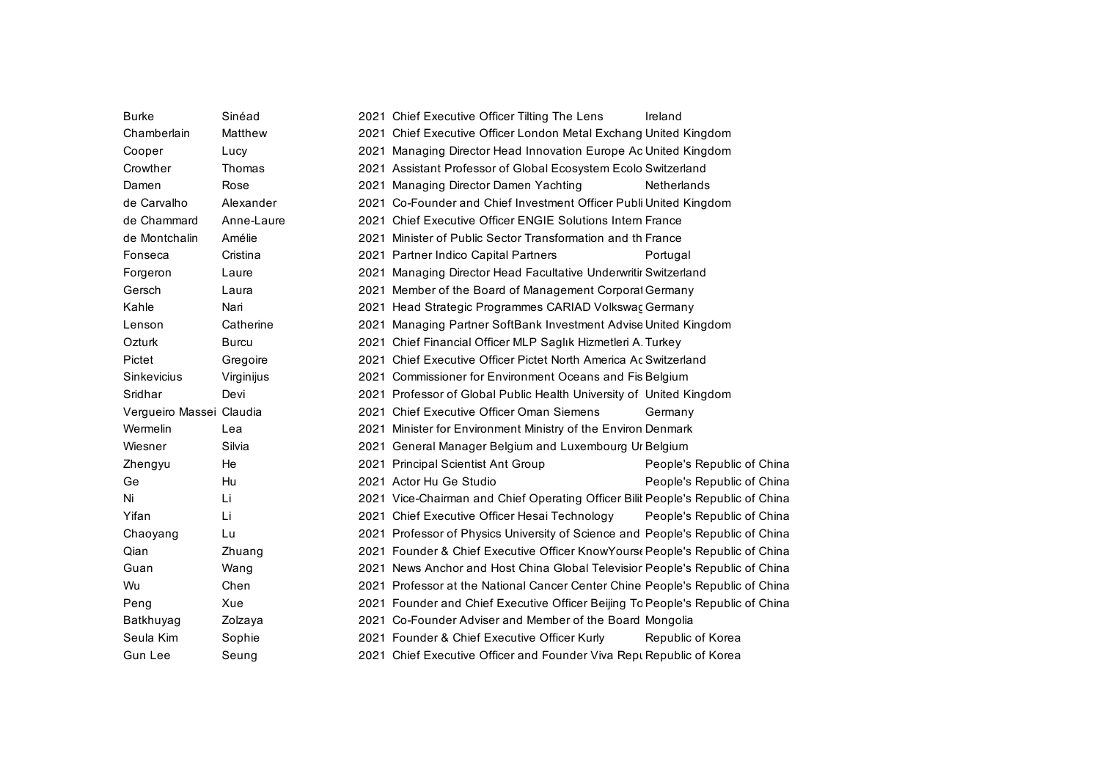| <b>Burke</b>             | Sinéad       | 2021 Chief Executive Officer Tilting The Lens                                   | Ireland                    |
|--------------------------|--------------|---------------------------------------------------------------------------------|----------------------------|
| Chamberlain              | Matthew      | 2021 Chief Executive Officer London Metal Exchang United Kingdom                |                            |
| Cooper                   | Lucy         | 2021 Managing Director Head Innovation Europe Ac United Kingdom                 |                            |
| Crowther                 | Thomas       | 2021 Assistant Professor of Global Ecosystem Ecolo Switzerland                  |                            |
| Damen                    | Rose         | 2021 Managing Director Damen Yachting                                           | <b>Netherlands</b>         |
| de Carvalho              | Alexander    | 2021 Co-Founder and Chief Investment Officer Publi United Kingdom               |                            |
| de Chammard              | Anne-Laure   | 2021 Chief Executive Officer ENGIE Solutions Intern France                      |                            |
| de Montchalin            | Amélie       | 2021 Minister of Public Sector Transformation and th France                     |                            |
| Fonseca                  | Cristina     | 2021 Partner Indico Capital Partners                                            | Portugal                   |
| Forgeron                 | Laure        | 2021 Managing Director Head Facultative Underwritir Switzerland                 |                            |
| Gersch                   | Laura        | 2021 Member of the Board of Management Corporal Germany                         |                            |
| Kahle                    | Nari         | 2021 Head Strategic Programmes CARIAD Volkswac Germany                          |                            |
| Lenson                   | Catherine    | 2021 Managing Partner SoftBank Investment Advise United Kingdom                 |                            |
| Ozturk                   | <b>Burcu</b> | 2021 Chief Financial Officer MLP Saglık Hizmetleri A. Turkey                    |                            |
| Pictet                   | Gregoire     | 2021 Chief Executive Officer Pictet North America Ac Switzerland                |                            |
| Sinkevicius              | Virginijus   | 2021 Commissioner for Environment Oceans and Fis Belgium                        |                            |
| Sridhar                  | Devi         | 2021 Professor of Global Public Health University of United Kingdom             |                            |
| Vergueiro Massei Claudia |              | 2021 Chief Executive Officer Oman Siemens                                       | Germany                    |
| Wermelin                 | Lea          | 2021 Minister for Environment Ministry of the Environ Denmark                   |                            |
| Wiesner                  | Silvia       | 2021 General Manager Belgium and Luxembourg Ur Belgium                          |                            |
| Zhengyu                  | He           | 2021 Principal Scientist Ant Group                                              | People's Republic of China |
| Ge                       | Hu           | 2021 Actor Hu Ge Studio                                                         | People's Republic of China |
| Ni                       | Li           | 2021 Vice-Chairman and Chief Operating Officer Bilit People's Republic of China |                            |
| Yifan                    | Li           | 2021 Chief Executive Officer Hesai Technology                                   | People's Republic of China |
| Chaoyang                 | Lu           | 2021 Professor of Physics University of Science and People's Republic of China  |                            |
| Qian                     | Zhuang       | 2021 Founder & Chief Executive Officer KnowYours People's Republic of China     |                            |
| Guan                     | Wang         | 2021 News Anchor and Host China Global Televisior People's Republic of China    |                            |
| Wu                       | Chen         | 2021 Professor at the National Cancer Center Chine People's Republic of China   |                            |
| Peng                     | Xue          | 2021 Founder and Chief Executive Officer Beijing To People's Republic of China  |                            |
| Batkhuyag                | Zolzaya      | 2021 Co-Founder Adviser and Member of the Board Mongolia                        |                            |
| Seula Kim                | Sophie       | 2021 Founder & Chief Executive Officer Kurly                                    | Republic of Korea          |
| Gun Lee                  | Seung        | 2021 Chief Executive Officer and Founder Viva Rept Republic of Korea            |                            |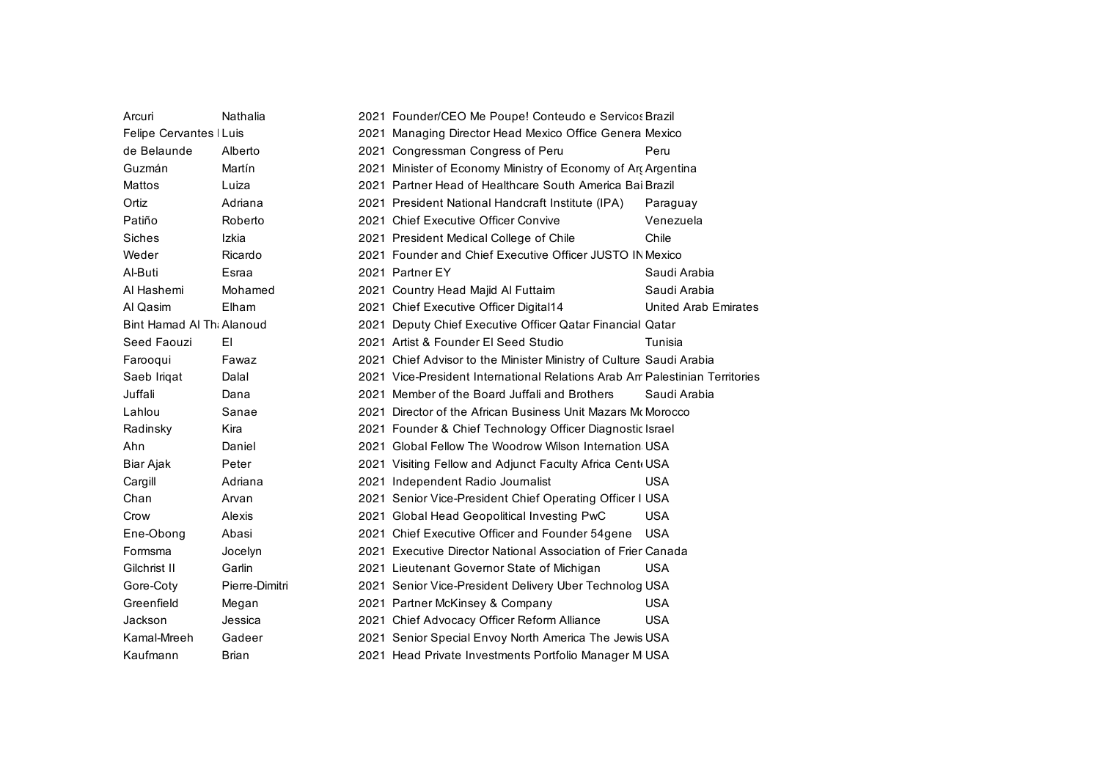| Arcuri                    | Nathalia       | 2021 Founder/CEO Me Poupe! Conteudo e Servicos Brazil                       |                             |
|---------------------------|----------------|-----------------------------------------------------------------------------|-----------------------------|
| Felipe Cervantes   Luis   |                | 2021 Managing Director Head Mexico Office Genera Mexico                     |                             |
| de Belaunde               | Alberto        | 2021 Congressman Congress of Peru                                           | Peru                        |
| Guzmán                    | Martín         | 2021 Minister of Economy Ministry of Economy of Art Argentina               |                             |
| Mattos                    | Luiza          | 2021 Partner Head of Healthcare South America Bai Brazil                    |                             |
| Ortiz                     | Adriana        | 2021 President National Handcraft Institute (IPA)                           | Paraguay                    |
| Patiño                    | Roberto        | 2021 Chief Executive Officer Convive                                        | Venezuela                   |
| <b>Siches</b>             | Izkia          | 2021 President Medical College of Chile                                     | Chile                       |
| Weder                     | Ricardo        | 2021 Founder and Chief Executive Officer JUSTO IN Mexico                    |                             |
| Al-Buti                   | Esraa          | 2021 Partner EY                                                             | Saudi Arabia                |
| Al Hashemi                | Mohamed        | 2021 Country Head Majid Al Futtaim                                          | Saudi Arabia                |
| Al Qasim                  | Elham          | 2021 Chief Executive Officer Digital14                                      | <b>United Arab Emirates</b> |
| Bint Hamad Al Thi Alanoud |                | 2021 Deputy Chief Executive Officer Qatar Financial Qatar                   |                             |
| Seed Faouzi               | EI.            | 2021 Artist & Founder El Seed Studio                                        | Tunisia                     |
| Farooqui                  | Fawaz          | 2021 Chief Advisor to the Minister Ministry of Culture Saudi Arabia         |                             |
| Saeb Iriqat               | Dalal          | 2021 Vice-President International Relations Arab Am Palestinian Territories |                             |
| Juffali                   | Dana           | 2021 Member of the Board Juffall and Brothers                               | Saudi Arabia                |
| Lahlou                    | Sanae          | 2021 Director of the African Business Unit Mazars McMorocco                 |                             |
| Radinsky                  | Kira           | 2021 Founder & Chief Technology Officer Diagnostic Israel                   |                             |
| Ahn                       | Daniel         | 2021 Global Fellow The Woodrow Wilson Internation USA                       |                             |
| Biar Ajak                 | Peter          | 2021 Visiting Fellow and Adjunct Faculty Africa Centi USA                   |                             |
| Cargill                   | Adriana        | 2021 Independent Radio Journalist                                           | <b>USA</b>                  |
| Chan                      | Arvan          | 2021 Senior Vice-President Chief Operating Officer I USA                    |                             |
| Crow                      | Alexis         | 2021 Global Head Geopolitical Investing PwC                                 | <b>USA</b>                  |
| Ene-Obong                 | Abasi          | 2021 Chief Executive Officer and Founder 54gene                             | <b>USA</b>                  |
| Formsma                   | Jocelyn        | 2021 Executive Director National Association of Frier Canada                |                             |
| Gilchrist II              | Garlin         | 2021 Lieutenant Governor State of Michigan                                  | <b>USA</b>                  |
| Gore-Coty                 | Pierre-Dimitri | 2021 Senior Vice-President Delivery Uber Technolog USA                      |                             |
| Greenfield                | Megan          | 2021 Partner McKinsey & Company                                             | <b>USA</b>                  |
| Jackson                   | Jessica        | 2021 Chief Advocacy Officer Reform Alliance                                 | <b>USA</b>                  |
| Kamal-Mreeh               | Gadeer         | 2021 Senior Special Envoy North America The Jewis USA                       |                             |
| Kaufmann                  | Brian          | 2021 Head Private Investments Portfolio Manager M USA                       |                             |
|                           |                |                                                                             |                             |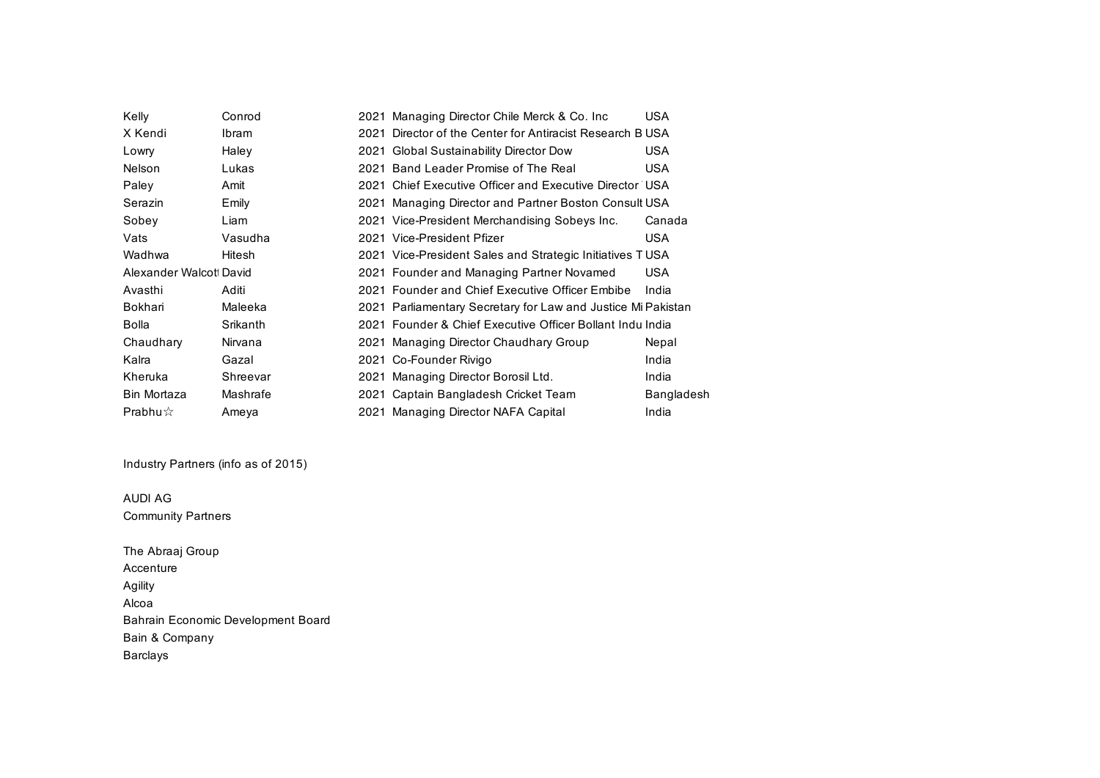| Kelly                   | Conrod       | 2021 Managing Director Chile Merck & Co. Inc.                | USA        |
|-------------------------|--------------|--------------------------------------------------------------|------------|
| X Kendi                 | <b>Ibram</b> | 2021 Director of the Center for Antiracist Research B USA    |            |
| Lowry                   | Haley        | 2021 Global Sustainability Director Dow                      | <b>USA</b> |
| Nelson                  | Lukas        | 2021 Band Leader Promise of The Real                         | USA        |
| Paley                   | Amit         | 2021 Chief Executive Officer and Executive Director USA      |            |
| Serazin                 | Emily        | 2021 Managing Director and Partner Boston Consult USA        |            |
| Sobey                   | Liam         | 2021 Vice-President Merchandising Sobeys Inc.                | Canada     |
| Vats                    | Vasudha      | 2021 Vice-President Pfizer                                   | USA        |
| Wadhwa                  | Hitesh       | 2021 Vice-President Sales and Strategic Initiatives TUSA     |            |
| Alexander Walcott David |              | 2021 Founder and Managing Partner Novamed                    | <b>USA</b> |
| Avasthi                 | Aditi        | 2021 Founder and Chief Executive Officer Embibe              | India      |
| Bokhari                 | Maleeka      | 2021 Parliamentary Secretary for Law and Justice Mi Pakistan |            |
| Bolla                   | Srikanth     | 2021 Founder & Chief Executive Officer Bollant Indu India    |            |
| Chaudhary               | Nirvana      | 2021 Managing Director Chaudhary Group                       | Nepal      |
| Kalra                   | Gazal        | 2021 Co-Founder Rivigo                                       | India      |
| Kheruka                 | Shreevar     | 2021 Managing Director Borosil Ltd.                          | India      |
| Bin Mortaza             | Mashrafe     | 2021 Captain Bangladesh Cricket Team                         | Bangladesh |
| Prabhu $\hat{x}$        | Ameya        | 2021 Managing Director NAFA Capital                          | India      |

Industry Partners (info as of 2015)

AUDI AG Community Partners

The Abraaj Group Accenture Agility Alcoa Bahrain Economic Development Board Bain & Company Barclays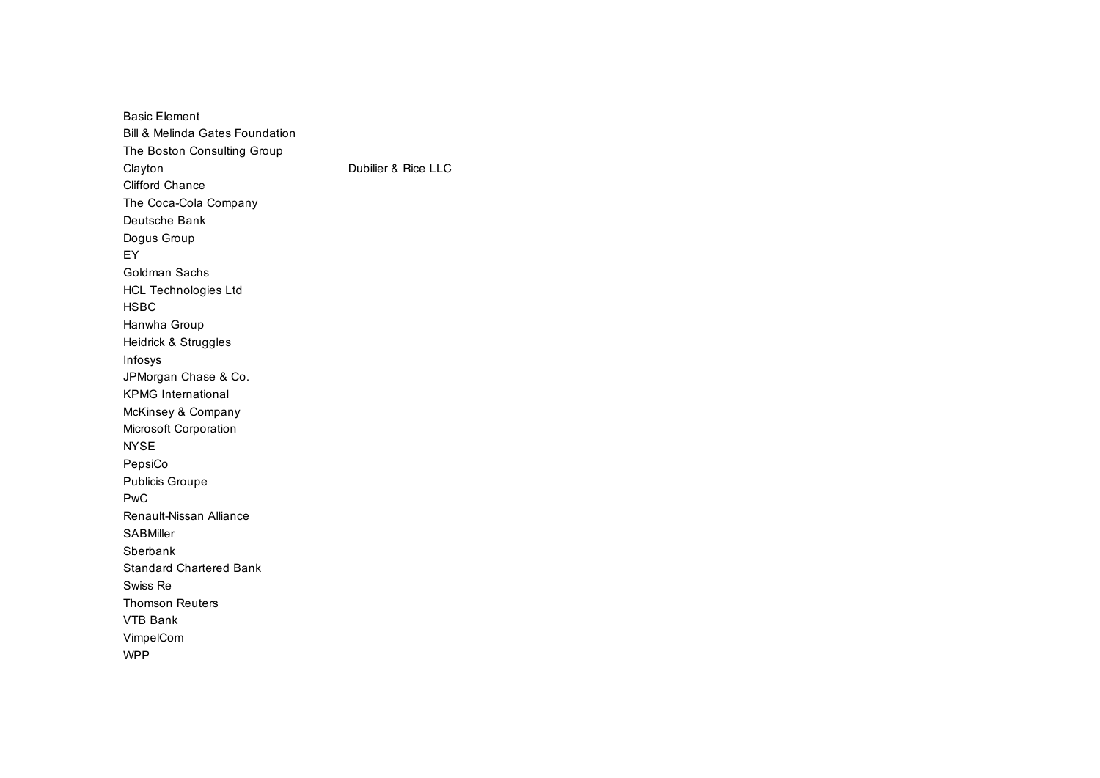Basic Element Bill & Melinda Gates Foundation The Boston Consulting Group Clayton **Dubilier & Rice LLC** Clifford Chance The Coca-Cola Company Deutsche Bank Dogus Group EY Goldman Sachs HCL Technologies Ltd HSBC Hanwha Group Heidrick & Struggles Infosys JPMorgan Chase & Co. KPMG International McKinsey & Company Microsoft Corporation NYSE PepsiCo Publicis Groupe PwC Renault-Nissan Alliance SABMiller Sberbank Standard Chartered Bank Swiss Re Thomson Reuters VTB Bank VimpelCom WPP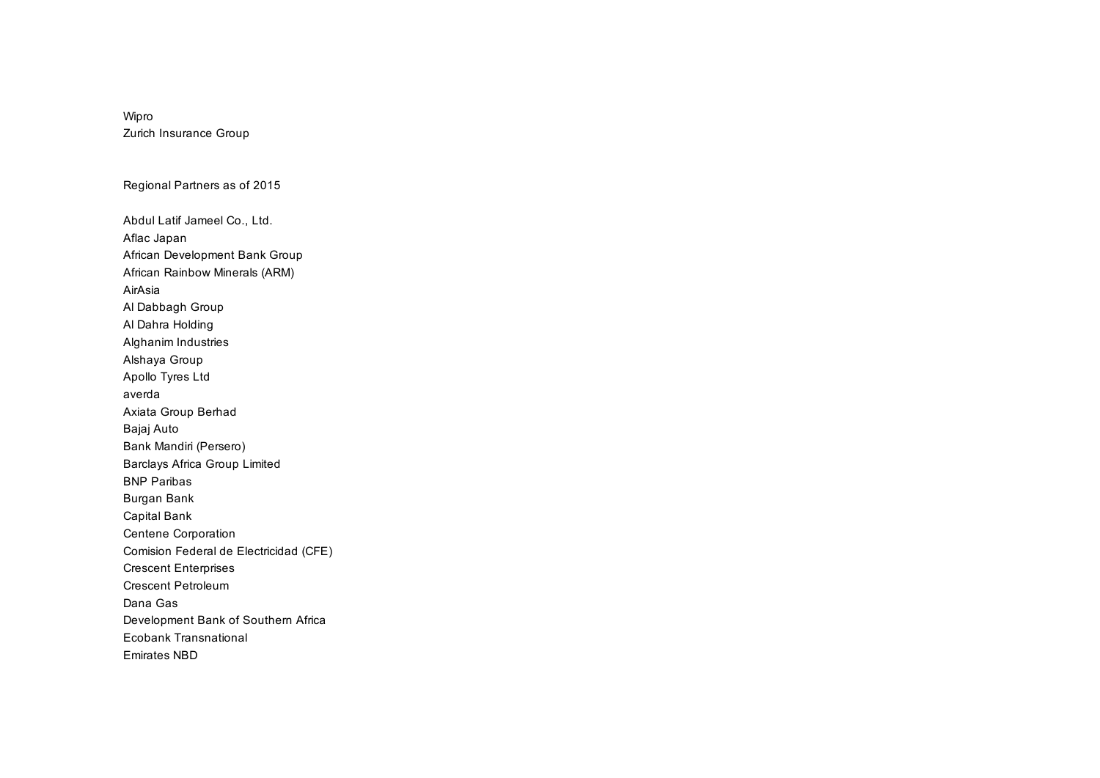## Wipro Zurich Insurance Group

Regional Partners as of 2015

Abdul Latif Jameel Co., Ltd. Aflac Japan African Development Bank Group African Rainbow Minerals (ARM) AirAsia Al Dabbagh Group Al Dahra Holding Alghanim Industries Alshaya Group Apollo Tyres Ltd averda Axiata Group Berhad Bajaj Auto Bank Mandiri (Persero) Barclays Africa Group Limited BNP Paribas Burgan Bank Capital Bank Centene Corporation Comision Federal de Electricidad (CFE) Crescent Enterprises Crescent Petroleum Dana Gas Development Bank of Southern Africa Ecobank Transnational Emirates NBD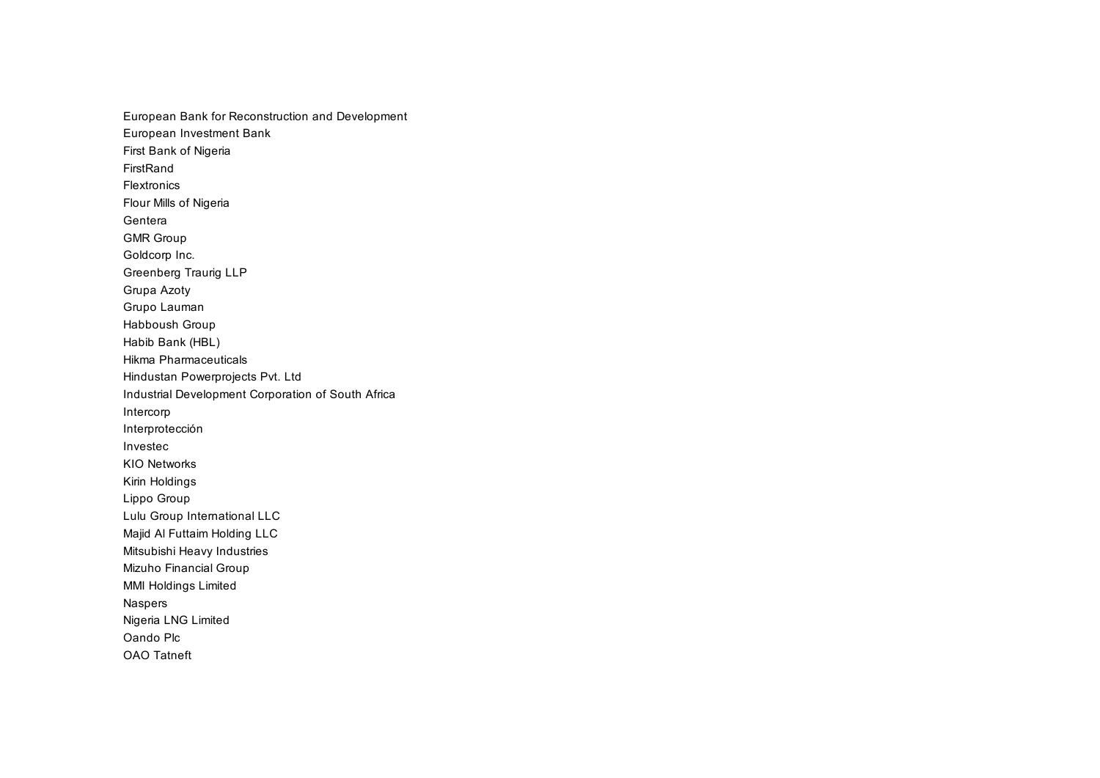European Bank for Reconstruction and Development European Investment Bank First Bank of Nigeria FirstRand Flextronics Flour Mills of Nigeria Gentera GMR Group Goldcorp Inc. Greenberg Traurig LLP Grupa Azoty Grupo Lauman Habboush Group Habib Bank (HBL) Hikma Pharmaceuticals Hindustan Powerprojects Pvt. Ltd Industrial Development Corporation of South Africa Intercorp Interprotección Investec KIO Networks Kirin Holdings Lippo Group Lulu Group International LLC Majid Al Futtaim Holding LLC Mitsubishi Heavy Industries Mizuho Financial Group MMI Holdings Limited Naspers Nigeria LNG Limited Oando Plc OAO Tatneft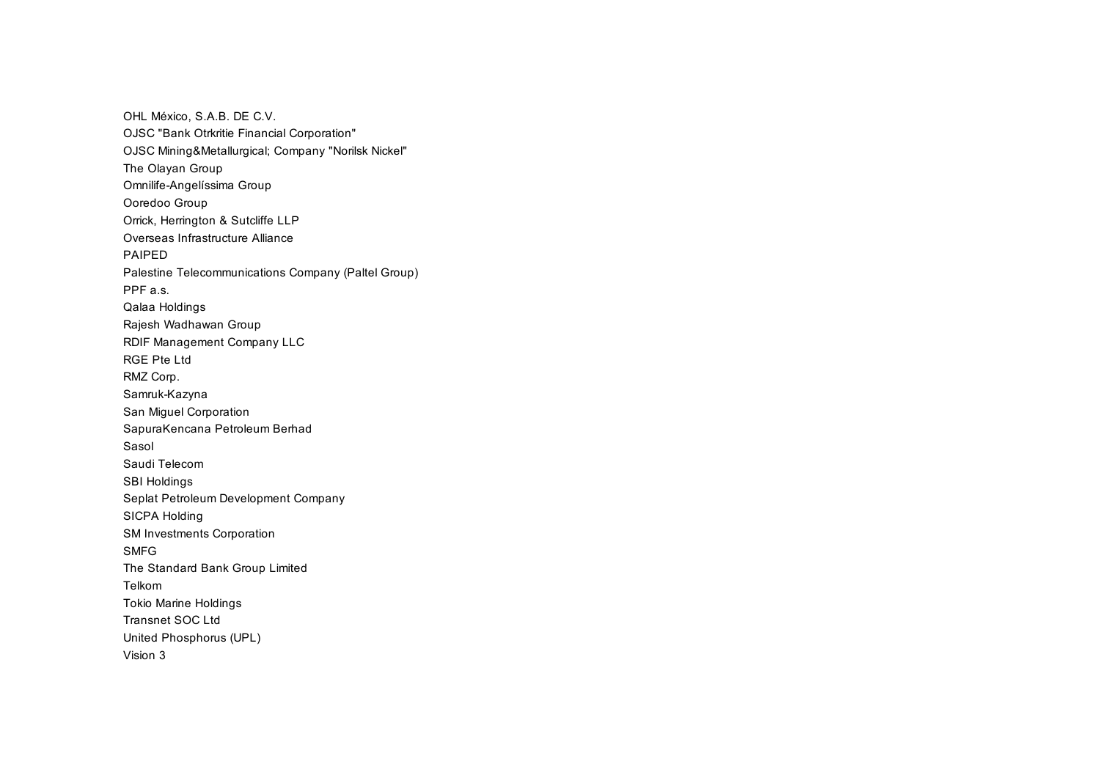OHL México, S.A.B. DE C.V. OJSC "Bank Otrkritie Financial Corporation" OJSC Mining&Metallurgical; Company "Norilsk Nickel" The Olayan Group Omnilife-Angelíssima Group Ooredoo Group Orrick, Herrington & Sutcliffe LLP Overseas Infrastructure Alliance PAIPED Palestine Telecommunications Company (Paltel Group) PPF a.s. Qalaa Holdings Rajesh Wadhawan Group RDIF Management Company LLC RGE Pte Ltd RMZ Corp. Samruk-Kazyna San Miguel Corporation SapuraKencana Petroleum Berhad Sasol Saudi Telecom SBI Holdings Seplat Petroleum Development Company SICPA Holding SM Investments Corporation SMFG The Standard Bank Group Limited Telkom Tokio Marine Holdings Transnet SOC Ltd United Phosphorus (UPL) Vision 3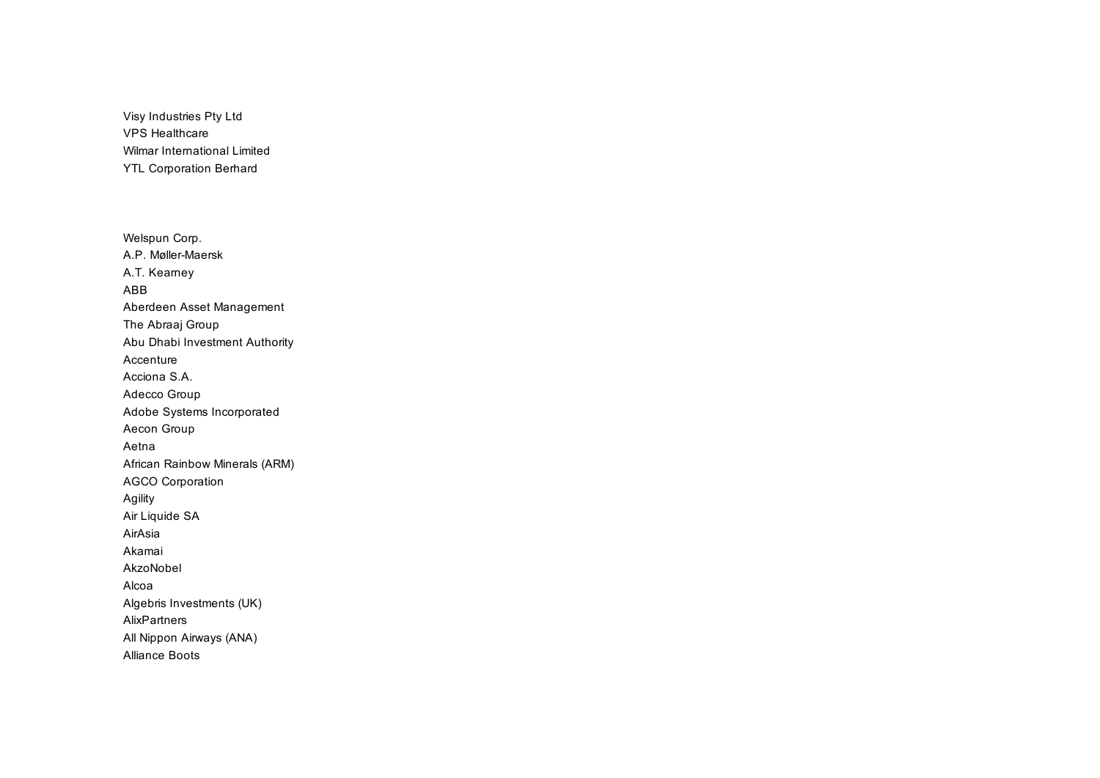Visy Industries Pty Ltd VPS Healthcare Wilmar International Limited YTL Corporation Berhard

Welspun Corp. A.P. Møller-Maersk A.T. Kearney ABB Aberdeen Asset Management The Abraaj Group Abu Dhabi Investment Authority Accenture Acciona S.A. Adecco Group Adobe Systems Incorporated Aecon Group Aetna African Rainbow Minerals (ARM) AGCO Corporation Agility Air Liquide SA AirAsia Akamai AkzoNobel Alcoa Algebris Investments (UK) AlixPartners All Nippon Airways (ANA) Alliance Boots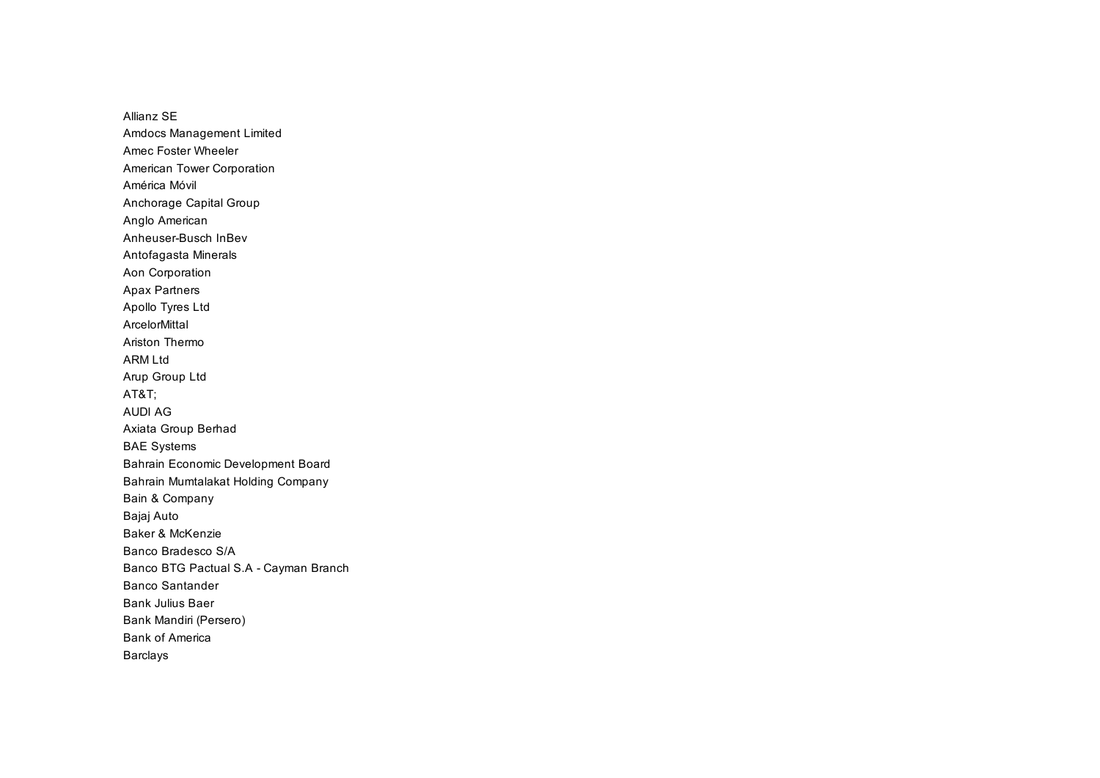Allianz SE Amdocs Management Limited Amec Foster Wheeler American Tower Corporation América Móvil Anchorage Capital Group Anglo American Anheuser-Busch InBev Antofagasta Minerals Aon Corporation Apax Partners Apollo Tyres Ltd ArcelorMittal Ariston Thermo ARM I td Arup Group Ltd AT&T; AUDI AG Axiata Group Berhad BAE Systems Bahrain Economic Development Board Bahrain Mumtalakat Holding Company Bain & Company Bajaj Auto Baker & McKenzie Banco Bradesco S/A Banco BTG Pactual S.A - Cayman Branch Banco Santander Bank Julius Baer Bank Mandiri (Persero) Bank of America Barclays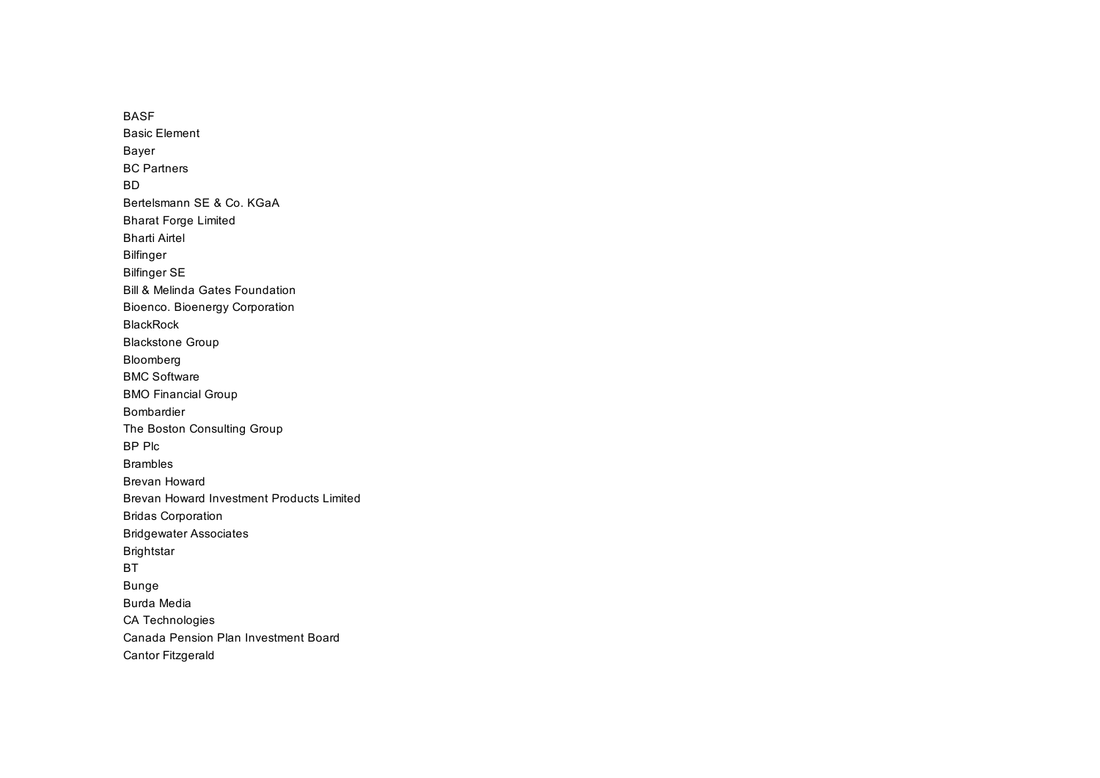BASF Basic Element Bayer BC Partners BD Bertelsmann SE & Co. KGaA Bharat Forge Limited Bharti Airtel Bilfinger Bilfinger SE Bill & Melinda Gates Foundation Bioenco. Bioenergy Corporation BlackRock Blackstone Group Bloomberg BMC Software BMO Financial Group Bombardier The Boston Consulting Group BP Plc Brambles Brevan Howard Brevan Howard Investment Products Limited Bridas Corporation Bridgewater Associates Brightstar BT Bunge Burda Media CA Technologies Canada Pension Plan Investment Board Cantor Fitzgerald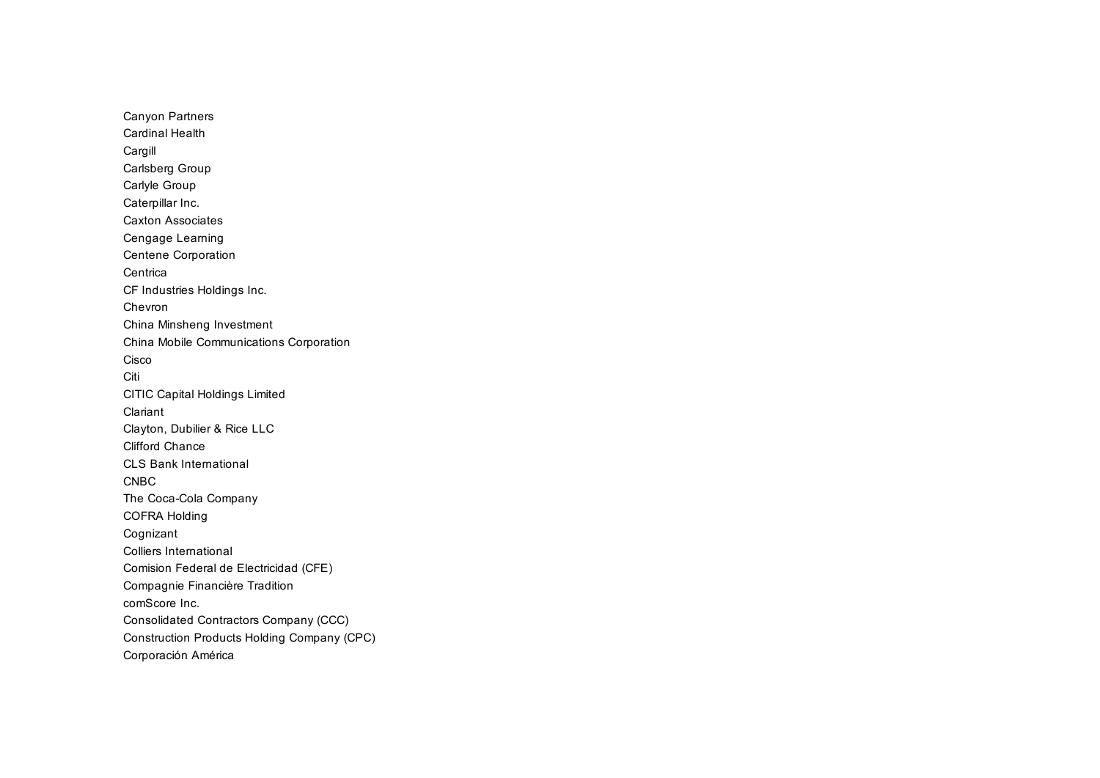Canyon Partners Cardinal Health Cargill Carlsberg Group Carlyle Group Caterpillar Inc. Caxton Associates Cengage Learning Centene Corporation **Centrica** CF Industries Holdings Inc. Chevron China Minsheng Investment China Mobile Communications Corporation Cisco Citi CITIC Capital Holdings Limited Clariant Clayton, Dubilier & Rice LLC Clifford Chance CLS Bank International CNBC The Coca-Cola Company COFRA Holding Cognizant Colliers International Comision Federal de Electricidad (CFE) Compagnie Financière Tradition comScore Inc. Consolidated Contractors Company (CCC) Construction Products Holding Company (CPC) Corporación América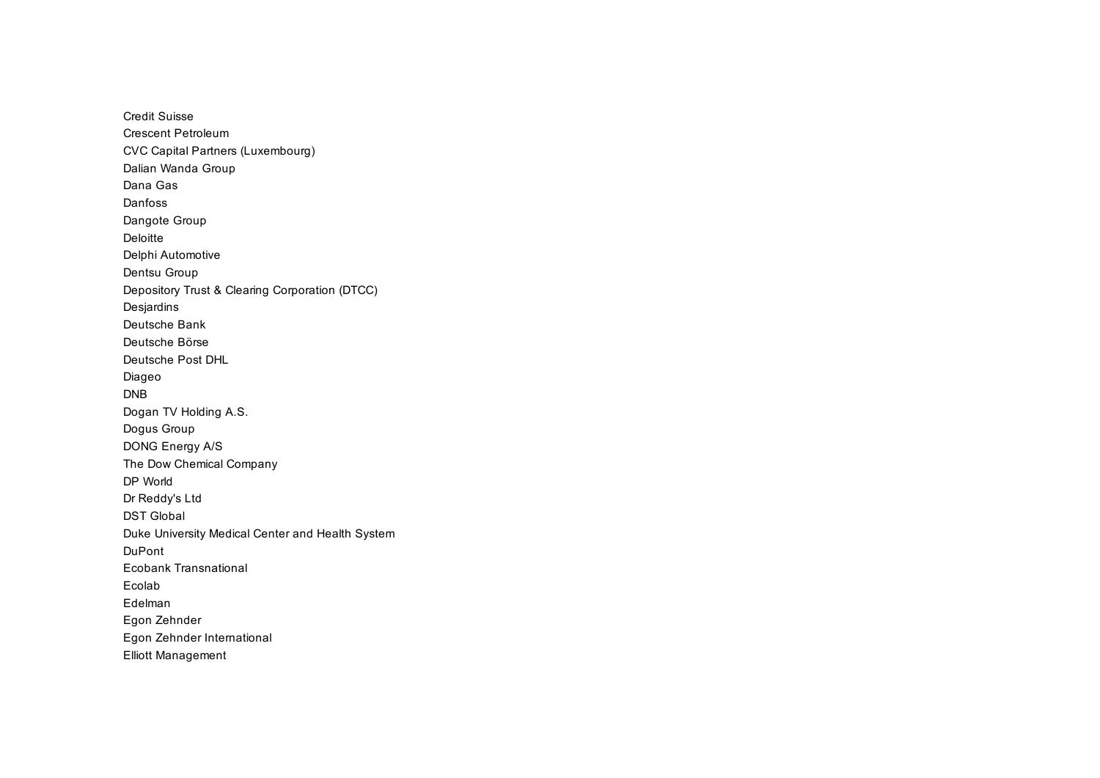Credit Suisse Crescent Petroleum CVC Capital Partners (Luxembourg) Dalian Wanda Group Dana Gas Danfoss Dangote Group Deloitte Delphi Automotive Dentsu Group Depository Trust & Clearing Corporation (DTCC) Desjardins Deutsche Bank Deutsche Börse Deutsche Post DHL Diageo DNB Dogan TV Holding A.S. Dogus Group DONG Energy A/S The Dow Chemical Company DP World Dr Reddy's Ltd DST Global Duke University Medical Center and Health System DuPont Ecobank Transnational Ecolab Edelman Egon Zehnder Egon Zehnder International Elliott Management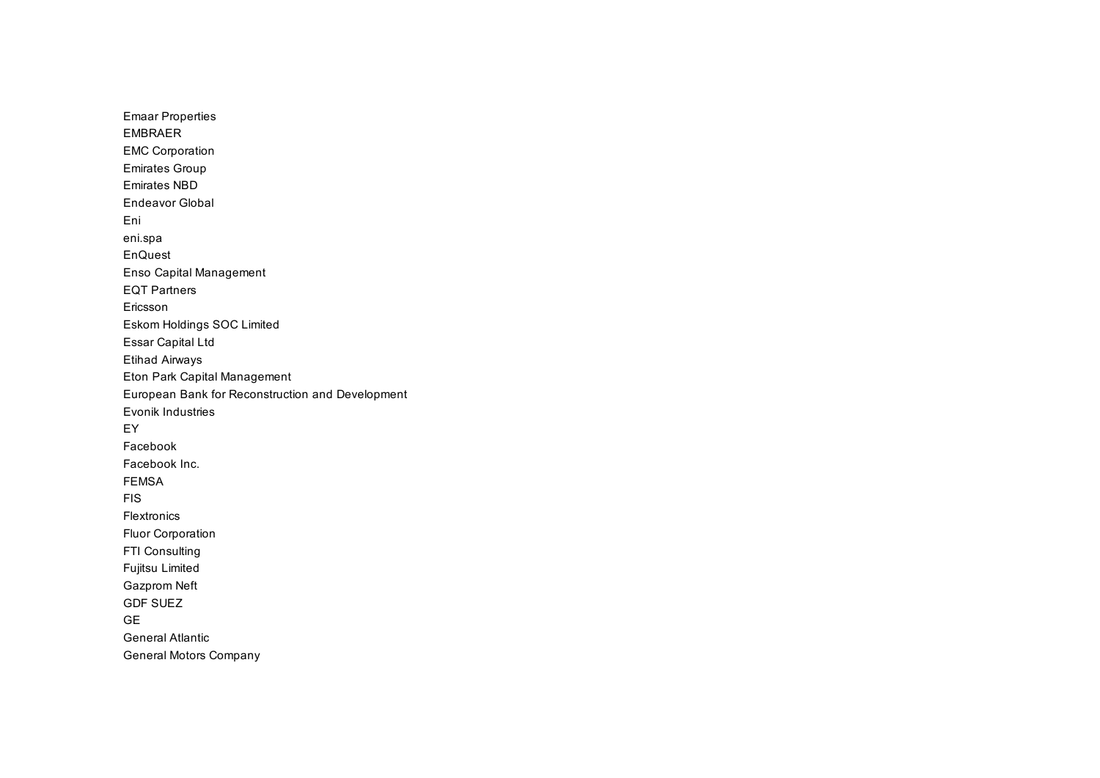Emaar Properties EMBRAER EMC Corporation Emirates Group Emirates NBD Endeavor Global Eni eni.spa EnQuest Enso Capital Management EQT Partners Ericsson Eskom Holdings SOC Limited Essar Capital Ltd Etihad Airways Eton Park Capital Management European Bank for Reconstruction and Development Evonik Industries EY Facebook Facebook Inc. FEMSA FIS Flextronics Fluor Corporation FTI Consulting Fujitsu Limited Gazprom Neft GDF SUEZ GE General Atlantic General Motors Company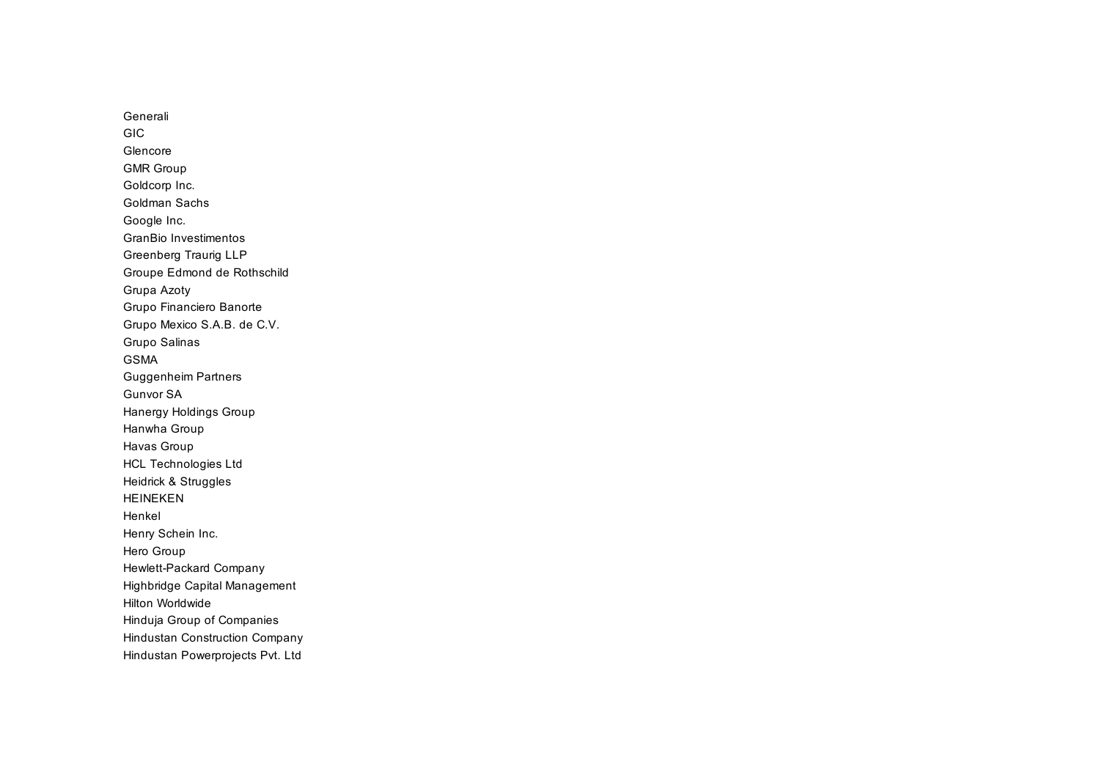Generali GIC Glencore GMR Group Goldcorp Inc. Goldman Sachs Google Inc. GranBio Investimentos Greenberg Traurig LLP Groupe Edmond de Rothschild Grupa Azoty Grupo Financiero Banorte Grupo Mexico S.A.B. de C.V. Grupo Salinas GSMA Guggenheim Partners Gunvor SA Hanergy Holdings Group Hanwha Group Havas Group HCL Technologies Ltd Heidrick & Struggles HEINEKEN Henkel Henry Schein Inc. Hero Group Hewlett-Packard Company Highbridge Capital Management Hilton Worldwide Hinduja Group of Companies Hindustan Construction Company Hindustan Powerprojects Pvt. Ltd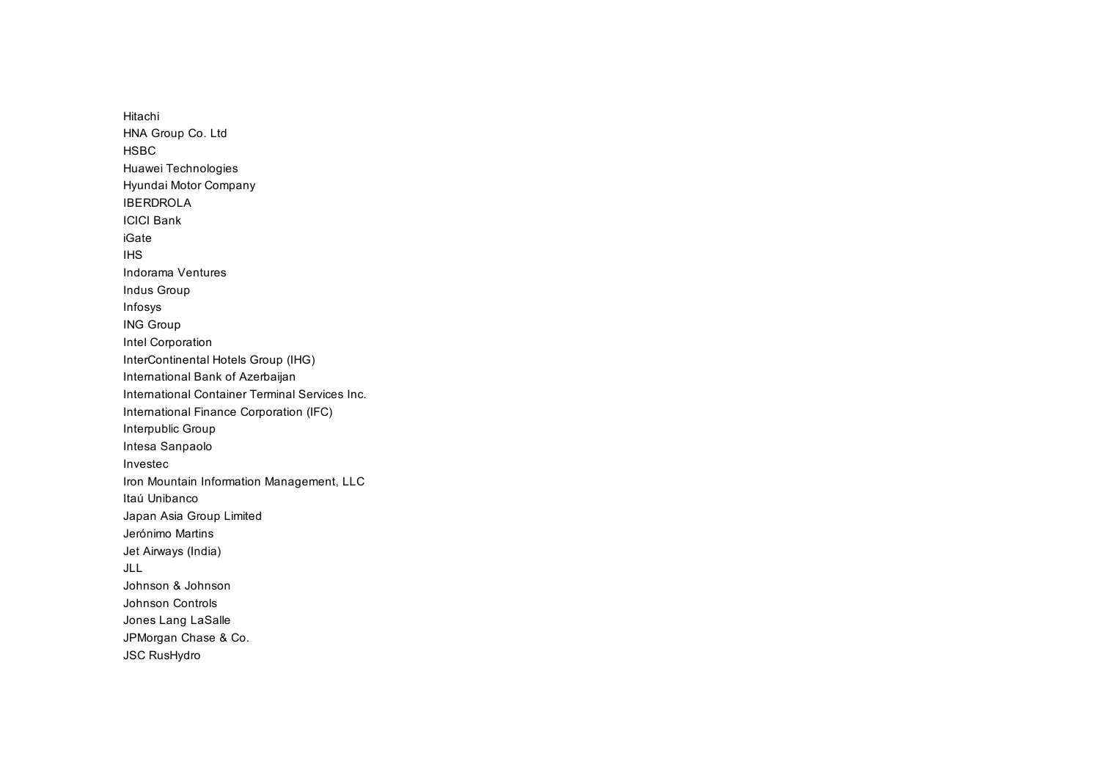Hitachi HNA Group Co. Ltd **HSBC** Huawei Technologies Hyundai Motor Company IBERDROLA ICICI Bank iGate IHS Indorama Ventures Indus Group Infosys ING Group Intel Corporation InterContinental Hotels Group (IHG) International Bank of Azerbaijan International Container Terminal Services Inc. International Finance Corporation (IFC) Interpublic Group Intesa Sanpaolo Investec Iron Mountain Information Management, LLC Itaú Unibanco Japan Asia Group Limited Jerónimo Martins Jet Airways (India) JLL Johnson & Johnson Johnson Controls Jones Lang LaSalle JPMorgan Chase & Co. JSC RusHydro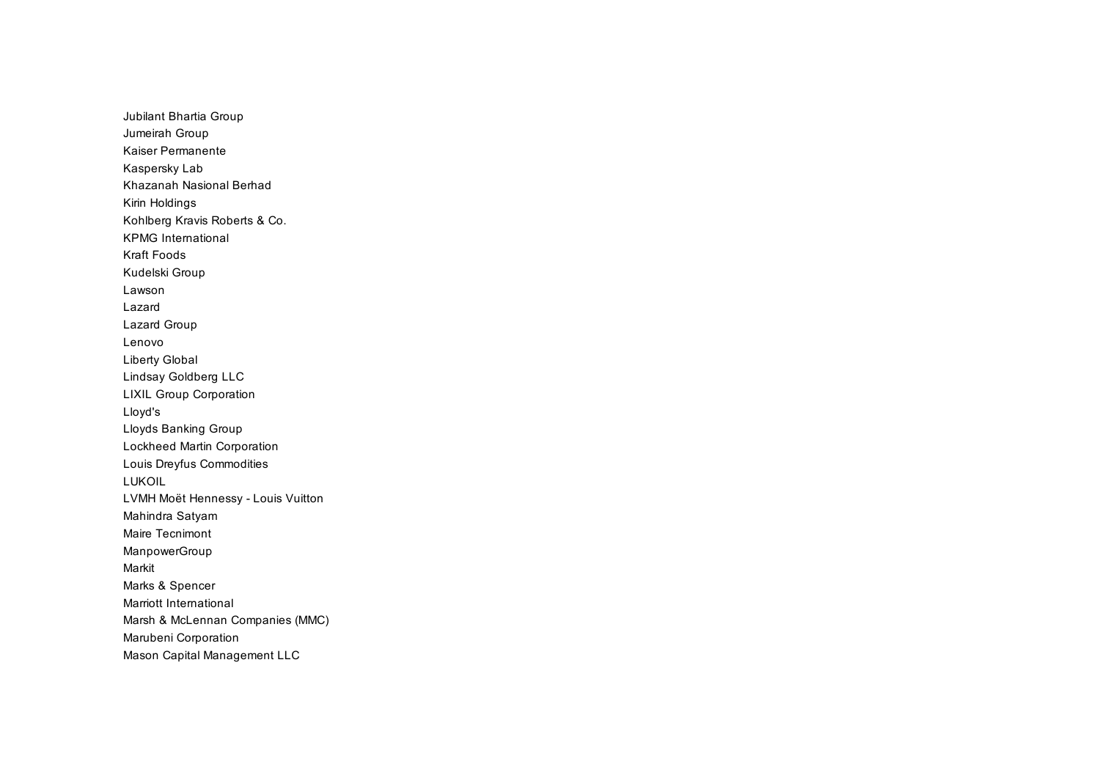Jubilant Bhartia Group Jumeirah Group Kaiser Permanente Kaspersky Lab Khazanah Nasional Berhad Kirin Holdings Kohlberg Kravis Roberts & Co. KPMG International Kraft Foods Kudelski Group Lawson Lazard Lazard Group Lenovo Liberty Global Lindsay Goldberg LLC LIXIL Group Corporation Lloyd's Lloyds Banking Group Lockheed Martin Corporation Louis Dreyfus Commodities LUKOIL LVMH Moët Hennessy - Louis Vuitton Mahindra Satyam Maire Tecnimont ManpowerGroup Markit Marks & Spencer Marriott International Marsh & McLennan Companies (MMC) Marubeni Corporation Mason Capital Management LLC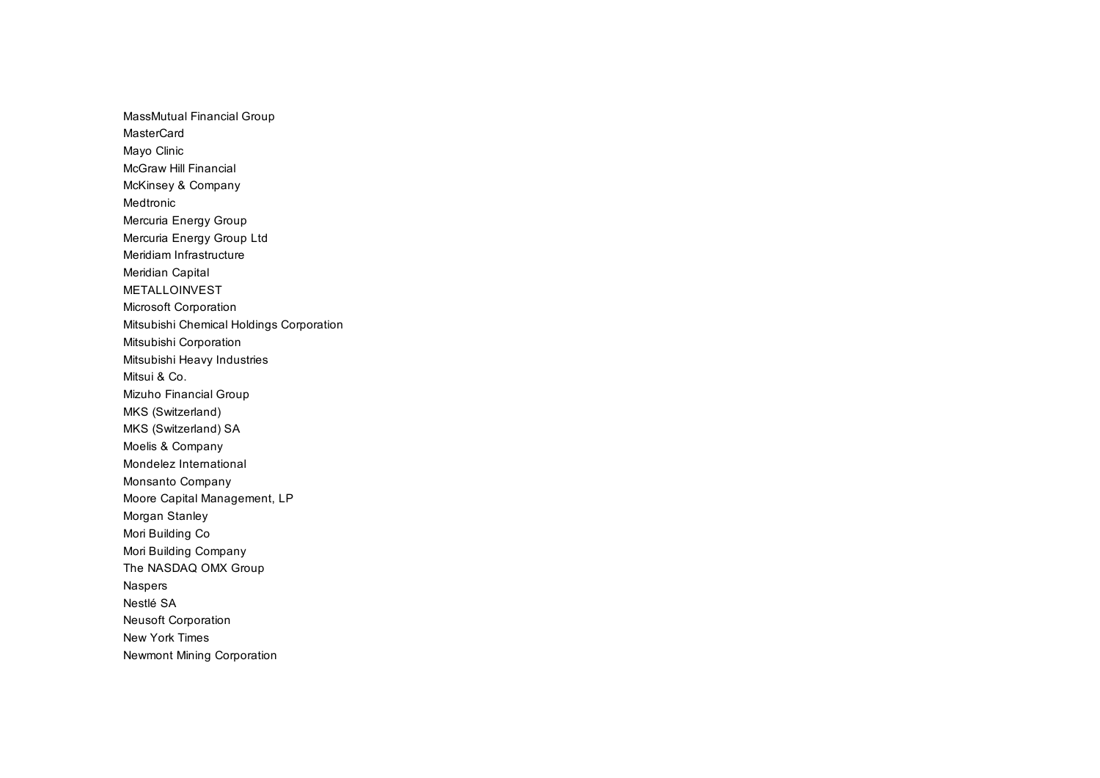MassMutual Financial Group **MasterCard** Mayo Clinic McGraw Hill Financial McKinsey & Company Medtronic Mercuria Energy Group Mercuria Energy Group Ltd Meridiam Infrastructure Meridian Capital METALLOINVEST Microsoft Corporation Mitsubishi Chemical Holdings Corporation Mitsubishi Corporation Mitsubishi Heavy Industries Mitsui & Co. Mizuho Financial Group MKS (Switzerland) MKS (Switzerland) SA Moelis & Company Mondelez International Monsanto Company Moore Capital Management, LP Morgan Stanley Mori Building Co Mori Building Company The NASDAQ OMX Group Naspers Nestlé SA Neusoft Corporation New York Times Newmont Mining Corporation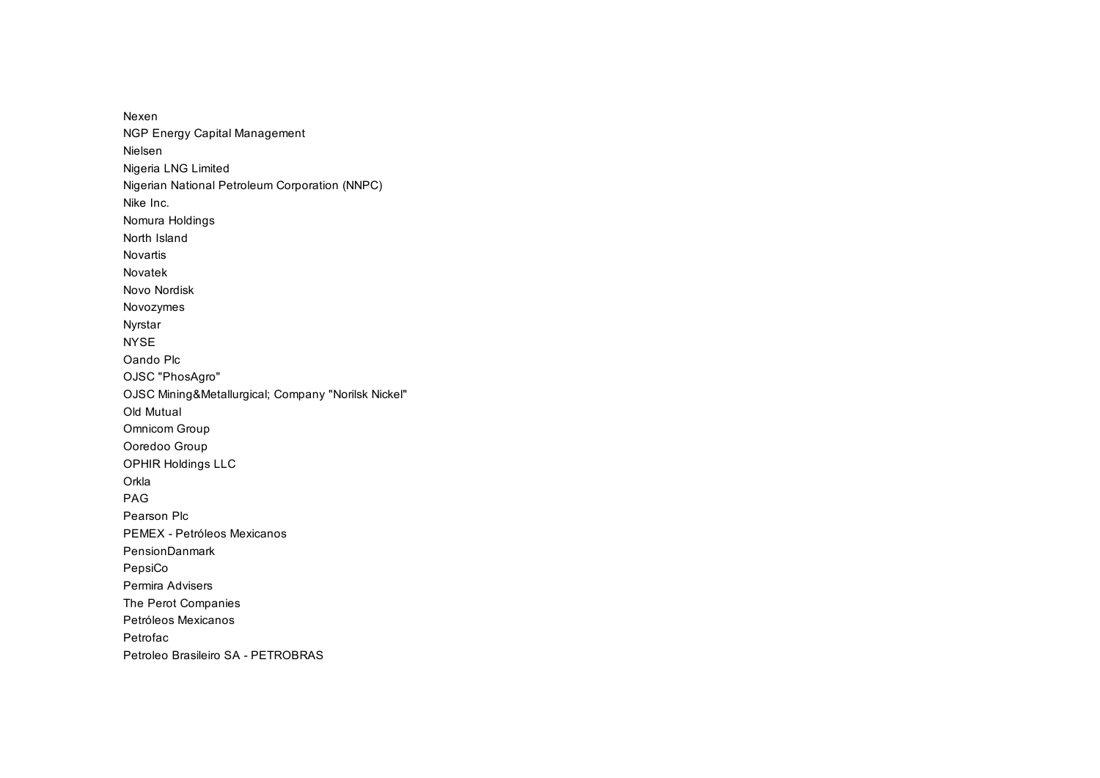Nexen NGP Energy Capital Management Nielsen Nigeria LNG Limited Nigerian National Petroleum Corporation (NNPC) Nike Inc. Nomura Holdings North Island Novartis Novatek Novo Nordisk Novozymes Nyrstar NYSE Oando Plc OJSC "PhosAgro" OJSC Mining&Metallurgical; Company "Norilsk Nickel" Old Mutual Omnicom Group Ooredoo Group OPHIR Holdings LLC **Orkla** PAG Pearson Plc PEMEX - Petróleos Mexicanos PensionDanmark PepsiCo Permira Advisers The Perot Companies Petróleos Mexicanos Petrofac Petroleo Brasileiro SA - PETROBRAS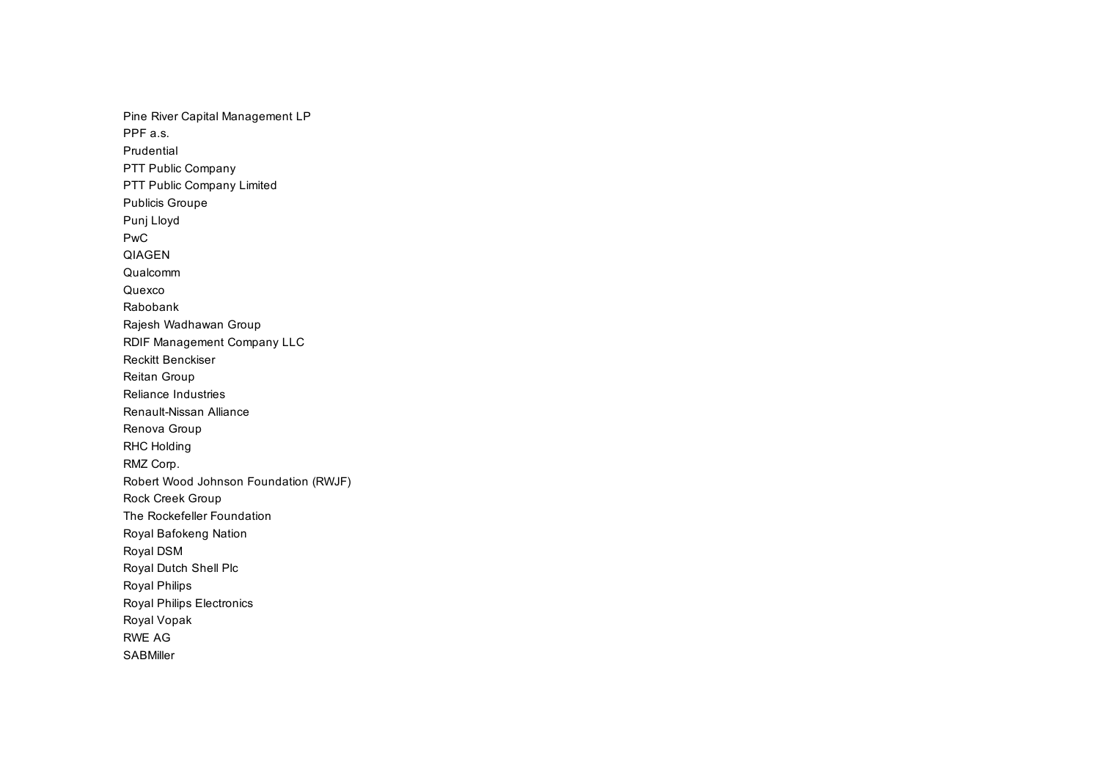Pine River Capital Management LP PPF a.s. Prudential PTT Public Company PTT Public Company Limited Publicis Groupe Punj Lloyd PwC QIAGEN Qualcomm Quexco Rabobank Rajesh Wadhawan Group RDIF Management Company LLC Reckitt Benckiser Reitan Group Reliance Industries Renault-Nissan Alliance Renova Group RHC Holding RMZ Corp. Robert Wood Johnson Foundation (RWJF) Rock Creek Group The Rockefeller Foundation Royal Bafokeng Nation Royal DSM Royal Dutch Shell Plc Royal Philips Royal Philips Electronics Royal Vopak RWE AG **SABMiller**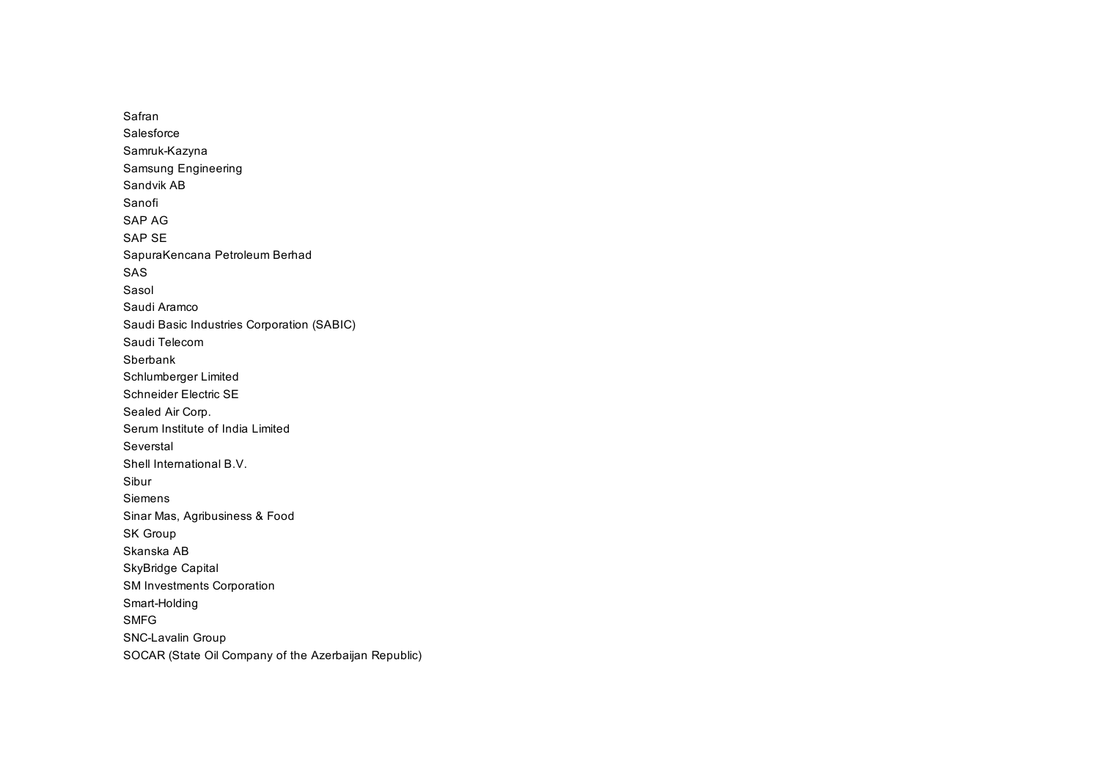Safran Salesforce Samruk-Kazyna Samsung Engineering Sandvik AB Sanofi SAP AG SAP SE SapuraKencana Petroleum Berhad SAS Sasol Saudi Aramco Saudi Basic Industries Corporation (SABIC) Saudi Telecom Sberbank Schlumberger Limited Schneider Electric SE Sealed Air Corp. Serum Institute of India Limited Severstal Shell International B.V. Sibur Siemens Sinar Mas, Agribusiness & Food SK Group Skanska AB SkyBridge Capital SM Investments Corporation Smart-Holding SMFG SNC-Lavalin Group SOCAR (State Oil Company of the Azerbaijan Republic)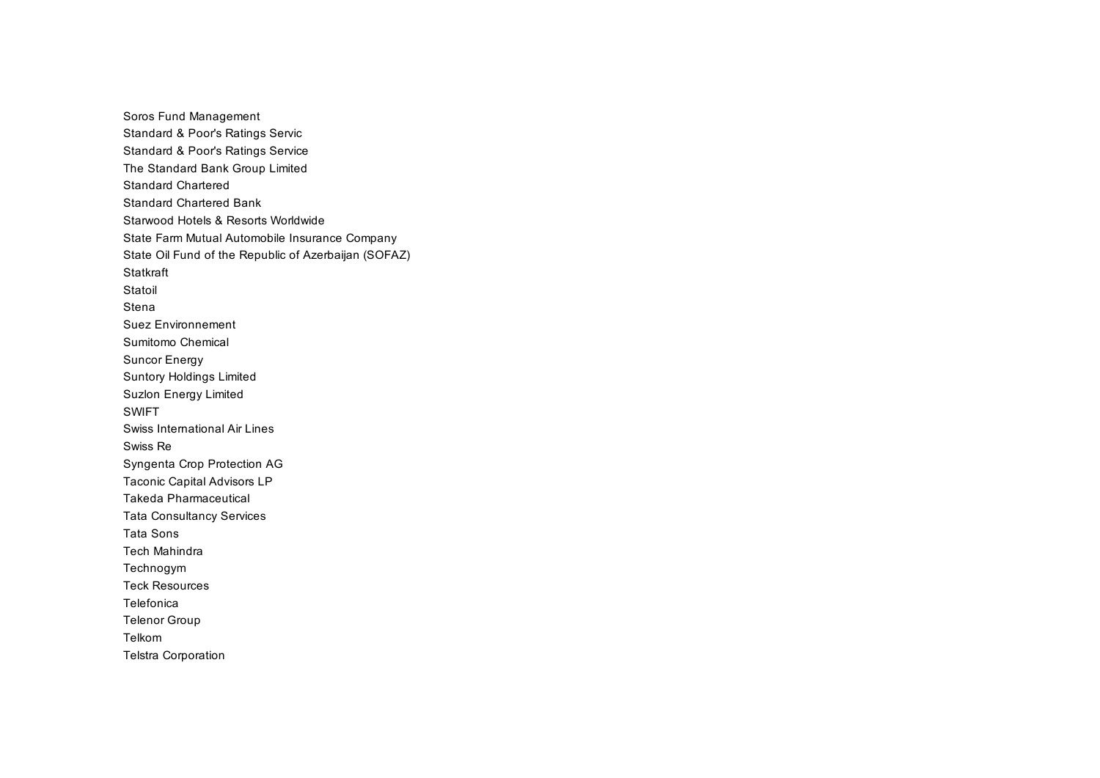Soros Fund Management Standard & Poor's Ratings Servic Standard & Poor's Ratings Service The Standard Bank Group Limited Standard Chartered Standard Chartered Bank Starwood Hotels & Resorts Worldwide State Farm Mutual Automobile Insurance Company State Oil Fund of the Republic of Azerbaijan (SOFAZ) **Statkraft** Statoil Stena Suez Environnement Sumitomo Chemical Suncor Energy Suntory Holdings Limited Suzlon Energy Limited SWIFT Swiss International Air Lines Swiss Re Syngenta Crop Protection AG Taconic Capital Advisors LP Takeda Pharmaceutical Tata Consultancy Services Tata Sons Tech Mahindra Technogym Teck Resources Telefonica Telenor Group Telkom Telstra Corporation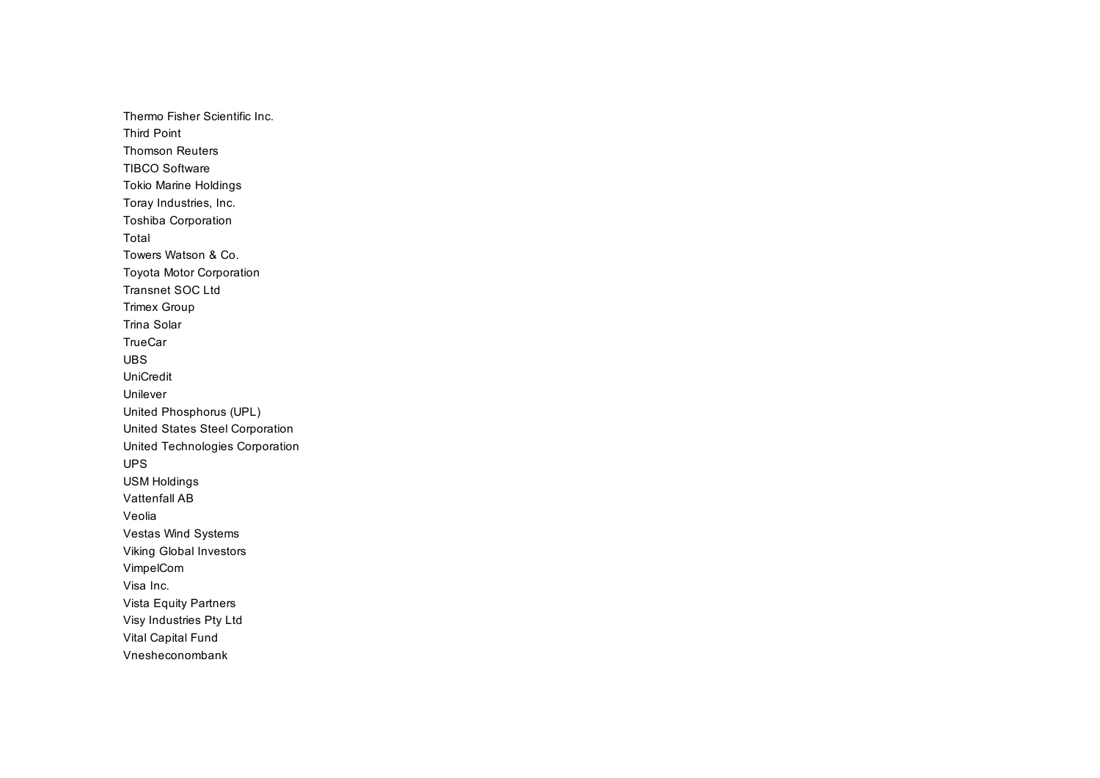Thermo Fisher Scientific Inc. Third Point Thomson Reuters TIBCO Software Tokio Marine Holdings Toray Industries, Inc. Toshiba Corporation Total Towers Watson & Co. Toyota Motor Corporation Transnet SOC Ltd Trimex Group Trina Solar **TrueCar** UBS UniCredit Unilever United Phosphorus (UPL) United States Steel Corporation United Technologies Corporation UPS USM Holdings Vattenfall AB Veolia Vestas Wind Systems Viking Global Investors VimpelCom Visa Inc. Vista Equity Partners Visy Industries Pty Ltd Vital Capital Fund Vnesheconombank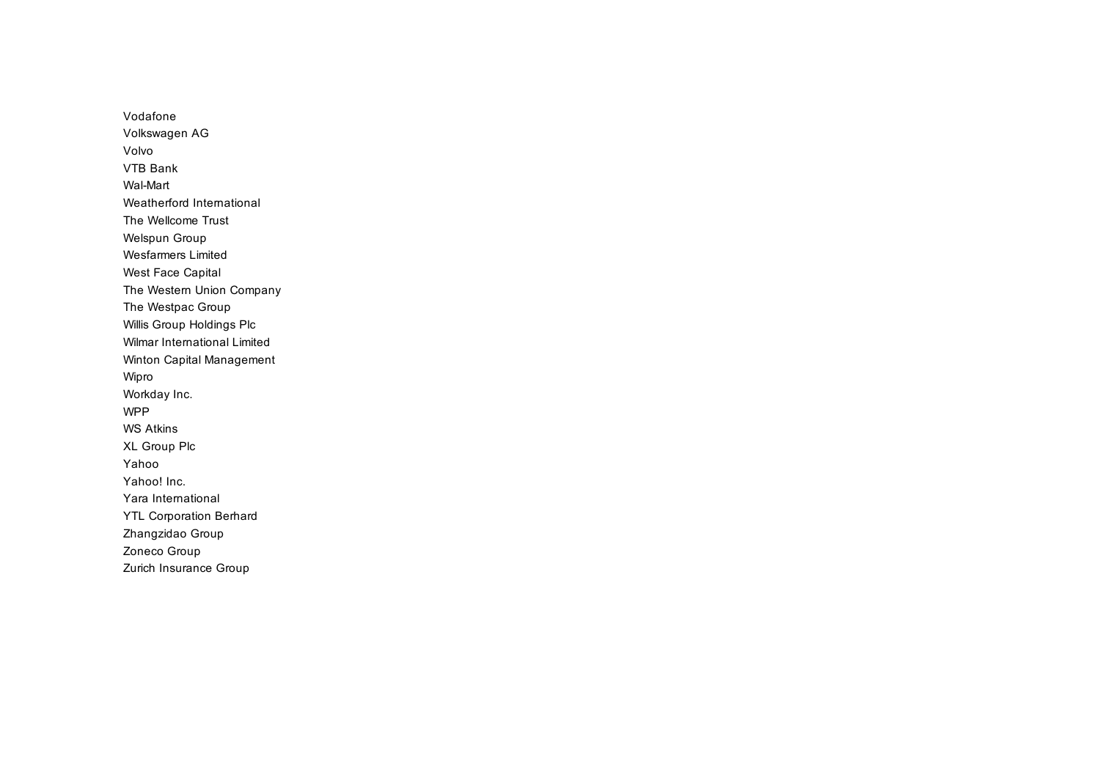Vodafone Volkswagen AG Volvo VTB Bank Wal-Mart Weatherford International The Wellcome Trust Welspun Group Wesfarmers Limited West Face Capital The Western Union Company The Westpac Group Willis Group Holdings Plc Wilmar International Limited Winton Capital Management Wipro Workday Inc. WPP WS Atkins XL Group Plc Yahoo Yahoo! Inc. Yara International YTL Corporation Berhard Zhangzidao Group Zoneco Group Zurich Insurance Group